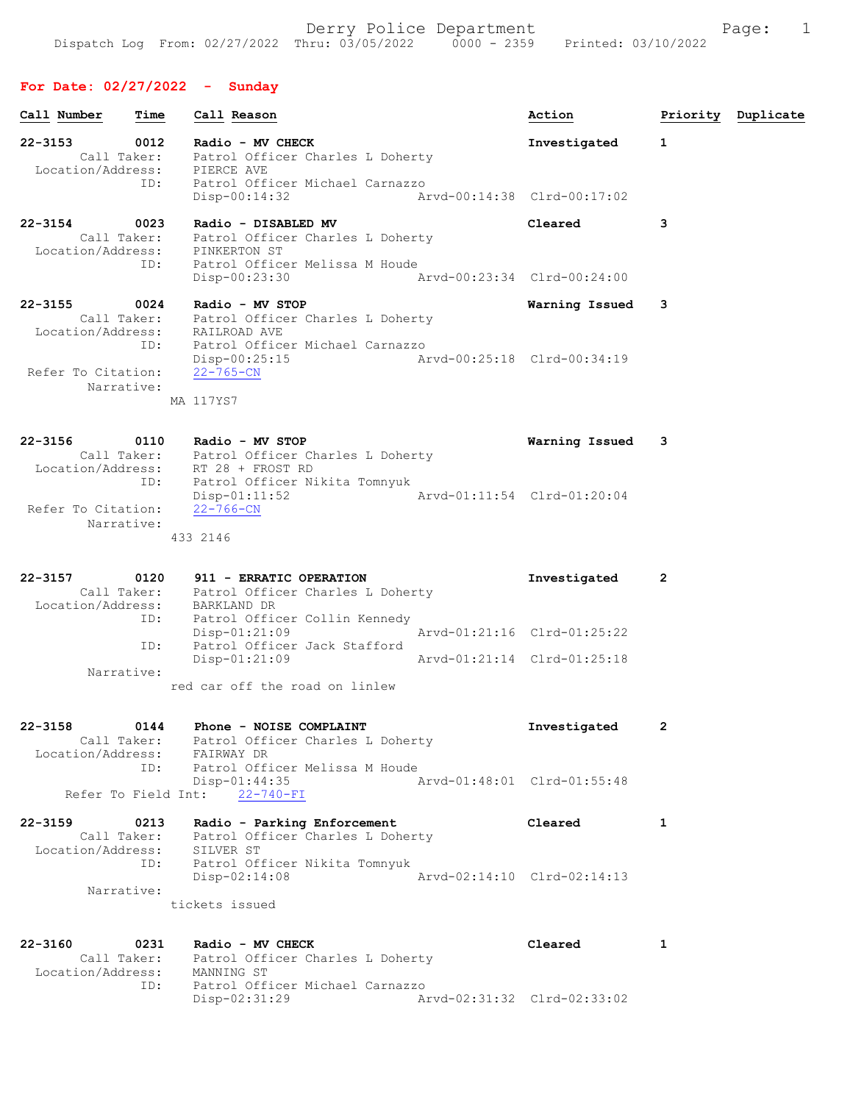# For Date: 02/27/2022 - Sunday

| Call Number                                 | Time                       | Call Reason                                                                                                                          | Action                      |   | Priority Duplicate |
|---------------------------------------------|----------------------------|--------------------------------------------------------------------------------------------------------------------------------------|-----------------------------|---|--------------------|
| 22-3153<br>Location/Address: PIERCE AVE     | 0012<br>Call Taker:<br>ID: | Radio - MV CHECK<br>Patrol Officer Charles L Doherty<br>Patrol Officer Michael Carnazzo                                              | Investigated                | 1 |                    |
|                                             |                            | Arvd-00:14:38 Clrd-00:17:02<br>$Disp-00:14:32$                                                                                       |                             |   |                    |
| $22 - 3154$<br>Location/Address:            | 0023<br>Call Taker:        | Radio - DISABLED MV<br>Patrol Officer Charles L Doherty<br>PINKERTON ST                                                              | Cleared                     | 3 |                    |
|                                             | ID:                        | Patrol Officer Melissa M Houde<br>Disp-00:23:30                                                                                      | Arvd-00:23:34 Clrd-00:24:00 |   |                    |
| $22 - 3155$                                 | 0024<br>ID:                | Radio - MV STOP<br>Call Taker: Patrol Officer Charles L Doherty<br>Location/Address: RAILROAD AVE<br>Patrol Officer Michael Carnazzo | Warning Issued              | 3 |                    |
| Refer To Citation:                          |                            | $Disp-00:25:15$<br>22-765-CN                                                                                                         | Arvd-00:25:18 Clrd-00:34:19 |   |                    |
| Narrative:                                  |                            | MA 117YS7                                                                                                                            |                             |   |                    |
| $22 - 3156$                                 | 0110                       | Radio - MV STOP<br>Call Taker: Patrol Officer Charles L Doherty<br>Location/Address: RT 28 + FROST RD                                | Warning Issued              | 3 |                    |
| Refer To Citation:                          | ID:                        | Patrol Officer Nikita Tomnyuk<br>$Disp-01:11:52$<br>22-766-CN                                                                        | Arvd-01:11:54 Clrd-01:20:04 |   |                    |
| Narrative:                                  |                            | 433 2146                                                                                                                             |                             |   |                    |
| $22 - 3157$                                 | 0120                       | 911 - ERRATIC OPERATION<br>Call Taker: Patrol Officer Charles L Doherty<br>Location/Address: BARKLAND DR                             | Investigated                | 2 |                    |
|                                             | ID:<br>ID:                 | Patrol Officer Collin Kennedy<br>$Disp-01:21:09$<br>Patrol Officer Jack Stafford                                                     | Arvd-01:21:16 Clrd-01:25:22 |   |                    |
| Narrative:                                  |                            | $Disp-01:21:09$                                                                                                                      | Arvd-01:21:14 Clrd-01:25:18 |   |                    |
|                                             |                            | red car off the road on linlew                                                                                                       |                             |   |                    |
| $22 - 3158$<br>Location/Address: FAIRWAY DR | 0144                       | Phone - NOISE COMPLAINT<br>Call Taker: Patrol Officer Charles L Doherty                                                              | Investigated                | 2 |                    |
|                                             | ID:                        | Patrol Officer Melissa M Houde<br>$Disp-01:44:35$<br>Refer To Field Int: 22-740-FI                                                   | Arvd-01:48:01 Clrd-01:55:48 |   |                    |
| $22 - 3159$                                 | 0213                       | Radio - Parking Enforcement<br>Call Taker: Patrol Officer Charles L Doherty                                                          | Cleared                     | 1 |                    |
| Location/Address:<br>Narrative:             |                            | SILVER ST<br>ID: Patrol Officer Nikita Tomnyuk<br>$Disp-02:14:08$                                                                    | Arvd-02:14:10 Clrd-02:14:13 |   |                    |
|                                             |                            | tickets issued                                                                                                                       |                             |   |                    |
| $22 - 3160$<br>Location/Address: MANNING ST | 0231                       | Radio - MV CHECK<br>Call Taker: Patrol Officer Charles L Doherty                                                                     | Cleared                     | 1 |                    |
|                                             | ID:                        | Patrol Officer Michael Carnazzo<br>Disp-02:31:29                                                                                     | Arvd-02:31:32 Clrd-02:33:02 |   |                    |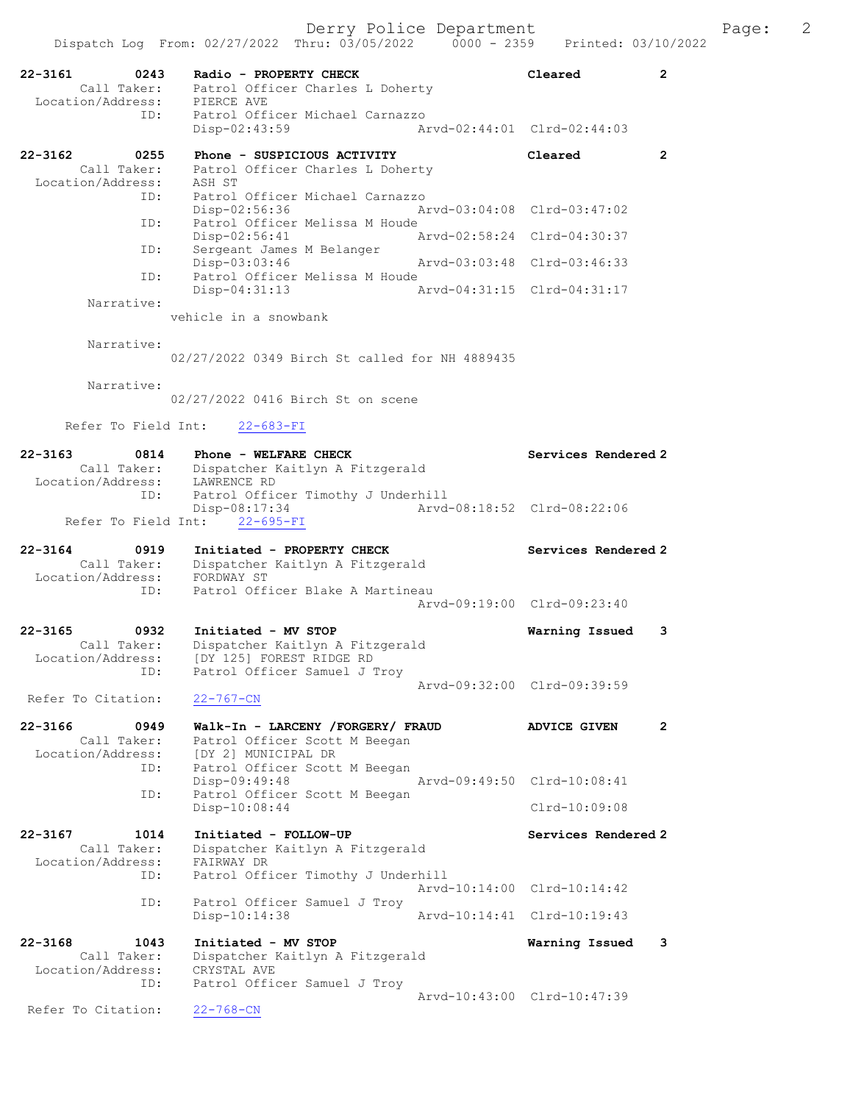| $22 - 3161$<br>0243                | Radio - PROPERTY CHECK                                 | Cleared                     | 2            |
|------------------------------------|--------------------------------------------------------|-----------------------------|--------------|
| Call Taker:<br>Location/Address:   | Patrol Officer Charles L Doherty<br>PIERCE AVE         |                             |              |
| ID:                                | Patrol Officer Michael Carnazzo<br>$Disp-02:43:59$     | Arvd-02:44:01 Clrd-02:44:03 |              |
| $22 - 3162$<br>0255                | Phone - SUSPICIOUS ACTIVITY                            | Cleared                     | 2            |
| Call Taker:<br>Location/Address:   | Patrol Officer Charles L Doherty<br>ASH ST             |                             |              |
| ID:                                | Patrol Officer Michael Carnazzo                        |                             |              |
| ID:                                | Disp-02:56:36<br>Patrol Officer Melissa M Houde        | Arvd-03:04:08 Clrd-03:47:02 |              |
|                                    | Disp-02:56:41                                          | Arvd-02:58:24 Clrd-04:30:37 |              |
| ID:                                | Sergeant James M Belanger<br>$Disp-03:03:46$           | Arvd-03:03:48 Clrd-03:46:33 |              |
| ID:                                | Patrol Officer Melissa M Houde                         | Arvd-04:31:15 Clrd-04:31:17 |              |
| Narrative:                         | $Disp-04:31:13$                                        |                             |              |
|                                    | vehicle in a snowbank                                  |                             |              |
| Narrative:                         |                                                        |                             |              |
|                                    | 02/27/2022 0349 Birch St called for NH 4889435         |                             |              |
| Narrative:                         |                                                        |                             |              |
|                                    | 02/27/2022 0416 Birch St on scene                      |                             |              |
| Refer To Field Int:                | $22 - 683 - FI$                                        |                             |              |
| $22 - 3163$<br>0814                | Phone - WELFARE CHECK                                  | Services Rendered 2         |              |
| Call Taker:<br>Location/Address:   | Dispatcher Kaitlyn A Fitzgerald<br>LAWRENCE RD         |                             |              |
| ID:                                | Patrol Officer Timothy J Underhill                     |                             |              |
| Refer To Field Int:                | Disp-08:17:34<br>$22 - 695 - FI$                       | Arvd-08:18:52 Clrd-08:22:06 |              |
|                                    |                                                        |                             |              |
|                                    |                                                        |                             |              |
| $22 - 3164$<br>0919<br>Call Taker: | Initiated - PROPERTY CHECK                             | Services Rendered 2         |              |
| Location/Address:                  | Dispatcher Kaitlyn A Fitzgerald<br>FORDWAY ST          |                             |              |
| ID:                                | Patrol Officer Blake A Martineau                       | Arvd-09:19:00 Clrd-09:23:40 |              |
|                                    |                                                        |                             |              |
| 22-3165<br>0932<br>Call Taker:     | Initiated - MV STOP<br>Dispatcher Kaitlyn A Fitzgerald | Warning Issued              | 3            |
| Location/Address:<br>ID:           | [DY 125] FOREST RIDGE RD                               |                             |              |
|                                    | Patrol Officer Samuel J Troy                           | Arvd-09:32:00 Clrd-09:39:59 |              |
| Refer To Citation:                 | $22 - 767 - CN$                                        |                             |              |
| 22-3166<br>0949                    | Walk-In - LARCENY /FORGERY/ FRAUD                      | <b>ADVICE GIVEN</b>         | $\mathbf{2}$ |
| Call Taker:<br>Location/Address:   | Patrol Officer Scott M Beegan<br>[DY 2] MUNICIPAL DR   |                             |              |
| ID:                                | Patrol Officer Scott M Beegan                          |                             |              |
| ID:                                | Disp-09:49:48<br>Patrol Officer Scott M Beegan         | Aryd-09:49:50 Clrd-10:08:41 |              |
|                                    | $Disp-10:08:44$                                        | Clrd-10:09:08               |              |
| $22 - 3167$<br>1014                | Initiated - FOLLOW-UP                                  | Services Rendered 2         |              |
| Call Taker:<br>Location/Address:   | Dispatcher Kaitlyn A Fitzgerald<br>FAIRWAY DR          |                             |              |
| ID:                                | Patrol Officer Timothy J Underhill                     |                             |              |
| ID:                                | Patrol Officer Samuel J Troy                           | Arvd-10:14:00 Clrd-10:14:42 |              |
|                                    | Disp-10:14:38                                          | Arvd-10:14:41 Clrd-10:19:43 |              |
| 22-3168<br>1043                    | Initiated - MV STOP                                    | Warning Issued              | 3            |
| Call Taker:<br>Location/Address:   | Dispatcher Kaitlyn A Fitzgerald<br>CRYSTAL AVE         |                             |              |
| ID:                                | Patrol Officer Samuel J Troy                           | Arvd-10:43:00 Clrd-10:47:39 |              |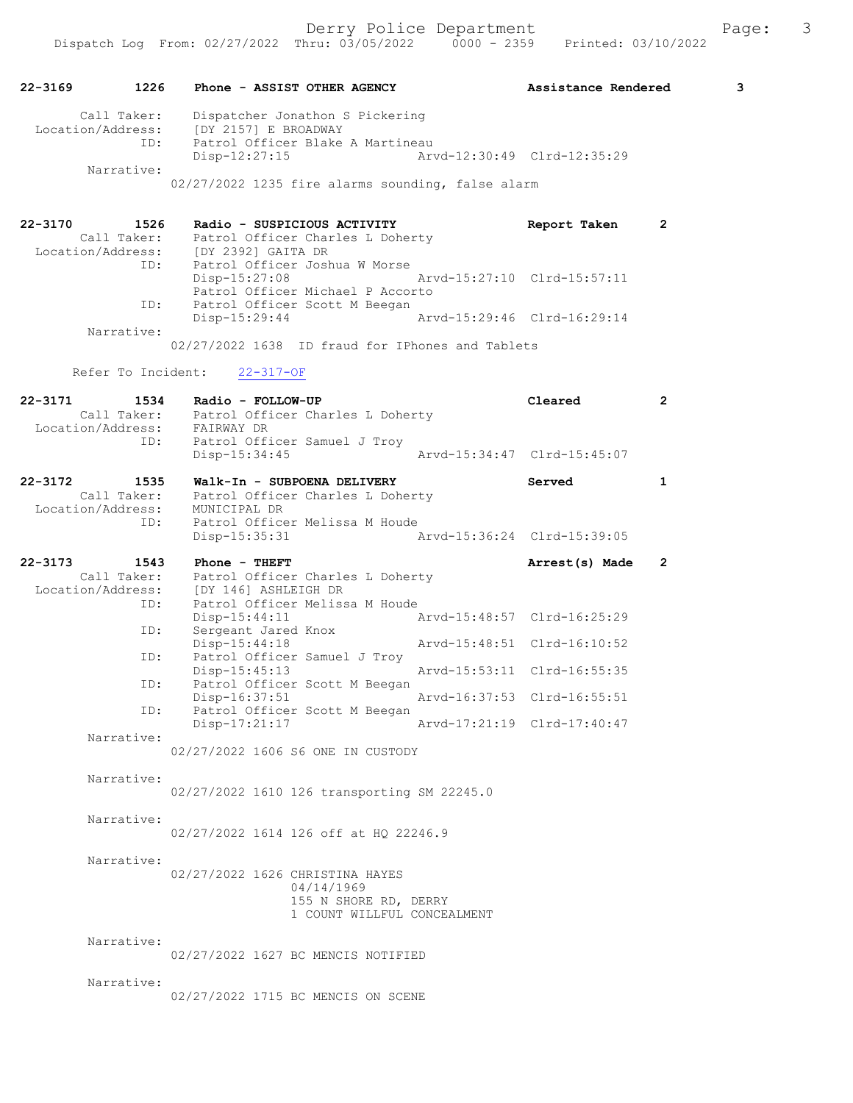| 22-3169                      | 1226                | Phone - ASSIST OTHER AGENCY                                                                                                        |                 |            |                                                                     |                                                                                 | Assistance Rendered |                | 3 |
|------------------------------|---------------------|------------------------------------------------------------------------------------------------------------------------------------|-----------------|------------|---------------------------------------------------------------------|---------------------------------------------------------------------------------|---------------------|----------------|---|
|                              | Call Taker:<br>ID:  | Location/Address: [DY 2157] E BROADWAY<br>$Disp-12:27:15$                                                                          |                 |            | Dispatcher Jonathon S Pickering<br>Patrol Officer Blake A Martineau | Arvd-12:30:49 Clrd-12:35:29                                                     |                     |                |   |
|                              | Narrative:          |                                                                                                                                    |                 |            |                                                                     | 02/27/2022 1235 fire alarms sounding, false alarm                               |                     |                |   |
| 22-3170                      | 1526<br>ID:         | Radio - SUSPICIOUS ACTIVITY<br>Call Taker: Patrol Officer Charles L Doherty<br>Location/Address: [DY 2392] GAITA DR                |                 |            | Patrol Officer Joshua W Morse                                       |                                                                                 | Report Taken        | $\overline{2}$ |   |
|                              | ID:                 | Disp-15:27:08                                                                                                                      |                 |            | Patrol Officer Michael P Accorto<br>Patrol Officer Scott M Beegan   | Arvd-15:27:10 Clrd-15:57:11                                                     |                     |                |   |
|                              | Narrative:          | Disp-15:29:44                                                                                                                      |                 |            |                                                                     | Arvd-15:29:46 Clrd-16:29:14<br>02/27/2022 1638 ID fraud for IPhones and Tablets |                     |                |   |
|                              |                     | Refer To Incident:                                                                                                                 | $22 - 317 - OF$ |            |                                                                     |                                                                                 |                     |                |   |
| 22-3171                      |                     | 1534 Radio - FOLLOW-UP<br>Call Taker: Patrol Officer Charles L Doherty<br>Location/Address: FAIRWAY DR                             |                 |            |                                                                     |                                                                                 | Cleared             | 2              |   |
|                              | ID:                 | Patrol Officer Samuel J Troy<br>$Disp-15:34:45$                                                                                    |                 |            |                                                                     | Arvd-15:34:47 Clrd-15:45:07                                                     |                     |                |   |
| 22-3172                      | 1535                | Walk-In - SUBPOENA DELIVERY<br>Call Taker: Patrol Officer Charles L Doherty<br>Location/Address: MUNICIPAL DR<br>TD: Patrol Office |                 |            |                                                                     |                                                                                 | Served              | 1              |   |
|                              | ID:                 | Disp-15:35:31                                                                                                                      |                 |            | Patrol Officer Melissa M Houde                                      | Arvd-15:36:24 Clrd-15:39:05                                                     |                     |                |   |
| 22-3173<br>Location/Address: | 1543<br>Call Taker: | Phone - THEFT<br>Patrol Officer Charles L Doherty<br>[DY 146] ASHLEIGH DR                                                          |                 |            |                                                                     |                                                                                 | Arrest(s) Made      | 2              |   |
|                              | ID:<br>ID:          | $Disp-15:44:11$<br>Sergeant Jared Knox                                                                                             |                 |            | Patrol Officer Melissa M Houde                                      | Arvd-15:48:57 Clrd-16:25:29                                                     |                     |                |   |
|                              | ID:                 | $Disp-15:44:18$                                                                                                                    |                 |            | Patrol Officer Samuel J Troy                                        | Arvd-15:48:51 Clrd-16:10:52                                                     |                     |                |   |
|                              | ID:                 | $Disp-15:45:13$                                                                                                                    |                 |            | Patrol Officer Scott M Beegan                                       | Arvd-15:53:11 Clrd-16:55:35                                                     |                     |                |   |
|                              | ID:                 | Disp-17:21:17                                                                                                                      |                 |            | Patrol Officer Scott M Beegan                                       | Disp-16:37:51 Arvd-16:37:53 Clrd-16:55:51<br>Arvd-17:21:19 Clrd-17:40:47        |                     |                |   |
|                              | Narrative:          | 02/27/2022 1606 S6 ONE IN CUSTODY                                                                                                  |                 |            |                                                                     |                                                                                 |                     |                |   |
|                              | Narrative:          | 02/27/2022 1610 126 transporting SM 22245.0                                                                                        |                 |            |                                                                     |                                                                                 |                     |                |   |
|                              | Narrative:          | 02/27/2022 1614 126 off at HQ 22246.9                                                                                              |                 |            |                                                                     |                                                                                 |                     |                |   |
|                              | Narrative:          | 02/27/2022 1626 CHRISTINA HAYES                                                                                                    |                 | 04/14/1969 | 155 N SHORE RD, DERRY                                               | 1 COUNT WILLFUL CONCEALMENT                                                     |                     |                |   |
|                              | Narrative:          | 02/27/2022 1627 BC MENCIS NOTIFIED                                                                                                 |                 |            |                                                                     |                                                                                 |                     |                |   |
|                              | Narrative:          | 02/27/2022 1715 BC MENCIS ON SCENE                                                                                                 |                 |            |                                                                     |                                                                                 |                     |                |   |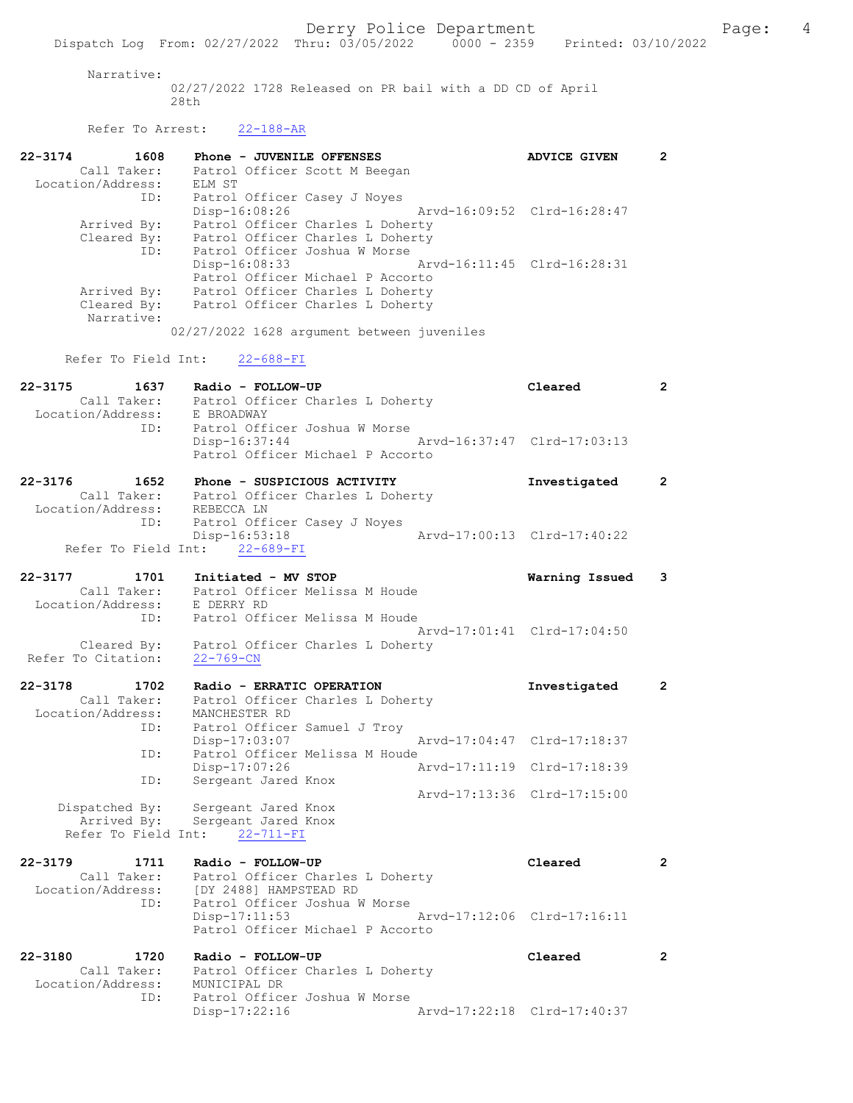# Narrative:

02/27/2022 1728 Released on PR bail with a DD CD of April 28th

22-3174 1608 Phone - JUVENILE OFFENSES ADVICE GIVEN 2

Refer To Arrest: 22-188-AR

|                    | Call Taker:                |                                                                       | Patrol Officer Scott M Beegan    |                             |                             |                      |
|--------------------|----------------------------|-----------------------------------------------------------------------|----------------------------------|-----------------------------|-----------------------------|----------------------|
| Location/Address:  |                            | ELM ST                                                                |                                  |                             |                             |                      |
|                    | ID:                        | Patrol Officer Casey J Noyes<br>$Disp-16:08:26$                       |                                  |                             | Arvd-16:09:52 Clrd-16:28:47 |                      |
|                    | Arrived By:<br>Cleared By: | Patrol Officer Charles L Doherty<br>Patrol Officer Charles L Doherty  |                                  |                             |                             |                      |
|                    | ID:                        |                                                                       | Patrol Officer Joshua W Morse    |                             |                             |                      |
|                    |                            | Disp-16:08:33                                                         |                                  | Arvd-16:11:45 Clrd-16:28:31 |                             |                      |
|                    |                            | Patrol Officer Michael P Accorto                                      |                                  |                             |                             |                      |
|                    | Arrived By:                | Patrol Officer Charles L Doherty                                      |                                  |                             |                             |                      |
|                    | Cleared By:<br>Narrative:  | Patrol Officer Charles L Doherty                                      |                                  |                             |                             |                      |
|                    |                            | 02/27/2022 1628 argument between juveniles                            |                                  |                             |                             |                      |
|                    | Refer To Field Int:        | $22 - 688 - FI$                                                       |                                  |                             |                             |                      |
| 22-3175            | 1637                       | Radio - FOLLOW-UP                                                     |                                  |                             | Cleared                     | $\mathbf{2}$         |
|                    | Call Taker:                | Patrol Officer Charles L Doherty                                      |                                  |                             |                             |                      |
| Location/Address:  |                            | E BROADWAY                                                            |                                  |                             |                             |                      |
|                    | ID:                        | Patrol Officer Joshua W Morse                                         |                                  | Arvd-16:37:47 Clrd-17:03:13 |                             |                      |
|                    |                            | $Disp-16:37:44$                                                       | Patrol Officer Michael P Accorto |                             |                             |                      |
| 22-3176            | 1652                       | Phone - SUSPICIOUS ACTIVITY                                           |                                  |                             | Investigated                | $\mathbf{2}$         |
|                    |                            | Call Taker: Patrol Officer Charles L Doherty                          |                                  |                             |                             |                      |
| Location/Address:  |                            | REBECCA LN                                                            |                                  |                             |                             |                      |
|                    | ID:                        | Patrol Officer Casey J Noyes                                          |                                  |                             |                             |                      |
|                    |                            | $Disp-16:53:18$                                                       |                                  |                             | Arvd-17:00:13 Clrd-17:40:22 |                      |
|                    |                            | Refer To Field Int: 22-689-FI                                         |                                  |                             |                             |                      |
| 22-3177            | 1701                       | Initiated - MV STOP                                                   |                                  |                             | Warning Issued              | 3                    |
|                    | Call Taker:                |                                                                       | Patrol Officer Melissa M Houde   |                             |                             |                      |
| Location/Address:  |                            | E DERRY RD                                                            |                                  |                             |                             |                      |
|                    | ID:                        |                                                                       | Patrol Officer Melissa M Houde   |                             |                             |                      |
|                    |                            |                                                                       |                                  |                             | Arvd-17:01:41 Clrd-17:04:50 |                      |
|                    | Cleared By:                | Patrol Officer Charles L Doherty                                      |                                  |                             |                             |                      |
| Refer To Citation: |                            | $22 - 769 - CN$                                                       |                                  |                             |                             |                      |
| 22-3178            | 1702                       | Radio - ERRATIC OPERATION                                             |                                  |                             | Investigated                | $\mathbf{2}$         |
|                    | Call Taker:                |                                                                       | Patrol Officer Charles L Doherty |                             |                             |                      |
| Location/Address:  |                            | MANCHESTER RD                                                         |                                  |                             |                             |                      |
|                    | ID:                        | Patrol Officer Samuel J Troy                                          |                                  |                             |                             |                      |
|                    |                            | $Disp-17:03:07$                                                       |                                  |                             | Arvd-17:04:47 Clrd-17:18:37 |                      |
|                    | ID:                        |                                                                       | Patrol Officer Melissa M Houde   |                             |                             |                      |
|                    |                            | Disp-17:07:26                                                         |                                  |                             | Arvd-17:11:19 Clrd-17:18:39 |                      |
|                    | ID:                        | Sergeant Jared Knox                                                   |                                  |                             |                             |                      |
|                    |                            |                                                                       |                                  |                             | Arvd-17:13:36 Clrd-17:15:00 |                      |
|                    |                            | Dispatched By: Sergeant Jared Knox<br>Arrived By: Sergeant Jared Knox |                                  |                             |                             |                      |
|                    | Refer To Field Int:        | $22 - 711 - FI$                                                       |                                  |                             |                             |                      |
|                    |                            |                                                                       |                                  |                             |                             |                      |
| 22-3179            | 1711                       | Radio - FOLLOW-UP                                                     |                                  |                             | Cleared                     | $\mathbf{2}$         |
| Location/Address:  | Call Taker:                | Patrol Officer Charles L Doherty<br>[DY 2488] HAMPSTEAD RD            |                                  |                             |                             |                      |
|                    | ID:                        | Patrol Officer Joshua W Morse                                         |                                  |                             |                             |                      |
|                    |                            | Disp-17:11:53                                                         |                                  |                             | Arvd-17:12:06 Clrd-17:16:11 |                      |
|                    |                            |                                                                       | Patrol Officer Michael P Accorto |                             |                             |                      |
|                    |                            |                                                                       |                                  |                             |                             |                      |
| 22-3180            | 1720                       | Radio - FOLLOW-UP                                                     |                                  |                             | Cleared                     | $\mathbf{2}^{\circ}$ |
|                    | Call Taker:                | Patrol Officer Charles L Doherty                                      |                                  |                             |                             |                      |
| Location/Address:  |                            | MUNICIPAL DR                                                          |                                  |                             |                             |                      |
|                    | ID:                        | Patrol Officer Joshua W Morse                                         |                                  |                             |                             |                      |
|                    |                            | Disp-17:22:16                                                         |                                  |                             | Arvd-17:22:18 Clrd-17:40:37 |                      |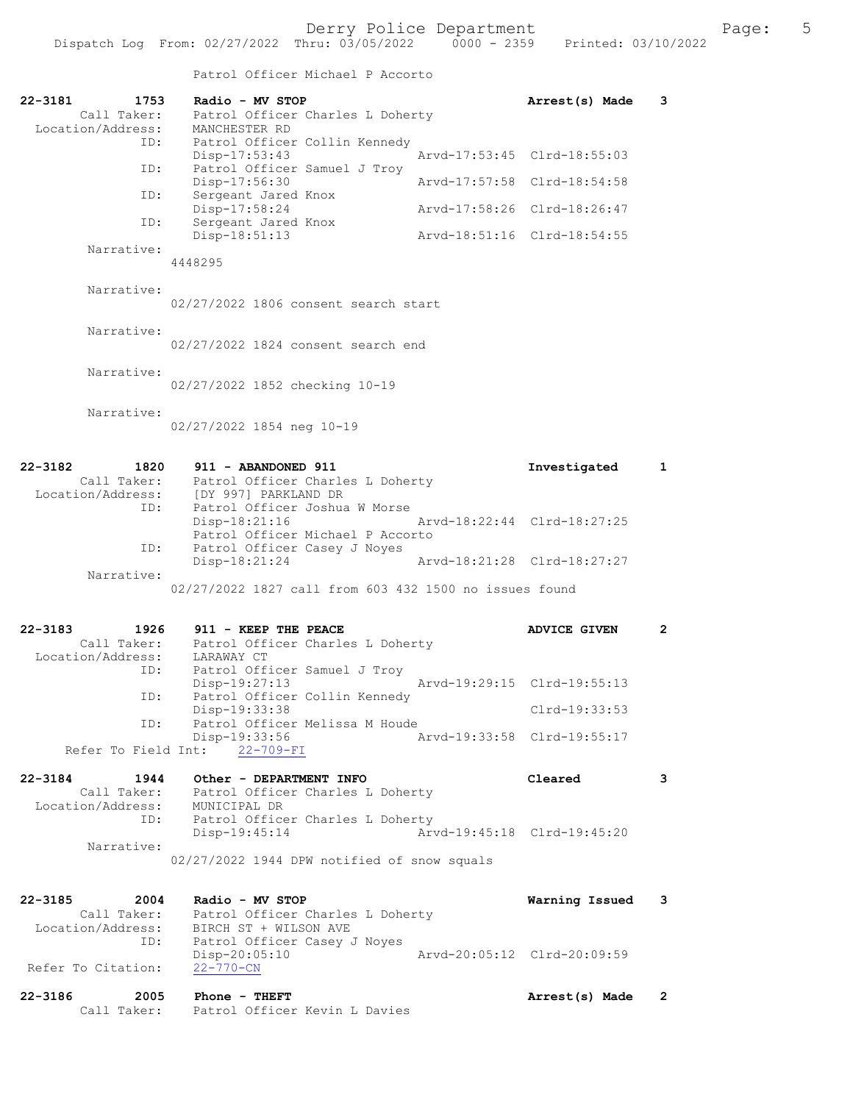## Patrol Officer Michael P Accorto

| 22-3181<br>1753<br>Call Taker:     | Radio - MV STOP<br>Patrol Officer Charles L Doherty                            | Arrest(s) Made              | 3                    |
|------------------------------------|--------------------------------------------------------------------------------|-----------------------------|----------------------|
| Location/Address:                  | MANCHESTER RD                                                                  |                             |                      |
| ID:<br>ID:                         | Patrol Officer Collin Kennedy<br>Disp-17:53:43<br>Patrol Officer Samuel J Troy | Arvd-17:53:45 Clrd-18:55:03 |                      |
| ID:                                | Disp-17:56:30<br>Sergeant Jared Knox                                           | Arvd-17:57:58 Clrd-18:54:58 |                      |
| ID:                                | Disp-17:58:24<br>Sergeant Jared Knox                                           | Arvd-17:58:26 Clrd-18:26:47 |                      |
|                                    | Disp-18:51:13                                                                  | Arvd-18:51:16 Clrd-18:54:55 |                      |
| Narrative:                         | 4448295                                                                        |                             |                      |
| Narrative:                         | 02/27/2022 1806 consent search start                                           |                             |                      |
| Narrative:                         | 02/27/2022 1824 consent search end                                             |                             |                      |
|                                    |                                                                                |                             |                      |
| Narrative:                         | 02/27/2022 1852 checking 10-19                                                 |                             |                      |
| Narrative:                         |                                                                                |                             |                      |
|                                    | 02/27/2022 1854 neg 10-19                                                      |                             |                      |
| $22 - 3182$<br>1820                | 911 - ABANDONED 911                                                            | Investigated                | $\mathbf{1}$         |
| Call Taker:                        | Patrol Officer Charles L Doherty                                               |                             |                      |
| ID:                                | Location/Address: [DY 997] PARKLAND DR<br>Patrol Officer Joshua W Morse        |                             |                      |
|                                    | Disp-18:21:16                                                                  | Arvd-18:22:44 Clrd-18:27:25 |                      |
| ID:                                | Patrol Officer Michael P Accorto<br>Patrol Officer Casey J Noyes               |                             |                      |
|                                    | Disp-18:21:24                                                                  | Arvd-18:21:28 Clrd-18:27:27 |                      |
| Narrative:                         | 02/27/2022 1827 call from 603 432 1500 no issues found                         |                             |                      |
|                                    |                                                                                |                             |                      |
| $22 - 3183$<br>1926                | 911 - KEEP THE PEACE                                                           | <b>ADVICE GIVEN</b>         | $\mathbf{2}^{\circ}$ |
| Call Taker:                        | Patrol Officer Charles L Doherty                                               |                             |                      |
| Location/Address:<br>ID:           | LARAWAY CT<br>Patrol Officer Samuel J Troy                                     |                             |                      |
|                                    | Disp-19:27:13                                                                  | Arvd-19:29:15 Clrd-19:55:13 |                      |
| ID:                                | Patrol Officer Collin Kennedy<br>Disp-19:33:38                                 | Clrd-19:33:53               |                      |
| ID:                                | Patrol Officer Melissa M Houde                                                 |                             |                      |
| Refer To Field Int:                | Disp-19:33:56<br>$22 - 709 - FI$                                               | Arvd-19:33:58 Clrd-19:55:17 |                      |
|                                    |                                                                                |                             |                      |
| $22 - 3184$<br>1944<br>Call Taker: | Other - DEPARTMENT INFO<br>Patrol Officer Charles L Doherty                    | Cleared                     | 3                    |
| Location/Address:                  | MUNICIPAL DR                                                                   |                             |                      |
| ID:                                | Patrol Officer Charles L Doherty<br>Disp-19:45:14                              | Arvd-19:45:18 Clrd-19:45:20 |                      |
| Narrative:                         |                                                                                |                             |                      |
|                                    | 02/27/2022 1944 DPW notified of snow squals                                    |                             |                      |
| 22-3185<br>2004                    | Radio - MV STOP                                                                |                             | 3                    |
| Call Taker:                        | Patrol Officer Charles L Doherty                                               | Warning Issued              |                      |
| Location/Address:                  | BIRCH ST + WILSON AVE                                                          |                             |                      |
| ID:                                | Patrol Officer Casey J Noyes<br>Disp-20:05:10                                  | Arvd-20:05:12 Clrd-20:09:59 |                      |
| Refer To Citation:                 | $22 - 770 - CN$                                                                |                             |                      |
|                                    |                                                                                |                             |                      |
| $22 - 3186$<br>2005                | Phone - THEFT                                                                  | Arrest(s) Made              | 2                    |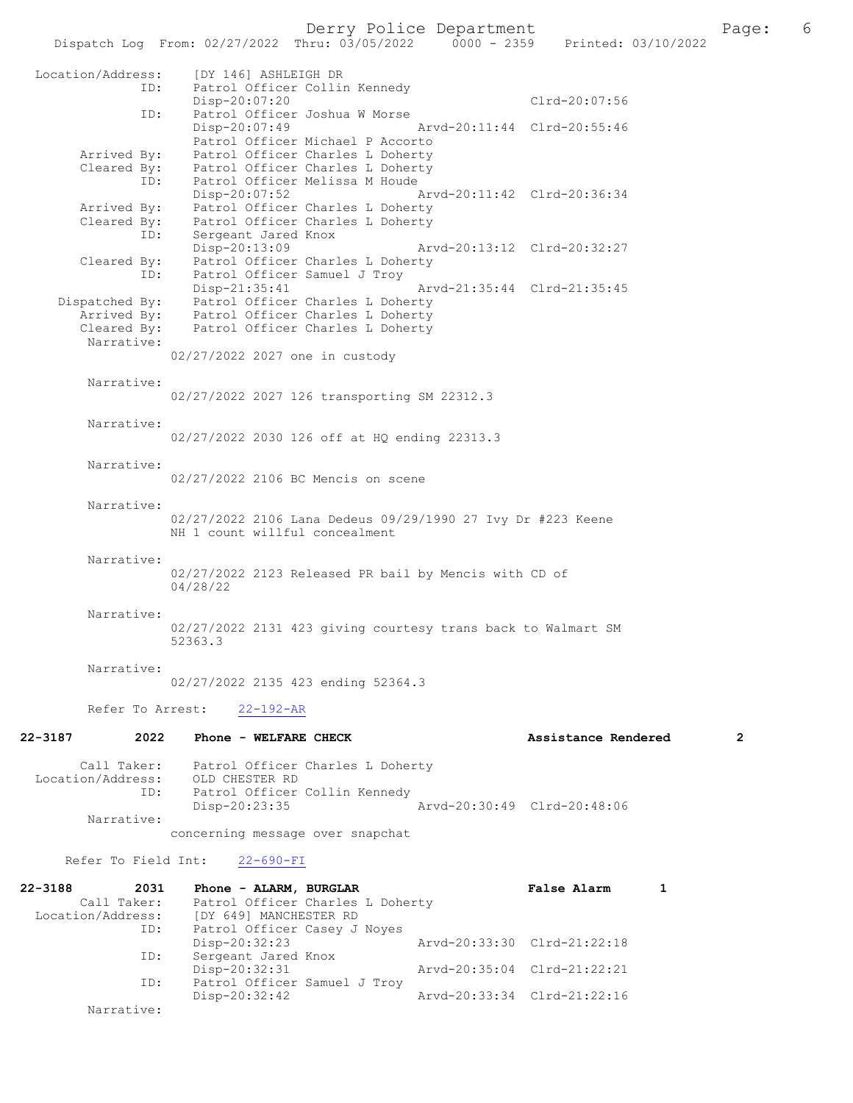Location/Address: [DY 146] ASHLEIGH DR<br>ID: Patrol Officer Collin Patrol Officer Collin Kennedy Disp-20:07:20 Clrd-20:07:56 ID: Patrol Officer Joshua W Morse Disp-20:07:49 Arvd-20:11:44 Clrd-20:55:46 Patrol Officer Michael P Accorto Arrived By: Patrol Officer Charles L Doherty Cleared By: Patrol Officer Charles L Doherty ID: Patrol Officer Melissa M Houde Disp-20:07:52 Arvd-20:11:42 Clrd-20:36:34 Arrived By: Patrol Officer Charles L Doherty Cleared By: Patrol Officer Charles L Doherty ID: Sergeant Jared Knox Disp-20:13:09 Arvd-20:13:12 Clrd-20:32:27 Cleared By: Patrol Officer Charles L Doherty ID: Patrol Officer Samuel J Troy Disp-21:35:41 Arvd-21:35:44 Clrd-21:35:45 Dispatched By: Patrol Officer Charles L Doherty Arrived By: Patrol Officer Charles L Doherty Cleared By: Patrol Officer Charles L Doherty Narrative: 02/27/2022 2027 one in custody Narrative: 02/27/2022 2027 126 transporting SM 22312.3 Narrative: 02/27/2022 2030 126 off at HQ ending 22313.3 Narrative: 02/27/2022 2106 BC Mencis on scene Narrative: 02/27/2022 2106 Lana Dedeus 09/29/1990 27 Ivy Dr #223 Keene NH 1 count willful concealment Narrative: 02/27/2022 2123 Released PR bail by Mencis with CD of 04/28/22 Narrative: 02/27/2022 2131 423 giving courtesy trans back to Walmart SM 52363.3 Narrative: 02/27/2022 2135 423 ending 52364.3 Refer To Arrest: 22-192-AR 22-3187 2022 Phone - WELFARE CHECK 2 Assistance Rendered 2 Call Taker: Patrol Officer Charles L Doherty Location/Address: OLD CHESTER RD ID: Patrol Officer Collin Kennedy ID: Patrol Officer Collin Kennedy<br>Disp-20:23:35 Arvd-20:30:49 Clrd-20:48:06 Narrative: concerning message over snapchat Refer To Field Int: 22-690-FI 22-3188 2031 Phone - ALARM, BURGLAR FALSE RALSE Alarm 1

| 22-3188           | 2031        | Phone - ALARM, BURGLAR           | False Alarm                 |  |
|-------------------|-------------|----------------------------------|-----------------------------|--|
|                   | Call Taker: | Patrol Officer Charles L Doherty |                             |  |
| Location/Address: |             | [DY 649] MANCHESTER RD           |                             |  |
|                   | ID:         | Patrol Officer Casey J Noyes     |                             |  |
|                   |             | $Disp-20:32:23$                  | Arvd-20:33:30 Clrd-21:22:18 |  |
|                   | ID:         | Sergeant Jared Knox              |                             |  |
|                   |             | Disp-20:32:31                    | Arvd-20:35:04 Clrd-21:22:21 |  |
|                   | ID:         | Patrol Officer Samuel J Troy     |                             |  |
|                   |             | Disp-20:32:42                    | Arvd-20:33:34 Clrd-21:22:16 |  |
|                   | Narrative:  |                                  |                             |  |
|                   |             |                                  |                             |  |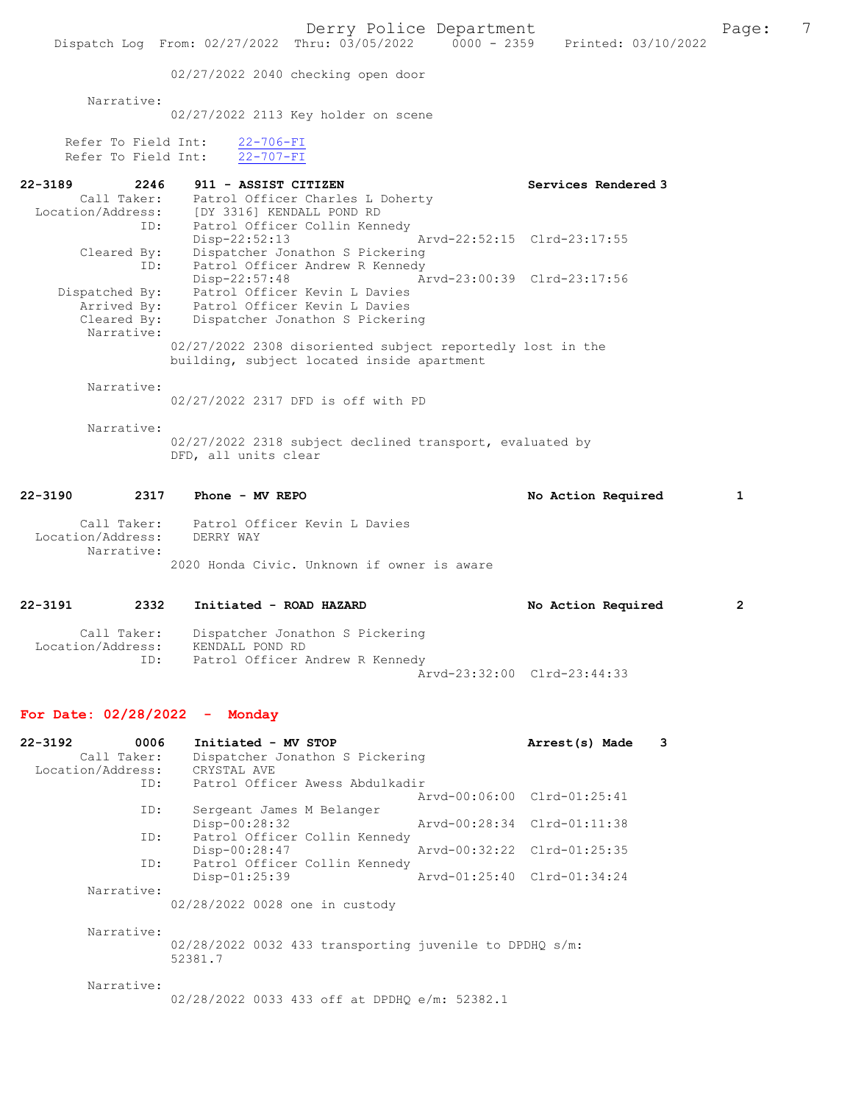Derry Police Department Page: 7 Dispatch Log From: 02/27/2022 Thru: 03/05/2022 02/27/2022 2040 checking open door Narrative: 02/27/2022 2113 Key holder on scene Refer To Field Int: 22-706-FI Refer To Field Int: 22-707-FI 22-3189 2246 911 - ASSIST CITIZEN Services Rendered 3 Call Taker: Patrol Officer Charles L Doherty Location/Address: [DY 3316] KENDALL POND RD ID: Patrol Officer Collin Kennedy<br>Disp-22:52:13 Disp-22:52:13 Arvd-22:52:15 Cleared By: Dispatcher Jonathon S Pickering By: Dispatcher Jonathon S Pickering<br>ID: Patrol Officer Andrew R Kennedy Patrol Officer Andrew R Kennedy<br>Disp-22:57:48 A Arvd-23:00:39 Clrd-23:17:56 Dispatched By: Patrol Officer Kevin L Davies<br>Arrived By: Patrol Officer Kevin L Davies Arrived By: Patrol Officer Kevin L Davies<br>Cleared By: Dispatcher Jonathon S Pickerin Dispatcher Jonathon S Pickering Narrative: 02/27/2022 2308 disoriented subject reportedly lost in the building, subject located inside apartment Narrative: 02/27/2022 2317 DFD is off with PD Narrative: 02/27/2022 2318 subject declined transport, evaluated by DFD, all units clear 22-3190 2317 Phone - MV REPO 2317 22-3190 No Action Required 1 Call Taker: Patrol Officer Kevin L Davies<br>ion/Address: DERRY WAY Location/Address: Narrative: 2020 Honda Civic. Unknown if owner is aware 22-3191 2332 Initiated - ROAD HAZARD No Action Required 2 Call Taker: Dispatcher Jonathon S Pickering<br>ion/Address: KENDALL POND RD Location/Address: ID: Patrol Officer Andrew R Kennedy Arvd-23:32:00 Clrd-23:44:33 For Date: 02/28/2022 - Monday 22-3192 0006 Initiated - MV STOP 1991 1992 1994 Arrest(s) Made 3<br>Call Taker: Dispatcher Jonathon S Pickering

Dispatcher Jonathon S Pickering<br>CRYSTAL AVE Location/Address: ID: Patrol Officer Awess Abdulkadir Arvd-00:06:00 Clrd-01:25:41 Sergeant James M Belanger<br>Disp-00:28:32 Disp-00:28:32 Arvd-00:28:34 Clrd-01:11:38 ID: Patrol Officer Collin Kennedy Disp-00:28:47 Arvd-00:32:22 Clrd-01:25:35<br>TD: Patrol Officer Collin Kennedy Patrol Officer Collin Kennedy Disp-01:25:39 Arvd-01:25:40 Clrd-01:34:24 Narrative: 02/28/2022 0028 one in custody Narrative:

> 02/28/2022 0032 433 transporting juvenile to DPDHQ s/m: 52381.7

Narrative:

02/28/2022 0033 433 off at DPDHQ e/m: 52382.1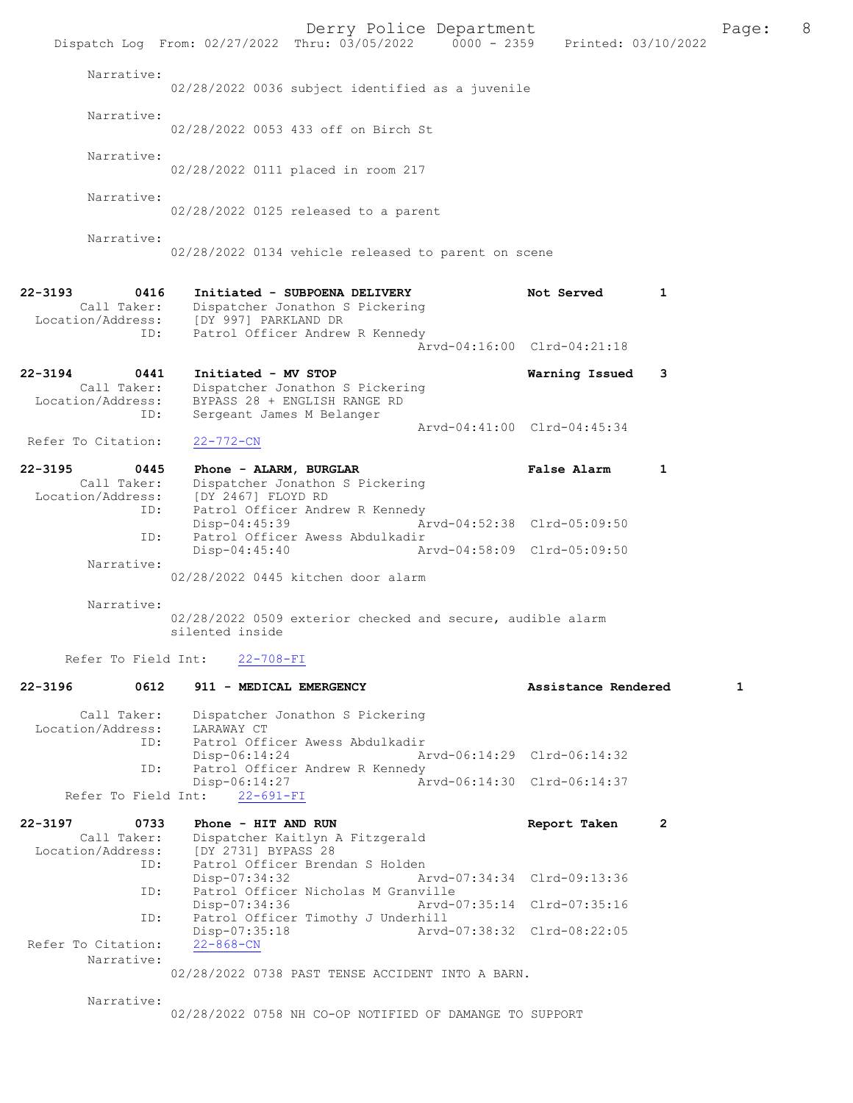|                                                                | Derry Police Department<br>Dispatch Log From: 02/27/2022 Thru: 03/05/2022 0000 - 2359 Printed: 03/10/2022          |                             |              | Page:        | 8 |
|----------------------------------------------------------------|--------------------------------------------------------------------------------------------------------------------|-----------------------------|--------------|--------------|---|
| Narrative:                                                     | 02/28/2022 0036 subject identified as a juvenile                                                                   |                             |              |              |   |
|                                                                |                                                                                                                    |                             |              |              |   |
| Narrative:                                                     | 02/28/2022 0053 433 off on Birch St                                                                                |                             |              |              |   |
| Narrative:                                                     | 02/28/2022 0111 placed in room 217                                                                                 |                             |              |              |   |
| Narrative:                                                     | 02/28/2022 0125 released to a parent                                                                               |                             |              |              |   |
| Narrative:                                                     | 02/28/2022 0134 vehicle released to parent on scene                                                                |                             |              |              |   |
| $22 - 3193$<br>0416                                            | Initiated - SUBPOENA DELIVERY                                                                                      | Not Served                  | 1            |              |   |
| Call Taker:<br>Location/Address:<br>ID:                        | Dispatcher Jonathon S Pickering<br>[DY 997] PARKLAND DR<br>Patrol Officer Andrew R Kennedy                         |                             |              |              |   |
|                                                                |                                                                                                                    | Aryd-04:16:00 Clrd-04:21:18 |              |              |   |
| $22 - 3194$<br>0441<br>Call Taker:<br>Location/Address:        | Initiated - MV STOP<br>Dispatcher Jonathon S Pickering<br>BYPASS 28 + ENGLISH RANGE RD                             | Warning Issued              | 3            |              |   |
| ID:                                                            | Sergeant James M Belanger                                                                                          | Arvd-04:41:00 Clrd-04:45:34 |              |              |   |
| Refer To Citation:                                             | 22-772-CN                                                                                                          |                             |              |              |   |
| $22 - 3195$<br>0445<br>Call Taker:<br>Location/Address:<br>ID: | Phone - ALARM, BURGLAR<br>Dispatcher Jonathon S Pickering<br>[DY 2467] FLOYD RD<br>Patrol Officer Andrew R Kennedy | <b>False Alarm</b>          | $\mathbf{1}$ |              |   |
| ID:                                                            | $Disp-04:45:39$<br>Patrol Officer Awess Abdulkadir                                                                 | Arvd-04:52:38 Clrd-05:09:50 |              |              |   |
| Narrative:                                                     | $Disp-04:45:40$                                                                                                    | Arvd-04:58:09 Clrd-05:09:50 |              |              |   |
|                                                                | 02/28/2022 0445 kitchen door alarm                                                                                 |                             |              |              |   |
| Narrative:                                                     |                                                                                                                    |                             |              |              |   |
|                                                                | 02/28/2022 0509 exterior checked and secure, audible alarm<br>silented inside                                      |                             |              |              |   |
|                                                                | Refer To Field Int: 22-708-FI                                                                                      |                             |              |              |   |
| 0612<br>22-3196                                                | 911 - MEDICAL EMERGENCY                                                                                            | Assistance Rendered         |              | $\mathbf{1}$ |   |
| Call Taker:<br>Location/Address:                               | Dispatcher Jonathon S Pickering<br>LARAWAY CT                                                                      |                             |              |              |   |
|                                                                | ID: Patrol Officer Awess Abdulkadir<br>$Disp-06:14:24$                                                             | Arvd-06:14:29 Clrd-06:14:32 |              |              |   |
| ID:                                                            | Patrol Officer Andrew R Kennedy<br>$Disp-06:14:27$                                                                 | Arvd-06:14:30 Clrd-06:14:37 |              |              |   |
| Refer To Field Int:                                            | $22 - 691 - FI$                                                                                                    |                             |              |              |   |
| 22-3197<br>0733<br>Call Taker:                                 | Phone - HIT AND RUN<br>Dispatcher Kaitlyn A Fitzgerald<br>Location/Address: [DY 2731] BYPASS 28                    | Report Taken                | $\mathbf{2}$ |              |   |
| ID:                                                            | Patrol Officer Brendan S Holden<br>Disp-07:34:32                                                                   | Arvd-07:34:34 Clrd-09:13:36 |              |              |   |
| ID:                                                            | Patrol Officer Nicholas M Granville<br>Disp-07:34:36                                                               | Arvd-07:35:14 Clrd-07:35:16 |              |              |   |
| ID:<br>Refer To Citation:                                      | Patrol Officer Timothy J Underhill<br>Disp-07:35:18                                                                | Arvd-07:38:32 Clrd-08:22:05 |              |              |   |
| Narrative:                                                     | $22 - 868 - CN$<br>02/28/2022 0738 PAST TENSE ACCIDENT INTO A BARN.                                                |                             |              |              |   |
| Narrative:                                                     | 02/28/2022 0758 NH CO-OP NOTIFIED OF DAMANGE TO SUPPORT                                                            |                             |              |              |   |
|                                                                |                                                                                                                    |                             |              |              |   |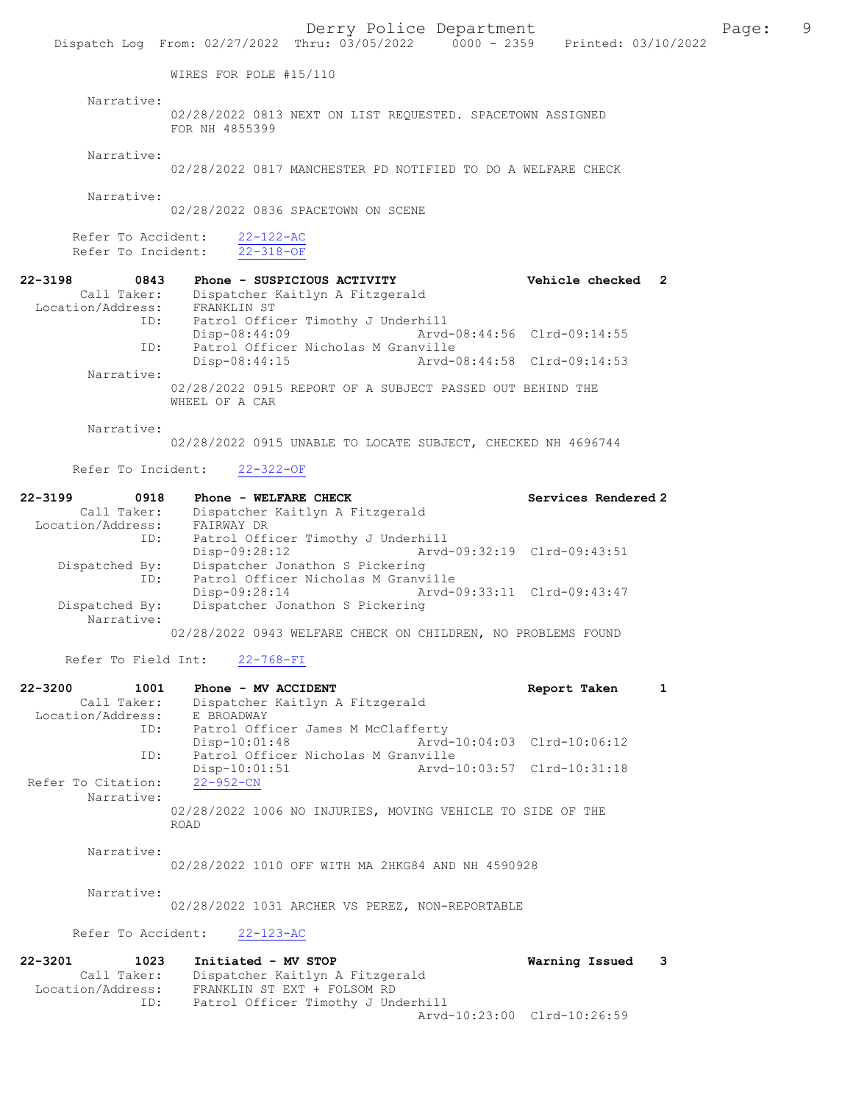Dispatch Log From: 02/27/2022 Thru: 03/05/2022 0000 - 2359 Printed: 03/10/2022

WIRES FOR POLE #15/110

Narrative:

02/28/2022 0813 NEXT ON LIST REQUESTED. SPACETOWN ASSIGNED FOR NH 4855399

Narrative:

02/28/2022 0817 MANCHESTER PD NOTIFIED TO DO A WELFARE CHECK

Narrative:

02/28/2022 0836 SPACETOWN ON SCENE

Refer To Accident:  $\frac{22-122-AC}{22-318-OF}$ Refer To Incident:

22-3198 0843 Phone - SUSPICIOUS ACTIVITY Vehicle checked 2 Call Taker: Dispatcher Kaitlyn A Fitzgerald 9198<br>Call Taker: Dispaction<br>Location/Address: FRANKLIN ST<br>ID: Patrol Offic Patrol Officer Timothy J Underhill<br>Disp-08:44:09 Arvd-Disp-08:44:09 Arvd-08:44:56 Clrd-09:14:55<br>ID: Patrol Officer Nicholas M Granville ID: Patrol Officer Nicholas M Granville Disp-08:44:15 Arvd-08:44:58 Clrd-09:14:53 Narrative: 02/28/2022 0915 REPORT OF A SUBJECT PASSED OUT BEHIND THE WHEEL OF A CAR

Narrative:

02/28/2022 0915 UNABLE TO LOCATE SUBJECT, CHECKED NH 4696744

Refer To Incident: 22-322-OF

| $22 - 3199$       | 0918                         | Phone - WELFARE CHECK               |                             | Services Rendered 2 |
|-------------------|------------------------------|-------------------------------------|-----------------------------|---------------------|
|                   | Call Taker:                  | Dispatcher Kaitlyn A Fitzgerald     |                             |                     |
| Location/Address: |                              | FAIRWAY DR                          |                             |                     |
|                   | ID:                          | Patrol Officer Timothy J Underhill  |                             |                     |
|                   |                              | Disp-09:28:12                       | Arvd-09:32:19 Clrd-09:43:51 |                     |
|                   | Dispatched By:               | Dispatcher Jonathon S Pickering     |                             |                     |
|                   | ID:                          | Patrol Officer Nicholas M Granville |                             |                     |
|                   |                              | Disp-09:28:14                       | Arvd-09:33:11 Clrd-09:43:47 |                     |
|                   | Dispatched By:<br>Narrative: | Dispatcher Jonathon S Pickering     |                             |                     |

02/28/2022 0943 WELFARE CHECK ON CHILDREN, NO PROBLEMS FOUND

Refer To Field Int: 22-768-FI

| $22 - 3200$<br>1001 | Phone - MV ACCIDENT                                        | Report Taken                |  |
|---------------------|------------------------------------------------------------|-----------------------------|--|
| Call Taker:         | Dispatcher Kaitlyn A Fitzgerald                            |                             |  |
| Location/Address:   | E BROADWAY                                                 |                             |  |
| ID:                 | Patrol Officer James M McClafferty                         |                             |  |
|                     | $Disp-10:01:48$                                            | Arvd-10:04:03 Clrd-10:06:12 |  |
| ID:                 | Patrol Officer Nicholas M Granville                        |                             |  |
|                     | $Disp-10:01:51$                                            | Arvd-10:03:57 Clrd-10:31:18 |  |
| Refer To Citation:  | $22 - 952 - CN$                                            |                             |  |
| Narrative:          |                                                            |                             |  |
|                     | 02/28/2022 1006 NO INJURIES, MOVING VEHICLE TO SIDE OF THE |                             |  |
|                     | ROAD                                                       |                             |  |
|                     |                                                            |                             |  |

Narrative:

02/28/2022 1010 OFF WITH MA 2HKG84 AND NH 4590928

Narrative:

02/28/2022 1031 ARCHER VS PEREZ, NON-REPORTABLE

Refer To Accident: 22-123-AC

| $22 - 3201$       | 1023        | Initiated - MV STOP                | Warning Issued 3 |  |
|-------------------|-------------|------------------------------------|------------------|--|
|                   | Call Taker: | Dispatcher Kaitlyn A Fitzgerald    |                  |  |
| Location/Address: |             | FRANKLIN ST EXT + FOLSOM RD        |                  |  |
|                   | ID:         | Patrol Officer Timothy J Underhill |                  |  |
|                   |             | Arvd-10:23:00 Clrd-10:26:59        |                  |  |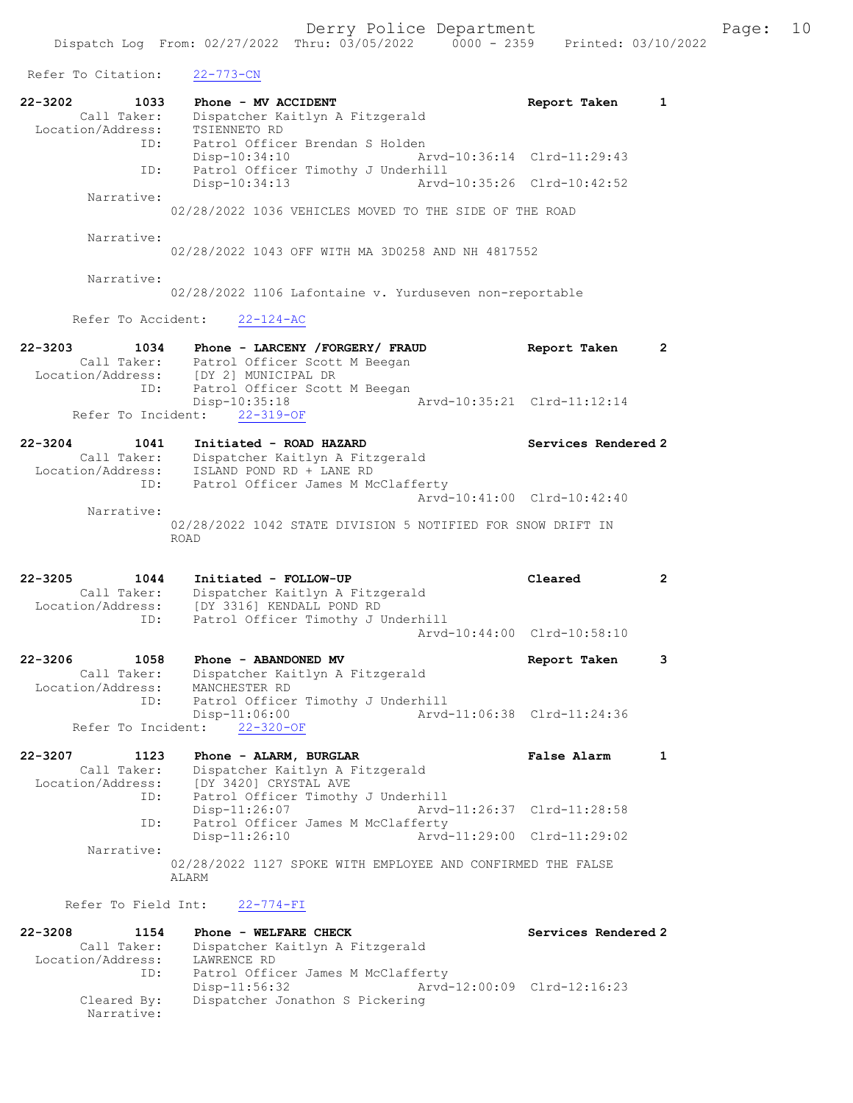| Refer To Citation:                                             | $22 - 773 - CN$                                                                                                                                                    |                                                    |                       |
|----------------------------------------------------------------|--------------------------------------------------------------------------------------------------------------------------------------------------------------------|----------------------------------------------------|-----------------------|
| $22 - 3202$<br>1033<br>Call Taker:<br>Location/Address:<br>ID: | Phone - MV ACCIDENT<br>Dispatcher Kaitlyn A Fitzgerald<br>TSIENNETO RD<br>Patrol Officer Brendan S Holden                                                          | Report Taken                                       | $\mathbf{1}$          |
| ID:                                                            | Disp-10:34:10<br>Patrol Officer Timothy J Underhill                                                                                                                | Arvd-10:36:14 Clrd-11:29:43                        |                       |
| Narrative:                                                     | Disp-10:34:13<br>Arvd-10:35:26                                                                                                                                     | $Clrd-10:42:52$                                    |                       |
|                                                                | 02/28/2022 1036 VEHICLES MOVED TO THE SIDE OF THE ROAD                                                                                                             |                                                    |                       |
| Narrative:                                                     | 02/28/2022 1043 OFF WITH MA 3D0258 AND NH 4817552                                                                                                                  |                                                    |                       |
| Narrative:                                                     | 02/28/2022 1106 Lafontaine v. Yurduseven non-reportable                                                                                                            |                                                    |                       |
| Refer To Accident:                                             | $22 - 124 - AC$                                                                                                                                                    |                                                    |                       |
| $22 - 3203$<br>1034<br>Call Taker:<br>ID:                      | Phone - LARCENY / FORGERY / FRAUD<br>Patrol Officer Scott M Beegan<br>Location/Address: [DY 2] MUNICIPAL DR<br>Patrol Officer Scott M Beegan                       | Report Taken                                       | $\mathbf{2}^{\prime}$ |
| Refer To Incident:                                             | Disp-10:35:18<br>$22 - 319 - OF$                                                                                                                                   | Arvd-10:35:21 Clrd-11:12:14                        |                       |
| $22 - 3204$<br>1041<br>Call Taker:<br>Location/Address:<br>ID: | Initiated - ROAD HAZARD<br>Dispatcher Kaitlyn A Fitzgerald<br>ISLAND POND RD + LANE RD<br>Patrol Officer James M McClafferty                                       | Services Rendered 2                                |                       |
| Narrative:                                                     |                                                                                                                                                                    | Arvd-10:41:00 Clrd-10:42:40                        |                       |
|                                                                | 02/28/2022 1042 STATE DIVISION 5 NOTIFIED FOR SNOW DRIFT IN<br><b>ROAD</b>                                                                                         |                                                    |                       |
|                                                                |                                                                                                                                                                    |                                                    |                       |
| $22 - 3205$<br>1044<br>Call Taker:<br>Location/Address:<br>ID: | Initiated - FOLLOW-UP<br>Dispatcher Kaitlyn A Fitzgerald<br>[DY 3316] KENDALL POND RD<br>Patrol Officer Timothy J Underhill                                        | Cleared                                            | $\mathbf{2}$          |
|                                                                |                                                                                                                                                                    | Arvd-10:44:00 Clrd-10:58:10                        |                       |
| 22-3206<br>1058<br>Call Taker:<br>Location/Address:<br>ID:     | Phone - ABANDONED MV<br>Dispatcher Kaitlyn A Fitzgerald<br>MANCHESTER RD<br>Patrol Officer Timothy J Underhill                                                     | Report Taken                                       | 3                     |
| Refer To Incident:                                             | Disp-11:06:00<br>$22 - 320 - OF$                                                                                                                                   | Arvd-11:06:38 Clrd-11:24:36                        |                       |
| 22-3207<br>1123<br>Call Taker:<br>Location/Address:<br>ID:     | Phone - ALARM, BURGLAR<br>Dispatcher Kaitlyn A Fitzgerald<br>[DY 3420] CRYSTAL AVE<br>[DY 3420] CRYSTAL AVE<br>Patrol Officer Timothy J Underhill<br>Disp-11:26:07 | <b>False Alarm</b><br>Arvd-11:26:37 Clrd-11:28:58  | $\mathbf{1}$          |
| ID:                                                            | Patrol Officer James M McClafferty<br>Disp-11:26:10                                                                                                                | Arvd-11:29:00 Clrd-11:29:02                        |                       |
| Narrative:                                                     | 02/28/2022 1127 SPOKE WITH EMPLOYEE AND CONFIRMED THE FALSE<br>ALARM                                                                                               |                                                    |                       |
| Refer To Field Int:                                            | 22-774-FI                                                                                                                                                          |                                                    |                       |
| $22 - 3208$<br>1154<br>Call Taker:<br>Location/Address:<br>ID: | Phone - WELFARE CHECK<br>Dispatcher Kaitlyn A Fitzgerald<br>LAWRENCE RD<br>Patrol Officer James M McClafferty<br>$Disp-11:56:32$                                   | Services Rendered 2<br>Arvd-12:00:09 Clrd-12:16:23 |                       |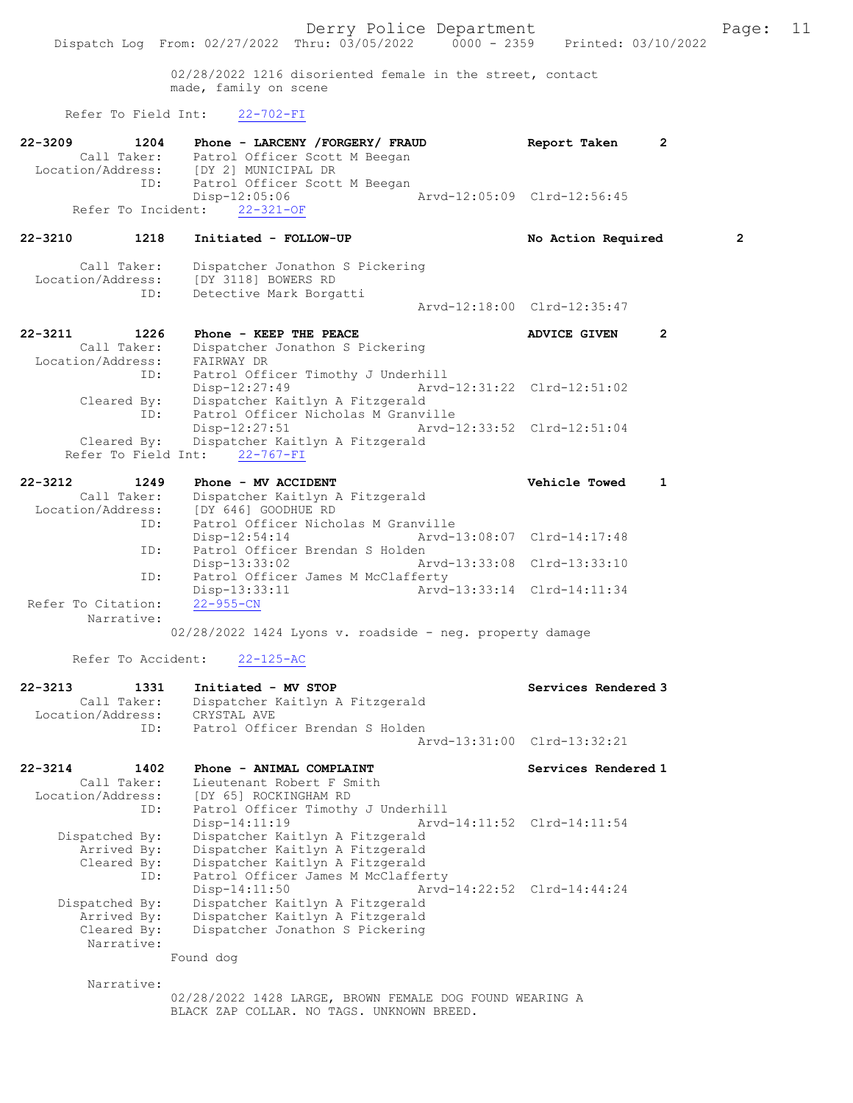02/28/2022 1216 disoriented female in the street, contact made, family on scene

### Refer To Field Int: 22-702-FI

| $22 - 3210$       | 1218        | Initiated - FOLLOW-UP           | No Action Required          | $\overline{2}$ |
|-------------------|-------------|---------------------------------|-----------------------------|----------------|
|                   |             | Refer To Incident: 22-321-OF    |                             |                |
|                   |             | Disp-12:05:06                   | Arvd-12:05:09 Clrd-12:56:45 |                |
|                   | ID:         | Patrol Officer Scott M Beegan   |                             |                |
| Location/Address: |             | [DY 2] MUNICIPAL DR             |                             |                |
|                   | Call Taker: | Patrol Officer Scott M Beegan   |                             |                |
| $22 - 3209$       | 1204        | Phone - LARCENY /FORGERY/ FRAUD | Report Taken                | $\mathbf{2}$   |

 Location/Address: [DY 3118] BOWERS RD ID: Detective Mark Borgatti Arvd-12:18:00 Clrd-12:35:47

Call Taker: Dispatcher Jonathon S Pickering

| 22-3211           | 1226        | Phone - KEEP THE PEACE                      |                             | <b>ADVICE GIVEN</b> |  |
|-------------------|-------------|---------------------------------------------|-----------------------------|---------------------|--|
|                   | Call Taker: | Dispatcher Jonathon S Pickering             |                             |                     |  |
| Location/Address: |             | FAIRWAY DR                                  |                             |                     |  |
|                   | ID:         | Patrol Officer Timothy J Underhill          |                             |                     |  |
|                   |             | $Disp-12:27:49$                             | Arvd-12:31:22 Clrd-12:51:02 |                     |  |
|                   | Cleared By: | Dispatcher Kaitlyn A Fitzgerald             |                             |                     |  |
|                   | ID:         | Patrol Officer Nicholas M Granville         |                             |                     |  |
|                   |             | $Disp-12:27:51$                             | Arvd-12:33:52 Clrd-12:51:04 |                     |  |
|                   |             | Cleared By: Dispatcher Kaitlyn A Fitzgerald |                             |                     |  |
|                   |             | Refer To Field Int: 22-767-FI               |                             |                     |  |

| $22 - 3212$        | 1249 | Phone - MV ACCIDENT                |                                     | Vehicle Towed               |  |
|--------------------|------|------------------------------------|-------------------------------------|-----------------------------|--|
| Call Taker:        |      | Dispatcher Kaitlyn A Fitzgerald    |                                     |                             |  |
| Location/Address:  |      | [DY 646] GOODHUE RD                |                                     |                             |  |
|                    | ID:  |                                    | Patrol Officer Nicholas M Granville |                             |  |
|                    |      | $Disp-12:54:14$                    |                                     |                             |  |
|                    | ID:  | Patrol Officer Brendan S Holden    |                                     |                             |  |
|                    |      | Disp-13:33:02                      | Arvd-13:33:08 Clrd-13:33:10         |                             |  |
|                    | ID:  | Patrol Officer James M McClafferty |                                     |                             |  |
|                    |      | Disp-13:33:11                      |                                     | Arvd-13:33:14 Clrd-14:11:34 |  |
| Refer To Citation: |      | 22-955-CN                          |                                     |                             |  |
| Narrative:         |      |                                    |                                     |                             |  |

02/28/2022 1424 Lyons v. roadside - neg. property damage

## Refer To Accident: 22-125-AC

| 22-3213           | 1331        | Initiated - MV STOP             | Services Rendered 3         |
|-------------------|-------------|---------------------------------|-----------------------------|
|                   | Call Taker: | Dispatcher Kaitlyn A Fitzgerald |                             |
| Location/Address: |             | CRYSTAL AVE                     |                             |
|                   | TD:         | Patrol Officer Brendan S Holden |                             |
|                   |             |                                 | Arvd-13:31:00 Clrd-13:32:21 |

| 22-3214<br>1402   | Phone - ANIMAL COMPLAINT           | Services Rendered 1         |
|-------------------|------------------------------------|-----------------------------|
| Call Taker:       | Lieutenant Robert F Smith          |                             |
| Location/Address: | [DY 65] ROCKINGHAM RD              |                             |
| ID:               | Patrol Officer Timothy J Underhill |                             |
|                   | Disp-14:11:19                      | Arvd-14:11:52 Clrd-14:11:54 |
| Dispatched By:    | Dispatcher Kaitlyn A Fitzgerald    |                             |
| Arrived By:       | Dispatcher Kaitlyn A Fitzgerald    |                             |
| Cleared By:       | Dispatcher Kaitlyn A Fitzgerald    |                             |
| ID:               | Patrol Officer James M McClafferty |                             |
|                   | $Disp-14:11:50$                    | Arvd-14:22:52 Clrd-14:44:24 |
| Dispatched By:    | Dispatcher Kaitlyn A Fitzgerald    |                             |
| Arrived By:       | Dispatcher Kaitlyn A Fitzgerald    |                             |
| Cleared By:       | Dispatcher Jonathon S Pickering    |                             |
| Narrative:        |                                    |                             |
|                   | Found dog                          |                             |

Narrative:

02/28/2022 1428 LARGE, BROWN FEMALE DOG FOUND WEARING A BLACK ZAP COLLAR. NO TAGS. UNKNOWN BREED.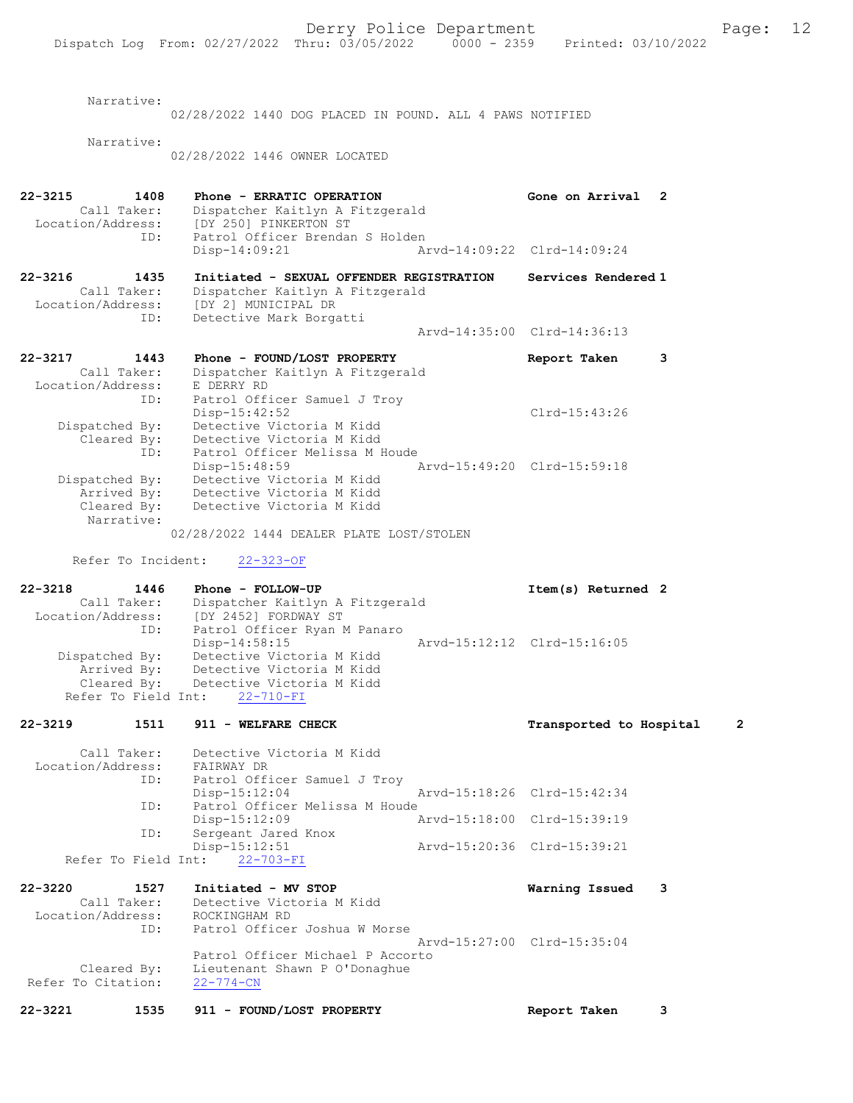Narrative:

02/28/2022 1440 DOG PLACED IN POUND. ALL 4 PAWS NOTIFIED Narrative: 02/28/2022 1446 OWNER LOCATED 22-3215 1408 Phone - ERRATIC OPERATION Gone on Arrival 2 Call Taker: Dispatcher Kaitlyn A Fitzgerald Location/Address: [DY 250] PINKERTON ST<br>ID: Patrol Officer Brendan Patrol Officer Brendan S Holden<br>Disp-14:09:21 Ar Disp-14:09:21 Arvd-14:09:22 Clrd-14:09:24 22-3216 1435 Initiated - SEXUAL OFFENDER REGISTRATION Services Rendered 1 Call Taker: Dispatcher Kaitlyn A Fitzgerald Location/Address: [DY 2] MUNICIPAL DR ID: Detective Mark Borgatti Arvd-14:35:00 Clrd-14:36:13 22-3217 1443 Phone - FOUND/LOST PROPERTY Report Taken 3 Call Taker: Dispatcher Kaitlyn A Fitzgerald Location/Address: E DERRY RD ID: Patrol Officer Samuel J Troy<br>Disp-15:42:52 Disp-15:42:52 Clrd-15:43:26 Dispatched By: Detective Victoria M Kidd Cleared By: Detective Victoria M Kidd ID: Patrol Officer Melissa M Houde Disp-15:48:59 Arvd-15:49:20 Clrd-15:59:18 Dispatched By: Detective Victoria M Kidd Arrived By: Detective Victoria M Kidd Cleared By: Detective Victoria M Kidd Narrative: 02/28/2022 1444 DEALER PLATE LOST/STOLEN Refer To Incident: 22-323-OF 22-3218 1446 Phone - FOLLOW-UP Item(s) Returned 2 Call Taker: Dispatcher Kaitlyn A Fitzgerald Location/Address: [DY 2452] FORDWAY ST ID: Patrol Officer Ryan M Panaro Disp-14:58:15 Arvd-15:12:12 Clrd-15:16:05

 Dispatched By: Detective Victoria M Kidd Arrived By: Detective Victoria M Kidd Cleared By: Detective Victoria M Kidd Refer To Field Int: 22-710-FI 22-3219 1511 911 - WELFARE CHECK 12 1 Transported to Hospital 2 Call Taker: Detective Victoria M Kidd<br>ion/Address: FAIRWAY DR Location/Address:<br>TD: Patrol Officer Samuel J Troy

 Disp-15:12:04 Arvd-15:18:26 Clrd-15:42:34 ID: Patrol Officer Melissa M Houde<br>Disp-15:12:09 P Disp-15:12:09 Arvd-15:18:00 Clrd-15:39:19<br>TD: Sergeant Jared Knox Sergeant Jared Knox<br>Disp-15:12:51 Disp-15:12:51 Arvd-15:20:36 Clrd-15:39:21 Refer To Field Int: 22-703-FI

22-3220 1527 Initiated - MV STOP Warning Issued 3 Call Taker: Detective Victoria M Kidd Location/Address: ROCKINGHAM RD ID: Patrol Officer Joshua W Morse Arvd-15:27:00 Clrd-15:35:04 Patrol Officer Michael P Accorto Cleared By: Lieutenant Shawn P O'Donaghue Refer To Citation: 22-774-CN

22-3221 1535 911 - FOUND/LOST PROPERTY Report Taken 3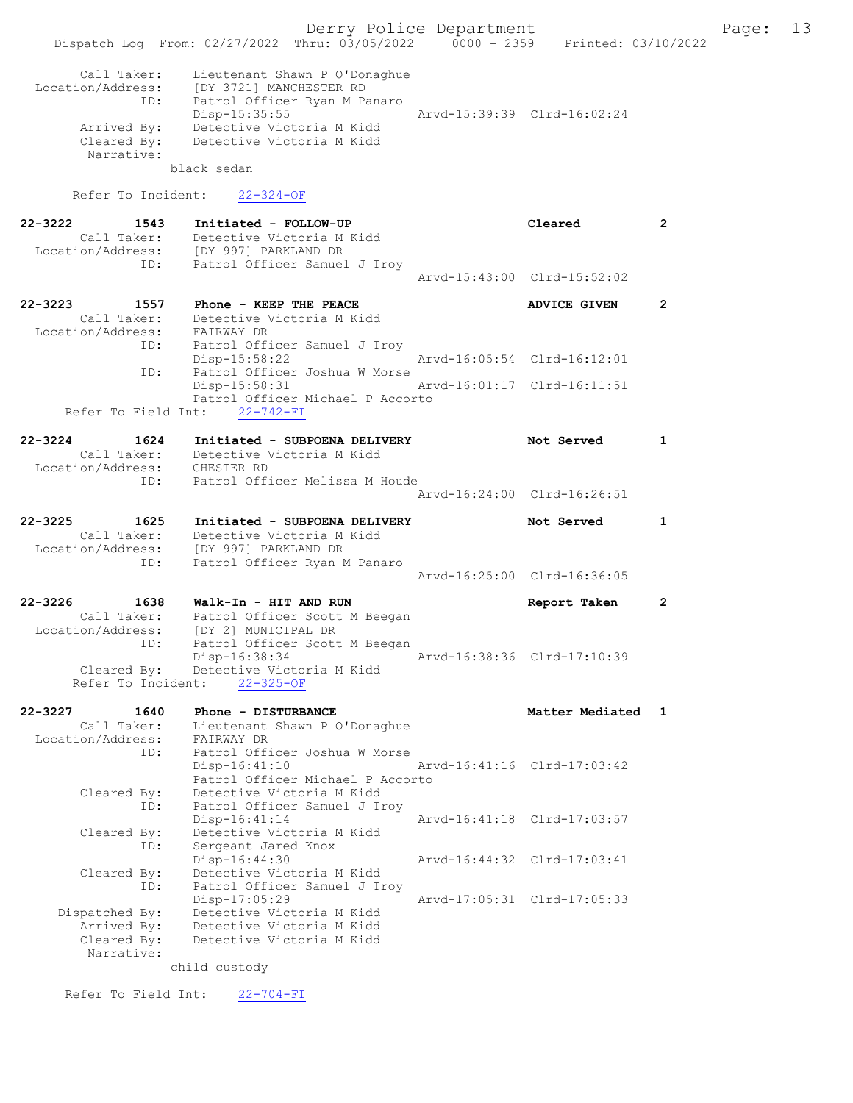Derry Police Department Fage: 13 Dispatch Log From: 02/27/2022 Thru: 03/05/2022 0000 - 2359 Printed: 03/10/2022 Call Taker: Lieutenant Shawn P O'Donaghue Location/Address: [DY 3721] MANCHESTER RD ID: Patrol Officer Ryan M Panaro Disp-15:35:55 Arvd-15:39:39 Clrd-16:02:24 Arrived By: Detective Victoria M Kidd Cleared By: Detective Victoria M Kidd Narrative: black sedan Refer To Incident: 22-324-OF 22-3222 1543 Initiated - FOLLOW-UP Cleared 2 Call Taker: Detective Victoria M Kidd Location/Address: [DY 997] PARKLAND DR ID: Patrol Officer Samuel J Troy Arvd-15:43:00 Clrd-15:52:02 22-3223 1557 Phone - KEEP THE PEACE 2 ADVICE GIVEN 2 Call Taker: Detective Victoria M Kidd Location/Address: FAIRWAY DR ID: Patrol Officer Samuel J Troy Disp-15:58:22 Arvd-16:05:54 Clrd-16:12:01 ID: Patrol Officer Joshua W Morse Disp-15:58:31 Arvd-16:01:17 Clrd-16:11:51 Patrol Officer Michael P Accorto Refer To Field Int: 22-742-FI 22-3224 1624 Initiated - SUBPOENA DELIVERY Not Served 1 Call Taker: Detective Victoria M Kidd Location/Address: CHESTER RD ID: Patrol Officer Melissa M Houde Arvd-16:24:00 Clrd-16:26:51 22-3225 1625 Initiated - SUBPOENA DELIVERY Not Served 1 Call Taker: Detective Victoria M Kidd Location/Address: [DY 997] PARKLAND DR ID: Patrol Officer Ryan M Panaro Arvd-16:25:00 Clrd-16:36:05 22-3226 1638 Walk-In - HIT AND RUN Report Taken 2 Call Taker: Patrol Officer Scott M Beegan Location/Address: [DY 2] MUNICIPAL DR ID: Patrol Officer Scott M Beegan Disp-16:38:34 Arvd-16:38:36 Clrd-17:10:39 Cleared By: Detective Victoria M Kidd Refer To Incident: 22-325-OF 22-3227 1640 Phone - DISTURBANCE Matter Mediated 1 Call Taker: Lieutenant Shawn P O'Donaghue Location/Address: FAIRWAY DR ID: Patrol Officer Joshua W Morse<br>Disp-16:41:10 Disp-16:41:10 <br>Patrol Officer Michael P Accorto Patrol Officer Michael P Accorto Cleared By: Detective Victoria M Kidd ID: Patrol Officer Samuel J Troy Disp-16:41:14 Arvd-16:41:18 Clrd-17:03:57 Cleared By: Detective Victoria M Kidd ID: Sergeant Jared Knox Disp-16:44:30 Arvd-16:44:32 Clrd-17:03:41 Cleared By: Detective Victoria M Kidd ID: Patrol Officer Samuel J Troy Disp-17:05:29 Arvd-17:05:31 Clrd-17:05:33 Dispatched By: Detective Victoria M Kidd Arrived By: Detective Victoria M Kidd Cleared By: Detective Victoria M Kidd Narrative: child custody

Refer To Field Int: 22-704-FI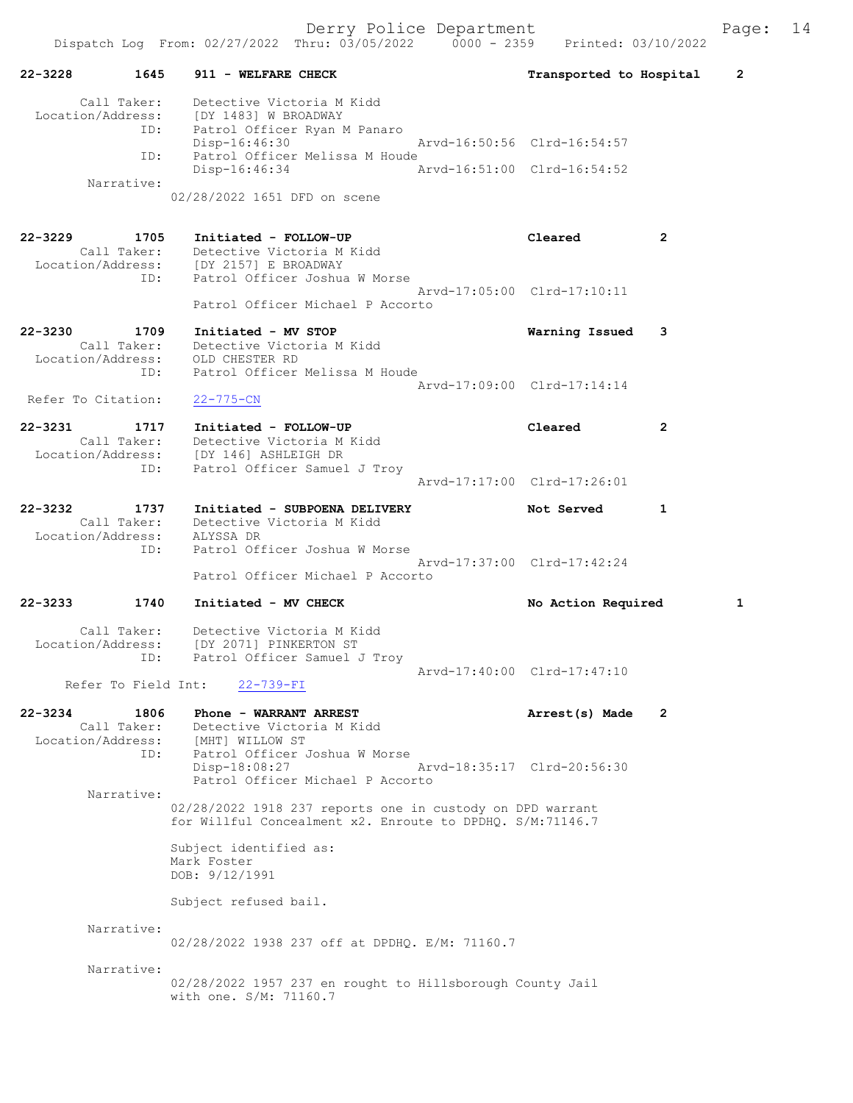Derry Police Department Fage: 14

|                                                            | Dispatch Log From: 02/27/2022 Thru: 03/05/2022 0000 - 2359 Printed: 03/10/2022                                                           |                             |   |
|------------------------------------------------------------|------------------------------------------------------------------------------------------------------------------------------------------|-----------------------------|---|
| 22-3228<br>1645                                            | 911 - WELFARE CHECK                                                                                                                      | Transported to Hospital     | 2 |
| Call Taker:                                                | Detective Victoria M Kidd<br>Location/Address: [DY 1483] W BROADWAY<br>ID: Patrol Officer Ryan M Panaro<br>Disp-16:46:30                 | Arvd-16:50:56 Clrd-16:54:57 |   |
| ID:                                                        | Patrol Officer Melissa M Houde<br>$Disp-16:46:34$                                                                                        | Arvd-16:51:00 Clrd-16:54:52 |   |
| Narrative:                                                 | 02/28/2022 1651 DFD on scene                                                                                                             |                             |   |
| 22-3229<br>1705                                            | Initiated - FOLLOW-UP<br>Call Taker: Detective Victoria M Kidd<br>Location/Address: [DY 2157] E BROADWAY<br>ID: Patrol Officer Joshu     | Cleared<br>2                |   |
| ID:                                                        | Patrol Officer Joshua W Morse<br>Patrol Officer Michael P Accorto                                                                        | Arvd-17:05:00 Clrd-17:10:11 |   |
| 22-3230<br>1709<br>Call Taker:<br>ID:                      | Initiated - MV STOP<br>Detective Victoria M Kidd<br>Location/Address: OLD CHESTER RD<br>Patrol Officer Melissa M Houde                   | Warning Issued<br>3         |   |
| Refer To Citation:                                         | $22 - 775 - CN$                                                                                                                          | Arvd-17:09:00 Clrd-17:14:14 |   |
| 22-3231<br>1717<br>ID:                                     | Initiated - FOLLOW-UP<br>Call Taker: Detective Victoria M Kidd<br>Location/Address: [DY 146] ASHLEIGH DR<br>Patrol Officer Samuel J Troy | Cleared<br>2                |   |
|                                                            |                                                                                                                                          | Arvd-17:17:00 Clrd-17:26:01 |   |
| 22-3232<br>1737<br>Call Taker:<br>Location/Address:<br>ID: | Initiated - SUBPOENA DELIVERY<br>Detective Victoria M Kidd<br>ALYSSA DR<br>Patrol Officer Joshua W Morse                                 | Not Served<br>1             |   |
|                                                            |                                                                                                                                          | Arvd-17:37:00 Clrd-17:42:24 |   |
|                                                            | Patrol Officer Michael P Accorto                                                                                                         |                             |   |
| 22-3233<br>1740                                            | Initiated - MV CHECK                                                                                                                     | No Action Required          | 1 |
| Call Taker:<br>ID:                                         | Detective Victoria M Kidd<br>Location/Address: [DY 2071] PINKERTON ST<br>Patrol Officer Samuel J Troy                                    |                             |   |
|                                                            | Refer To Field Int: 22-739-FI                                                                                                            | Arvd-17:40:00 Clrd-17:47:10 |   |
| 22-3234<br>1806<br>Call Taker:<br>Location/Address:<br>ID: | Phone - WARRANT ARREST<br>Detective Victoria M Kidd<br>[MHT] WILLOW ST<br>Patrol Officer Joshua W Morse                                  | 2<br>Arrest(s) Made         |   |
|                                                            | Disp-18:08:27<br>Patrol Officer Michael P Accorto                                                                                        | Arvd-18:35:17 Clrd-20:56:30 |   |
| Narrative:                                                 | 02/28/2022 1918 237 reports one in custody on DPD warrant<br>for Willful Concealment x2. Enroute to DPDHO. S/M:71146.7                   |                             |   |
|                                                            | Subject identified as:<br>Mark Foster<br>DOB: 9/12/1991                                                                                  |                             |   |
|                                                            | Subject refused bail.                                                                                                                    |                             |   |
| Narrative:                                                 | 02/28/2022 1938 237 off at DPDHQ. E/M: 71160.7                                                                                           |                             |   |
| Narrative:                                                 | 02/28/2022 1957 237 en rought to Hillsborough County Jail<br>with one. S/M: 71160.7                                                      |                             |   |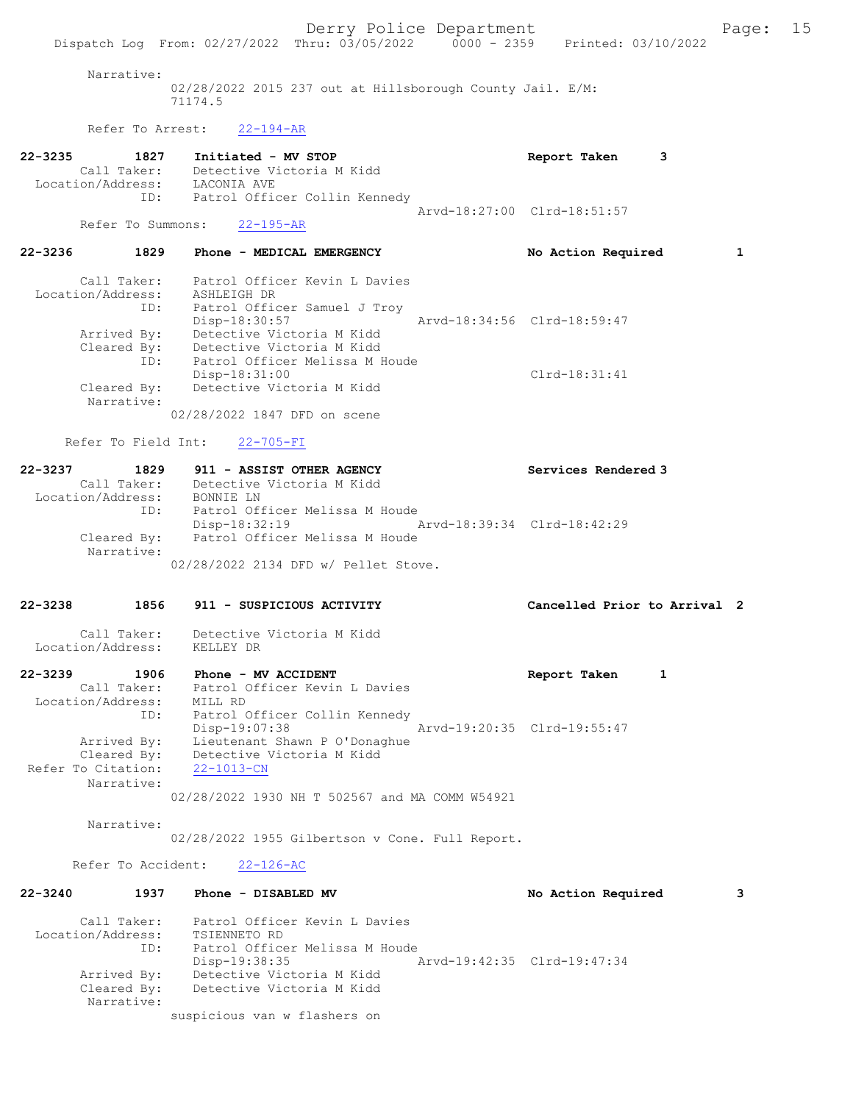Narrative:

02/28/2022 2015 237 out at Hillsborough County Jail. E/M: 71174.5

Refer To Arrest: 22-194-AR

| $22 - 3235$ | 1827              | Initiated - MV STOP           | Report Taken                |  |
|-------------|-------------------|-------------------------------|-----------------------------|--|
|             | Call Taker:       | Detective Victoria M Kidd     |                             |  |
|             | Location/Address: | LACONIA AVE                   |                             |  |
|             | ID:               | Patrol Officer Collin Kennedy |                             |  |
|             |                   |                               | Aryd-18:27:00 Clrd-18:51:57 |  |
|             | Refer To Summons: | $22 - 195 - AR$               |                             |  |

#### 22-3236 1829 Phone - MEDICAL EMERGENCY No Action Required 1

| Call Taker:       | Patrol Officer Kevin L Davies  |                             |                 |
|-------------------|--------------------------------|-----------------------------|-----------------|
| Location/Address: | ASHLEIGH DR                    |                             |                 |
| ID:               | Patrol Officer Samuel J Troy   |                             |                 |
|                   | Disp-18:30:57                  | Arvd-18:34:56 Clrd-18:59:47 |                 |
| Arrived By:       | Detective Victoria M Kidd      |                             |                 |
| Cleared By:       | Detective Victoria M Kidd      |                             |                 |
| ID:               | Patrol Officer Melissa M Houde |                             |                 |
|                   | Disp-18:31:00                  |                             | $Clrd-18:31:41$ |
| Cleared By:       | Detective Victoria M Kidd      |                             |                 |
| Narrative:        |                                |                             |                 |
|                   | 02/28/2022 1847 DFD on scene   |                             |                 |

Refer To Field Int: 22-705-FI

| $22 - 3237$       | 1829 | 911 - ASSIST OTHER AGENCY            | Services Rendered 3         |
|-------------------|------|--------------------------------------|-----------------------------|
| Call Taker:       |      | Detective Victoria M Kidd            |                             |
| Location/Address: |      | BONNIE LN                            |                             |
|                   | ID:  | Patrol Officer Melissa M Houde       |                             |
|                   |      | $Disp-18:32:19$                      | Arvd-18:39:34 Clrd-18:42:29 |
| Cleared By:       |      | Patrol Officer Melissa M Houde       |                             |
| Narrative:        |      |                                      |                             |
|                   |      | 02/28/2022 2134 DFD w/ Pellet Stove. |                             |

#### 22-3238 1856 911 - SUSPICIOUS ACTIVITY Cancelled Prior to Arrival 2

 Call Taker: Detective Victoria M Kidd Location/Address: KELLEY DR

### 22-3239 1906 Phone - MV ACCIDENT Report Taken 1 Call Taker: Patrol Officer Kevin L Davies Location/Address: MILL RD ID: Patrol Officer Collin Kennedy Disp-19:07:38 Arvd-19:20:35 Clrd-19:55:47 Arrived By: Lieutenant Shawn P O'Donaghue Cleared By: Detective Victoria M Kidd Refer To Citation: 22-1013-CN Narrative:

02/28/2022 1930 NH T 502567 and MA COMM W54921

Narrative:

02/28/2022 1955 Gilbertson v Cone. Full Report.

Refer To Accident: 22-126-AC

| $22 - 3240$ | 1937                                     | Phone - DISABLED MV                                                             |                             | No Action Required | 3 |
|-------------|------------------------------------------|---------------------------------------------------------------------------------|-----------------------------|--------------------|---|
|             | Call Taker:<br>Location/Address:<br>ID:  | Patrol Officer Kevin L Davies<br>TSIENNETO RD<br>Patrol Officer Melissa M Houde |                             |                    |   |
|             | Arrived By:<br>Cleared By:<br>Narrative: | Disp-19:38:35<br>Detective Victoria M Kidd<br>Detective Victoria M Kidd         | Arvd-19:42:35 Clrd-19:47:34 |                    |   |
|             |                                          | suspicious van w flashers on                                                    |                             |                    |   |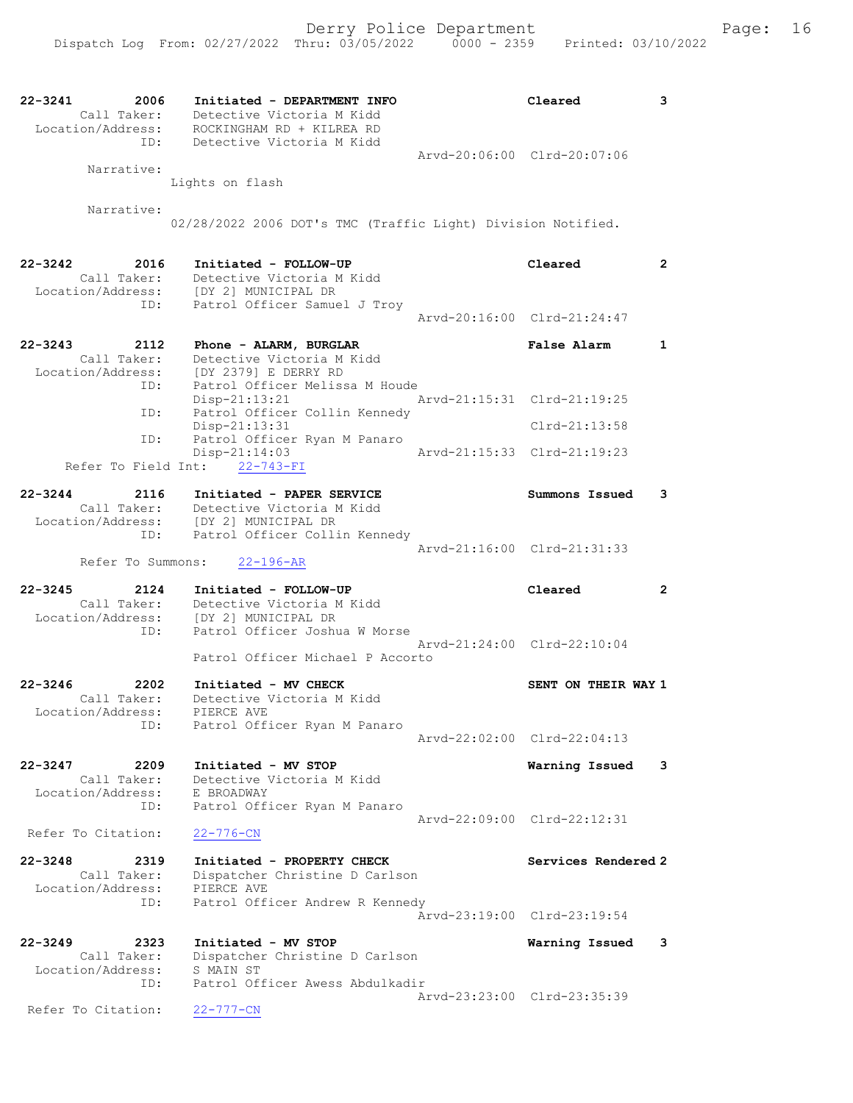| $22 - 3241$<br>2006<br>Call Taker:<br>Location/Address:                            | Initiated - DEPARTMENT INFO<br>Detective Victoria M Kidd<br>ROCKINGHAM RD + KILREA RD                                                                      |                             | Cleared                                            | 3              |
|------------------------------------------------------------------------------------|------------------------------------------------------------------------------------------------------------------------------------------------------------|-----------------------------|----------------------------------------------------|----------------|
| ID:<br>Narrative:                                                                  | Detective Victoria M Kidd<br>Lights on flash                                                                                                               | Arvd-20:06:00 Clrd-20:07:06 |                                                    |                |
|                                                                                    |                                                                                                                                                            |                             |                                                    |                |
| Narrative:                                                                         | 02/28/2022 2006 DOT's TMC (Traffic Light) Division Notified.                                                                                               |                             |                                                    |                |
| $22 - 3242$<br>2016<br>Call Taker:<br>Location/Address:<br>ID:                     | Initiated - FOLLOW-UP<br>Detective Victoria M Kidd<br>[DY 2] MUNICIPAL DR<br>Patrol Officer Samuel J Troy                                                  |                             | Cleared                                            | $\overline{2}$ |
|                                                                                    |                                                                                                                                                            |                             | Arvd-20:16:00 Clrd-21:24:47                        |                |
| $22 - 3243$<br>2112<br>Call Taker:<br>Location/Address:                            | Phone - ALARM, BURGLAR<br>Detective Victoria M Kidd<br>[DY 2379] E DERRY RD<br>Patrol Officer Melissa M Houde                                              |                             | <b>False Alarm</b>                                 | $\mathbf{1}$   |
| ID:<br>ID:                                                                         | Disp-21:13:21<br>Patrol Officer Collin Kennedy                                                                                                             | Arvd-21:15:31 Clrd-21:19:25 |                                                    |                |
| ID:                                                                                | $Disp-21:13:31$                                                                                                                                            |                             | $Clrd-21:13:58$                                    |                |
| Refer To Field Int: 22-743-FI                                                      | Patrol Officer Ryan M Panaro<br>$Disp-21:14:03$                                                                                                            | Arvd-21:15:33 Clrd-21:19:23 |                                                    |                |
| $22 - 3244$<br>2116<br>Location/Address:<br>ID:                                    | Initiated - PAPER SERVICE<br>Call Taker: Detective victor<br>Call Taker: [DY 2] MUNICIPAL DR<br>Detective Victoria M Kidd<br>Patrol Officer Collin Kennedy |                             | Summons Issued                                     | 3              |
| Refer To Summons:                                                                  | $22 - 196 - AR$                                                                                                                                            |                             | Arvd-21:16:00 Clrd-21:31:33                        |                |
| $22 - 3245$<br>2124<br>Call Taker:<br>Location/Address: [DY 2] MUNICIPAL DR<br>ID: | Initiated - FOLLOW-UP<br>Detective Victoria M Kidd<br>Patrol Officer Joshua W Morse                                                                        |                             | Cleared                                            | $\mathbf{2}$   |
|                                                                                    | Patrol Officer Michael P Accorto                                                                                                                           | Aryd-21:24:00 Clrd-22:10:04 |                                                    |                |
| $22 - 3246$<br>2202<br>Call Taker:<br>Location/Address:                            | Initiated - MV CHECK<br>Detective Victoria M Kidd<br>PIERCE AVE                                                                                            |                             | SENT ON THEIR WAY 1                                |                |
| ID:                                                                                | Patrol Officer Ryan M Panaro                                                                                                                               |                             | Arvd-22:02:00 Clrd-22:04:13                        |                |
| $22 - 3247$<br>2209<br>Call Taker:<br>Location/Address:                            | Initiated - MV STOP<br>Detective Victoria M Kidd<br>E BROADWAY                                                                                             |                             | Warning Issued                                     | 3              |
| ID:<br>Refer To Citation:                                                          | Patrol Officer Ryan M Panaro<br>$22 - 776 - CN$                                                                                                            |                             | Arvd-22:09:00 Clrd-22:12:31                        |                |
| $22 - 3248$<br>2319<br>Call Taker:<br>Location/Address:<br>ID:                     | Initiated - PROPERTY CHECK<br>Dispatcher Christine D Carlson<br>PIERCE AVE<br>Patrol Officer Andrew R Kennedy                                              |                             | Services Rendered 2<br>Arvd-23:19:00 Clrd-23:19:54 |                |
| $22 - 3249$<br>2323<br>Call Taker:                                                 | Initiated - MV STOP<br>Dispatcher Christine D Carlson                                                                                                      |                             | Warning Issued                                     | 3              |
| Location/Address:<br>ID:                                                           | S MAIN ST<br>Patrol Officer Awess Abdulkadir                                                                                                               |                             | Arvd-23:23:00 Clrd-23:35:39                        |                |
| Refer To Citation:                                                                 | $22 - 777 - CN$                                                                                                                                            |                             |                                                    |                |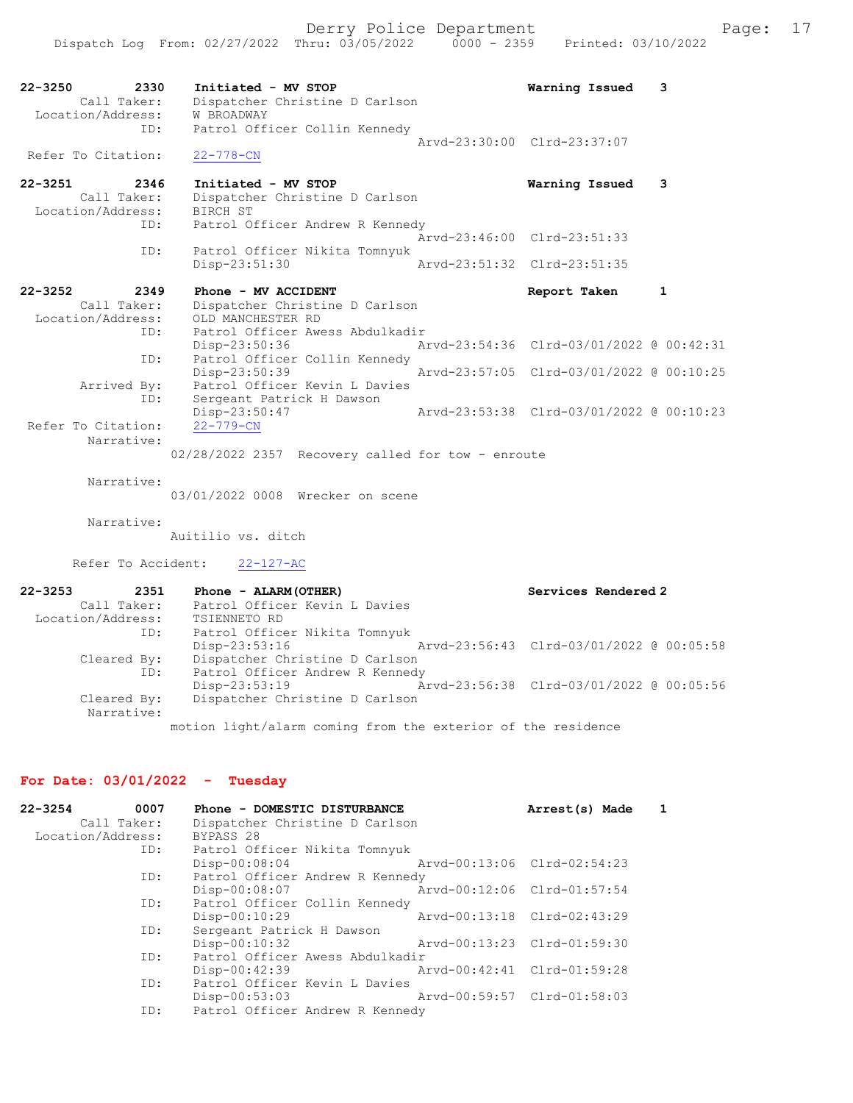| $22 - 3250$<br>2330<br>Call Taker:<br>Location/Address:<br>ID: | Initiated - MV STOP<br>Dispatcher Christine D Carlson<br><b>W BROADWAY</b><br>Patrol Officer Collin Kennedy   | Warning Issued                           | 3            |
|----------------------------------------------------------------|---------------------------------------------------------------------------------------------------------------|------------------------------------------|--------------|
| Refer To Citation:                                             | $22 - 778 - CN$                                                                                               | Arvd-23:30:00 Clrd-23:37:07              |              |
| $22 - 3251$<br>2346<br>Call Taker:<br>Location/Address:<br>ID: | Initiated - MV STOP<br>Dispatcher Christine D Carlson<br>BIRCH ST<br>Patrol Officer Andrew R Kennedy          | Warning Issued                           | 3            |
| ID:                                                            | Patrol Officer Nikita Tomnyuk                                                                                 | Aryd-23:46:00 Clrd-23:51:33              |              |
|                                                                | Disp-23:51:30                                                                                                 | Aryd-23:51:32 Clrd-23:51:35              |              |
| $22 - 3252$<br>2349<br>Call Taker:<br>Location/Address:<br>ID: | Phone - MV ACCIDENT<br>Dispatcher Christine D Carlson<br>OLD MANCHESTER RD<br>Patrol Officer Awess Abdulkadir | Report Taken                             | $\mathbf{1}$ |
| ID:                                                            | Disp-23:50:36<br>Patrol Officer Collin Kennedy                                                                | Arvd-23:54:36 Clrd-03/01/2022 @ 00:42:31 |              |
| Arrived By:<br>ID:                                             | Disp-23:50:39<br>Patrol Officer Kevin L Davies<br>Sergeant Patrick H Dawson                                   | Arvd-23:57:05 Clrd-03/01/2022 @ 00:10:25 |              |
| Refer To Citation:<br>Narrative:                               | Disp-23:50:47<br>$22 - 779 - CN$<br>02/28/2022 2357 Recovery called for tow - enroute                         | Arvd-23:53:38 Clrd-03/01/2022 @ 00:10:23 |              |
| Narrative:                                                     | 03/01/2022 0008 Wrecker on scene                                                                              |                                          |              |
| Narrative:                                                     | Auitilio vs. ditch                                                                                            |                                          |              |
| Refer To Accident:                                             | $22 - 127 - AC$                                                                                               |                                          |              |

| $22 - 3253$       | 2351 | Phone - ALARM (OTHER)                                        | Services Rendered 2                      |
|-------------------|------|--------------------------------------------------------------|------------------------------------------|
| Call Taker:       |      | Patrol Officer Kevin L Davies                                |                                          |
| Location/Address: |      | TSIENNETO RD                                                 |                                          |
|                   | ID:  | Patrol Officer Nikita Tomnyuk                                |                                          |
|                   |      | $Disp-23:53:16$                                              | Arvd-23:56:43 Clrd-03/01/2022 @ 00:05:58 |
| Cleared By:       |      | Dispatcher Christine D Carlson                               |                                          |
|                   | ID:  | Patrol Officer Andrew R Kennedy                              |                                          |
|                   |      | Disp-23:53:19                                                | Arvd-23:56:38 Clrd-03/01/2022 @ 00:05:56 |
| Cleared By:       |      | Dispatcher Christine D Carlson                               |                                          |
| Narrative:        |      |                                                              |                                          |
|                   |      | motion light/alarm coming from the exterior of the residence |                                          |

# For Date: 03/01/2022 - Tuesday

| $22 - 3254$<br>0007<br>Call Taker:<br>Location/Address: | Phone - DOMESTIC DISTURBANCE<br>Dispatcher Christine D Carlson<br>BYPASS 28<br>ID: Patrol Officer Nikita Tomnyuk | Arrest(s) Made              |  |
|---------------------------------------------------------|------------------------------------------------------------------------------------------------------------------|-----------------------------|--|
|                                                         | Arvd-00:13:06 Clrd-02:54:23<br>$Disp-00:08:04$                                                                   |                             |  |
| ID:                                                     | Patrol Officer Andrew R Kennedy<br>Arvd-00:12:06 Clrd-01:57:54<br>Disp-00:08:07                                  |                             |  |
| ID:                                                     | Patrol Officer Collin Kennedy<br>Disp-00:10:29                                                                   | Arvd-00:13:18 Clrd-02:43:29 |  |
| ID:                                                     | Sergeant Patrick H Dawson<br>Disp-00:10:32<br>Arvd-00:13:23 Clrd-01:59:30                                        |                             |  |
| ID:                                                     | Patrol Officer Awess Abdulkadir<br>Arvd-00:42:41 Clrd-01:59:28<br>Disp-00:42:39                                  |                             |  |
| ID:                                                     | Patrol Officer Kevin L Davies<br>Arvd-00:59:57 Clrd-01:58:03<br>$Disp-00:53:03$                                  |                             |  |
| ID:                                                     | Patrol Officer Andrew R Kennedy                                                                                  |                             |  |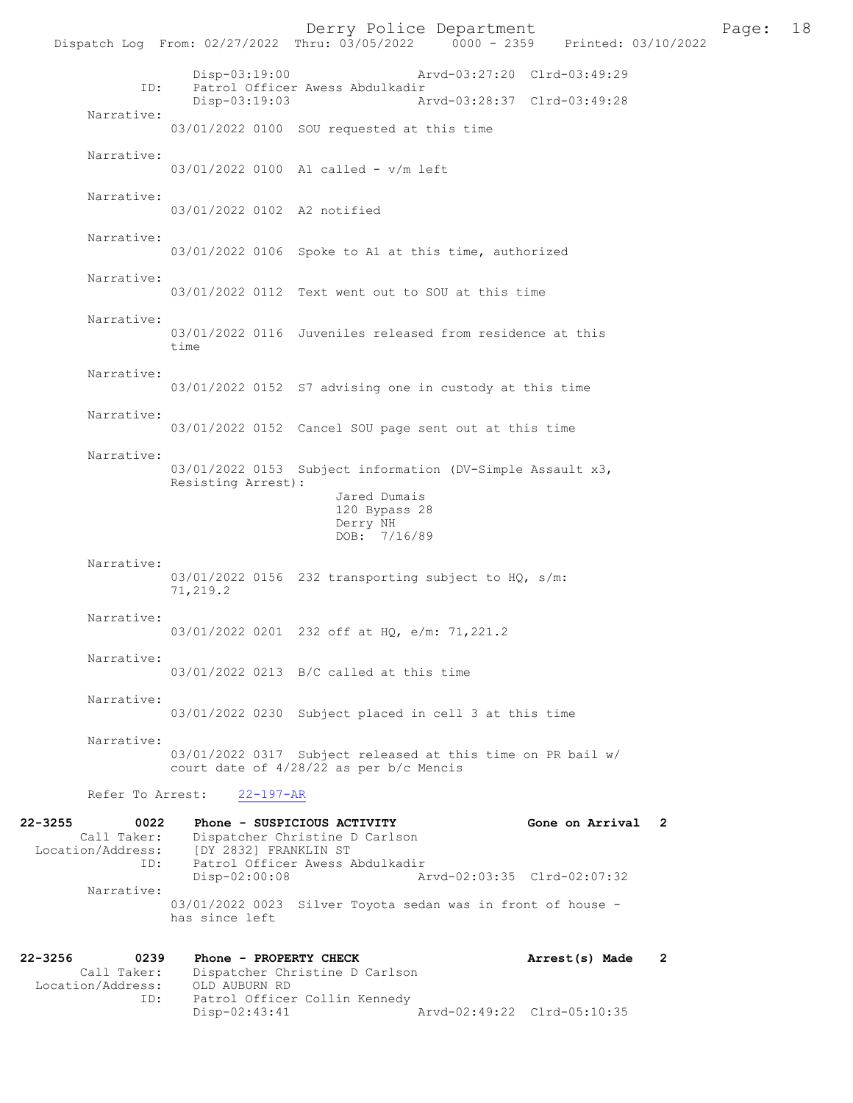Derry Police Department Page: 18 Dispatch Log From: 02/27/2022 Thru: 03/05/2022 Disp-03:19:00 Arvd-03:27:20 Clrd-03:49:29 ID: Patrol Officer Awess Abdulkadir<br>Disp-03:19:03 A Disp-03:19:03 Arvd-03:28:37 Clrd-03:49:28 Narrative: 03/01/2022 0100 SOU requested at this time Narrative: 03/01/2022 0100 A1 called - v/m left Narrative: 03/01/2022 0102 A2 notified Narrative: 03/01/2022 0106 Spoke to A1 at this time, authorized Narrative: 03/01/2022 0112 Text went out to SOU at this time Narrative: 03/01/2022 0116 Juveniles released from residence at this time Narrative: 03/01/2022 0152 S7 advising one in custody at this time Narrative: 03/01/2022 0152 Cancel SOU page sent out at this time Narrative: 03/01/2022 0153 Subject information (DV-Simple Assault x3, Resisting Arrest): Jared Dumais 120 Bypass 28 Derry NH DOB: 7/16/89 Narrative: 03/01/2022 0156 232 transporting subject to HO, s/m: 71,219.2 Narrative: 03/01/2022 0201 232 off at HO, e/m: 71,221.2 Narrative: 03/01/2022 0213 B/C called at this time Narrative: 03/01/2022 0230 Subject placed in cell 3 at this time Narrative: 03/01/2022 0317 Subject released at this time on PR bail w/ court date of 4/28/22 as per b/c Mencis Refer To Arrest: 22-197-AR 22-3255 0022 Phone - SUSPICIOUS ACTIVITY 60ne on Arrival 2<br>Call Taker: Dispatcher Christine D Carlson Dispatcher Christine D Carlson Location/Address: [DY 2832] FRANKLIN ST<br>ID: Patrol Officer Awess A Patrol Officer Awess Abdulkadir<br>Disp-02:00:08 A Disp-02:00:08 Arvd-02:03:35 Clrd-02:07:32 Narrative: 03/01/2022 0023 Silver Toyota sedan was in front of house has since left 22-3256 0239 Phone - PROPERTY CHECK **Arrest(s)** Made 2 Call Taker: Dispatcher Christine D Carlson<br>ion/Address: OLD AUBURN RD Location/Address: ID: Patrol Officer Collin Kennedy

Arvd-02:49:22 Clrd-05:10:35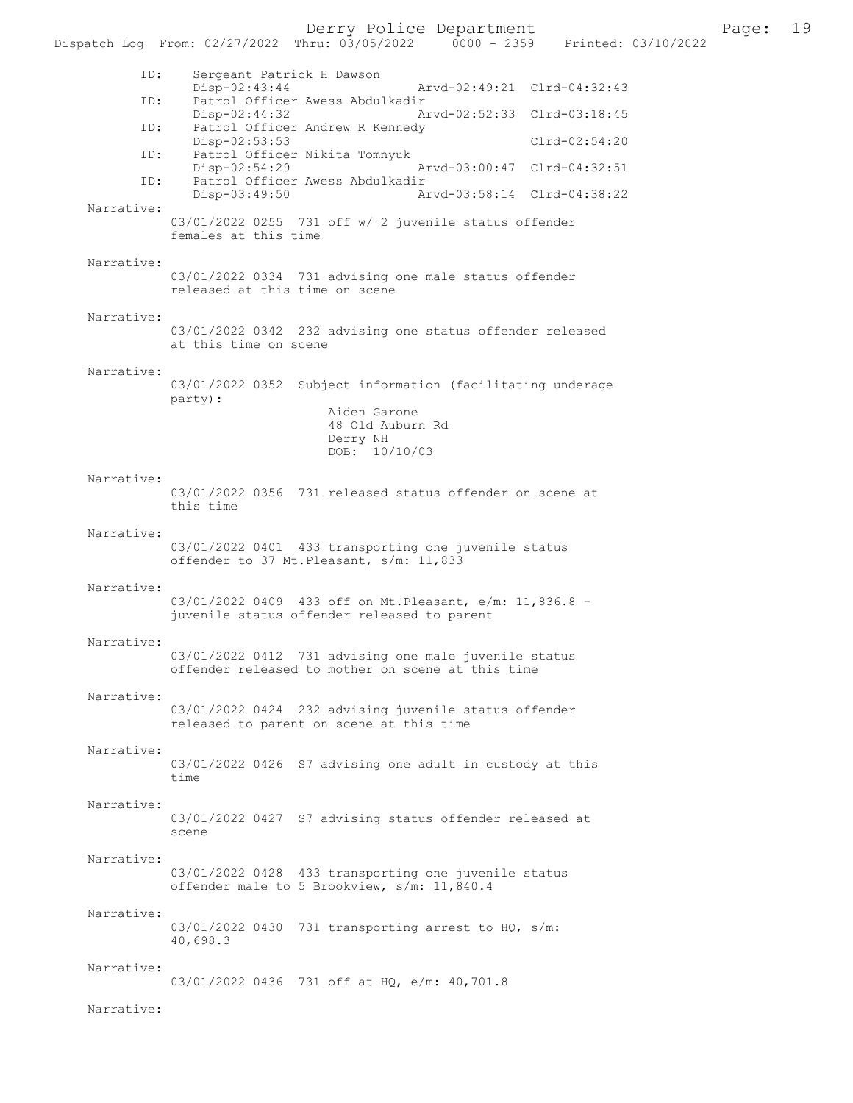Derry Police Department<br>
Page: 19<br>
Printed: 03/10/2022<br>
Printed: 03/10/2022

Dispatch Log From: 02/27/2022 Thru: 03/05/2022 ID: Sergeant Patrick H Dawson Disp-02:43:44 Arvd-02:49:21 Clrd-04:32:43<br>TD: Patrol Officer Awess Abdulkadir Patrol Officer Awess Abdulkadir<br>Disp-02:44:32 A Disp-02:44:32 Arvd-02:52:33 Clrd-03:18:45<br>ID: Patrol Officer Andrew R Kennedy Patrol Officer Andrew R Kennedy Disp-02:53:53 Clrd-02:54:20 ID: Patrol Officer Nikita Tomnyuk Disp-02:54:29 Arvd-03:00:47 Clrd-04:32:51<br>ID: Patrol Officer Awess Abdulkadir Patrol Officer Awess Abdulkadir<br>Disp-03:49:50 A Disp-03:49:50 Arvd-03:58:14 Clrd-04:38:22 Narrative: 03/01/2022 0255 731 off w/ 2 juvenile status offender females at this time Narrative: 03/01/2022 0334 731 advising one male status offender released at this time on scene Narrative: 03/01/2022 0342 232 advising one status offender released at this time on scene Narrative: 03/01/2022 0352 Subject information (facilitating underage party): Aiden Garone 48 Old Auburn Rd Derry NH DOB: 10/10/03 Narrative: 03/01/2022 0356 731 released status offender on scene at this time Narrative: 03/01/2022 0401 433 transporting one juvenile status offender to 37 Mt.Pleasant, s/m: 11,833 Narrative: 03/01/2022 0409 433 off on Mt.Pleasant, e/m: 11,836.8 juvenile status offender released to parent Narrative: 03/01/2022 0412 731 advising one male juvenile status offender released to mother on scene at this time Narrative: 03/01/2022 0424 232 advising juvenile status offender released to parent on scene at this time Narrative: 03/01/2022 0426 S7 advising one adult in custody at this time Narrative: 03/01/2022 0427 S7 advising status offender released at scene Narrative: 03/01/2022 0428 433 transporting one juvenile status offender male to 5 Brookview, s/m: 11,840.4 Narrative: 03/01/2022 0430 731 transporting arrest to HQ, s/m: 40,698.3 Narrative: 03/01/2022 0436 731 off at HQ, e/m: 40,701.8 Narrative: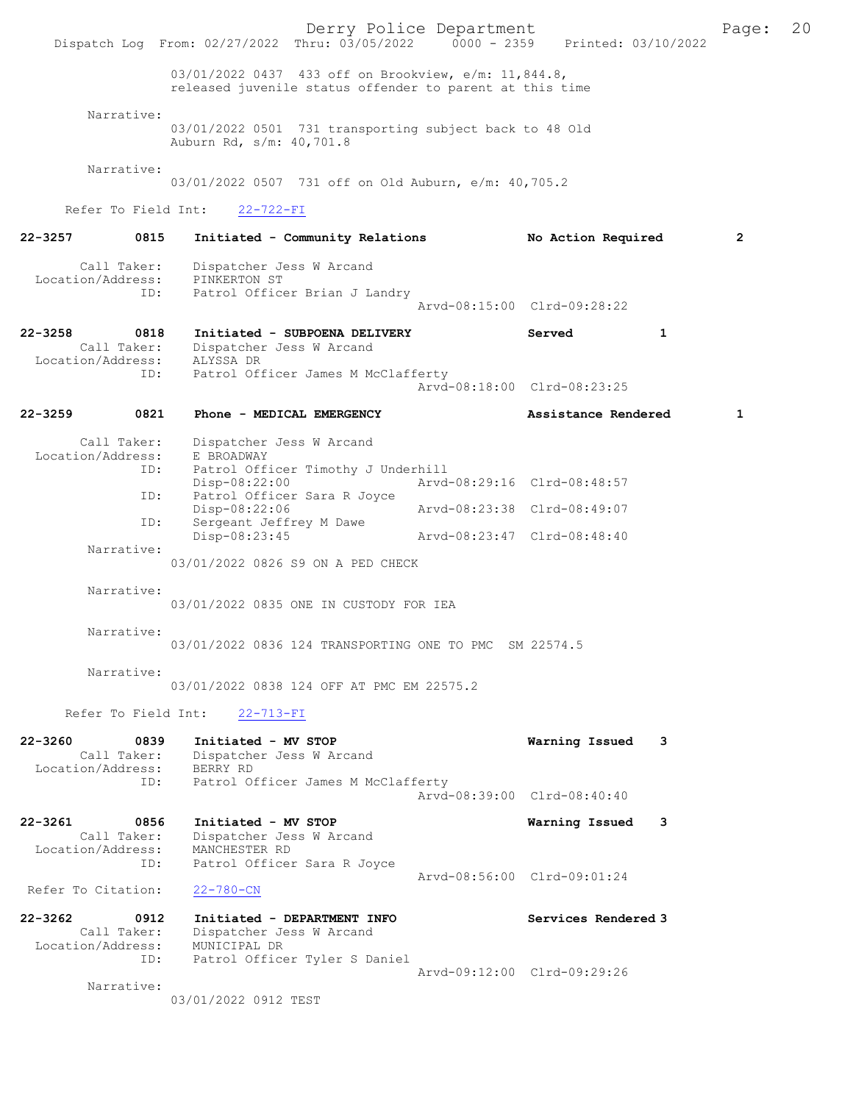Derry Police Department Fage: 20 Dispatch Log From: 02/27/2022 Thru: 03/05/2022 0000 - 2359 Printed: 03/10/2022 03/01/2022 0437 433 off on Brookview, e/m: 11,844.8, released juvenile status offender to parent at this time Narrative: 03/01/2022 0501 731 transporting subject back to 48 Old Auburn Rd, s/m: 40,701.8 Narrative: 03/01/2022 0507 731 off on Old Auburn, e/m: 40,705.2 Refer To Field Int: 22-722-FI 22-3257 0815 Initiated - Community Relations No Action Required 2 Call Taker: Dispatcher Jess W Arcand Location/Address: PINKERTON ST ID: Patrol Officer Brian J Landry Patrol Officer Brian J Landry<br>Arvd-08:15:00 Clrd-09:28:22 22-3258 0818 Initiated - SUBPOENA DELIVERY Served 1 Call Taker: Dispatcher Jess W Arcand Location/Address: ALYSSA DR ID: Patrol Officer James M McClafferty Arvd-08:18:00 Clrd-08:23:25 22-3259 0821 Phone - MEDICAL EMERGENCY Assistance Rendered 1 Call Taker: Dispatcher Jess W Arcand Location/Address: E BROADWAY ous.<br>ID: Patrol Officer Timothy J Underhill<br>Disp-08:22:00 Arvd Disp-08:22:00 Arvd-08:29:16 Clrd-08:48:57 ID: Patrol Officer Sara R Joyce<br>Disp-08:22:06 Disp-08:22:06 <br>ID: Sergeant Jeffrey M Dawe <br>Displays arvd-08:23:38 Clrd-08:49:07 Sergeant Jeffrey M Dawe<br>Disp-08:23:45 Disp-08:23:45 Arvd-08:23:47 Clrd-08:48:40 Narrative: 03/01/2022 0826 S9 ON A PED CHECK Narrative: 03/01/2022 0835 ONE IN CUSTODY FOR IEA Narrative: 03/01/2022 0836 124 TRANSPORTING ONE TO PMC SM 22574.5 Narrative: 03/01/2022 0838 124 OFF AT PMC EM 22575.2 Refer To Field Int: 22-713-FI 22-3260 0839 Initiated - MV STOP Warning Issued 3 Call Taker: Dispatcher Jess W Arcand Location/Address: BERRY RD ID: Patrol Officer James M McClafferty Arvd-08:39:00 Clrd-08:40:40 22-3261 0856 Initiated - MV STOP Warning Issued 3 Call Taker: Dispatcher Jess W Arcand Location/Address: MANCHESTER RD ID: Patrol Officer Sara R Joyce Arvd-08:56:00 Clrd-09:01:24 Refer To Citation: 22-780-CN 22-3262 0912 Initiated - DEPARTMENT INFO Services Rendered 3 Call Taker: Dispatcher Jess W Arcand Location/Address: MUNICIPAL DR ID: Patrol Officer Tyler S Daniel Arvd-09:12:00 Clrd-09:29:26 Narrative: 03/01/2022 0912 TEST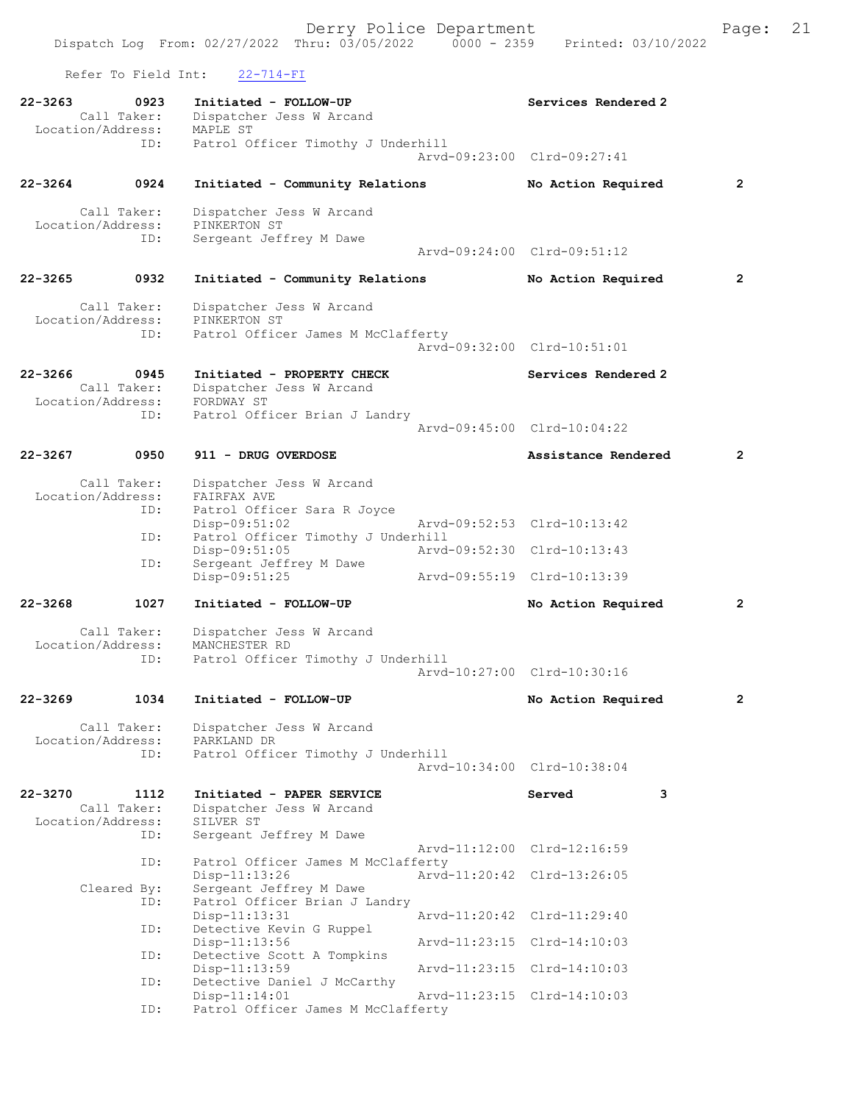Refer To Field Int: 22-714-FI

| 22-3263     | 0923<br>Call Taker:<br>Location/Address:        | Initiated - FOLLOW-UP<br>Dispatcher Jess W Arcand<br>MAPLE ST                                 | Services Rendered 2                   |
|-------------|-------------------------------------------------|-----------------------------------------------------------------------------------------------|---------------------------------------|
|             | ID:                                             | Patrol Officer Timothy J Underhill                                                            | Arvd-09:23:00 Clrd-09:27:41           |
| $22 - 3264$ | 0924                                            | Initiated - Community Relations                                                               | $\overline{2}$<br>No Action Required  |
|             | Call Taker:<br>Location/Address:<br>ID:         | Dispatcher Jess W Arcand<br>PINKERTON ST<br>Sergeant Jeffrey M Dawe                           | Arvd-09:24:00 Clrd-09:51:12           |
| $22 - 3265$ | 0932                                            | Initiated - Community Relations                                                               | No Action Required<br>$\mathbf{2}$    |
|             | Call Taker:<br>Location/Address:<br>ID:         | Dispatcher Jess W Arcand<br>PINKERTON ST<br>Patrol Officer James M McClafferty                |                                       |
|             |                                                 |                                                                                               | Arvd-09:32:00 Clrd-10:51:01           |
| 22-3266     | 0945<br>Call Taker:<br>Location/Address:        | Initiated - PROPERTY CHECK<br>Dispatcher Jess W Arcand<br>FORDWAY ST                          | Services Rendered 2                   |
|             | ID:                                             | Patrol Officer Brian J Landry                                                                 | Aryd-09:45:00 Clrd-10:04:22           |
| $22 - 3267$ | 0950                                            | 911 - DRUG OVERDOSE                                                                           | $\overline{2}$<br>Assistance Rendered |
|             | Call Taker:<br>Location/Address:                | Dispatcher Jess W Arcand<br>FAIRFAX AVE                                                       |                                       |
|             | ID:                                             | Patrol Officer Sara R Joyce<br>$Disp-09:51:02$                                                | Arvd-09:52:53 Clrd-10:13:42           |
|             | ID:                                             | Patrol Officer Timothy J Underhill<br>Disp-09:51:05                                           | Arvd-09:52:30 Clrd-10:13:43           |
|             | ID:                                             | Sergeant Jeffrey M Dawe<br>Disp-09:51:25                                                      | Arvd-09:55:19 Clrd-10:13:39           |
| 22-3268     | 1027                                            | Initiated - FOLLOW-UP                                                                         | No Action Required<br>$\mathbf{2}$    |
|             | Call Taker:<br>Location/Address:<br>ID:         | Dispatcher Jess W Arcand<br>MANCHESTER RD<br>Patrol Officer Timothy J Underhill               |                                       |
|             |                                                 |                                                                                               | Arvd-10:27:00 Clrd-10:30:16           |
| $22 - 3269$ | 1034                                            | Initiated - FOLLOW-UP                                                                         | No Action Required<br>$\overline{2}$  |
|             | Call Taker:<br>Location/Address:<br>ID:         | Dispatcher Jess W Arcand<br>PARKLAND DR<br>Patrol Officer Timothy J Underhill                 |                                       |
|             |                                                 |                                                                                               | Arvd-10:34:00 Clrd-10:38:04           |
| 22-3270     | 1112<br>Call Taker:<br>Location/Address:<br>ID: | Initiated - PAPER SERVICE<br>Dispatcher Jess W Arcand<br>SILVER ST<br>Sergeant Jeffrey M Dawe | 3<br>Served                           |
|             | ID:                                             | Patrol Officer James M McClafferty                                                            | Arvd-11:12:00 Clrd-12:16:59           |
|             | Cleared By:                                     | $Disp-11:13:26$<br>Sergeant Jeffrey M Dawe                                                    | Arvd-11:20:42 Clrd-13:26:05           |
|             | ID:                                             | Patrol Officer Brian J Landry<br>$Disp-11:13:31$                                              | Arvd-11:20:42 Clrd-11:29:40           |
|             | ID:                                             | Detective Kevin G Ruppel<br>$Disp-11:13:56$                                                   | Arvd-11:23:15 Clrd-14:10:03           |
|             | ID:                                             | Detective Scott A Tompkins<br>$Disp-11:13:59$                                                 | Arvd-11:23:15 Clrd-14:10:03           |
|             | ID:                                             | Detective Daniel J McCarthy<br>Disp-11:14:01                                                  | Arvd-11:23:15 Clrd-14:10:03           |
|             | ID:                                             | Patrol Officer James M McClafferty                                                            |                                       |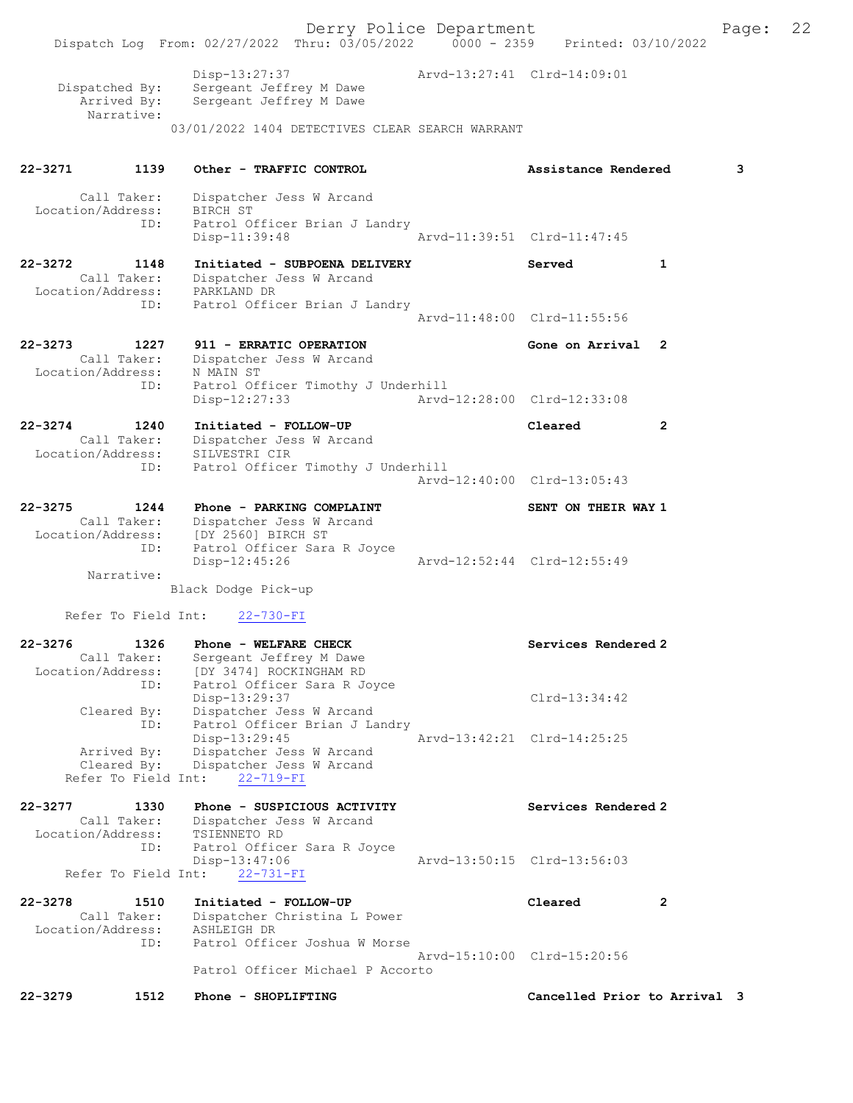Derry Police Department Fage: 22 Dispatch Log From: 02/27/2022 Thru: 03/05/2022 0000 - 2359 Printed: 03/10/2022 Disp-13:27:37 Arvd-13:27:41 Clrd-14:09:01 Dispatched By: Sergeant Jeffrey M Dawe Arrived By: Sergeant Jeffrey M Dawe Narrative: 03/01/2022 1404 DETECTIVES CLEAR SEARCH WARRANT 22-3271 1139 Other - TRAFFIC CONTROL Assistance Rendered 3 Call Taker: Dispatcher Jess W Arcand Location/Address: BIRCH ST ID: Patrol Officer Brian J Landry<br>Disp-11:39:48 Arvd-11:39:51 Clrd-11:47:45 22-3272 1148 Initiated - SUBPOENA DELIVERY Served 1 Call Taker: Dispatcher Jess W Arcand Location/Address: PARKLAND DR ID: Patrol Officer Brian J Landry Arvd-11:48:00 Clrd-11:55:56 22-3273 1227 911 - ERRATIC OPERATION Gone on Arrival 2 Call Taker: Dispatcher Jess W Arcand Location/Address: N MAIN ST ID: Patrol Officer Timothy J Underhill Disp-12:27:33 Arvd-12:28:00 Clrd-12:33:08 22-3274 1240 Initiated - FOLLOW-UP Cleared 2 Call Taker: Dispatcher Jess W Arcand Location/Address: SILVESTRI CIR ID: Patrol Officer Timothy J Underhill Arvd-12:40:00 Clrd-13:05:43 22-3275 1244 Phone - PARKING COMPLAINT NELL SENT ON THEIR WAY 1 Call Taker: Dispatcher Jess W Arcand Location/Address: [DY 2560] BIRCH ST ID: Patrol Officer Sara R Joyce Disp-12:45:26 Arvd-12:52:44 Clrd-12:55:49 Narrative: Black Dodge Pick-up Refer To Field Int: 22-730-FI 22-3276 1326 Phone - WELFARE CHECK Services Rendered 2 Call Taker: Sergeant Jeffrey M Dawe Location/Address: [DY 3474] ROCKINGHAM RD ID: Patrol Officer Sara R Joyce Disp-13:29:37 Clrd-13:34:42 Cleared By: Dispatcher Jess W Arcand ID: Patrol Officer Brian J Landry Disp-13:29:45 Arvd-13:42:21 Clrd-14:25:25 Arrived By: Dispatcher Jess W Arcand Cleared By: Dispatcher Jess W Arcand Refer To Field Int: 22-719-FI 22-3277 1330 Phone - SUSPICIOUS ACTIVITY Services Rendered 2 Call Taker: Dispatcher Jess W Arcand Location/Address: TSIENNETO RD ID: Patrol Officer Sara R Joyce Arvd-13:50:15 Clrd-13:56:03 Refer To Field Int: 22-731-FI 22-3278 1510 Initiated - FOLLOW-UP Cleared 2 Call Taker: Dispatcher Christina L Power Location/Address: ASHLEIGH DR ID: Patrol Officer Joshua W Morse Arvd-15:10:00 Clrd-15:20:56 Patrol Officer Michael P Accorto 22-3279 1512 Phone - SHOPLIFTING Cancelled Prior to Arrival 3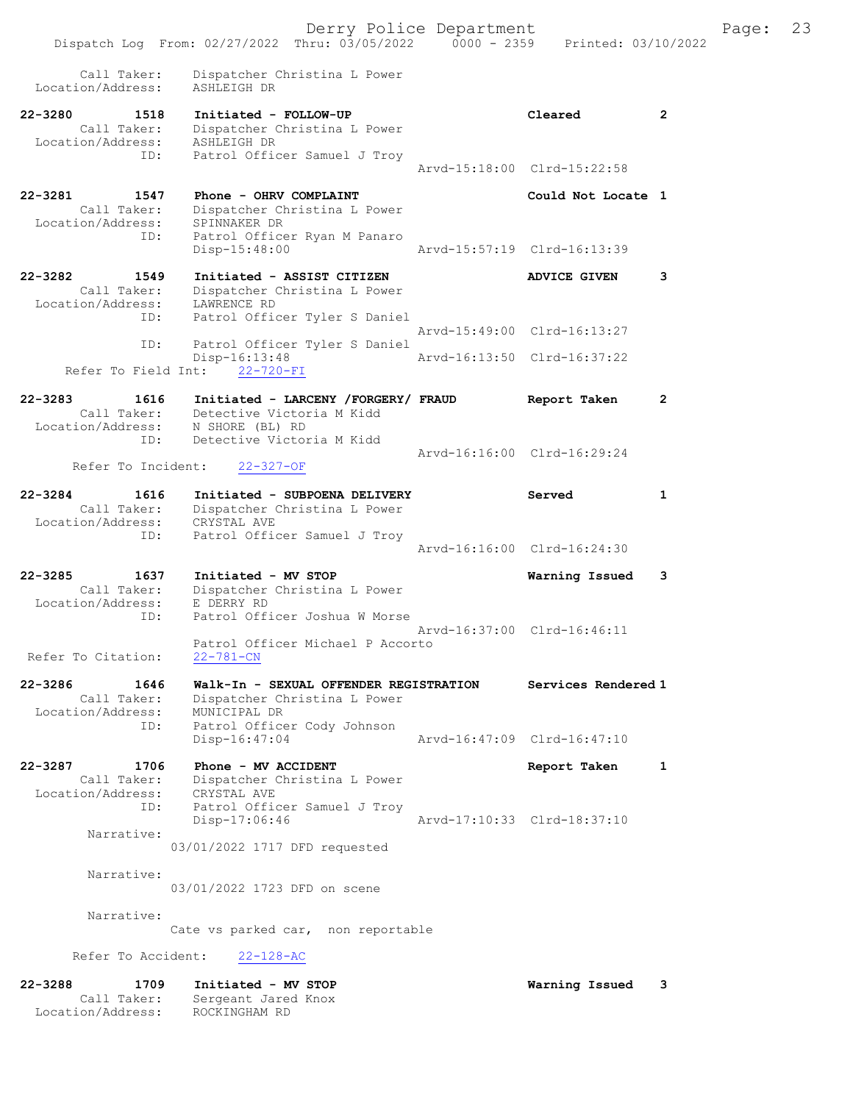| $22 - 3288$<br>1709<br>Call Taker:<br>Location/Address:        | Initiated - MV STOP<br>Sergeant Jared Knox<br>ROCKINGHAM RD                                                  |               | Warning Issued              | 3              |
|----------------------------------------------------------------|--------------------------------------------------------------------------------------------------------------|---------------|-----------------------------|----------------|
| Refer To Accident:                                             | $22 - 128 - AC$                                                                                              |               |                             |                |
|                                                                | Cate vs parked car, non reportable                                                                           |               |                             |                |
| Narrative:                                                     |                                                                                                              |               |                             |                |
| Narrative:                                                     | 03/01/2022 1723 DFD on scene                                                                                 |               |                             |                |
| Narrative:                                                     | 03/01/2022 1717 DFD requested                                                                                |               |                             |                |
| ID:                                                            | Patrol Officer Samuel J Troy<br>Disp-17:06:46                                                                |               | Arvd-17:10:33 Clrd-18:37:10 |                |
| 22-3287<br>1706<br>Call Taker:<br>Location/Address:            | Phone - MV ACCIDENT<br>Dispatcher Christina L Power<br>CRYSTAL AVE                                           |               | Report Taken                | 1              |
| ID:                                                            | Patrol Officer Cody Johnson<br>Disp-16:47:04                                                                 |               | Arvd-16:47:09 Clrd-16:47:10 |                |
| 22-3286<br>1646<br>Call Taker:<br>Location/Address:            | Walk-In - SEXUAL OFFENDER REGISTRATION<br>Dispatcher Christina L Power<br>MUNICIPAL DR                       |               | Services Rendered 1         |                |
| Refer To Citation:                                             | Patrol Officer Michael P Accorto<br>$22 - 781 - CN$                                                          |               | Arvd-16:37:00 Clrd-16:46:11 |                |
| 22-3285<br>1637<br>Call Taker:<br>Location/Address:<br>ID:     | Initiated - MV STOP<br>Dispatcher Christina L Power<br>E DERRY RD<br>Patrol Officer Joshua W Morse           |               | Warning Issued              | 3              |
|                                                                |                                                                                                              |               | Arvd-16:16:00 Clrd-16:24:30 |                |
| $22 - 3284$<br>1616<br>Call Taker:<br>Location/Address:<br>ID: | Initiated - SUBPOENA DELIVERY<br>Dispatcher Christina L Power<br>CRYSTAL AVE<br>Patrol Officer Samuel J Troy |               | Served                      | $\mathbf{1}$   |
| Refer To Incident:                                             | 22-327-OF                                                                                                    |               |                             |                |
| Location/Address:<br>ID:                                       | N SHORE (BL) RD<br>Detective Victoria M Kidd                                                                 |               | Arvd-16:16:00 Clrd-16:29:24 |                |
| $22 - 3283$<br>1616                                            | Initiated - LARCENY /FORGERY/ FRAUD<br>Call Taker: Detective Victoria M Kidd                                 |               | Report Taken                | $\overline{2}$ |
| Refer To Field Int:                                            | Disp-16:13:48<br>$22 - 720 - FI$                                                                             |               | Aryd-16:13:50 Clrd-16:37:22 |                |
| ID:<br>ID:                                                     | Patrol Officer Tyler S Daniel<br>Patrol Officer Tyler S Daniel                                               |               | Arvd-15:49:00 Clrd-16:13:27 |                |
| 22-3282<br>1549<br>Call Taker:<br>Location/Address:            | Initiated - ASSIST CITIZEN<br>Dispatcher Christina L Power<br>LAWRENCE RD                                    |               | <b>ADVICE GIVEN</b>         | 3              |
| Location/Address:<br>ID:                                       | SPINNAKER DR<br>Patrol Officer Ryan M Panaro<br>$Disp-15:48:00$                                              |               | Arvd-15:57:19 Clrd-16:13:39 |                |
| 22-3281<br>1547<br>Call Taker:                                 | Phone - OHRV COMPLAINT<br>Dispatcher Christina L Power                                                       |               | Could Not Locate 1          |                |
| Call Taker:<br>Location/Address:<br>ID:                        | Dispatcher Christina L Power<br>ASHLEIGH DR<br>Patrol Officer Samuel J Troy                                  |               | Arvd-15:18:00 Clrd-15:22:58 |                |
| $22 - 3280$<br>1518                                            | Initiated - FOLLOW-UP                                                                                        |               | Cleared                     | $\mathbf{2}$   |
| Call Taker:<br>Location/Address:                               | Dispatcher Christina L Power<br>ASHLEIGH DR                                                                  |               |                             |                |
|                                                                | Dispatch Log From: 02/27/2022 Thru: 03/05/2022                                                               | $0000 - 2359$ | Printed: 03/10/2022         |                |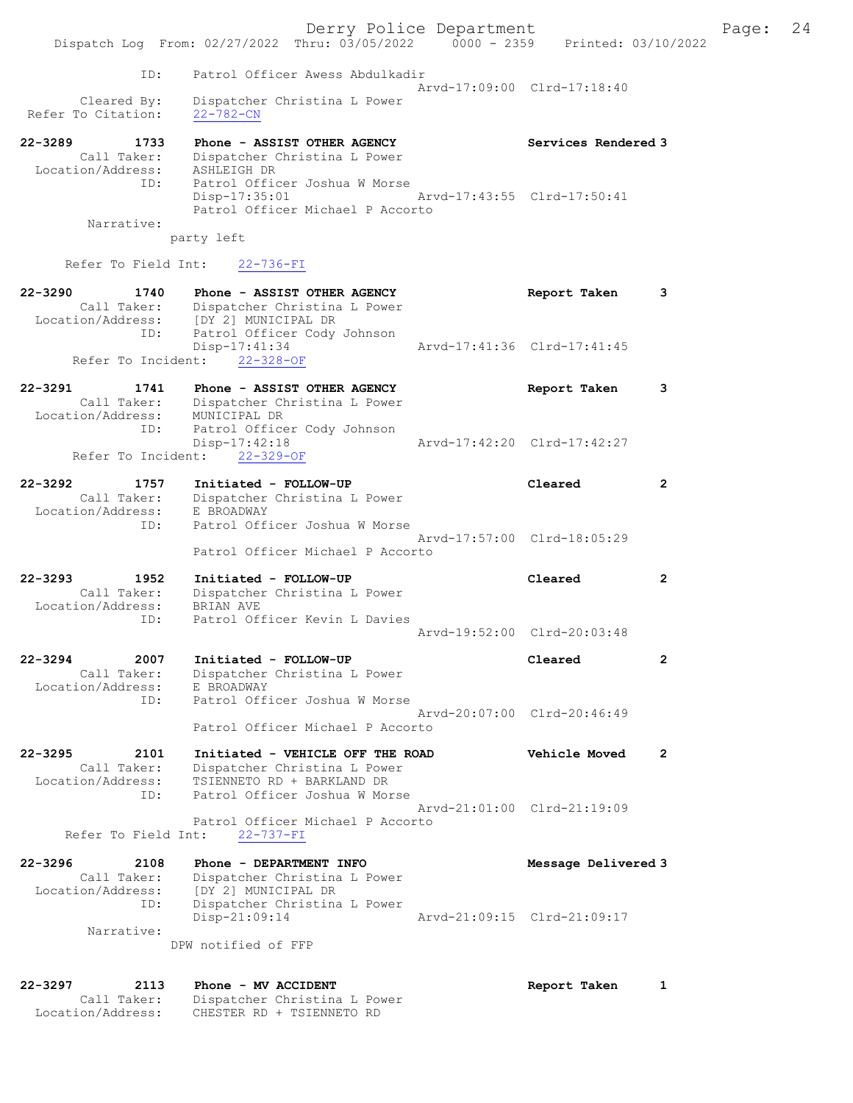|                                                                | Dispatch Log From: 02/27/2022 Thru: 03/05/2022 0000 - 2359                                                                      | Derry Police Department | Printed: 03/10/2022         |                |
|----------------------------------------------------------------|---------------------------------------------------------------------------------------------------------------------------------|-------------------------|-----------------------------|----------------|
| ID:                                                            | Patrol Officer Awess Abdulkadir                                                                                                 |                         |                             |                |
| Cleared By:<br>Refer To Citation:                              | Dispatcher Christina L Power<br>$22 - 782 - CN$                                                                                 |                         | Aryd-17:09:00 Clrd-17:18:40 |                |
| 22-3289<br>1733<br>Call Taker:<br>Location/Address:<br>ID:     | Phone - ASSIST OTHER AGENCY<br>Dispatcher Christina L Power<br>ASHLEIGH DR<br>Patrol Officer Joshua W Morse                     |                         | Services Rendered 3         |                |
| Narrative:                                                     | $Disp-17:35:01$<br>Patrol Officer Michael P Accorto                                                                             |                         | Arvd-17:43:55 Clrd-17:50:41 |                |
| Refer To Field Int:                                            | party left<br>$22 - 736 - FI$                                                                                                   |                         |                             |                |
| $22 - 3290$<br>1740                                            | Phone - ASSIST OTHER AGENCY                                                                                                     |                         | Report Taken                | 3              |
| Call Taker:<br>ID:                                             | Dispatcher Christina L Power<br>Location/Address: [DY 2] MUNICIPAL DR<br>Patrol Officer Cody Johnson                            |                         |                             |                |
|                                                                | Disp-17:41:34<br>Refer To Incident: 22-328-OF                                                                                   |                         | Aryd-17:41:36 Clrd-17:41:45 |                |
| $22 - 3291$<br>1741<br>Call Taker:<br>Location/Address:        | Phone - ASSIST OTHER AGENCY<br>Dispatcher Christina L Power<br>MUNICIPAL DR                                                     |                         | Report Taken                | з              |
| ID:<br>Refer To Incident:                                      | Patrol Officer Cody Johnson<br>Disp-17:42:18<br>$22 - 329 - OF$                                                                 |                         | Arvd-17:42:20 Clrd-17:42:27 |                |
| 22-3292<br>1757<br>Call Taker:<br>Location/Address:            | Initiated - FOLLOW-UP<br>Dispatcher Christina L Power<br>E BROADWAY                                                             |                         | Cleared                     | 2              |
| ID:                                                            | Patrol Officer Joshua W Morse<br>Patrol Officer Michael P Accorto                                                               |                         | Arvd-17:57:00 Clrd-18:05:29 |                |
| $22 - 3293$<br>1952<br>Call Taker:<br>Location/Address:        | Initiated - FOLLOW-UP<br>Dispatcher Christina L Power<br>BRIAN AVE                                                              |                         | Cleared                     | $\overline{2}$ |
| ID:                                                            | Patrol Officer Kevin L Davies                                                                                                   |                         | Arvd-19:52:00 Clrd-20:03:48 |                |
| 22-3294<br>2007<br>Call Taker:<br>Location/Address:            | Initiated - FOLLOW-UP<br>Dispatcher Christina L Power<br>E BROADWAY                                                             |                         | Cleared                     | $\overline{2}$ |
| ID:                                                            | Patrol Officer Joshua W Morse<br>Patrol Officer Michael P Accorto                                                               |                         | Arvd-20:07:00 Clrd-20:46:49 |                |
| $22 - 3295$<br>2101<br>Call Taker:<br>Location/Address:<br>ID: | Initiated - VEHICLE OFF THE ROAD<br>Dispatcher Christina L Power<br>TSIENNETO RD + BARKLAND DR<br>Patrol Officer Joshua W Morse |                         | <b>Vehicle Moved</b>        | $\overline{2}$ |
| Refer To Field Int:                                            | Patrol Officer Michael P Accorto<br>$22 - 737 - FI$                                                                             |                         | Aryd-21:01:00 Clrd-21:19:09 |                |
| $22 - 3296$<br>2108<br>Call Taker:                             | Phone - DEPARTMENT INFO<br>Dispatcher Christina L Power                                                                         |                         | Message Delivered 3         |                |
| Location/Address:<br>ID:<br>Narrative:                         | [DY 2] MUNICIPAL DR<br>Dispatcher Christina L Power<br>Disp-21:09:14                                                            |                         | Arvd-21:09:15 Clrd-21:09:17 |                |
|                                                                | DPW notified of FFP                                                                                                             |                         |                             |                |
| $22 - 3297$<br>2113<br>Call Taker:                             | Phone - MV ACCIDENT<br>Dispatcher Christina L Power                                                                             |                         | Report Taken                | 1              |

Location/Address: CHESTER RD + TSIENNETO RD

Page: 24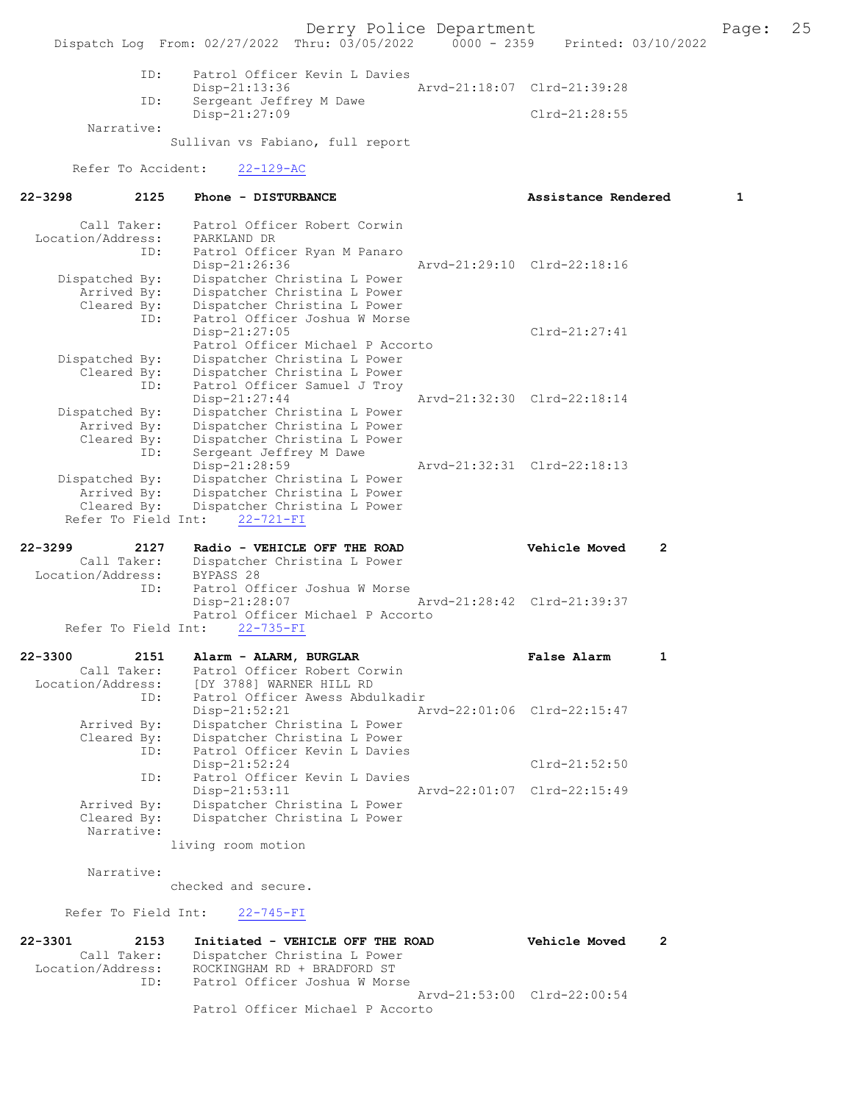Derry Police Department The Page: 25 Dispatch Log From: 02/27/2022 Thru: 03/05/2022 0000 - 2359 Printed: 03/10/2022 ID: Patrol Officer Kevin L Davies Disp-21:13:36 Arvd-21:18:07 Clrd-21:39:28<br>TD: Sergeant Jeffrey M Dawe Sergeant Jeffrey M Dawe Disp-21:27:09 Clrd-21:28:55 Narrative: Sullivan vs Fabiano, full report Refer To Accident: 22-129-AC 22-3298 2125 Phone - DISTURBANCE 21 Assistance Rendered 1 Call Taker: Patrol Officer Robert Corwin Location/Address: PARKLAND DR ID: Patrol Officer Ryan M Panaro Disp-21:26:36 Arvd-21:29:10 Clrd-22:18:16<br>Dispatched By: Dispatcher Christina L Power Dispatcher Christina L Power Arrived By: Dispatcher Christina L Power Cleared By: Dispatcher Christina L Power ID: Patrol Officer Joshua W Morse Disp-21:27:05 Clrd-21:27:41 Patrol Officer Michael P Accorto Dispatched By: Dispatcher Christina L Power Cleared By: Dispatcher Christina L Power ID: Patrol Officer Samuel J Troy Disp-21:27:44 Arvd-21:32:30 Clrd-22:18:14 Dispatched By: Dispatcher Christina L Power Arrived By: Dispatcher Christina L Power Cleared By: Dispatcher Christina L Power ID: Sergeant Jeffrey M Dawe Disp-21:28:59 Arvd-21:32:31 Clrd-22:18:13 Dispatched By: Dispatcher Christina L Power Arrived By: Dispatcher Christina L Power<br>Cleared By: Dispatcher Christina L Power Dispatcher Christina L Power Refer To Field Int: 22-721-FI 22-3299 2127 Radio - VEHICLE OFF THE ROAD Vehicle Moved 2 Call Taker: Dispatcher Christina L Power<br>ion/Address: BYPASS 28 Location/Address:<br>TD: Patrol Officer Joshua W Morse<br>Disp-21:28:07 Disp-21:28:07 Arvd-21:28:42 Clrd-21:39:37 Patrol Officer Michael P Accorto Refer To Field Int: 22-735-FI 22-3300 2151 Alarm - ALARM, BURGLAR False Alarm 1 Call Taker: Patrol Officer Robert Corwin<br>Location/Address: [DY 3788] WARNER HILL RD Location/Address: [DY 3788] WARNER HILL RD ID: Patrol Officer Awess Abdulkadir Disp-21:52:21 Arvd-22:01:06 Clrd-22:15:47 Arrived By: Dispatcher Christina L Power Cleared By: Dispatcher Christina L Power<br>ID: Patrol Officer Kevin L Davies Patrol Officer Kevin L Davies Disp-21:52:24 Clrd-21:52:50<br>TD: Patrol Officer Kevin L Davies Patrol Officer Kevin L Davies<br>Disp-21:53:11 Disp-21:53:11 Arvd-22:01:07 Clrd-22:15:49<br>Arrived By: Dispatcher Christina L Power Arrived By: Dispatcher Christina L Power<br>Cleared By: Dispatcher Christina L Power Dispatcher Christina L Power Narrative: living room motion Narrative: checked and secure. Refer To Field Int: 22-745-FI 22-3301 2153 Initiated - VEHICLE OFF THE ROAD Vehicle Moved 2<br>Call Taker: Dispatcher Christina L Power Call Taker: Dispatcher Christina L Power Location/Address: ROCKINGHAM RD + BRADFORD ST ID: Patrol Officer Joshua W Morse Arvd-21:53:00 Clrd-22:00:54 Patrol Officer Michael P Accorto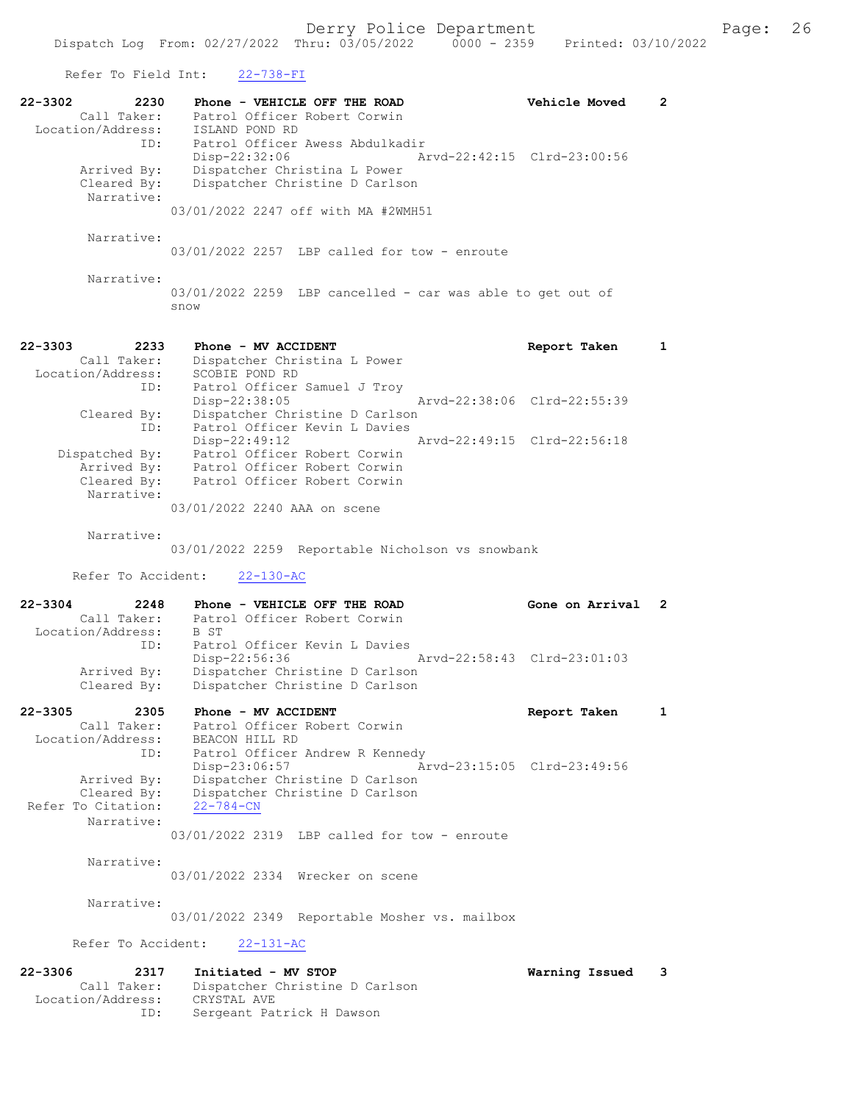| Refer To Field Int:                                            | 22-738-FI                                                                                                         |                             |                          |
|----------------------------------------------------------------|-------------------------------------------------------------------------------------------------------------------|-----------------------------|--------------------------|
| 22-3302<br>2230<br>Call Taker:<br>Location/Address:<br>ID:     | Phone - VEHICLE OFF THE ROAD<br>Patrol Officer Robert Corwin<br>ISLAND POND RD<br>Patrol Officer Awess Abdulkadir | Vehicle Moved               | $\mathbf{2}^{\prime}$    |
| Arrived By:<br>Cleared By:<br>Narrative:                       | Disp-22:32:06<br>Dispatcher Christina L Power<br>Dispatcher Christine D Carlson                                   | Arvd-22:42:15 Clrd-23:00:56 |                          |
|                                                                | 03/01/2022 2247 off with MA #2WMH51                                                                               |                             |                          |
| Narrative:                                                     | $03/01/2022$ 2257 LBP called for tow - enroute                                                                    |                             |                          |
| Narrative:                                                     | 03/01/2022 2259 LBP cancelled - car was able to get out of<br>snow                                                |                             |                          |
| $22 - 3303$<br>2233<br>Call Taker:<br>Location/Address:        | Phone - MV ACCIDENT<br>Dispatcher Christina L Power<br>SCOBIE POND RD                                             | Report Taken                | 1                        |
| ID:<br>Cleared By:<br>ID:                                      | Patrol Officer Samuel J Troy<br>Disp-22:38:05<br>Dispatcher Christine D Carlson<br>Patrol Officer Kevin L Davies  | Arvd-22:38:06 Clrd-22:55:39 |                          |
| Dispatched By:<br>Arrived By:<br>Cleared By:                   | $Disp-22:49:12$<br>Patrol Officer Robert Corwin<br>Patrol Officer Robert Corwin<br>Patrol Officer Robert Corwin   | Arvd-22:49:15 Clrd-22:56:18 |                          |
| Narrative:                                                     | 03/01/2022 2240 AAA on scene                                                                                      |                             |                          |
| Narrative:                                                     | 03/01/2022 2259 Reportable Nicholson vs snowbank                                                                  |                             |                          |
| Refer To Accident:                                             | $22 - 130 - AC$                                                                                                   |                             |                          |
| $22 - 3304$<br>2248<br>Call Taker:<br>Location/Address:        | Phone - VEHICLE OFF THE ROAD<br>Patrol Officer Robert Corwin<br>B ST                                              | Gone on Arrival             | $\overline{\phantom{a}}$ |
| ID:<br>Arrived By:                                             | Patrol Officer Kevin L Davies<br>Disp-22:56:36<br>Dispatcher Christine D Carlson                                  | Arvd-22:58:43 Clrd-23:01:03 |                          |
| Cleared By:<br>22-3305<br>2305                                 | Dispatcher Christine D Carlson<br>Phone - MV ACCIDENT                                                             | Report Taken                | 1                        |
| Call Taker:<br>Location/Address:<br>ID:                        | Patrol Officer Robert Corwin<br>BEACON HILL RD<br>Patrol Officer Andrew R Kennedy                                 |                             |                          |
| Arrived By:<br>Cleared By:<br>Refer To Citation:               | Disp-23:06:57<br>Dispatcher Christine D Carlson<br>Dispatcher Christine D Carlson<br>$22 - 784 - CN$              | Arvd-23:15:05 Clrd-23:49:56 |                          |
| Narrative:                                                     | $03/01/2022$ 2319 LBP called for tow - enroute                                                                    |                             |                          |
| Narrative:                                                     | 03/01/2022 2334 Wrecker on scene                                                                                  |                             |                          |
| Narrative:                                                     | 03/01/2022 2349 Reportable Mosher vs. mailbox                                                                     |                             |                          |
| Refer To Accident:                                             | $22 - 131 - AC$                                                                                                   |                             |                          |
| $22 - 3306$<br>2317<br>Call Taker:<br>Location/Address:<br>ID: | Initiated - MV STOP<br>Dispatcher Christine D Carlson<br>CRYSTAL AVE<br>Sergeant Patrick H Dawson                 | Warning Issued              | 3                        |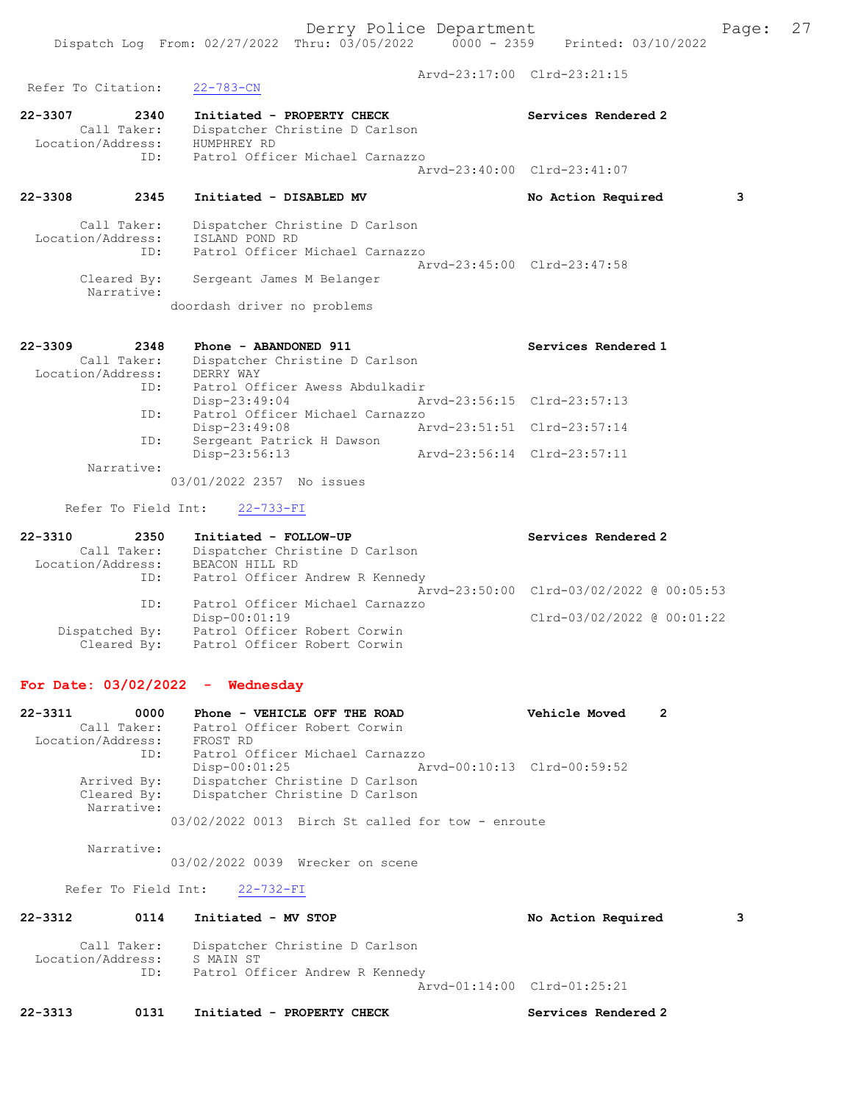```
Refer To Citation: 22-783-CN
```
Arvd-23:17:00 Clrd-23:21:15

| 22-3307<br>2340   | Initiated - PROPERTY CHECK      | Services Rendered 2         |
|-------------------|---------------------------------|-----------------------------|
| Call Taker:       | Dispatcher Christine D Carlson  |                             |
| Location/Address: | HUMPHREY RD                     |                             |
| TD:               | Patrol Officer Michael Carnazzo |                             |
|                   |                                 | Aryd-23:40:00 Clrd-23:41:07 |
|                   |                                 |                             |

22-3308 2345 Initiated - DISABLED MV No Action Required 3

| Call Taker:               | Dispatcher Christine D Carlson  |  |
|---------------------------|---------------------------------|--|
| Location/Address:         | ISLAND POND RD                  |  |
| ID:                       | Patrol Officer Michael Carnazzo |  |
|                           | Aryd-23:45:00 Clrd-23:47:58     |  |
| Cleared By:<br>Narrative: | Sergeant James M Belanger       |  |

doordash driver no problems

| $22 - 3309$<br>2348 | Phone - ABANDONED 911           | Services Rendered 1         |
|---------------------|---------------------------------|-----------------------------|
| Call Taker:         | Dispatcher Christine D Carlson  |                             |
| Location/Address:   | DERRY WAY                       |                             |
| ID:                 | Patrol Officer Awess Abdulkadir |                             |
|                     | Disp-23:49:04                   | Arvd-23:56:15 Clrd-23:57:13 |
| ID:                 | Patrol Officer Michael Carnazzo |                             |
|                     | $Disp-23:49:08$                 | Arvd-23:51:51 Clrd-23:57:14 |
| ID:                 | Sergeant Patrick H Dawson       |                             |
|                     | Disp-23:56:13                   | Arvd-23:56:14 Clrd-23:57:11 |
| Narrative:          |                                 |                             |
|                     | 03/01/2022 2357 No issues       |                             |

Refer To Field Int: 22-733-FI

| $22 - 3310$       | 2350 | Initiated - FOLLOW-UP           | Services Rendered 2                      |
|-------------------|------|---------------------------------|------------------------------------------|
| Call Taker:       |      | Dispatcher Christine D Carlson  |                                          |
| Location/Address: |      | BEACON HILL RD                  |                                          |
|                   | ID:  | Patrol Officer Andrew R Kennedy |                                          |
|                   |      |                                 | Arvd-23:50:00 Clrd-03/02/2022 @ 00:05:53 |
|                   | ID:  | Patrol Officer Michael Carnazzo |                                          |
|                   |      | $Disp-00:01:19$                 | Clrd-03/02/2022 @ 00:01:22               |
| Dispatched By:    |      | Patrol Officer Robert Corwin    |                                          |
| Cleared By:       |      | Patrol Officer Robert Corwin    |                                          |

#### For Date: 03/02/2022 - Wednesday

22-3311 0000 Phone - VEHICLE OFF THE ROAD Vehicle Moved 2 Call Taker: Patrol Officer Robert Corwin Location/Address: FROST RD ID: Patrol Officer Michael Carnazzo Disp-00:01:25 Arvd-00:10:13 Clrd-00:59:52 Arrived By: Dispatcher Christine D Carlson Cleared By: Dispatcher Christine D Carlson Narrative: 03/02/2022 0013 Birch St called for tow - enroute

Narrative:

03/02/2022 0039 Wrecker on scene

Refer To Field Int: 22-732-FI

| 22-3312           | 0114               | Initiated - MV STOP                                                            | No Action Required          | 3 |
|-------------------|--------------------|--------------------------------------------------------------------------------|-----------------------------|---|
| Location/Address: | Call Taker:<br>ID: | Dispatcher Christine D Carlson<br>S MAIN ST<br>Patrol Officer Andrew R Kennedy |                             |   |
|                   |                    |                                                                                | Arvd-01:14:00 Clrd-01:25:21 |   |

22-3313 0131 Initiated - PROPERTY CHECK Services Rendered 2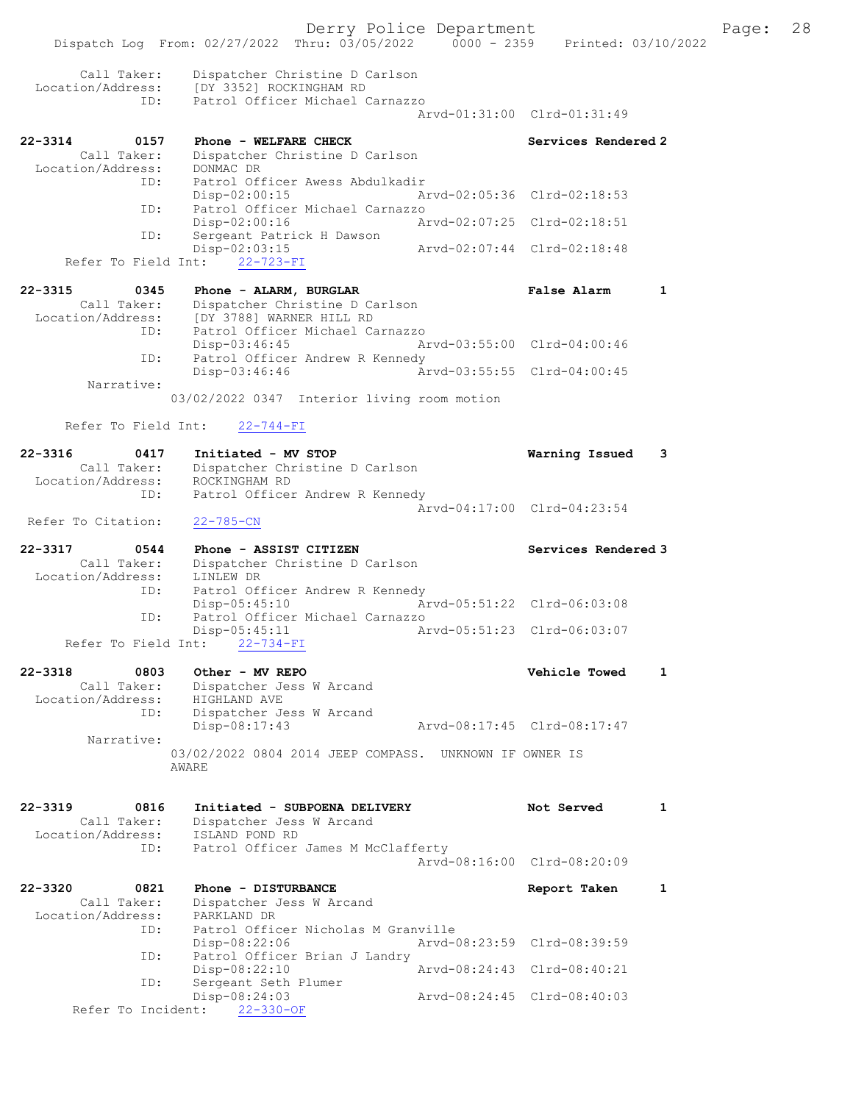Derry Police Department Fage: 28 Dispatch Log From: 02/27/2022 Thru: 03/05/2022 0000 - 2359 Printed: 03/10/2022 Call Taker: Dispatcher Christine D Carlson Location/Address: [DY 3352] ROCKINGHAM RD ID: Patrol Officer Michael Carnazzo Arvd-01:31:00 Clrd-01:31:49 22-3314 0157 Phone - WELFARE CHECK Services Rendered 2 Call Taker: Dispatcher Christine D Carlson Location/Address: DONMAC DR ID: Patrol Officer Awess Abdulkadir Disp-02:00:15 Arvd-02:05:36 Clrd-02:18:53 ID: Patrol Officer Michael Carnazzo Disp-02:00:16 Arvd-02:07:25 Clrd-02:18:51<br>
Disp-02:03:15 Arvd-02:07:44 Clrd-02:18:48 ID: Sergeant Patrick H Dawson Disp-02:03:15 Arvd-02:07:44 Clrd-02:18:48 Refer To Field Int: 22-723-FI 22-3315 0345 Phone - ALARM, BURGLAR False Alarm 1 Call Taker: Dispatcher Christine D Carlson Location/Address: [DY 3788] WARNER HILL RD ID: Patrol Officer Michael Carnazzo Disp-03:46:45 Arvd-03:55:00 Clrd-04:00:46 ID: Patrol Officer Andrew R Kennedy Disp-03:46:46 Arvd-03:55:55 Clrd-04:00:45 Narrative: 03/02/2022 0347 Interior living room motion Refer To Field Int: 22-744-FI 22-3316 0417 Initiated - MV STOP Warning Issued 3 Call Taker: Dispatcher Christine D Carlson Location/Address: ROCKINGHAM RD ID: Patrol Officer Andrew R Kennedy Arvd-04:17:00 Clrd-04:23:54 Refer To Citation: 22-785-CN 22-3317 0544 Phone - ASSIST CITIZEN Services Rendered 3 Call Taker: Dispatcher Christine D Carlson Location/Address: LINLEW DR ID: Patrol Officer Andrew R Kennedy Disp-05:45:10 Arvd-05:51:22 Clrd-06:03:08 ID: Patrol Officer Michael Carnazzo Disp-05:45:11 Arvd-05:51:23 Clrd-06:03:07 Refer To Field Int: 22-734-FI 22-3318 0803 Other - MV REPO Vehicle Towed 1 Call Taker: Dispatcher Jess W Arcand Location/Address: HIGHLAND AVE ID: Dispatcher Jess W Arcand Disp-08:17:43 Arvd-08:17:45 Clrd-08:17:47 Narrative: 03/02/2022 0804 2014 JEEP COMPASS. UNKNOWN IF OWNER IS AWARE 22-3319 0816 Initiated - SUBPOENA DELIVERY Not Served 1 Call Taker: Dispatcher Jess W Arcand Location/Address: ISLAND POND RD ID: Patrol Officer James M McClafferty Arvd-08:16:00 Clrd-08:20:09 22-3320 0821 Phone - DISTURBANCE Report Taken 1 Call Taker: Dispatcher Jess W Arcand Location/Address: PARKLAND DR ID: Patrol Officer Nicholas M Granville Disp-08:22:06 Arvd-08:23:59 Clrd-08:39:59<br>TD: Patrol Officer Brian J Landry Patrol Officer Brian J Landry Disp-08:22:10 Arvd-08:24:43 Clrd-08:40:21 ID: Sergeant Seth Plumer Disp-08:24:03 Arvd-08:24:45 Clrd-08:40:03 Refer To Incident: 22-330-OF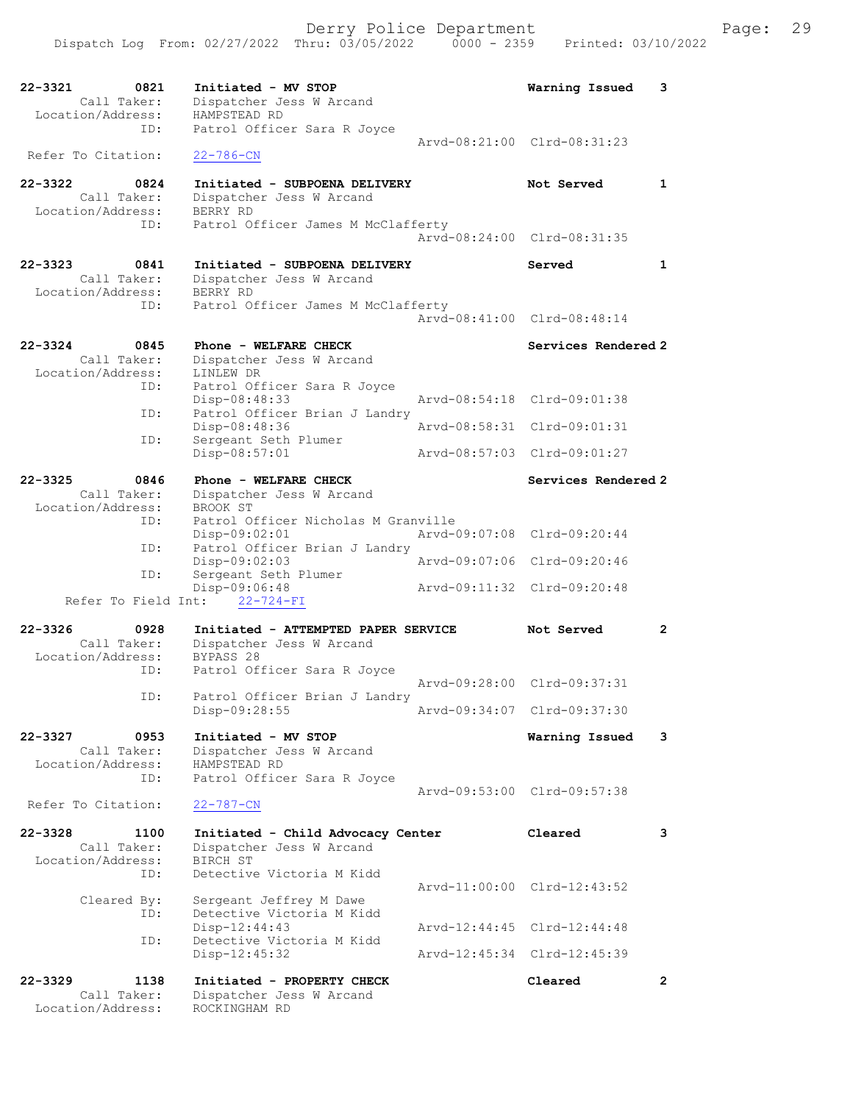| 22-3321<br>0821                  | Initiated - MV STOP                                           | Warning Issued              | 3                    |
|----------------------------------|---------------------------------------------------------------|-----------------------------|----------------------|
| Call Taker:<br>Location/Address: | Dispatcher Jess W Arcand<br>HAMPSTEAD RD                      |                             |                      |
| ID:                              | Patrol Officer Sara R Joyce                                   |                             |                      |
|                                  |                                                               | Arvd-08:21:00 Clrd-08:31:23 |                      |
| Refer To Citation:               | $22 - 786 - CN$                                               |                             |                      |
|                                  |                                                               |                             |                      |
| 22-3322<br>0824<br>Call Taker:   | Initiated - SUBPOENA DELIVERY<br>Dispatcher Jess W Arcand     | Not Served                  | $\mathbf{1}$         |
| Location/Address:                | BERRY RD                                                      |                             |                      |
| ID:                              | Patrol Officer James M McClafferty                            |                             |                      |
|                                  |                                                               | Arvd-08:24:00 Clrd-08:31:35 |                      |
| $22 - 3323$<br>0841              |                                                               |                             | $\mathbf{1}$         |
| Call Taker:                      | Initiated - SUBPOENA DELIVERY<br>Dispatcher Jess W Arcand     | Served                      |                      |
| Location/Address:                | BERRY RD                                                      |                             |                      |
| ID:                              | Patrol Officer James M McClafferty                            |                             |                      |
|                                  |                                                               | Arvd-08:41:00 Clrd-08:48:14 |                      |
| 22-3324<br>0845                  | Phone - WELFARE CHECK                                         | Services Rendered 2         |                      |
| Call Taker:                      | Dispatcher Jess W Arcand                                      |                             |                      |
| Location/Address:                | LINLEW DR                                                     |                             |                      |
| ID:                              | Patrol Officer Sara R Joyce                                   |                             |                      |
|                                  | Disp-08:48:33                                                 | Aryd-08:54:18 Clrd-09:01:38 |                      |
| ID:                              | Patrol Officer Brian J Landry<br>Disp-08:48:36                | Arvd-08:58:31 Clrd-09:01:31 |                      |
| ID:                              | Sergeant Seth Plumer                                          |                             |                      |
|                                  | Disp-08:57:01                                                 | Arvd-08:57:03 Clrd-09:01:27 |                      |
|                                  |                                                               |                             |                      |
| 22-3325<br>0846                  | Phone - WELFARE CHECK                                         | Services Rendered 2         |                      |
| Call Taker:<br>Location/Address: | Dispatcher Jess W Arcand<br>BROOK ST                          |                             |                      |
| ID:                              | Patrol Officer Nicholas M Granville                           |                             |                      |
|                                  | Disp-09:02:01                                                 | Arvd-09:07:08 Clrd-09:20:44 |                      |
|                                  |                                                               |                             |                      |
| ID:                              | Patrol Officer Brian J Landry                                 |                             |                      |
|                                  | Disp-09:02:03                                                 | Arvd-09:07:06 Clrd-09:20:46 |                      |
| ID:                              | Sergeant Seth Plumer                                          |                             |                      |
| Refer To Field Int:              | Disp-09:06:48<br>$22 - 724 - FI$                              | Arvd-09:11:32 Clrd-09:20:48 |                      |
|                                  |                                                               |                             |                      |
| 22-3326<br>0928                  | Initiated - ATTEMPTED PAPER SERVICE                           | Not Served                  | $\mathbf{2}^{\circ}$ |
| Call Taker:                      | Dispatcher Jess W Arcand                                      |                             |                      |
| Location/Address:<br>ID:         | BYPASS 28                                                     |                             |                      |
|                                  | Patrol Officer Sara R Joyce                                   | Aryd-09:28:00 Clrd-09:37:31 |                      |
| ID:                              | Patrol Officer Brian J Landry                                 |                             |                      |
|                                  | Disp-09:28:55                                                 | Arvd-09:34:07 Clrd-09:37:30 |                      |
|                                  |                                                               |                             |                      |
| 22-3327<br>0953<br>Call Taker:   | Initiated - MV STOP<br>Dispatcher Jess W Arcand               | Warning Issued              | 3                    |
| Location/Address:                | HAMPSTEAD RD                                                  |                             |                      |
| ID:                              | Patrol Officer Sara R Joyce                                   |                             |                      |
|                                  |                                                               | Arvd-09:53:00 Clrd-09:57:38 |                      |
| Refer To Citation:               | $22 - 787 - CN$                                               |                             |                      |
| $22 - 3328$<br>1100              |                                                               | Cleared                     | 3                    |
| Call Taker:                      | Initiated - Child Advocacy Center<br>Dispatcher Jess W Arcand |                             |                      |
| Location/Address:                | BIRCH ST                                                      |                             |                      |
| ID:                              | Detective Victoria M Kidd                                     |                             |                      |
|                                  |                                                               | Arvd-11:00:00 Clrd-12:43:52 |                      |
| Cleared By:<br>ID:               | Sergeant Jeffrey M Dawe<br>Detective Victoria M Kidd          |                             |                      |
|                                  | Disp-12:44:43                                                 | Arvd-12:44:45 Clrd-12:44:48 |                      |
| ID:                              | Detective Victoria M Kidd                                     |                             |                      |
|                                  | Disp-12:45:32                                                 | Arvd-12:45:34 Clrd-12:45:39 |                      |
| $22 - 3329$<br>1138              | Initiated - PROPERTY CHECK                                    | Cleared                     | $\mathbf{2}$         |
| Call Taker:                      | Dispatcher Jess W Arcand                                      |                             |                      |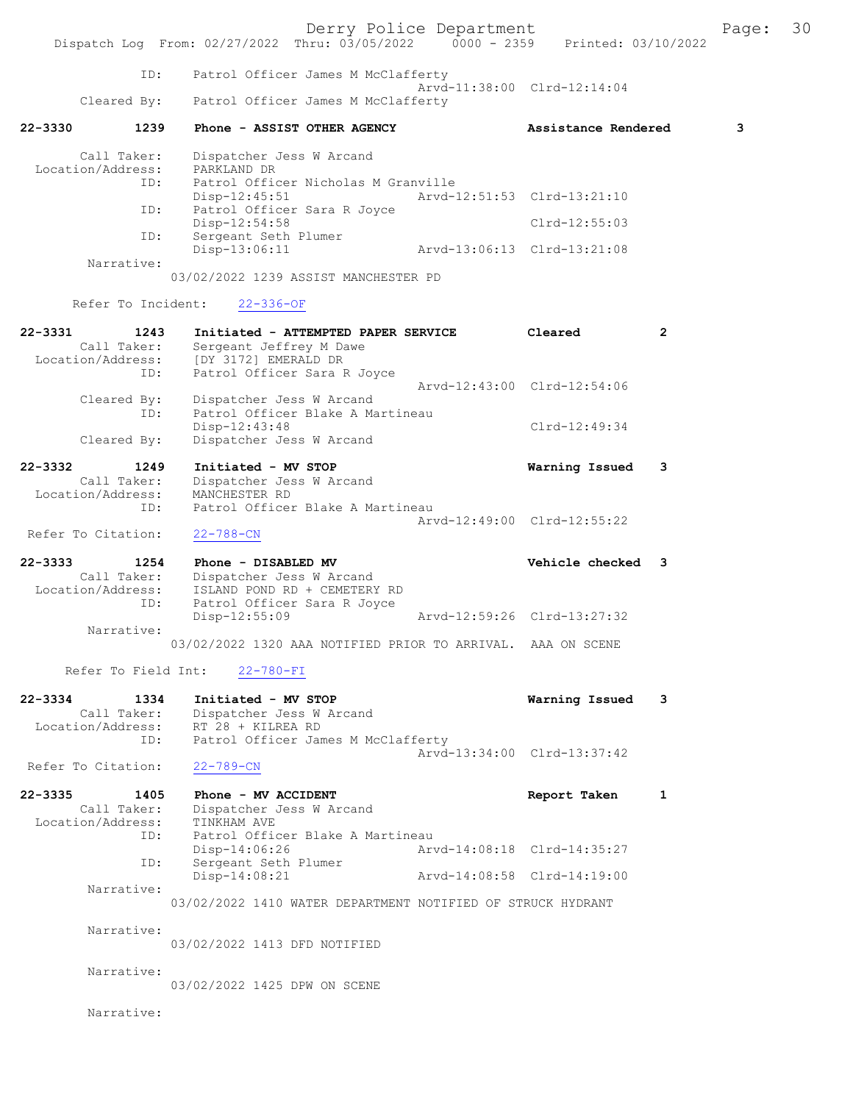Derry Police Department Fage: 30 Dispatch Log From: 02/27/2022 Thru: 03/05/2022 0000 - 2359 Printed: 03/10/2022 ID: Patrol Officer James M McClafferty Arvd-11:38:00 Clrd-12:14:04<br>Cleared By: Patrol Officer James M McClafferty Patrol Officer James M McClafferty 22-3330 1239 Phone - ASSIST OTHER AGENCY Assistance Rendered 3 Call Taker: Dispatcher Jess W Arcand Location/Address:<br>ID: PARKLAND DR<br>Patrol Officer Nicholas M Granville<br>Disp-12:45:51 Arvd-1 Disp-12:45:51 Arvd-12:51:53 Clrd-13:21:10 ID: Patrol Officer Sara R Joyce Disp-12:54:58 Clrd-12:55:03<br>ID: Sergeant Seth Plumer ID: Sergeant Seth Plumer Disp-13:06:11 Arvd-13:06:13 Clrd-13:21:08 Narrative: 03/02/2022 1239 ASSIST MANCHESTER PD Refer To Incident: 22-336-OF 22-3331 1243 Initiated - ATTEMPTED PAPER SERVICE Cleared 2 Call Taker: Sergeant Jeffrey M Dawe Location/Address: [DY 3172] EMERALD DR ess. IP: Sich -<br>ID: Patrol Officer Sara R Joyce Arvd-12:43:00 Clrd-12:54:06 Cleared By: Dispatcher Jess W Arcand ID: Patrol Officer Blake A Martineau Disp-12:43:48 Clrd-12:49:34 Cleared By: Dispatcher Jess W Arcand 22-3332 1249 Initiated - MV STOP Warning Issued 3 Call Taker: Dispatcher Jess W Arcand Location/Address: MANCHESTER RD ID: Patrol Officer Blake A Martineau Arvd-12:49:00 Clrd-12:55:22 Refer To Citation: 22-788-CN 22-3333 1254 Phone - DISABLED MV Vehicle checked 3 Call Taker: Dispatcher Jess W Arcand Location/Address: ISLAND POND RD + CEMETERY RD ID: Patrol Officer Sara R Joyce Disp-12:55:09 Arvd-12:59:26 Clrd-13:27:32 Narrative: 03/02/2022 1320 AAA NOTIFIED PRIOR TO ARRIVAL. AAA ON SCENE Refer To Field Int: 22-780-FI 22-3334 1334 Initiated - MV STOP Warning Issued 3 Call Taker: Dispatcher Jess W Arcand Location/Address: RT 28 + KILREA RD ID: Patrol Officer James M McClafferty Arvd-13:34:00 Clrd-13:37:42<br>22-789-CN Refer To Citation: 22-3335 1405 Phone - MV ACCIDENT Report Taken 1 Call Taker: Dispatcher Jess W Arcand 2.1335<br>Call Taker: Dispartner<br>Location/Address: TINKHAM AVE ID: Patrol Officer Blake A Martineau Disp-14:06:26 Arvd-14:08:18 Clrd-14:35:27<br>TD: Sergeant Seth Plumer Sergeant Seth Plumer<br>Disp-14:08:21 Disp-14:08:21 Arvd-14:08:58 Clrd-14:19:00 Narrative: 03/02/2022 1410 WATER DEPARTMENT NOTIFIED OF STRUCK HYDRANT Narrative: 03/02/2022 1413 DFD NOTIFIED Narrative: 03/02/2022 1425 DPW ON SCENE Narrative: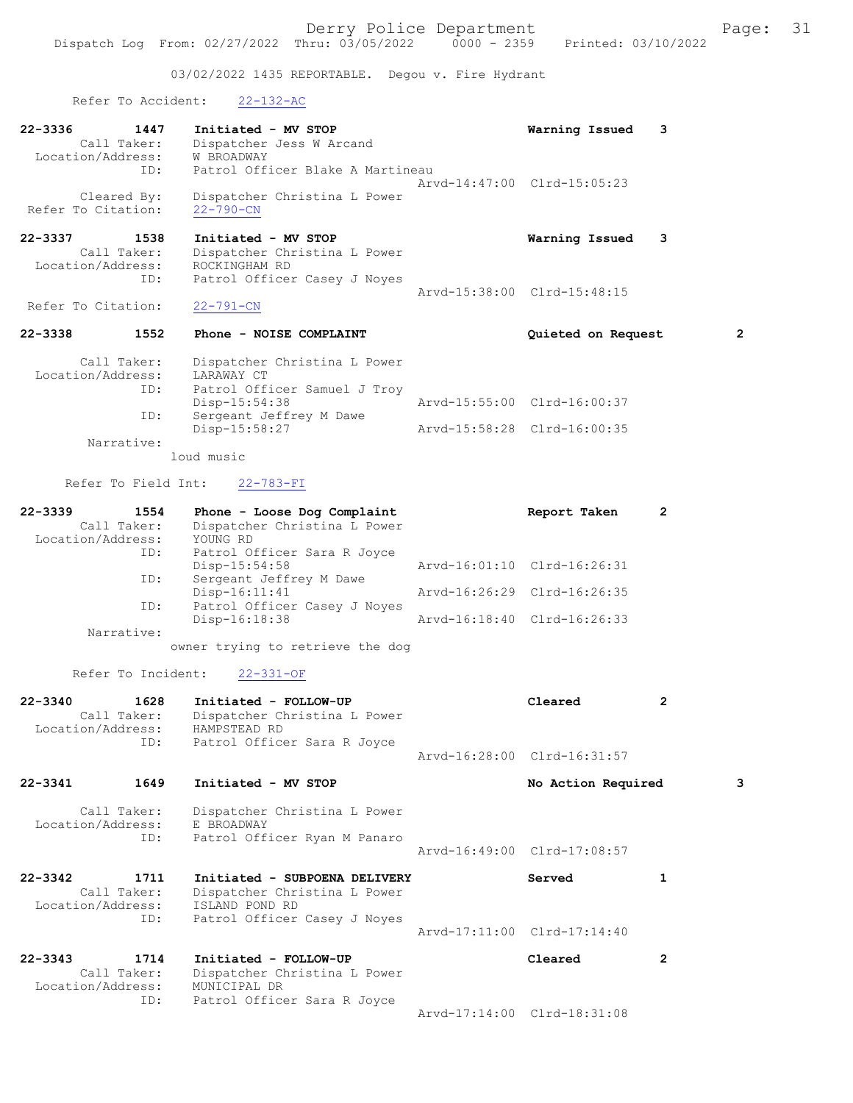03/02/2022 1435 REPORTABLE. Degou v. Fire Hydrant

## Refer To Accident: 22-132-AC

|                              | NOIGL TO NOCIDENT.  | $22 - 102 - 110$                                                            |                             |              |   |
|------------------------------|---------------------|-----------------------------------------------------------------------------|-----------------------------|--------------|---|
| 22-3336<br>Location/Address: | 1447<br>Call Taker: | Initiated - MV STOP<br>Dispatcher Jess W Arcand<br>W BROADWAY               | Warning Issued              | 3            |   |
|                              | ID:                 | Patrol Officer Blake A Martineau                                            | Arvd-14:47:00 Clrd-15:05:23 |              |   |
| Refer To Citation:           | Cleared By:         | Dispatcher Christina L Power<br>$22 - 790 - CN$                             |                             |              |   |
| 22-3337                      | 1538                | Initiated - MV STOP                                                         | Warning Issued              | 3            |   |
| Location/Address:            | Call Taker:         | Dispatcher Christina L Power<br>ROCKINGHAM RD                               |                             |              |   |
|                              | ID:                 | Patrol Officer Casey J Noyes                                                | Arvd-15:38:00 Clrd-15:48:15 |              |   |
| Refer To Citation:           |                     | $22 - 791 - CN$                                                             |                             |              |   |
| 22-3338                      | 1552                | Phone - NOISE COMPLAINT                                                     | Quieted on Request          |              | 2 |
|                              | Call Taker:         | Dispatcher Christina L Power                                                |                             |              |   |
| Location/Address:            | ID:                 | LARAWAY CT<br>Patrol Officer Samuel J Troy                                  |                             |              |   |
|                              | ID:                 | $Disp-15:54:38$<br>Sergeant Jeffrey M Dawe                                  | Arvd-15:55:00 Clrd-16:00:37 |              |   |
|                              | Narrative:          | Disp-15:58:27                                                               | Arvd-15:58:28 Clrd-16:00:35 |              |   |
|                              |                     | loud music                                                                  |                             |              |   |
|                              | Refer To Field Int: | $22 - 783 - FI$                                                             |                             |              |   |
| 22-3339                      | 1554                | Phone - Loose Dog Complaint                                                 | Report Taken                | 2            |   |
| Location/Address:            | Call Taker:         | Dispatcher Christina L Power<br>YOUNG RD                                    |                             |              |   |
|                              | ID:                 | Patrol Officer Sara R Joyce<br>$Disp-15:54:58$                              | Arvd-16:01:10 Clrd-16:26:31 |              |   |
|                              | ID:                 | Sergeant Jeffrey M Dawe                                                     |                             |              |   |
|                              | ID:                 | $Disp-16:11:41$<br>Patrol Officer Casey J Noyes                             | Arvd-16:26:29 Clrd-16:26:35 |              |   |
|                              | Narrative:          | Disp-16:18:38                                                               | Arvd-16:18:40 Clrd-16:26:33 |              |   |
|                              |                     | owner trying to retrieve the dog                                            |                             |              |   |
|                              | Refer To Incident:  | $22 - 331 - OF$                                                             |                             |              |   |
| 22-3340                      | 1628                | Initiated - FOLLOW-UP                                                       | Cleared                     | 2            |   |
|                              | Call Taker:         | Dispatcher Christina L Power<br>Location/Address: HAMPSTEAD RD              |                             |              |   |
|                              | ID:                 | Patrol Officer Sara R Joyce                                                 | Arvd-16:28:00 Clrd-16:31:57 |              |   |
| 22-3341                      | 1649                | Initiated - MV STOP                                                         | No Action Required          |              | 3 |
|                              | Call Taker:         | Dispatcher Christina L Power                                                |                             |              |   |
| Location/Address:            | ID:                 | E BROADWAY<br>Patrol Officer Ryan M Panaro                                  |                             |              |   |
|                              |                     |                                                                             | Arvd-16:49:00 Clrd-17:08:57 |              |   |
| 22-3342                      | 1711                | Initiated - SUBPOENA DELIVERY                                               | Served                      | 1            |   |
| Location/Address:            | Call Taker:         | Dispatcher Christina L Power<br>ISLAND POND RD                              |                             |              |   |
|                              | ID:                 | Patrol Officer Casey J Noyes                                                | Arvd-17:11:00 Clrd-17:14:40 |              |   |
| 22-3343                      | 1714                | Initiated - FOLLOW-UP                                                       | Cleared                     | $\mathbf{2}$ |   |
| Location/Address:            | Call Taker:<br>ID:  | Dispatcher Christina L Power<br>MUNICIPAL DR<br>Patrol Officer Sara R Joyce |                             |              |   |

Arvd-17:14:00 Clrd-18:31:08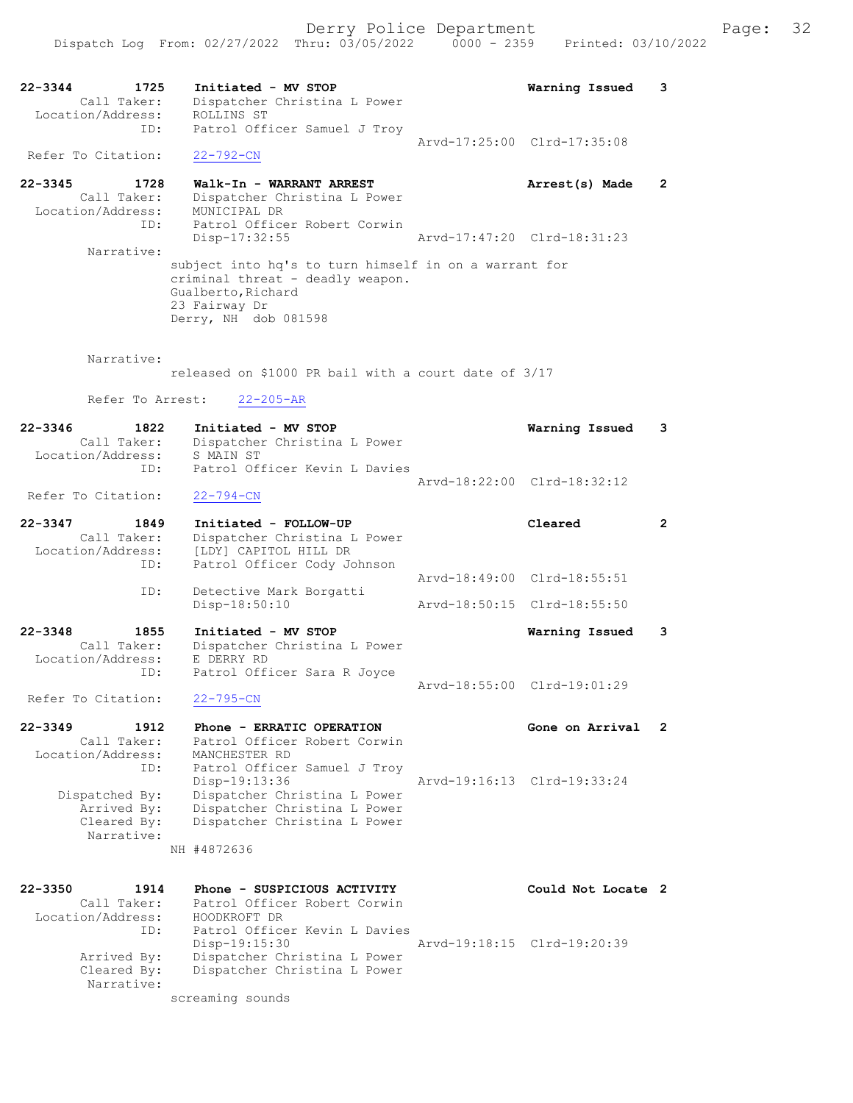22-3344 1725 Initiated - MV STOP Warning Issued 3 Call Taker: Dispatcher Christina L Power Location/Address: ROLLINS ST ID: Patrol Officer Samuel J Troy Arvd-17:25:00 Clrd-17:35:08 Refer To Citation: 22-792-CN 22-3345 1728 Walk-In - WARRANT ARREST Arrest(s) Made 2 Call Taker: Dispatcher Christina L Power Location/Address: MUNICIPAL DR ID: Patrol Officer Robert Corwin<br>Disp-17:32:55 Disp-17:32:55 Arvd-17:47:20 Clrd-18:31:23 Narrative: subject into hq's to turn himself in on a warrant for criminal threat - deadly weapon. Gualberto, Richard 23 Fairway Dr Derry, NH dob 081598 Narrative: released on \$1000 PR bail with a court date of 3/17 Refer To Arrest: 22-205-AR 22-3346 1822 Initiated - MV STOP Warning Issued 3 Call Taker: Dispatcher Christina L Power<br>tion/Address: S MAIN ST Location/Address:<br>ID: Patrol Officer Kevin L Davies Arvd-18:22:00 Clrd-18:32:12<br>22-794-CN Refer To Citation: 22-3347 1849 Initiated - FOLLOW-UP Cleared 2 Call Taker: Dispatcher Christina L Power Location/Address: [LDY] CAPITOL HILL DR ID: Patrol Officer Cody Johnson Arvd-18:49:00 Clrd-18:55:51 ID: Detective Mark Borgatti Disp-18:50:10 Arvd-18:50:15 Clrd-18:55:50 22-3348 1855 Initiated - MV STOP Warning Issued 3 Call Taker: Dispatcher Christina L Power Location/Address: E DERRY RD ID: Patrol Officer Sara R Joyce Arvd-18:55:00 Clrd-19:01:29 Refer To Citation: 22-795-CN 22-3349 1912 Phone - ERRATIC OPERATION 1980 Gone on Arrival 2 Call Taker: Patrol Officer Robert Corwin Location/Address: MANCHESTER RD ID: Patrol Officer Samuel J Troy<br>Disp-19:13:36 Arvd-19:16:13 Clrd-19:33:24 Dispatched By: Dispatcher Christina L Power Arrived By: Dispatcher Christina L Power Cleared By: Dispatcher Christina L Power Narrative: NH #4872636 22-3350 1914 Phone - SUSPICIOUS ACTIVITY Could Not Locate 2 Call Taker: Patrol Officer Robert Corwin Location/Address: HOODKROFT DR ID: Patrol Officer Kevin L Davies<br>Disp-19:15:30 Disp-19:15:30 Arvd-19:18:15 Clrd-19:20:39 Arrived By: Dispatcher Christina L Power Cleared By: Dispatcher Christina L Power Narrative: screaming sounds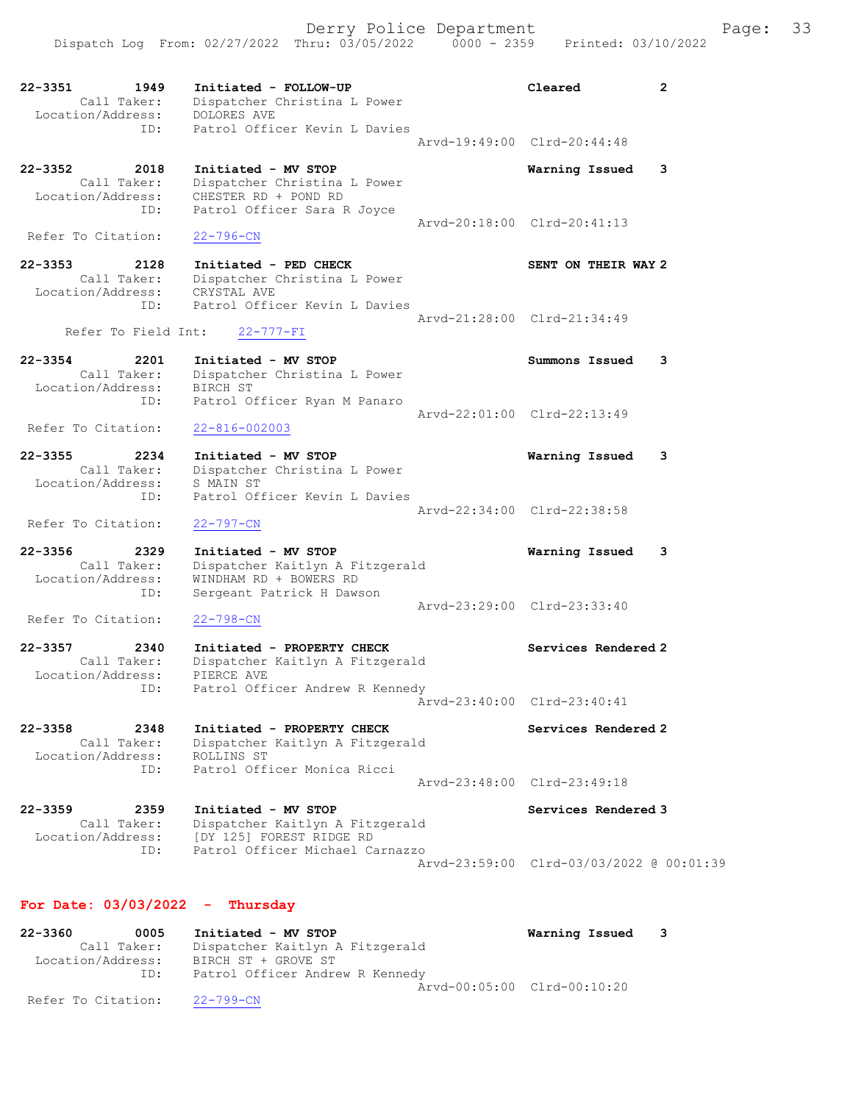Derry Police Department Fage: 33 Dispatch Log From: 02/27/2022 Thru: 03/05/2022 0000 - 2359 Printed: 03/10/2022 22-3351 1949 Initiated - FOLLOW-UP Cleared 2 Call Taker: Dispatcher Christina L Power Location/Address: DOLORES AVE ID: Patrol Officer Kevin L Davies Arvd-19:49:00 Clrd-20:44:48 22-3352 2018 Initiated - MV STOP Warning Issued 3 Call Taker: Dispatcher Christina L Power Location/Address: CHESTER RD + POND RD ID: Patrol Officer Sara R Joyce Arvd-20:18:00 Clrd-20:41:13 Refer To Citation: 22-796-CN 22-3353 2128 Initiated - PED CHECK SENT ON THEIR WAY 2 Call Taker: Dispatcher Christina L Power Location/Address: CRYSTAL AVE ID: Patrol Officer Kevin L Davies Arvd-21:28:00 Clrd-21:34:49 Refer To Field Int: 22-777-FI 22-3354 2201 Initiated - MV STOP Summons Issued 3 Call Taker: Dispatcher Christina L Power Location/Address: BIRCH ST ID: Patrol Officer Ryan M Panaro Arvd-22:01:00 Clrd-22:13:49 Refer To Citation: 22-816-002003 22-3355 2234 Initiated - MV STOP Warning Issued 3 Call Taker: Dispatcher Christina L Power Location/Address: S MAIN ST ID: Patrol Officer Kevin L Davies Arvd-22:34:00 Clrd-22:38:58 Refer To Citation: 22-797-CN 22-3356 2329 Initiated - MV STOP Warning Issued 3 Call Taker: Dispatcher Kaitlyn A Fitzgerald Location/Address: WINDHAM RD + BOWERS RD ID: Sergeant Patrick H Dawson Arvd-23:29:00 Clrd-23:33:40 Refer To Citation: 22-798-CN 22-3357 2340 Initiated - PROPERTY CHECK Services Rendered 2 Call Taker: Dispatcher Kaitlyn A Fitzgerald Location/Address: PIERCE AVE ID: Patrol Officer Andrew R Kennedy Arvd-23:40:00 Clrd-23:40:41 22-3358 2348 Initiated - PROPERTY CHECK Services Rendered 2 Call Taker: Dispatcher Kaitlyn A Fitzgerald Location/Address: ROLLINS ST ID: Patrol Officer Monica Ricci Arvd-23:48:00 Clrd-23:49:18 22-3359 2359 Initiated - MV STOP Services Rendered 3 Call Taker: Dispatcher Kaitlyn A Fitzgerald Location/Address: [DY 125] FOREST RIDGE RD ID: Patrol Officer Michael Carnazzo Arvd-23:59:00 Clrd-03/03/2022 @ 00:01:39

## For Date: 03/03/2022 - Thursday

| $22 - 3360$ | 0005               | Initiated - MV STOP             | Warning Issued 3 |  |
|-------------|--------------------|---------------------------------|------------------|--|
|             | Call Taker:        | Dispatcher Kaitlyn A Fitzgerald |                  |  |
|             | Location/Address:  | BIRCH ST + GROVE ST             |                  |  |
|             | ID:                | Patrol Officer Andrew R Kennedy |                  |  |
|             |                    | Arvd-00:05:00 Clrd-00:10:20     |                  |  |
|             | Refer To Citation: | 22-799-CN                       |                  |  |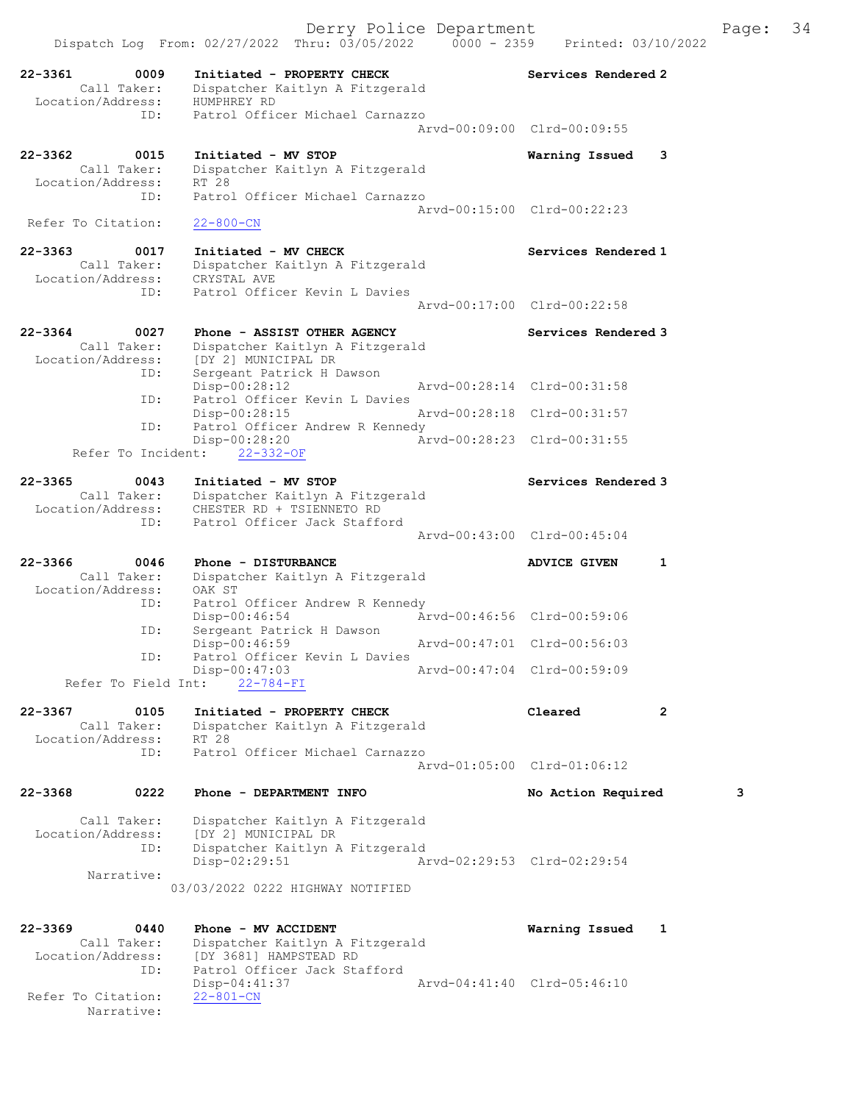Dispatch Log From: 02/27/2022 Thru: 03/05/2022 0000 - 2359 Printed: 03/10/2022 22-3361 0009 Initiated - PROPERTY CHECK Services Rendered 2 Call Taker: Dispatcher Kaitlyn A Fitzgerald 97361<br>Call Taker: Dispaction<br>Location/Address: HUMPHREY RD<br>ID: Patrol Offic Patrol Officer Michael Carnazzo Arvd-00:09:00 Clrd-00:09:55 22-3362 0015 Initiated - MV STOP Warning Issued 3 Call Taker: Dispatcher Kaitlyn A Fitzgerald Location/Address: RT 28 ID: Patrol Officer Michael Carnazzo Arvd-00:15:00 Clrd-00:22:23<br>22-800-CN Refer To Citation: 22-3363 0017 Initiated - MV CHECK Services Rendered 1 Call Taker: Dispatcher Kaitlyn A Fitzgerald Location/Address: CRYSTAL AVE ID: Patrol Officer Kevin L Davies Arvd-00:17:00 Clrd-00:22:58 22-3364 0027 Phone - ASSIST OTHER AGENCY Services Rendered 3 Call Taker: Dispatcher Kaitlyn A Fitzgerald Location/Address: [DY 2] MUNICIPAL DR ID: Sergeant Patrick H Dawson Disp-00:28:12 Arvd-00:28:14 Clrd-00:31:58<br>TD: Patrol Officer Kevin L Davies Patrol Officer Kevin L Davies<br>Disp-00:28:15 Disp-00:28:15 Arvd-00:28:18 Clrd-00:31:57<br>TD: Patrol Officer Andrew R Kennedy Patrol Officer Andrew R Kennedy Disp-00:28:20 Arvd-00:28:23 Clrd-00:31:55 Refer To Incident: 22-332-OF 22-3365 0043 Initiated - MV STOP Services Rendered 3 Call Taker: Dispatcher Kaitlyn A Fitzgerald Location/Address: CHESTER RD + TSIENNETO RD ID: Patrol Officer Jack Stafford Arvd-00:43:00 Clrd-00:45:04 22-3366 0046 Phone - DISTURBANCE ADVICE GIVEN 1 Call Taker: Dispatcher Kaitlyn A Fitzgerald Location/Address: OAK ST ID: Patrol Officer Andrew R Kennedy<br>Disp-00:46:54 Arvd-00:46:56 Clrd-00:59:06 Disp-00:46:54 Arvd-00:46:56 Clrd-00:59:06 ID: Sergeant Patrick H Dawson Disp-00:46:59 Arvd-00:47:01 Clrd-00:56:03 ID: Patrol Officer Kevin L Davies Disp-00:47:03 Arvd-00:47:04 Clrd-00:59:09 Refer To Field Int: 22-784-FI 22-3367 0105 Initiated - PROPERTY CHECK Cleared 2 Call Taker: Dispatcher Kaitlyn A Fitzgerald Location/Address: RT 28 ID: Patrol Officer Michael Carnazzo Arvd-01:05:00 Clrd-01:06:12 22-3368 0222 Phone - DEPARTMENT INFO No Action Required 3 Call Taker: Dispatcher Kaitlyn A Fitzgerald Location/Address: [DY 2] MUNICIPAL DR<br>ID: Dispatcher Kaitlyn A Dispatcher Kaitlyn A Fitzgerald<br>Disp-02:29:51 Ar Disp-02:29:51 Arvd-02:29:53 Clrd-02:29:54 Narrative: 03/03/2022 0222 HIGHWAY NOTIFIED 22-3369 0440 Phone - MV ACCIDENT Warning Issued 1 Call Taker: Dispatcher Kaitlyn A Fitzgerald<br>Location/Address: [DY 3681] HAMPSTEAD RD Location/Address: [DY 3681] HAMPSTEAD RD ID: Patrol Officer Jack Stafford

Disp-04:41:37 Arvd-04:41:40 Clrd-05:46:10

Refer To Citation:

Narrative:

Derry Police Department The Page: 34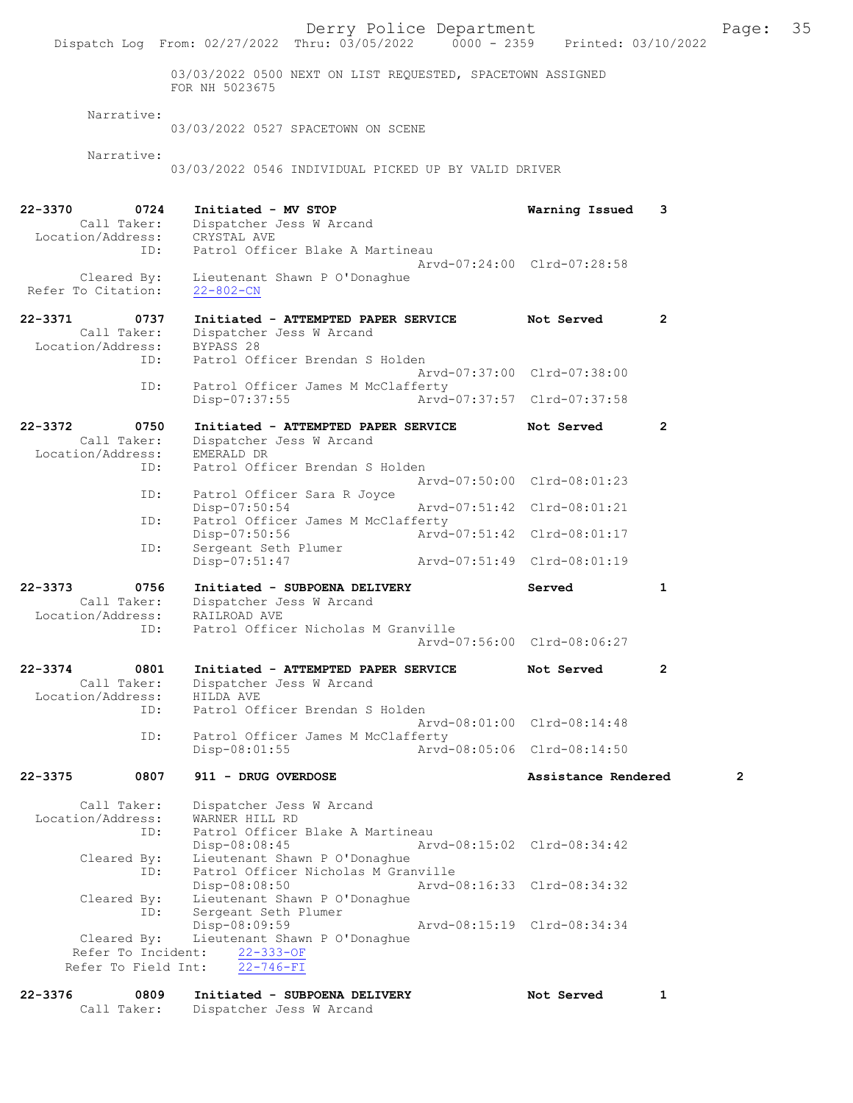03/03/2022 0500 NEXT ON LIST REQUESTED, SPACETOWN ASSIGNED FOR NH 5023675

#### Narrative:

03/03/2022 0527 SPACETOWN ON SCENE

Narrative:

03/03/2022 0546 INDIVIDUAL PICKED UP BY VALID DRIVER

| 22-3370            | 0724                | Initiated - MV STOP                              | Warning Issued              | 3              |
|--------------------|---------------------|--------------------------------------------------|-----------------------------|----------------|
|                    | Call Taker:         | Dispatcher Jess W Arcand                         |                             |                |
| Location/Address:  |                     | CRYSTAL AVE                                      |                             |                |
|                    | ID:                 | Patrol Officer Blake A Martineau                 |                             |                |
|                    | Cleared By:         | Lieutenant Shawn P O'Donaghue                    | Arvd-07:24:00 Clrd-07:28:58 |                |
| Refer To Citation: |                     | $22 - 802 - CN$                                  |                             |                |
|                    |                     |                                                  |                             |                |
| $22 - 3371$        | 0737                | Initiated - ATTEMPTED PAPER SERVICE              | Not Served                  | 2              |
|                    | Call Taker:         | Dispatcher Jess W Arcand                         |                             |                |
| Location/Address:  |                     | BYPASS 28                                        |                             |                |
|                    | ID:                 | Patrol Officer Brendan S Holden                  |                             |                |
|                    |                     |                                                  | Arvd-07:37:00 Clrd-07:38:00 |                |
|                    | ID:                 | Patrol Officer James M McClafferty               |                             |                |
|                    |                     | Disp-07:37:55                                    | Arvd-07:37:57 Clrd-07:37:58 |                |
| $22 - 3372$        | 0750                | Initiated - ATTEMPTED PAPER SERVICE              | Not Served                  | 2              |
|                    | Call Taker:         | Dispatcher Jess W Arcand                         |                             |                |
| Location/Address:  |                     | EMERALD DR                                       |                             |                |
|                    | ID:                 | Patrol Officer Brendan S Holden                  |                             |                |
|                    |                     |                                                  | Arvd-07:50:00 Clrd-08:01:23 |                |
|                    | ID:                 | Patrol Officer Sara R Joyce                      |                             |                |
|                    |                     | $Disp-07:50:54$                                  | Arvd-07:51:42 Clrd-08:01:21 |                |
|                    | ID:                 | Patrol Officer James M McClafferty               |                             |                |
|                    |                     | Disp-07:50:56                                    | Arvd-07:51:42 Clrd-08:01:17 |                |
|                    | ID:                 | Sergeant Seth Plumer                             |                             |                |
|                    |                     | Disp-07:51:47                                    | Arvd-07:51:49 Clrd-08:01:19 |                |
| $22 - 3373$        | 0756                | Initiated - SUBPOENA DELIVERY                    | Served                      | $\mathbf{1}$   |
|                    | Call Taker:         | Dispatcher Jess W Arcand                         |                             |                |
| Location/Address:  |                     | RAILROAD AVE                                     |                             |                |
|                    | ID:                 | Patrol Officer Nicholas M Granville              |                             |                |
|                    |                     |                                                  | Arvd-07:56:00 Clrd-08:06:27 |                |
|                    |                     |                                                  |                             |                |
| $22 - 3374$        | 0801                | Initiated - ATTEMPTED PAPER SERVICE              | Not Served                  | $\overline{2}$ |
| Location/Address:  | Call Taker:         | Dispatcher Jess W Arcand<br>HILDA AVE            |                             |                |
|                    | ID:                 | Patrol Officer Brendan S Holden                  |                             |                |
|                    |                     |                                                  | Arvd-08:01:00 Clrd-08:14:48 |                |
|                    | ID:                 | Patrol Officer James M McClafferty               |                             |                |
|                    |                     | Disp-08:01:55                                    | Arvd-08:05:06 Clrd-08:14:50 |                |
|                    |                     |                                                  |                             |                |
| $22 - 3375$        | 0807                | 911 - DRUG OVERDOSE                              | Assistance Rendered         | 2              |
|                    |                     |                                                  |                             |                |
| Location/Address:  | Call Taker:         | Dispatcher Jess W Arcand<br>WARNER HILL RD       |                             |                |
|                    | ID:                 | Patrol Officer Blake A Martineau                 |                             |                |
|                    |                     | Disp-08:08:45                                    | Arvd-08:15:02 Clrd-08:34:42 |                |
|                    | Cleared By:         | Lieutenant Shawn P O'Donaghue                    |                             |                |
|                    | ID:                 | Patrol Officer Nicholas M Granville              |                             |                |
|                    |                     | Disp-08:08:50                                    | Arvd-08:16:33 Clrd-08:34:32 |                |
|                    | Cleared By:         | Lieutenant Shawn P O'Donaghue                    |                             |                |
|                    | ID:                 | Sergeant Seth Plumer                             |                             |                |
|                    | Cleared By:         | Disp-08:09:59                                    | Arvd-08:15:19 Clrd-08:34:34 |                |
|                    | Refer To Incident:  | Lieutenant Shawn P O'Donaghue<br>$22 - 333 - OF$ |                             |                |
|                    | Refer To Field Int: | $22 - 746 - FI$                                  |                             |                |
|                    |                     |                                                  |                             |                |
| $22 - 3376$        | 0809                | Initiated - SUBPOENA DELIVERY                    | Not Served                  | $\mathbf{1}$   |
|                    |                     |                                                  |                             |                |
|                    | Call Taker:         | Dispatcher Jess W Arcand                         |                             |                |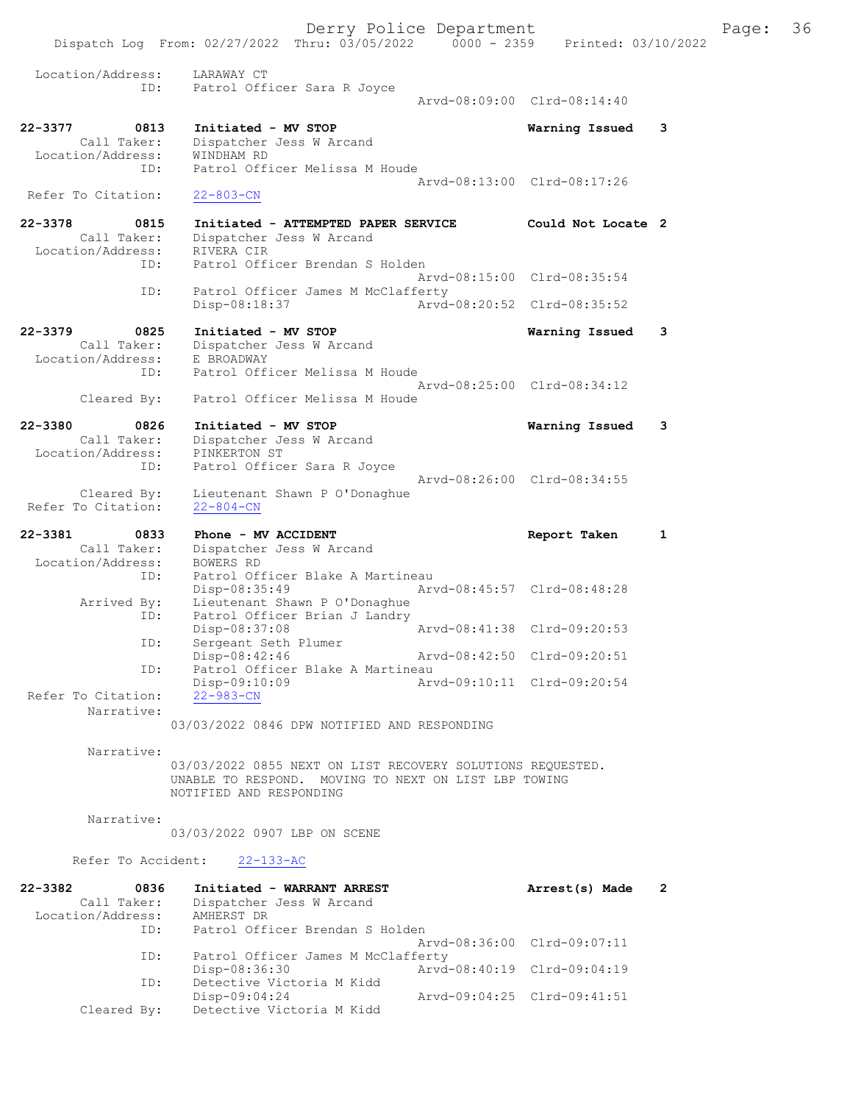Dispatch Log From: 02/27/2022 Thru: 03/05/2022 0000 - 2359 Printed: 03/10/2022 Location/Address: LARAWAY CT ID: Patrol Officer Sara R Joyce Arvd-08:09:00 Clrd-08:14:40 22-3377 0813 Initiated - MV STOP Warning Issued 3 Call Taker: Dispatcher Jess W Arcand<br>ion/Address: WINDHAM RD Location/Address:<br>TD: Patrol Officer Melissa M Houde Arvd-08:13:00 Clrd-08:17:26 Refer To Citation: 22-803-CN 22-3378 0815 Initiated - ATTEMPTED PAPER SERVICE Could Not Locate 2 Call Taker: Dispatcher Jess W Arcand Location/Address: RIVERA CIR ID: Patrol Officer Brendan S Holden Arvd-08:15:00 Clrd-08:35:54<br>TD: Patrol Officer James M McClafferty Patrol Officer James M McClafferty<br>Disp-08:18:37 Arvd- Disp-08:18:37 Arvd-08:20:52 Clrd-08:35:52 22-3379 0825 Initiated - MV STOP 19825 Call Taker: Dispatcher Jess W Arcand Dispatcher Jess W Arcand<br>E BROADWAY Location/Address: Patrol Officer Melissa M Houde Arvd-08:25:00 Clrd-08:34:12 Cleared By: Patrol Officer Melissa M Houde 22-3380 0826 Initiated - MV STOP Warning Issued 3 Call Taker: Dispatcher Jess W Arcand Location/Address: PINKERTON ST Call Taker: Dispatcher Jess W Arcand<br>
Location/Address: PINKERTON ST<br>
ID: Patrol Officer Sara R Joyce Arvd-08:26:00 Clrd-08:34:55 Cleared By: Lieutenant Shawn P O'Donaghue Refer To Citation: 22-804-CN 22-3381 0833 Phone - MV ACCIDENT Report Taken 1 Call Taker: Dispatcher Jess W Arcand Location/Address: BOWERS RD ID: Patrol Officer Blake A Martineau Disp-08:35:49<br>Lieutenant Shawn P O'Donaghue Arrived By: Lieutenant Shawn P O'Donaghue ID: Patrol Officer Brian J Landry Disp-08:37:08 Arvd-08:41:38 Clrd-09:20:53 ID: Sergeant Seth Plumer<br>Disp-08:42:46 Disp-08:42:46 Arvd-08:42:50 Clrd-09:20:51<br>ID: Patrol Officer Blake A Martineau Patrol Officer Blake A Martineau<br>Disp-09:10:09 Art Disp-09:10:09 Arvd-09:10:11 Clrd-09:20:54 Refer To Citation: Narrative: 03/03/2022 0846 DPW NOTIFIED AND RESPONDING Narrative: 03/03/2022 0855 NEXT ON LIST RECOVERY SOLUTIONS REQUESTED. UNABLE TO RESPOND. MOVING TO NEXT ON LIST LBP TOWING NOTIFIED AND RESPONDING Narrative: 03/03/2022 0907 LBP ON SCENE Refer To Accident: 22-133-AC 22-3382 0836 Initiated - WARRANT ARREST Arrest(s) Made 2 Call Taker: Dispatcher Jess W Arcand Location/Address: AMHERST DR ID: Patrol Officer Brendan S Holden Arvd-08:36:00 Clrd-09:07:11<br>TD: Patrol Officer James M McClafferty Patrol Officer James M McClafferty Disp-08:36:30 Arvd-08:40:19 Clrd-09:04:19 ID: Detective Victoria M Kidd<br>Disp-09:04:24 Disp-09:04:24 Arvd-09:04:25 Cleared By: Detective Victoria M Kidd  $C$ 

Detective Victoria M Kidd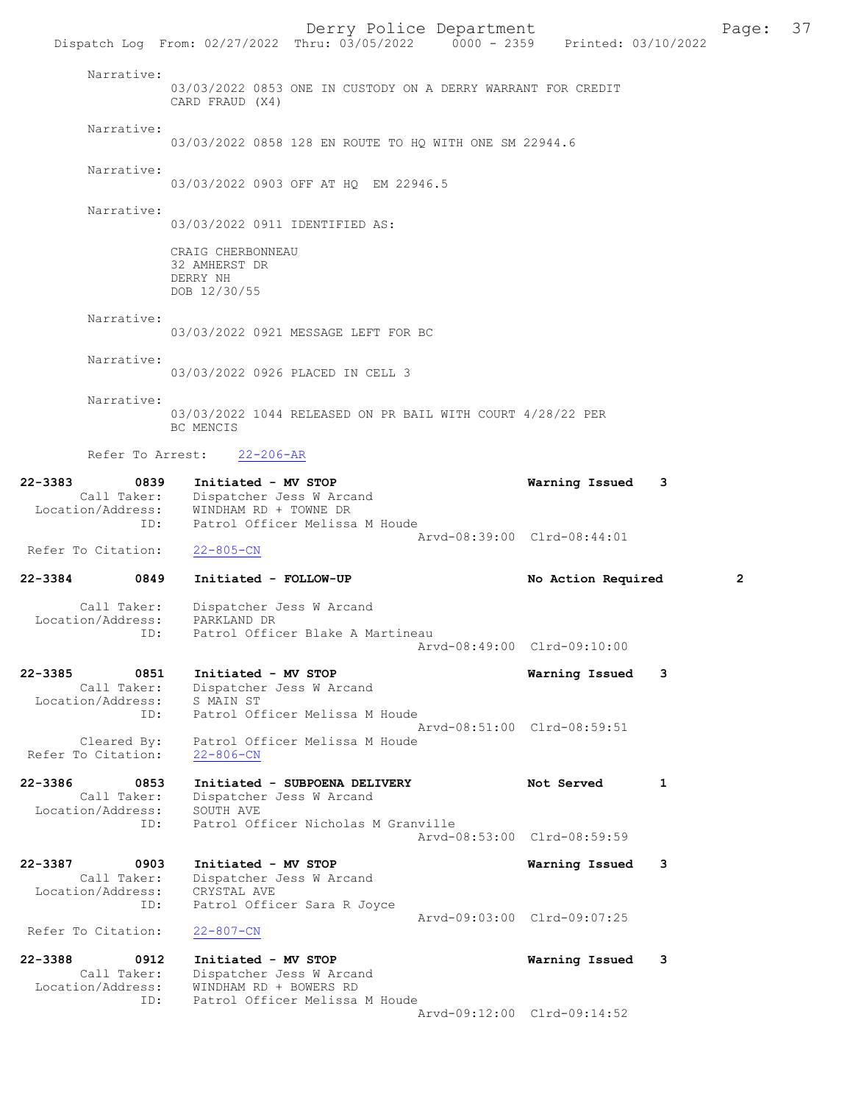Derry Police Department Fage: 37 Dispatch Log From: 02/27/2022 Thru: 03/05/2022 0000 - 2359 Printed: 03/10/2022 Narrative: 03/03/2022 0853 ONE IN CUSTODY ON A DERRY WARRANT FOR CREDIT CARD FRAUD (X4) Narrative: 03/03/2022 0858 128 EN ROUTE TO HQ WITH ONE SM 22944.6 Narrative: 03/03/2022 0903 OFF AT HQ EM 22946.5 Narrative: 03/03/2022 0911 IDENTIFIED AS: CRAIG CHERBONNEAU 32 AMHERST DR DERRY NH DOB 12/30/55 Narrative: 03/03/2022 0921 MESSAGE LEFT FOR BC Narrative: 03/03/2022 0926 PLACED IN CELL 3 Narrative: 03/03/2022 1044 RELEASED ON PR BAIL WITH COURT 4/28/22 PER BC MENCIS Refer To Arrest: 22-206-AR 22-3383 0839 Initiated - MV STOP Warning Issued 3 Call Taker: Dispatcher Jess W Arcand Location/Address: WINDHAM RD + TOWNE DR ID: Patrol Officer Melissa M Houde Arvd-08:39:00 Clrd-08:44:01 Refer To Citation: 22-805-CN 22-3384 0849 Initiated - FOLLOW-UP No Action Required 2 Call Taker: Dispatcher Jess W Arcand Location/Address: PARKLAND DR ID: Patrol Officer Blake A Martineau Arvd-08:49:00 Clrd-09:10:00 22-3385 0851 Initiated - MV STOP Warning Issued 3 Call Taker: Dispatcher Jess W Arcand Location/Address: S MAIN ST ID: Patrol Officer Melissa M Houde Arvd-08:51:00 Clrd-08:59:51 Cleared By: Patrol Officer Melissa M Houde Refer To Citation: 22-806-CN 22-3386 0853 Initiated - SUBPOENA DELIVERY Not Served 1 Call Taker: Dispatcher Jess W Arcand Location/Address: SOUTH AVE ID: Patrol Officer Nicholas M Granville Arvd-08:53:00 Clrd-08:59:59 22-3387 0903 Initiated - MV STOP Warning Issued 3 Call Taker: Dispatcher Jess W Arcand Location/Address: CRYSTAL AVE<br>TD: Patrol Offic Patrol Officer Sara R Joyce Arvd-09:03:00 Clrd-09:07:25 Refer To Citation: 22-807-CN 22-3388 0912 Initiated - MV STOP Warning Issued 3 Call Taker: Dispatcher Jess W Arcand Location/Address: WINDHAM RD + BOWERS RD ID: Patrol Officer Melissa M Houde Arvd-09:12:00 Clrd-09:14:52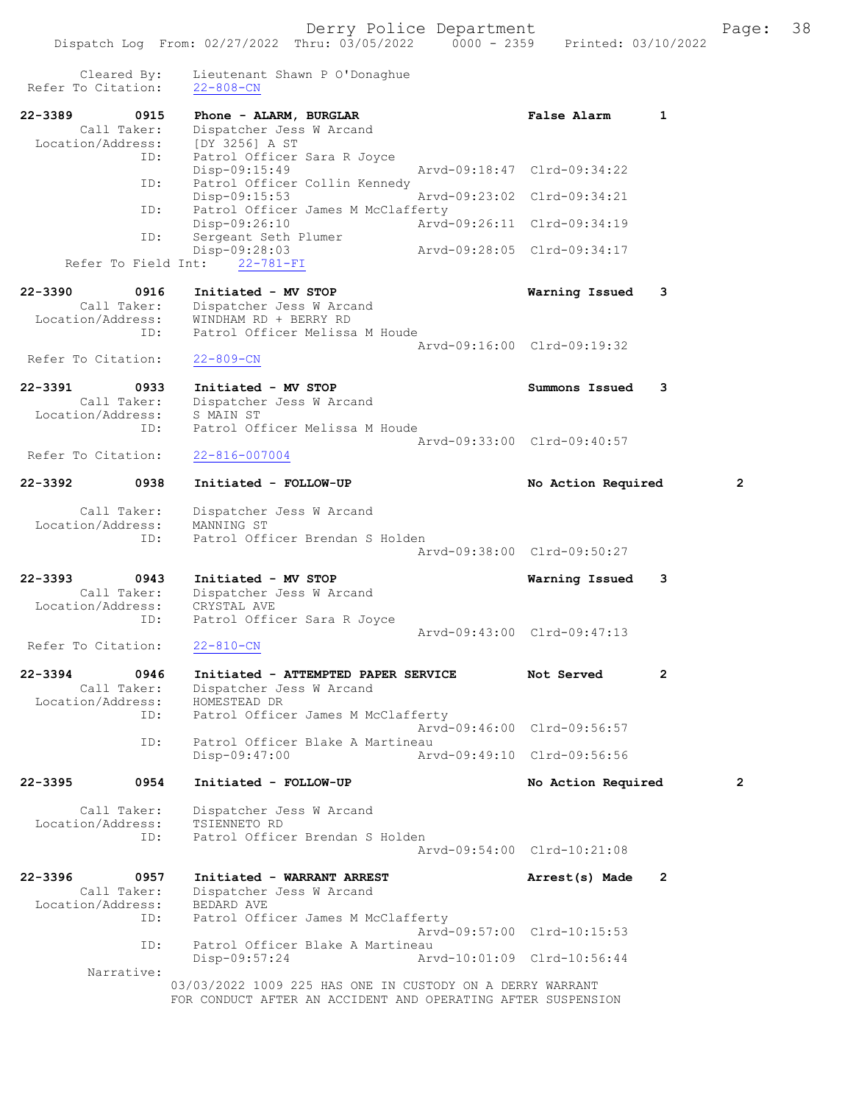| Cleared By:<br>Refer To Citation: | Lieutenant Shawn P O'Donaghue<br>$22 - 808 - CN$             |                             |                |   |
|-----------------------------------|--------------------------------------------------------------|-----------------------------|----------------|---|
| 22-3389<br>0915                   | Phone - ALARM, BURGLAR                                       | <b>False Alarm</b>          | $\mathbf{1}$   |   |
| Call Taker:                       | Dispatcher Jess W Arcand                                     |                             |                |   |
| Location/Address:<br>ID:          | [DY 3256] A ST<br>Patrol Officer Sara R Joyce                |                             |                |   |
|                                   | $Disp-09:15:49$                                              | Arvd-09:18:47 Clrd-09:34:22 |                |   |
| ID:                               | Patrol Officer Collin Kennedy<br>Disp-09:15:53               | Arvd-09:23:02 Clrd-09:34:21 |                |   |
| ID:                               | Patrol Officer James M McClafferty                           | Arvd-09:26:11 Clrd-09:34:19 |                |   |
| ID:                               | Disp-09:26:10<br>Sergeant Seth Plumer                        |                             |                |   |
|                                   | Disp-09:28:03<br>Refer To Field Int: 22-781-FI               | Arvd-09:28:05 Clrd-09:34:17 |                |   |
| $22 - 3390$<br>0916               | Initiated - MV STOP                                          | Warning Issued              | 3              |   |
| Call Taker:<br>Location/Address:  | Dispatcher Jess W Arcand<br>WINDHAM RD + BERRY RD            |                             |                |   |
| ID:                               | Patrol Officer Melissa M Houde                               |                             |                |   |
|                                   |                                                              | Arvd-09:16:00 Clrd-09:19:32 |                |   |
| Refer To Citation:                | $22 - 809 - CN$                                              |                             |                |   |
| 22-3391<br>0933                   | Initiated - MV STOP                                          | Summons Issued              | 3              |   |
| Call Taker:<br>Location/Address:  | Dispatcher Jess W Arcand<br>S MAIN ST                        |                             |                |   |
| ID:                               | Patrol Officer Melissa M Houde                               |                             |                |   |
| Refer To Citation:                | $22 - 816 - 007004$                                          | Arvd-09:33:00 Clrd-09:40:57 |                |   |
|                                   |                                                              |                             |                |   |
| 22-3392<br>0938                   | Initiated - FOLLOW-UP                                        | No Action Required          |                | 2 |
| Call Taker:                       | Dispatcher Jess W Arcand                                     |                             |                |   |
| Location/Address:<br>ID:          | MANNING ST<br>Patrol Officer Brendan S Holden                |                             |                |   |
|                                   |                                                              | Arvd-09:38:00 Clrd-09:50:27 |                |   |
| $22 - 3393$<br>0943               | Initiated - MV STOP                                          | Warning Issued              | 3              |   |
| Call Taker:                       | Dispatcher Jess W Arcand                                     |                             |                |   |
| Location/Address:<br>ID:          | CRYSTAL AVE<br>Patrol Officer Sara R Joyce                   |                             |                |   |
|                                   |                                                              | Aryd-09:43:00 Clrd-09:47:13 |                |   |
| Refer To Citation:                | $22 - 810 - CN$                                              |                             |                |   |
| 0946<br>22-3394                   | Initiated - ATTEMPTED PAPER SERVICE                          | Not Served                  | 2              |   |
| Call Taker:                       | Dispatcher Jess W Arcand<br>HOMESTEAD DR                     |                             |                |   |
| Location/Address:                 | Patrol Officer James M McClafferty<br>ID:                    |                             |                |   |
|                                   |                                                              | Arvd-09:46:00 Clrd-09:56:57 |                |   |
|                                   | Patrol Officer Blake A Martineau<br>ID:<br>$Disp-09:47:00$   | Arvd-09:49:10 Clrd-09:56:56 |                |   |
| $22 - 3395$<br>0954               | Initiated - FOLLOW-UP                                        | No Action Required          |                | 2 |
| Call Taker:                       | Dispatcher Jess W Arcand                                     |                             |                |   |
| Location/Address:                 | TSIENNETO RD                                                 |                             |                |   |
| ID:                               | Patrol Officer Brendan S Holden                              |                             |                |   |
|                                   |                                                              | Arvd-09:54:00 Clrd-10:21:08 |                |   |
| 22-3396<br>0957                   | Initiated - WARRANT ARREST                                   | Arrest(s) Made              | $\overline{2}$ |   |
| Call Taker:<br>Location/Address:  | Dispatcher Jess W Arcand<br>BEDARD AVE                       |                             |                |   |
| ID:                               | Patrol Officer James M McClafferty                           |                             |                |   |
| ID:                               | Patrol Officer Blake A Martineau                             | Arvd-09:57:00 Clrd-10:15:53 |                |   |
|                                   | Disp-09:57:24                                                | Arvd-10:01:09 Clrd-10:56:44 |                |   |
| Narrative:                        | 03/03/2022 1009 225 HAS ONE IN CUSTODY ON A DERRY WARRANT    |                             |                |   |
|                                   | FOR CONDUCT AFTER AN ACCIDENT AND OPERATING AFTER SUSPENSION |                             |                |   |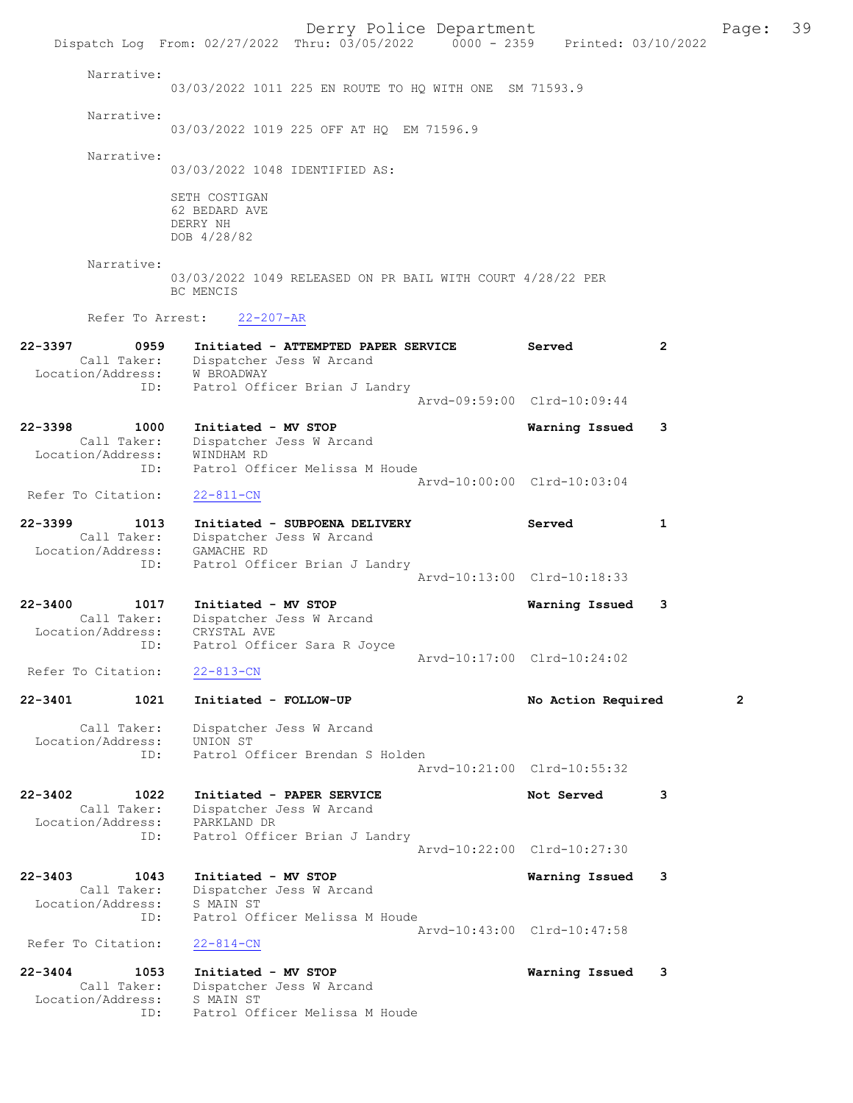Derry Police Department Fage: 39 Dispatch Log From: 02/27/2022 Thru: 03/05/2022 0000 - 2359 Printed: 03/10/2022 Narrative: 03/03/2022 1011 225 EN ROUTE TO HQ WITH ONE SM 71593.9 Narrative: 03/03/2022 1019 225 OFF AT HQ EM 71596.9 Narrative: 03/03/2022 1048 IDENTIFIED AS: SETH COSTIGAN 62 BEDARD AVE DERRY NH DOB 4/28/82 Narrative: 03/03/2022 1049 RELEASED ON PR BAIL WITH COURT 4/28/22 PER BC MENCIS Refer To Arrest: 22-207-AR 22-3397 0959 Initiated - ATTEMPTED PAPER SERVICE Served 2 Call Taker: Dispatcher Jess W Arcand Location/Address: W BROADWAY ID: Patrol Officer Brian J Landry Arvd-09:59:00 Clrd-10:09:44 22-3398 1000 Initiated - MV STOP Warning Issued 3 Call Taker: Dispatcher Jess W Arcand Location/Address: WINDHAM RD ID: Patrol Officer Melissa M Houde Refer To Citation: 22-811-CN Arvd-10:00:00 Clrd-10:03:04 Refer To Citation: 22-811-CN 22-3399 1013 Initiated - SUBPOENA DELIVERY Served 1 Call Taker: Dispatcher Jess W Arcand Location/Address: GAMACHE RD ID: Patrol Officer Brian J Landry Arvd-10:13:00 Clrd-10:18:33 22-3400 1017 Initiated - MV STOP Warning Issued 3 Call Taker: Dispatcher Jess W Arcand Location/Address: CRYSTAL AVE ID: Patrol Officer Sara R Joyce Arvd-10:17:00 Clrd-10:24:02 Refer To Citation: 22-813-CN 22-3401 1021 Initiated - FOLLOW-UP No Action Required 2 Call Taker: Dispatcher Jess W Arcand Location/Address: UNION ST ess: UNION UI<br>ID: Patrol Officer Brendan S Holden Arvd-10:21:00 Clrd-10:55:32 22-3402 1022 Initiated - PAPER SERVICE 1 1 Not Served 3 Call Taker: Dispatcher Jess W Arcand Location/Address: PARKLAND DR ID: Patrol Officer Brian J Landry Arvd-10:22:00 Clrd-10:27:30 22-3403 1043 Initiated - MV STOP Warning Issued 3 Call Taker: Dispatcher Jess W Arcand Location/Address: S MAIN ST ID: Patrol Officer Melissa M Houde Arvd-10:43:00 Clrd-10:47:58 Refer To Citation: 22-814-CN 22-3404 1053 Initiated - MV STOP Warning Issued 3 Call Taker: Dispatcher Jess W Arcand Location/Address: S MAIN ST ID: Patrol Officer Melissa M Houde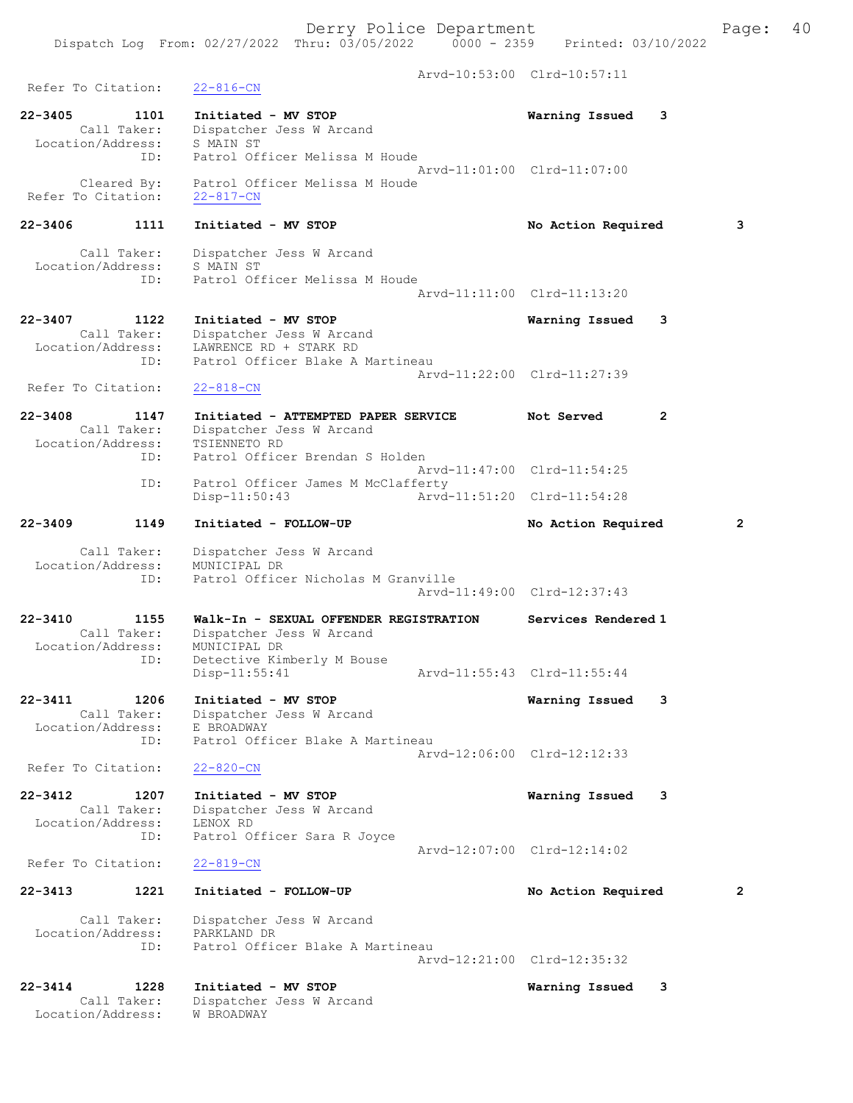Arvd-10:53:00 Clrd-10:57:11 Refer To Citation: 22-816-CN 22-3405 1101 Initiated - MV STOP Warning Issued 3 Call Taker: Dispatcher Jess W Arcand Location/Address: S MAIN ST ID: Patrol Officer Melissa M Houde Arvd-11:01:00 Clrd-11:07:00 Cleared By: Patrol Officer Melissa M Houde Refer To Citation: 22-817-CN 22-3406 1111 Initiated - MV STOP No Action Required 3 Call Taker: Dispatcher Jess W Arcand Location/Address: S MAIN ST ID: Patrol Officer Melissa M Houde Arvd-11:11:00 Clrd-11:13:20 22-3407 1122 Initiated - MV STOP Warning Issued 3 Call Taker: Dispatcher Jess W Arcand Location/Address: LAWRENCE RD + STARK RD ID: Patrol Officer Blake A Martineau Arvd-11:22:00 Clrd-11:27:39 Refer To Citation: 22-818-CN 22-3408 1147 Initiated - ATTEMPTED PAPER SERVICE Not Served 2 Call Taker: Dispatcher Jess W Arcand Location/Address: TSIENNETO RD ID: Patrol Officer Brendan S Holden Arvd-11:47:00 Clrd-11:54:25 ID: Patrol Officer James M McClafferty Disp-11:50:43 Arvd-11:51:20 Clrd-11:54:28 22-3409 1149 Initiated - FOLLOW-UP No Action Required 2 Call Taker: Dispatcher Jess W Arcand Location/Address: MUNICIPAL DR ID: Patrol Officer Nicholas M Granville Arvd-11:49:00 Clrd-12:37:43 22-3410 1155 Walk-In - SEXUAL OFFENDER REGISTRATION Services Rendered 1 Call Taker: Dispatcher Jess W Arcand Location/Address: MUNICIPAL DR ID: Detective Kimberly M Bouse Disp-11:55:41 Arvd-11:55:43 Clrd-11:55:44 22-3411 1206 Initiated - MV STOP Warning Issued 3 Call Taker: Dispatcher Jess W Arcand Location/Address: E BROADWAY ID: Patrol Officer Blake A Martineau Arvd-12:06:00 Clrd-12:12:33 Refer To Citation: 22-820-CN 22-3412 1207 Initiated - MV STOP Warning Issued 3 Call Taker: Dispatcher Jess W Arcand Location/Address: LENOX RD ID: Patrol Officer Sara R Joyce Arvd-12:07:00 Clrd-12:14:02<br>22-819-CN Refer To Citation: 22-3413 1221 Initiated - FOLLOW-UP No Action Required 2 Call Taker: Dispatcher Jess W Arcand Location/Address: PARKLAND DR ID: Patrol Officer Blake A Martineau Arvd-12:21:00 Clrd-12:35:32 22-3414 1228 Initiated - MV STOP Warning Issued 3<br>Call Taker: Dispatcher Jess W Arcand Call Taker: Dispatcher Jess W Arcand Location/Address: W BROADWAY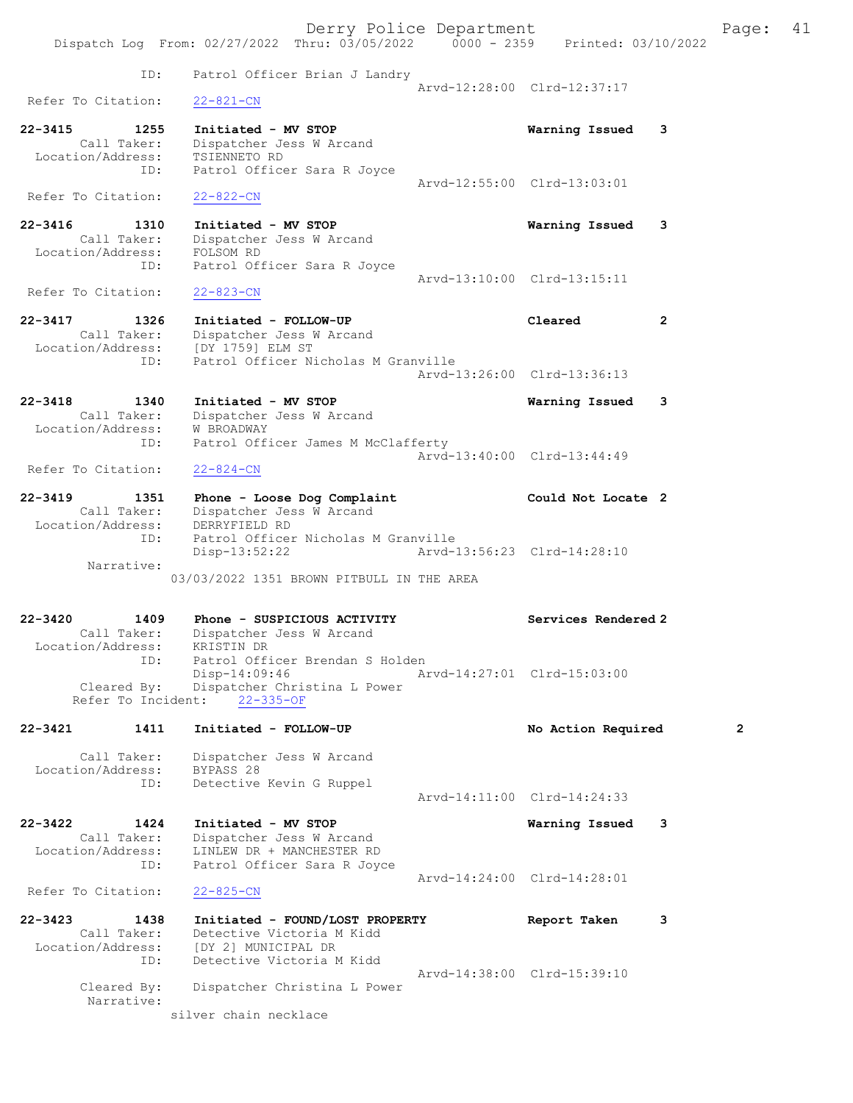Derry Police Department Fage: 41 Dispatch Log From: 02/27/2022 Thru: 03/05/2022 0000 - 2359 Printed: 03/10/2022 ID: Patrol Officer Brian J Landry Arvd-12:28:00 Clrd-12:37:17<br>22-821-CN Refer To Citation: 22-3415 1255 Initiated - MV STOP Warning Issued 3 Call Taker: Dispatcher Jess W Arcand Location/Address: TSIENNETO RD ID: Patrol Officer Sara R Joyce Arvd-12:55:00 Clrd-13:03:01 Refer To Citation: 22-822-CN 22-3416 1310 Initiated - MV STOP Warning Issued 3 Call Taker: Dispatcher Jess W Arcand Location/Address: FOLSOM RD ID: Patrol Officer Sara R Joyce Arvd-13:10:00 Clrd-13:15:11<br>22-823-CN Refer To Citation: 22-3417 1326 Initiated - FOLLOW-UP Cleared 2 Call Taker: Dispatcher Jess W Arcand Location/Address: [DY 1759] ELM ST ID: Patrol Officer Nicholas M Granville Arvd-13:26:00 Clrd-13:36:13 22-3418 1340 Initiated - MV STOP Warning Issued 3 Call Taker: Dispatcher Jess W Arcand Location/Address: W BROADWAY ID: Patrol Officer James M McClafferty Arvd-13:40:00 Clrd-13:44:49<br>22-824-CN Refer To Citation: 22-3419 1351 Phone - Loose Dog Complaint Could Not Locate 2 Call Taker: Dispatcher Jess W Arcand Location/Address: DERRYFIELD RD ID: Patrol Officer Nicholas M Granville Disp-13:52:22 Arvd-13:56:23 Clrd-14:28:10 Narrative: 03/03/2022 1351 BROWN PITBULL IN THE AREA 22-3420 1409 Phone - SUSPICIOUS ACTIVITY Services Rendered 2 Call Taker: Dispatcher Jess W Arcand Location/Address: KRISTIN DR ID: Patrol Officer Brendan S Holden Disp-14:09:46 Arvd-14:27:01 Clrd-15:03:00 Cleared By: Dispatcher Christina L Power Refer To Incident: 22-335-OF 22-3421 1411 Initiated - FOLLOW-UP No Action Required 2 Call Taker: Dispatcher Jess W Arcand Location/Address: BYPASS 28 ID: Detective Kevin G Ruppel Arvd-14:11:00 Clrd-14:24:33 22-3422 1424 Initiated - MV STOP Warning Issued 3 Call Taker: Dispatcher Jess W Arcand Location/Address: LINLEW DR + MANCHESTER RD ID: Patrol Officer Sara R Joyce Arvd-14:24:00 Clrd-14:28:01 Refer To Citation: 22-825-CN 22-3423 1438 Initiated - FOUND/LOST PROPERTY Report Taken 3 Call Taker: Detective Victoria M Kidd Location/Address: [DY 2] MUNICIPAL DR ID: Detective Victoria M Kidd Arvd-14:38:00 Clrd-15:39:10 Cleared By: Dispatcher Christina L Power Narrative: silver chain necklace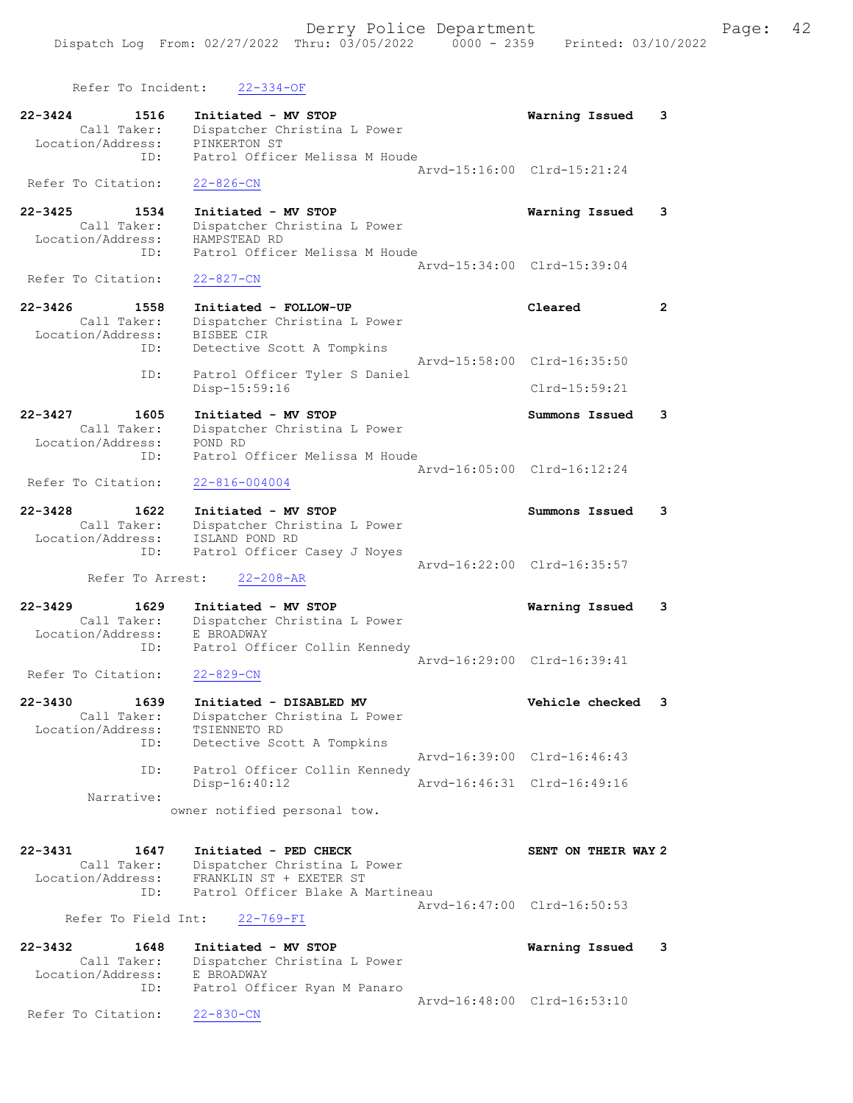| Refer To Incident:                                      | $22 - 334 - OF$                                                         |                                                            |                |
|---------------------------------------------------------|-------------------------------------------------------------------------|------------------------------------------------------------|----------------|
| 22-3424<br>1516<br>Call Taker:                          | Initiated - MV STOP<br>Dispatcher Christina L Power<br>PINKERTON ST     | Warning Issued                                             | 3              |
| Location/Address:<br>ID:                                | Patrol Officer Melissa M Houde                                          | Arvd-15:16:00 Clrd-15:21:24                                |                |
| Refer To Citation:                                      | $22 - 826 - CN$                                                         |                                                            |                |
| 22-3425<br>1534<br>Call Taker:<br>Location/Address:     | Initiated - MV STOP<br>Dispatcher Christina L Power<br>HAMPSTEAD RD     | Warning Issued                                             | 3              |
| ID:<br>Refer To Citation:                               | Patrol Officer Melissa M Houde<br>$22 - 827 - CN$                       | Arvd-15:34:00 Clrd-15:39:04                                |                |
| $22 - 3426$<br>1558                                     | Initiated - FOLLOW-UP                                                   | Cleared                                                    | $\overline{2}$ |
| Call Taker:<br>Location/Address:                        | Dispatcher Christina L Power<br>BISBEE CIR                              |                                                            |                |
| ID:                                                     | Detective Scott A Tompkins                                              | Arvd-15:58:00 Clrd-16:35:50                                |                |
| ID:                                                     | Patrol Officer Tyler S Daniel<br>Disp-15:59:16                          | Clrd-15:59:21                                              |                |
| 1605<br>$22 - 3427$<br>Call Taker:                      | Initiated - MV STOP<br>Dispatcher Christina L Power                     | Summons Issued                                             | 3              |
| Location/Address:<br>ID:                                | POND RD<br>Patrol Officer Melissa M Houde                               |                                                            |                |
|                                                         |                                                                         | Arvd-16:05:00 Clrd-16:12:24                                |                |
| Refer To Citation:                                      | $22 - 816 - 004004$                                                     |                                                            |                |
| 22-3428<br>1622                                         | Initiated - MV STOP                                                     | Summons Issued                                             | 3              |
| Call Taker:<br>Location/Address:                        | Dispatcher Christina L Power<br>ISLAND POND RD                          |                                                            |                |
| ID:                                                     | Patrol Officer Casey J Noyes                                            | Arvd-16:22:00 Clrd-16:35:57                                |                |
| Refer To Arrest:                                        | $22 - 208 - AR$                                                         |                                                            |                |
| $22 - 3429$<br>1629                                     | Initiated - MV STOP                                                     | Warning Issued                                             | 3              |
| Call Taker:<br>Location/Address:                        | Dispatcher Christina L Power<br>E BROADWAY                              |                                                            |                |
| ID:                                                     | Patrol Officer Collin Kennedy                                           | Arvd-16:29:00 Clrd-16:39:41                                |                |
| Refer To Citation:                                      | $22 - 829 - CN$                                                         |                                                            |                |
| 22-3430<br>1639<br>Call Taker:<br>Location/Address:     | Initiated - DISABLED MV<br>Dispatcher Christina L Power<br>TSIENNETO RD | Vehicle checked                                            | 3              |
| ID:                                                     | Detective Scott A Tompkins                                              |                                                            |                |
| ID:                                                     | Patrol Officer Collin Kennedy<br>Disp-16:40:12                          | Arvd-16:39:00 Clrd-16:46:43<br>Arvd-16:46:31 Clrd-16:49:16 |                |
| Narrative:                                              |                                                                         |                                                            |                |
|                                                         | owner notified personal tow.                                            |                                                            |                |
| $22 - 3431$<br>1647<br>Call Taker:                      | Initiated - PED CHECK<br>Dispatcher Christina L Power                   | SENT ON THEIR WAY 2                                        |                |
| Location/Address:                                       | FRANKLIN ST + EXETER ST<br>Patrol Officer Blake A Martineau             |                                                            |                |
| ID:                                                     |                                                                         | Arvd-16:47:00 Clrd-16:50:53                                |                |
| Refer To Field Int:                                     | $22 - 769 - FI$                                                         |                                                            |                |
| $22 - 3432$<br>1648<br>Call Taker:<br>Location/Address: | Initiated - MV STOP<br>Dispatcher Christina L Power<br>E BROADWAY       | Warning Issued                                             | 3              |
| ID:                                                     | Patrol Officer Ryan M Panaro                                            |                                                            |                |
| Refer To Citation:                                      | $22 - 830 - CN$                                                         | Arvd-16:48:00 Clrd-16:53:10                                |                |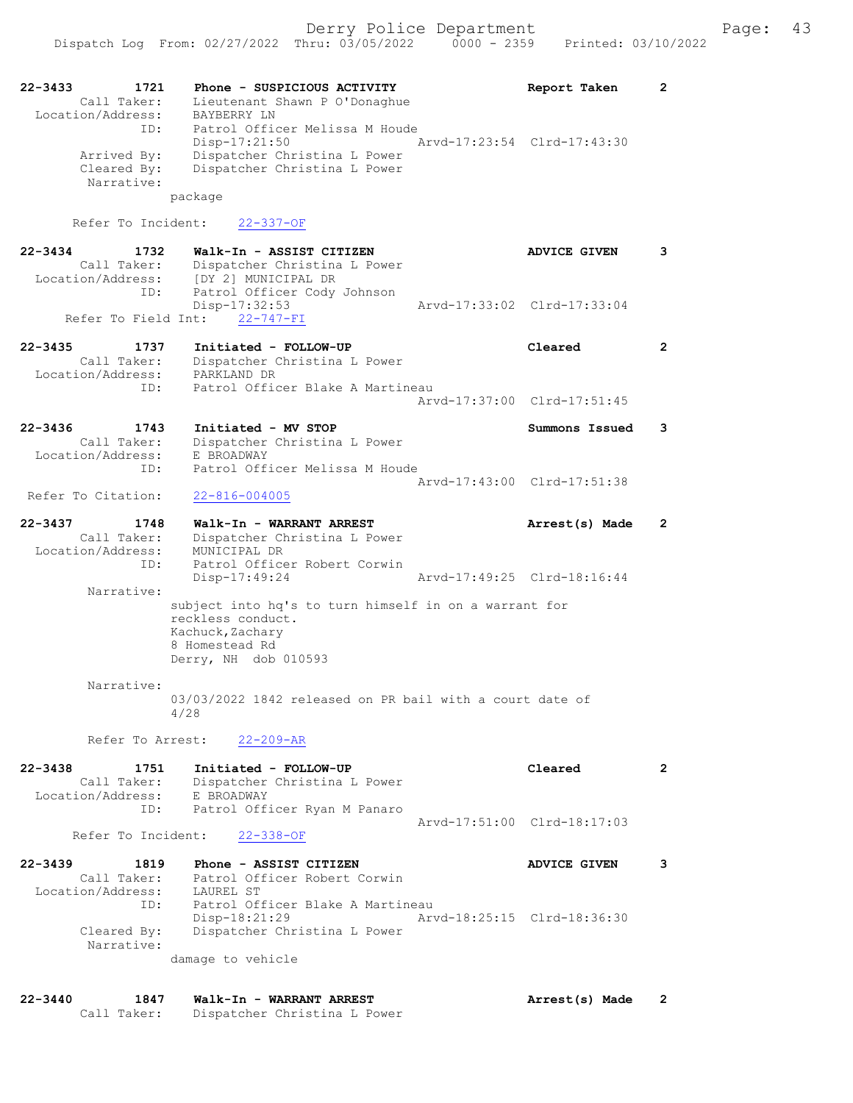| 22-3433<br>1721<br>Call Taker:<br>Location/Address: | Phone - SUSPICIOUS ACTIVITY<br>Lieutenant Shawn P O'Donaghue<br>BAYBERRY LN                                     | Report Taken                | $\mathbf{2}$          |
|-----------------------------------------------------|-----------------------------------------------------------------------------------------------------------------|-----------------------------|-----------------------|
| ID:<br>Arrived By:<br>Cleared By:                   | Patrol Officer Melissa M Houde<br>Disp-17:21:50<br>Dispatcher Christina L Power<br>Dispatcher Christina L Power | Arvd-17:23:54 Clrd-17:43:30 |                       |
| Narrative:                                          | package                                                                                                         |                             |                       |
| Refer To Incident:                                  | $22 - 337 - OF$                                                                                                 |                             |                       |
| $22 - 3434$<br>1732                                 | Walk-In - ASSIST CITIZEN                                                                                        | <b>ADVICE GIVEN</b>         | 3                     |
| Call Taker:<br>ID:                                  | Dispatcher Christina L Power<br>Location/Address: [DY 2] MUNICIPAL DR<br>Patrol Officer Cody Johnson            |                             |                       |
| Refer To Field Int:                                 | Disp-17:32:53<br>$22 - 747 - FI$                                                                                | Arvd-17:33:02 Clrd-17:33:04 |                       |
|                                                     |                                                                                                                 |                             |                       |
| 22-3435<br>1737<br>Call Taker:<br>Location/Address: | Initiated - FOLLOW-UP<br>Dispatcher Christina L Power<br>PARKLAND DR                                            | Cleared                     | $\mathbf{2}$          |
| ID:                                                 | Patrol Officer Blake A Martineau                                                                                | Aryd-17:37:00 Clrd-17:51:45 |                       |
| 1743<br>22-3436                                     | Initiated - MV STOP                                                                                             | Summons Issued              | 3                     |
| Call Taker:<br>Location/Address:                    | Dispatcher Christina L Power<br>E BROADWAY                                                                      |                             |                       |
| ID:                                                 | Patrol Officer Melissa M Houde                                                                                  |                             |                       |
| Refer To Citation:                                  | $22 - 816 - 004005$                                                                                             | Arvd-17:43:00 Clrd-17:51:38 |                       |
| $22 - 3437$<br>1748                                 | Walk-In - WARRANT ARREST                                                                                        | Arrest(s) Made              | $\mathbf{2}^{\prime}$ |
| Call Taker:<br>Location/Address:                    | Dispatcher Christina L Power<br>MUNICIPAL DR                                                                    |                             |                       |
| ID:                                                 | Patrol Officer Robert Corwin<br>Disp-17:49:24                                                                   | Arvd-17:49:25 Clrd-18:16:44 |                       |
| Narrative:                                          |                                                                                                                 |                             |                       |
|                                                     | subject into hq's to turn himself in on a warrant for<br>reckless conduct.                                      |                             |                       |
|                                                     | Kachuck, Zachary<br>8 Homestead Rd                                                                              |                             |                       |
|                                                     | Derry, NH dob 010593                                                                                            |                             |                       |
| Narrative:                                          |                                                                                                                 |                             |                       |
|                                                     | 03/03/2022 1842 released on PR bail with a court date of<br>4/28                                                |                             |                       |
| Refer To Arrest:                                    | $22 - 209 - AR$                                                                                                 |                             |                       |
| $22 - 3438$<br>1751                                 | Initiated - FOLLOW-UP                                                                                           | Cleared                     | $\overline{2}$        |
| Call Taker:<br>Location/Address:                    | Dispatcher Christina L Power<br>E BROADWAY                                                                      |                             |                       |
| ID:                                                 | Patrol Officer Ryan M Panaro                                                                                    |                             |                       |
| Refer To Incident:                                  | $22 - 338 - OF$                                                                                                 | Arvd-17:51:00 Clrd-18:17:03 |                       |
| $22 - 3439$<br>1819                                 | Phone - ASSIST CITIZEN                                                                                          | <b>ADVICE GIVEN</b>         | 3                     |
| Call Taker:<br>Location/Address:                    | Patrol Officer Robert Corwin<br>LAUREL ST                                                                       |                             |                       |
| ID:                                                 | Patrol Officer Blake A Martineau                                                                                |                             |                       |
| Cleared By:                                         | Disp-18:21:29<br>Dispatcher Christina L Power                                                                   | Arvd-18:25:15 Clrd-18:36:30 |                       |
| Narrative:                                          |                                                                                                                 |                             |                       |
|                                                     | damage to vehicle                                                                                               |                             |                       |
|                                                     |                                                                                                                 |                             |                       |

22-3440 1847 Walk-In - WARRANT ARREST Arrest(s) Made 2 Call Taker: Dispatcher Christina L Power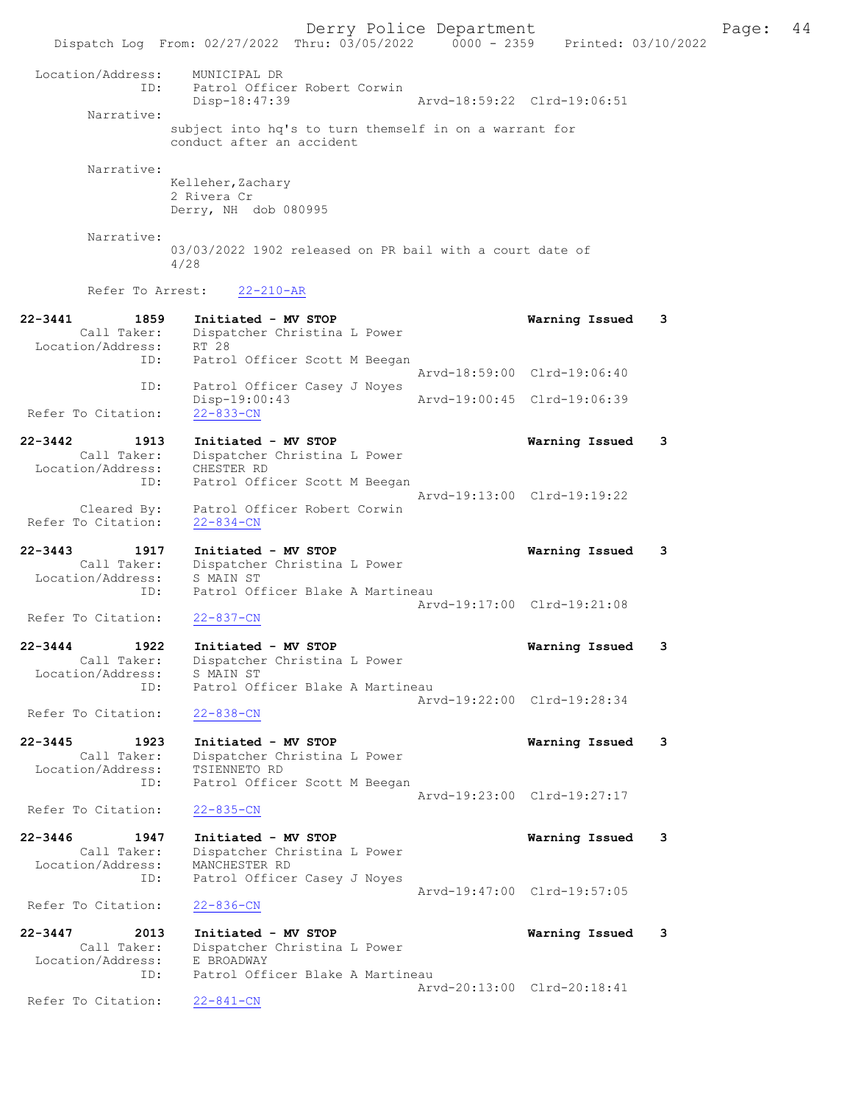Derry Police Department Fage: 44 Dispatch Log From: 02/27/2022 Thru: 03/05/2022 0000 - 2359 Printed: 03/10/2022 Location/Address: MUNICIPAL DR<br>ID: Patrol Officer<br>Disp-18:47:39 Patrol Officer Robert Corwin Disp-18:47:39 Arvd-18:59:22 Clrd-19:06:51 Narrative: subject into hq's to turn themself in on a warrant for conduct after an accident Narrative: Kelleher, Zachary 2 Rivera Cr Derry, NH dob 080995 Narrative: 03/03/2022 1902 released on PR bail with a court date of 4/28 Refer To Arrest: 22-210-AR 22-3441 1859 Initiated - MV STOP Warning Issued 3 Call Taker: Dispatcher Christina L Power Location/Address: RT 28 ID: Patrol Officer Scott M Beegan Arvd-18:59:00 Clrd-19:06:40 ID: Patrol Officer Casey J Noyes<br>Disp-19:00:43 Disp-19:00:43 Arvd-19:00:45 Clrd-19:06:39 Refer To Citation: 22-3442 1913 Initiated - MV STOP Warning Issued 3 Call Taker: Dispatcher Christina L Power Location/Address: CHESTER RD ID: Patrol Officer Scott M Beegan Arvd-19:13:00 Clrd-19:19:22 Cleared By: Patrol Officer Robert Corwin Refer To Citation: 22-834-CN 22-3443 1917 Initiated - MV STOP Warning Issued 3 Call Taker: Dispatcher Christina L Power Location/Address: S MAIN ST ID: Patrol Officer Blake A Martineau Arvd-19:17:00 Clrd-19:21:08<br>22-837-CN Refer To Citation: 22-3444 1922 Initiated - MV STOP Warning Issued 3 Call Taker: Dispatcher Christina L Power Location/Address: S MAIN ST ID: Patrol Officer Blake A Martineau Arvd-19:22:00 Clrd-19:28:34 Refer To Citation: 22-838-CN 22-3445 1923 Initiated - MV STOP Warning Issued 3 Call Taker: Dispatcher Christina L Power Location/Address: TSIENNETO RD ID: Patrol Officer Scott M Beegan Arvd-19:23:00 Clrd-19:27:17<br>22-835-CN Refer To Citation: 22-3446 1947 Initiated - MV STOP Warning Issued 3 Call Taker: Dispatcher Christina L Power Location/Address: MANCHESTER RD ID: Patrol Officer Casey J Noyes Arvd-19:47:00 Clrd-19:57:05<br>22-836-CN Refer To Citation: 22-3447 2013 Initiated - MV STOP Warning Issued 3 Call Taker: Dispatcher Christina L Power Location/Address: E BROADWAY ID: Patrol Officer Blake A Martineau Arvd-20:13:00 Clrd-20:18:41 Refer To Citation: 22-841-CN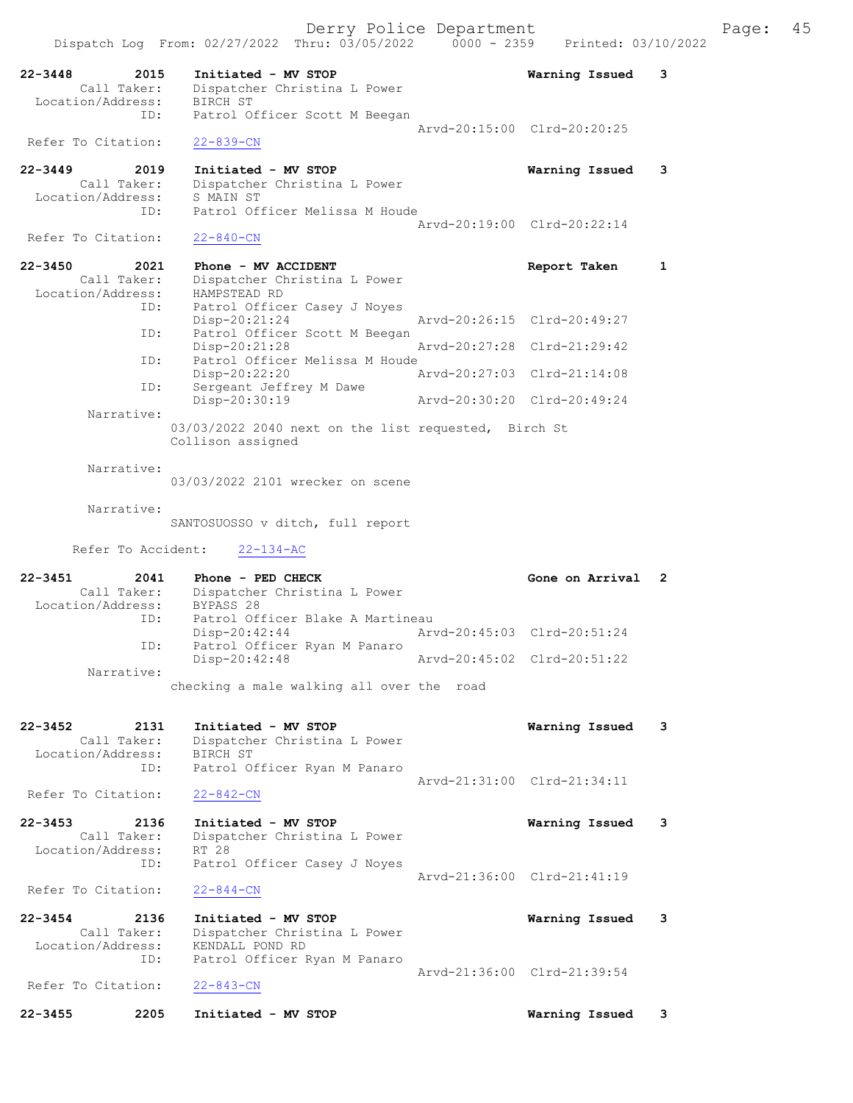|                                                         | Dispatch Log From: 02/27/2022 Thru: 03/05/2022                            | $0000 - 2359$ | Printed: 03/10/2022         |   |
|---------------------------------------------------------|---------------------------------------------------------------------------|---------------|-----------------------------|---|
| $22 - 3448$<br>2015<br>Call Taker:<br>Location/Address: | Initiated - MV STOP<br>Dispatcher Christina L Power<br>BIRCH ST           |               | Warning Issued              | 3 |
| ID:                                                     | Patrol Officer Scott M Beegan                                             |               |                             |   |
| Refer To Citation:                                      | $22 - 839 - CN$                                                           |               | Arvd-20:15:00 Clrd-20:20:25 |   |
| $22 - 3449$<br>2019<br>Call Taker:                      | Initiated - MV STOP<br>Dispatcher Christina L Power<br>S MAIN ST          |               | Warning Issued              | 3 |
| Location/Address:<br>ID:                                | Patrol Officer Melissa M Houde                                            |               |                             |   |
| Refer To Citation:                                      | $22 - 840 - CN$                                                           |               | Aryd-20:19:00 Clrd-20:22:14 |   |
| 2021<br>$22 - 3450$                                     | Phone - MV ACCIDENT                                                       |               | Report Taken                | 1 |
| Call Taker:<br>Location/Address:                        | Dispatcher Christina L Power<br>HAMPSTEAD RD                              |               |                             |   |
| ID:                                                     | Patrol Officer Casey J Noyes                                              |               |                             |   |
| ID:                                                     | Disp-20:21:24<br>Patrol Officer Scott M Beegan                            |               | Aryd-20:26:15 Clrd-20:49:27 |   |
| ID:                                                     | $Disp-20:21:28$<br>Patrol Officer Melissa M Houde                         |               | Arvd-20:27:28 Clrd-21:29:42 |   |
|                                                         | $Disp-20:22:20$                                                           |               | Arvd-20:27:03 Clrd-21:14:08 |   |
| ID:                                                     | Sergeant Jeffrey M Dawe<br>Disp-20:30:19                                  |               | Arvd-20:30:20 Clrd-20:49:24 |   |
| Narrative:                                              |                                                                           |               |                             |   |
|                                                         | 03/03/2022 2040 next on the list requested, Birch St<br>Collison assigned |               |                             |   |
| Narrative:                                              |                                                                           |               |                             |   |
|                                                         | 03/03/2022 2101 wrecker on scene                                          |               |                             |   |
| Narrative:                                              | SANTOSUOSSO v ditch, full report                                          |               |                             |   |
|                                                         |                                                                           |               |                             |   |
| Refer To Accident:                                      | $22 - 134 - AC$                                                           |               |                             |   |
| $22 - 3451$<br>2041                                     | Phone - PED CHECK                                                         |               | Gone on Arrival             | 2 |
| Location/Address:                                       | Call Taker: Dispatcher Christina L Power<br>BYPASS 28                     |               |                             |   |
| ID:                                                     | Patrol Officer Blake A Martineau<br>Disp-20:42:44                         |               | Arvd-20:45:03 Clrd-20:51:24 |   |
| ID:                                                     | Patrol Officer Ryan M Panaro<br>Disp-20:42:48                             | Arvd-20:45:02 | Clrd-20:51:22               |   |
| Narrative:                                              |                                                                           |               |                             |   |
|                                                         | checking a male walking all over the road                                 |               |                             |   |
| 22-3452<br>2131                                         | Initiated - MV STOP                                                       |               | Warning Issued              | 3 |
| Call Taker:                                             | Dispatcher Christina L Power                                              |               |                             |   |
| Location/Address:<br>ID:                                | BIRCH ST<br>Patrol Officer Ryan M Panaro                                  |               |                             |   |
| Refer To Citation:                                      | $22 - 842 - CN$                                                           |               | Arvd-21:31:00 Clrd-21:34:11 |   |
| $22 - 3453$<br>2136                                     | Initiated - MV STOP                                                       |               | Warning Issued              | 3 |
| Call Taker:<br>Location/Address:                        | Dispatcher Christina L Power<br>RT 28                                     |               |                             |   |
| ID:                                                     | Patrol Officer Casey J Noyes                                              |               |                             |   |
| Refer To Citation:                                      | $22 - 844 - CN$                                                           |               | Arvd-21:36:00 Clrd-21:41:19 |   |
| $22 - 3454$<br>2136                                     | Initiated - MV STOP                                                       |               | Warning Issued              | 3 |
| Call Taker:<br>Location/Address:                        | Dispatcher Christina L Power<br>KENDALL POND RD                           |               |                             |   |
| ID:                                                     | Patrol Officer Ryan M Panaro                                              |               |                             |   |
| Refer To Citation:                                      | $22 - 843 - CN$                                                           |               | Arvd-21:36:00 Clrd-21:39:54 |   |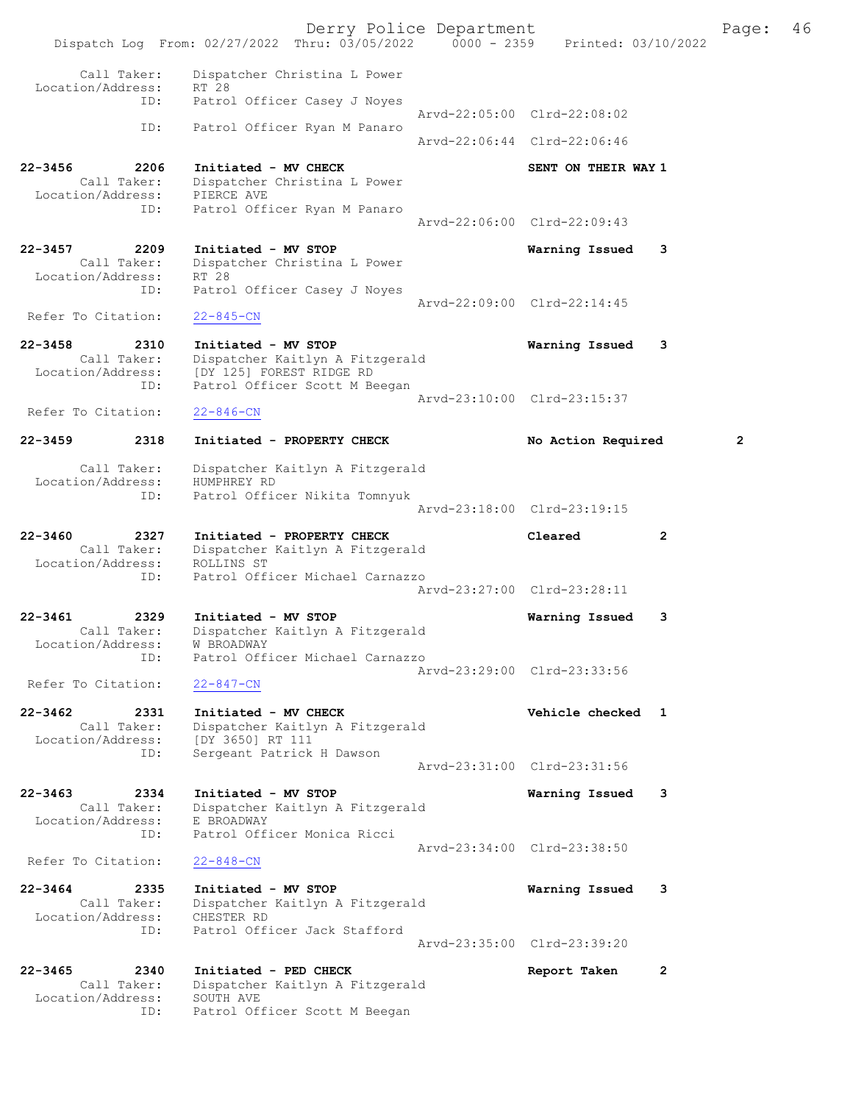Derry Police Department Fage: 46 Dispatch Log From: 02/27/2022 Thru: 03/05/2022 0000 - 2359 Printed: 03/10/2022 Call Taker: Dispatcher Christina L Power Location/Address: RT 28 ID: Patrol Officer Casey J Noyes Arvd-22:05:00 Clrd-22:08:02 ID: Patrol Officer Ryan M Panaro Arvd-22:06:44 Clrd-22:06:46 22-3456 2206 Initiated - MV CHECK SENT ON THEIR WAY 1 Call Taker: Dispatcher Christina L Power Location/Address: PIERCE AVE ID: Patrol Officer Ryan M Panaro Arvd-22:06:00 Clrd-22:09:43 22-3457 2209 Initiated - MV STOP Warning Issued 3 Call Taker: Dispatcher Christina L Power Location/Address: RT 28 ID: Patrol Officer Casey J Noyes Arvd-22:09:00 Clrd-22:14:45 Refer To Citation: 22-845-CN 22-3458 2310 Initiated - MV STOP Warning Issued 3 Call Taker: Dispatcher Kaitlyn A Fitzgerald Location/Address: [DY 125] FOREST RIDGE RD ID: Patrol Officer Scott M Beegan Arvd-23:10:00 Clrd-23:15:37<br>22-846-CN Refer To Citation: 22-3459 2318 Initiated - PROPERTY CHECK No Action Required 2 Call Taker: Dispatcher Kaitlyn A Fitzgerald Location/Address: HUMPHREY RD ID: Patrol Officer Nikita Tomnyuk Arvd-23:18:00 Clrd-23:19:15 22-3460 2327 Initiated - PROPERTY CHECK Cleared 2 Call Taker: Dispatcher Kaitlyn A Fitzgerald Location/Address: ROLLINS ST ID: Patrol Officer Michael Carnazzo Arvd-23:27:00 Clrd-23:28:11 22-3461 2329 Initiated - MV STOP Warning Issued 3 Call Taker: Dispatcher Kaitlyn A Fitzgerald Location/Address: W BROADWAY ID: Patrol Officer Michael Carnazzo Arvd-23:29:00 Clrd-23:33:56 Refer To Citation: 22-847-CN 22-3462 2331 Initiated - MV CHECK Vehicle checked 1 Call Taker: Dispatcher Kaitlyn A Fitzgerald Location/Address: [DY 3650] RT 111 ID: Sergeant Patrick H Dawson Arvd-23:31:00 Clrd-23:31:56 22-3463 2334 Initiated - MV STOP Warning Issued 3 Call Taker: Dispatcher Kaitlyn A Fitzgerald Location/Address: E BROADWAY ID: Patrol Officer Monica Ricci Arvd-23:34:00 Clrd-23:38:50 Refer To Citation: 22-848-CN 22-3464 2335 Initiated - MV STOP Warning Issued 3 Call Taker: Dispatcher Kaitlyn A Fitzgerald Location/Address: CHESTER RD ID: Patrol Officer Jack Stafford Arvd-23:35:00 Clrd-23:39:20 22-3465 2340 Initiated - PED CHECK Report Taken 2 Call Taker: Dispatcher Kaitlyn A Fitzgerald Location/Address: SOUTH AVE ID: Patrol Officer Scott M Beegan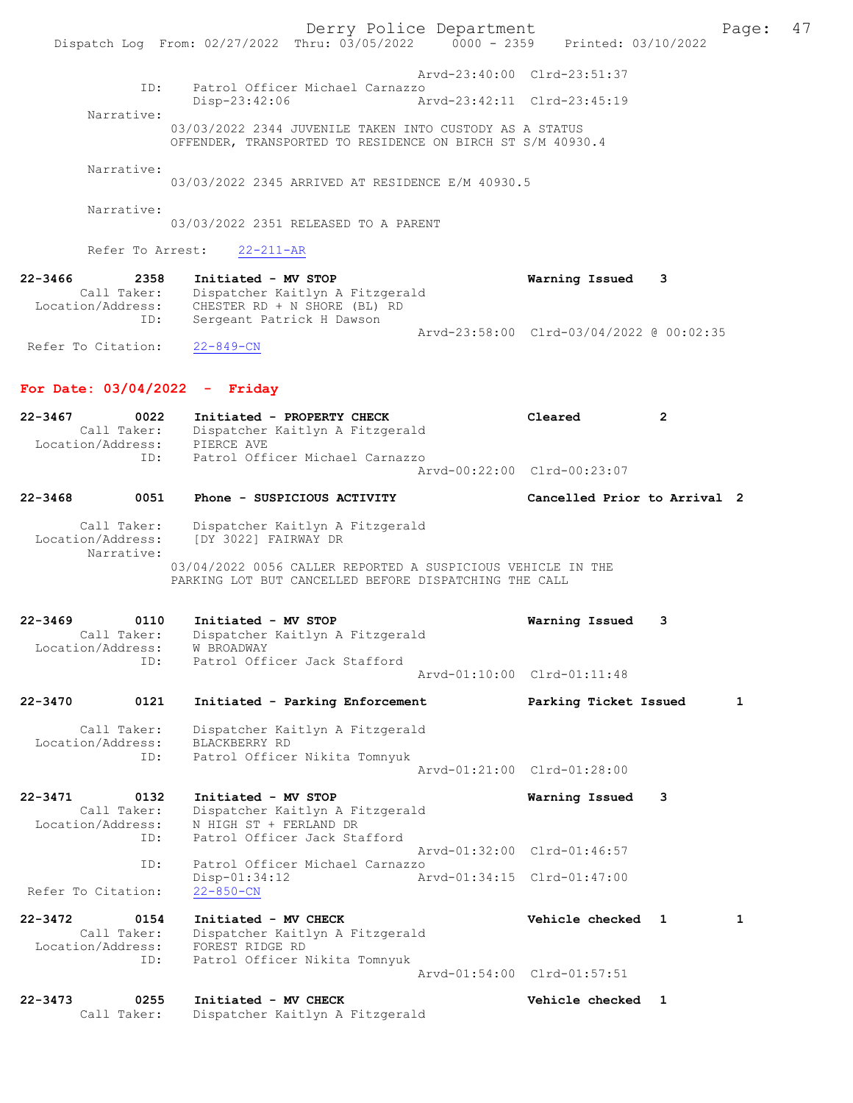Derry Police Department Fage: 47 Dispatch Log From: 02/27/2022 Thru: 03/05/2022 0000 - 2359 Printed: 03/10/2022 Arvd-23:40:00 Clrd-23:51:37<br>ID: Patrol Officer Michael Carnazzo ID: Patrol Officer Michael Carnazzo Disp-23:42:06 Arvd-23:42:11 Clrd-23:45:19 Narrative: 03/03/2022 2344 JUVENILE TAKEN INTO CUSTODY AS A STATUS OFFENDER, TRANSPORTED TO RESIDENCE ON BIRCH ST S/M 40930.4 Narrative: 03/03/2022 2345 ARRIVED AT RESIDENCE E/M 40930.5 Narrative: 03/03/2022 2351 RELEASED TO A PARENT Refer To Arrest: 22-211-AR 22-3466 2358 Initiated - MV STOP Warning Issued 3 Call Taker: Dispatcher Kaitlyn A Fitzgerald Location/Address: CHESTER RD + N SHORE (BL) RD ID: Sergeant Patrick H Dawson Arvd-23:58:00 Clrd-03/04/2022 @ 00:02:35 Refer To Citation: 22-849-CN For Date: 03/04/2022 - Friday 22-3467 0022 Initiated - PROPERTY CHECK Cleared 2 Call Taker: Dispatcher Kaitlyn A Fitzgerald Location/Address: PIERCE AVE ID: Patrol Officer Michael Carnazzo Arvd-00:22:00 Clrd-00:23:07 22-3468 0051 Phone - SUSPICIOUS ACTIVITY Cancelled Prior to Arrival 2 Call Taker: Dispatcher Kaitlyn A Fitzgerald Location/Address: [DY 3022] FAIRWAY DR Narrative: 03/04/2022 0056 CALLER REPORTED A SUSPICIOUS VEHICLE IN THE PARKING LOT BUT CANCELLED BEFORE DISPATCHING THE CALL 22-3469 0110 Initiated - MV STOP Warning Issued 3 Call Taker: Dispatcher Kaitlyn A Fitzgerald Location/Address: W BROADWAY ID: Patrol Officer Jack Stafford Arvd-01:10:00 Clrd-01:11:48 22-3470 0121 Initiated - Parking Enforcement Parking Ticket Issued 1 Call Taker: Dispatcher Kaitlyn A Fitzgerald Location/Address: BLACKBERRY RD ID: Patrol Officer Nikita Tomnyuk Arvd-01:21:00 Clrd-01:28:00 22-3471 0132 Initiated - MV STOP Warning Issued 3 Call Taker: Dispatcher Kaitlyn A Fitzgerald Location/Address: N HIGH ST + FERLAND DR ID: Patrol Officer Jack Stafford Arvd-01:32:00 Clrd-01:46:57<br>TD: Patrol Officer Michael Carnazzo Patrol Officer Michael Carnazzo Disp-01:34:12 Arvd-01:34:15 Clrd-01:47:00 Refer To Citation: 22-3472 0154 Initiated - MV CHECK Vehicle checked 1 1 Call Taker: Dispatcher Kaitlyn A Fitzgerald Call Taker: Dispatcher Kaitl<br>Location/Address: FOREST RIDGE RD ID: Patrol Officer Nikita Tomnyuk Arvd-01:54:00 Clrd-01:57:51 22-3473 0255 Initiated - MV CHECK Vehicle checked 1 Call Taker: Dispatcher Kaitlyn A Fitzgerald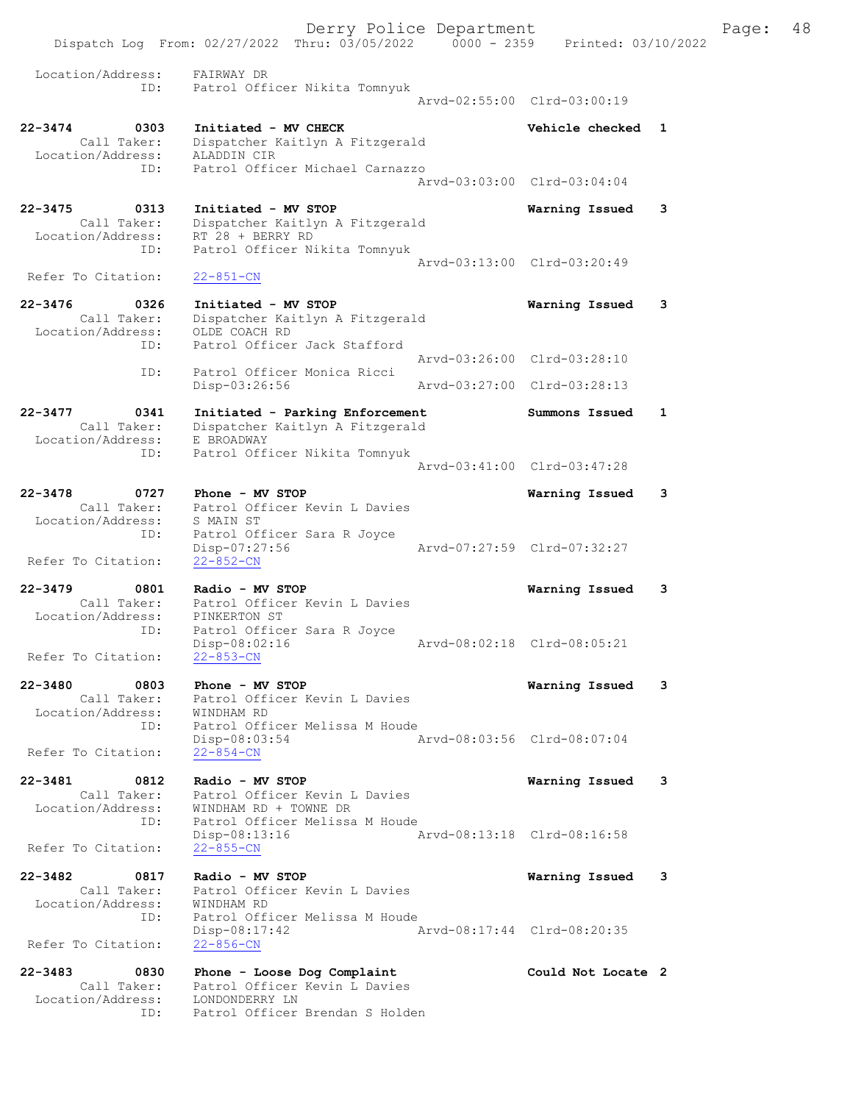Derry Police Department Fage: 48 Dispatch Log From: 02/27/2022 Thru: 03/05/2022 0000 - 2359 Printed: 03/10/2022 Location/Address: FAIRWAY DR ID: Patrol Officer Nikita Tomnyuk Arvd-02:55:00 Clrd-03:00:19 22-3474 0303 Initiated - MV CHECK Vehicle checked 1 Call Taker: Dispatcher Kaitlyn A Fitzgerald Location/Address: ALADDIN CIR ID: Patrol Officer Michael Carnazzo Arvd-03:03:00 Clrd-03:04:04 22-3475 0313 Initiated - MV STOP Warning Issued 3 Call Taker: Dispatcher Kaitlyn A Fitzgerald Location/Address: RT 28 + BERRY RD ID: Patrol Officer Nikita Tomnyuk Arvd-03:13:00 Clrd-03:20:49 Refer To Citation: 22-851-CN 22-3476 0326 Initiated - MV STOP Warning Issued 3 Call Taker: Dispatcher Kaitlyn A Fitzgerald Location/Address: OLDE COACH RD ID: Patrol Officer Jack Stafford Arvd-03:26:00 Clrd-03:28:10 ID: Patrol Officer Monica Ricci Disp-03:26:56 Arvd-03:27:00 Clrd-03:28:13 22-3477 0341 Initiated - Parking Enforcement Summons Issued 1 Call Taker: Dispatcher Kaitlyn A Fitzgerald Location/Address: E BROADWAY ID: Patrol Officer Nikita Tomnyuk Arvd-03:41:00 Clrd-03:47:28 22-3478 0727 Phone - MV STOP Warning Issued 3 Call Taker: Patrol Officer Kevin L Davies Location/Address: S MAIN ST ID: Patrol Officer Sara R Joyce Disp-07:27:56 Arvd-07:27:59 Clrd-07:32:27 Refer To Citation: 22-852-CN 22-3479 0801 Radio - MV STOP Warning Issued 3 Call Taker: Patrol Officer Kevin L Davies Location/Address: PINKERTON ST ID: Patrol Officer Sara R Joyce Disp-08:02:16 Arvd-08:02:18 Clrd-08:05:21 Refer To Citation: 22-853-CN 22-3480 0803 Phone - MV STOP Warning Issued 3 Call Taker: Patrol Officer Kevin L Davies Location/Address: WINDHAM RD ID: Patrol Officer Melissa M Houde Disp-08:03:54 Arvd-08:03:56 Clrd-08:07:04 Refer To Citation: 22-854-CN 22-3481 0812 Radio - MV STOP Warning Issued 3 Call Taker: Patrol Officer Kevin L Davies Location/Address: WINDHAM RD + TOWNE DR ID: Patrol Officer Melissa M Houde Disp-08:13:16 Arvd-08:13:18 Clrd-08:16:58 Refer To Citation: 22-855-CN 22-3482 0817 Radio - MV STOP Warning Issued 3 Call Taker: Patrol Officer Kevin L Davies Location/Address: WINDHAM RD ID: Patrol Officer Melissa M Houde Disp-08:17:42 Arvd-08:17:44 Clrd-08:20:35 Refer To Citation: 22-856-CN 22-3483 0830 Phone - Loose Dog Complaint Could Not Locate 2 Call Taker: Patrol Officer Kevin L Davies Location/Address: LONDONDERRY LN ID: Patrol Officer Brendan S Holden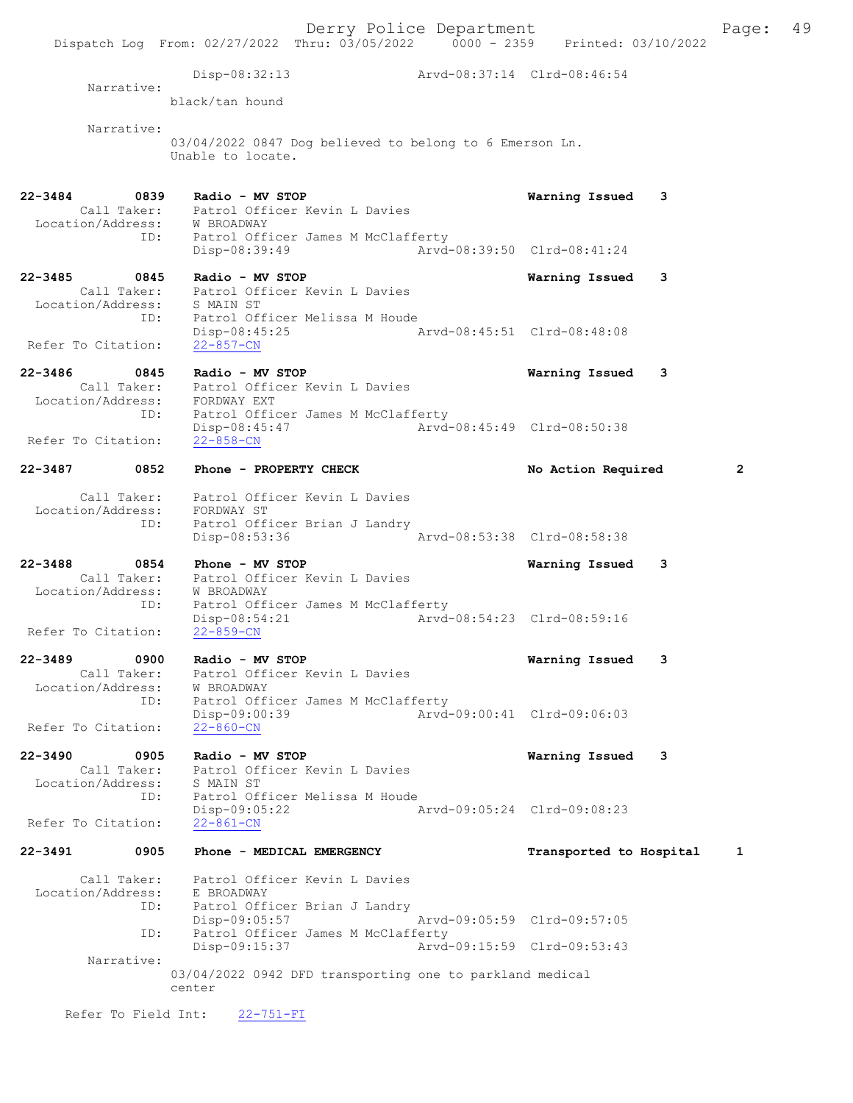Derry Police Department Fage: 49 Dispatch Log From: 02/27/2022 Thru: 03/05/2022 0000 - 2359 Printed: 03/10/2022 Disp-08:32:13 Arvd-08:37:14 Clrd-08:46:54 Narrative: black/tan hound Narrative: 03/04/2022 0847 Dog believed to belong to 6 Emerson Ln. Unable to locate. 22-3484 0839 Radio - MV STOP Warning Issued 3 Call Taker: Patrol Officer Kevin L Davies Location/Address: W BROADWAY ID: Patrol Officer James M McClafferty Disp-08:39:49 Arvd-08:39:50 Clrd-08:41:24 22-3485 0845 Radio - MV STOP Warning Issued 3 Call Taker: Patrol Officer Kevin L Davies Location/Address: S MAIN ST ID: Patrol Officer Melissa M Houde Disp-08:45:25 Arvd-08:45:51 Clrd-08:48:08 Refer To Citation: 22-857-CN 22-3486 0845 Radio - MV STOP Warning Issued 3 Call Taker: Patrol Officer Kevin L Davies Location/Address: FORDWAY EXT ID: Patrol Officer James M McClafferty Disp-08:45:47 Arvd-08:45:49 Clrd-08:50:38 Refer To Citation: 22-3487 0852 Phone - PROPERTY CHECK No Action Required 2 Call Taker: Patrol Officer Kevin L Davies Location/Address: FORDWAY ST<br>ID: Patrol Offi ID: Patrol Officer Brian J Landry Disp-08:53:36 22-3488 0854 Phone - MV STOP Warning Issued 3 Call Taker: Patrol Officer Kevin L Davies Location/Address: W BROADWAY ID: Patrol Officer James M McClafferty Disp-08:54:21 Arvd-08:54:23 Clrd-08:59:16 Refer To Citation: 22-3489 0900 Radio - MV STOP Warning Issued 3 Call Taker: Patrol Officer Kevin L Davies Location/Address: W BROADWAY ID: Patrol Officer James M McClafferty Disp-09:00:39 Arvd-09:00:41 Clrd-09:06:03 Refer To Citation: 22-860-CN 22-3490 0905 Radio - MV STOP Warning Issued 3 Call Taker: Patrol Officer Kevin L Davies Location/Address: S MAIN ST ID: Patrol Officer Melissa M Houde<br>Disp-09:05:22 / Disp-09:05:22 Arvd-09:05:24 Clrd-09:08:23 Refer To Citation: 22-3491 0905 Phone - MEDICAL EMERGENCY Transported to Hospital 1 Call Taker: Patrol Officer Kevin L Davies Location/Address: E BROADWAY ID: Patrol Officer Brian J Landry Disp-09:05:57 Arvd-09:05:59 Clrd-09:57:05 ID: Patrol Officer James M McClafferty Disp-09:15:37 Arvd-09:15:59 Clrd-09:53:43 Narrative: 03/04/2022 0942 DFD transporting one to parkland medical center

Refer To Field Int: 22-751-FI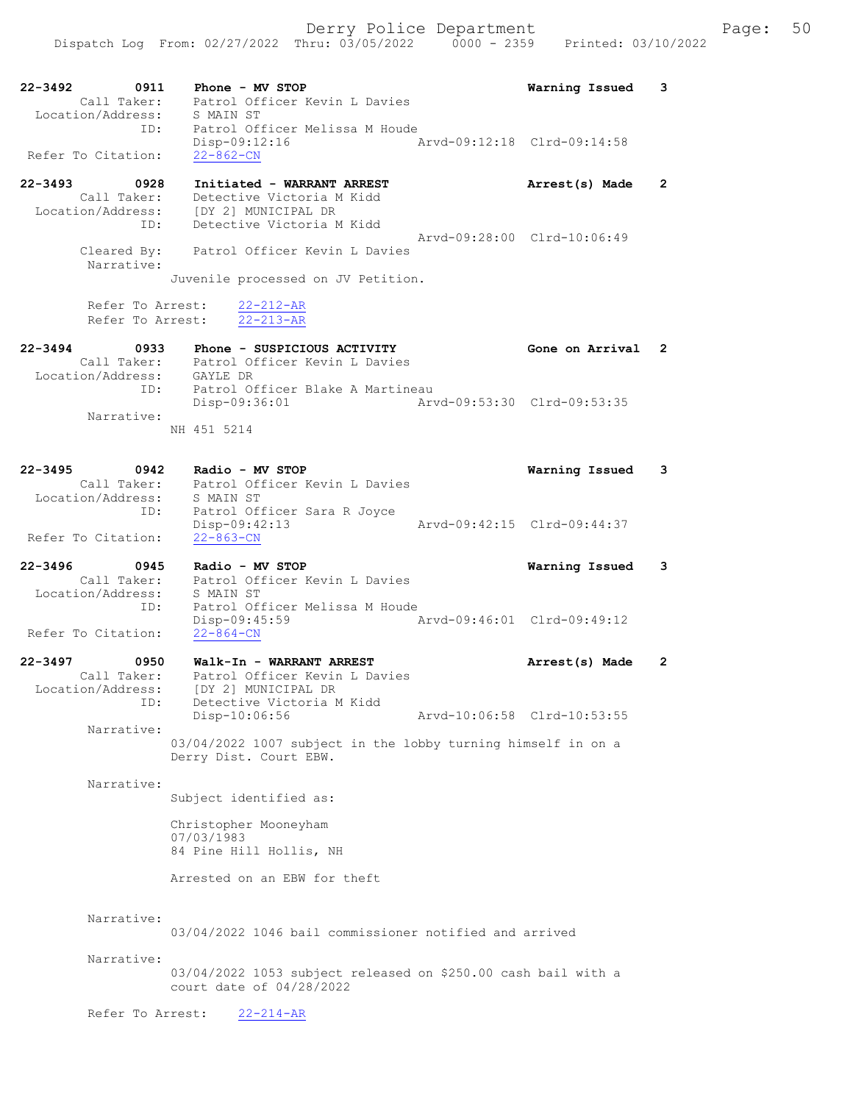22-3492 0911 Phone - MV STOP Warning Issued 3 Call Taker: Patrol Officer Kevin L Davies Location/Address: S MAIN ST ID: Patrol Officer Melissa M Houde Disp-09:12:16 Arvd-09:12:18 Clrd-09:14:58 Refer To Citation: 22-862-CN 22-3493 0928 Initiated - WARRANT ARREST Arrest(s) Made 2 Call Taker: Detective Victoria M Kidd Location/Address: [DY 2] MUNICIPAL DR ID: Detective Victoria M Kidd Arvd-09:28:00 Clrd-10:06:49 Cleared By: Patrol Officer Kevin L Davies Narrative: Juvenile processed on JV Petition. Refer To Arrest:  $\frac{22-212-AR}{22-213-AR}$ Refer To Arrest: 22-3494 0933 Phone - SUSPICIOUS ACTIVITY Gone on Arrival 2 Call Taker: Patrol Officer Kevin L Davies Location/Address: GAYLE DR ID: Patrol Officer Blake A Martineau Disp-09:36:01 Arvd-09:53:30 Clrd-09:53:35 Narrative: NH 451 5214 22-3495 0942 Radio - MV STOP Warning Issued 3 Call Taker: Patrol Officer Kevin L Davies Location/Address: S MAIN ST ID: Patrol Officer Sara R Joyce Disp-09:42:13 Arvd-09:42:15 Clrd-09:44:37 Refer To Citation: 22-863-CN 22-3496 0945 Radio - MV STOP Warning Issued 3 Call Taker: Patrol Officer Kevin L Davies Location/Address: S MAIN ST ID: Patrol Officer Melissa M Houde<br>Disp-09:45:59 Disp-09:45:59 Arvd-09:46:01 Clrd-09:49:12 Refer To Citation: 22-3497 0950 Walk-In - WARRANT ARREST Arrest(s) Made 2 Call Taker: Patrol Officer Kevin L Davies Location/Address: [DY 2] MUNICIPAL DR ID: Detective Victoria M Kidd Arvd-10:06:58 Clrd-10:53:55 Narrative: 03/04/2022 1007 subject in the lobby turning himself in on a Derry Dist. Court EBW. Narrative: Subject identified as: Christopher Mooneyham 07/03/1983 84 Pine Hill Hollis, NH Arrested on an EBW for theft Narrative: 03/04/2022 1046 bail commissioner notified and arrived Narrative: 03/04/2022 1053 subject released on \$250.00 cash bail with a court date of 04/28/2022 Refer To Arrest: 22-214-AR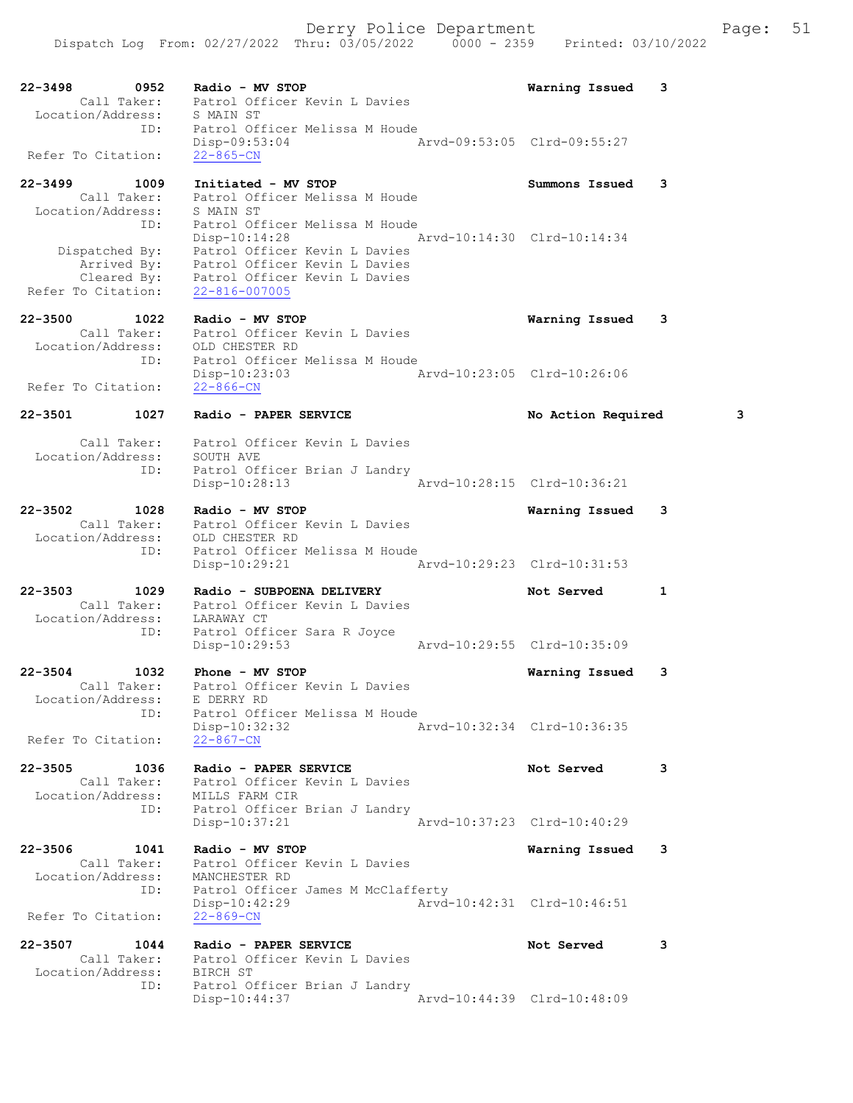22-3498 0952 Radio - MV STOP Warning Issued 3 Call Taker: Patrol Officer Kevin L Davies Location/Address: S MAIN ST ID: Patrol Officer Melissa M Houde Disp-09:53:04 Arvd-09:53:05 Clrd-09:55:27 Refer To Citation: 22-865-CN 22-3499 1009 Initiated - MV STOP Summons Issued 3 Call Taker: Patrol Officer Melissa M Houde Location/Address: S MAIN ST ID: Patrol Officer Melissa M Houde Disp-10:14:28 Arvd-10:14:30 Clrd-10:14:34 Dispatched By: Patrol Officer Kevin L Davies Arrived By: Patrol Officer Kevin L Davies Cleared By: Patrol Officer Kevin L Davies Refer To Citation: 22-816-007005 22-3500 1022 Radio - MV STOP Warning Issued 3 Call Taker: Patrol Officer Kevin L Davies Location/Address: OLD CHESTER RD ID: Patrol Officer Melissa M Houde Disp-10:23:03 Arvd-10:23:05 Clrd-10:26:06 Refer To Citation: 22-866-CN 22-3501 1027 Radio - PAPER SERVICE No Action Required 3 Call Taker: Patrol Officer Kevin L Davies Location/Address: SOUTH AVE ID: Patrol Officer Brian J Landry Disp-10:28:13 Arvd-10:28:15 Clrd-10:36:21 22-3502 1028 Radio - MV STOP Warning Issued 3 Call Taker: Patrol Officer Kevin L Davies Location/Address: OLD CHESTER RD ID: Patrol Officer Melissa M Houde Disp-10:29:21 Arvd-10:29:23 Clrd-10:31:53 22-3503 1029 Radio - SUBPOENA DELIVERY Not Served 1 Call Taker: Patrol Officer Kevin L Davies Location/Address: LARAWAY CT ID: Patrol Officer Sara R Joyce Disp-10:29:53 Arvd-10:29:55 Clrd-10:35:09 22-3504 1032 Phone - MV STOP Warning Issued 3 Call Taker: Patrol Officer Kevin L Davies Location/Address: E DERRY RD ID: Patrol Officer Melissa M Houde Disp-10:32:32 Arvd-10:32:34 Clrd-10:36:35 Refer To Citation: 22-867-CN 22-3505 1036 Radio - PAPER SERVICE Not Served 3 Call Taker: Patrol Officer Kevin L Davies Location/Address: MILLS FARM CIR ID: Patrol Officer Brian J Landry Disp-10:37:21 Arvd-10:37:23 Clrd-10:40:29 22-3506 1041 Radio - MV STOP Warning Issued 3 Call Taker: Patrol Officer Kevin L Davies Location/Address: MANCHESTER RD ID: Patrol Officer James M McClafferty Disp-10:42:29 Arvd-10:42:31 Clrd-10:46:51 Refer To Citation: 22-869-CN 22-3507 1044 Radio - PAPER SERVICE Not Served 3 Call Taker: Patrol Officer Kevin L Davies

 Location/Address: BIRCH ST ID: Patrol Officer Brian J Landry Disp-10:44:37 Arvd-10:44:39 Clrd-10:48:09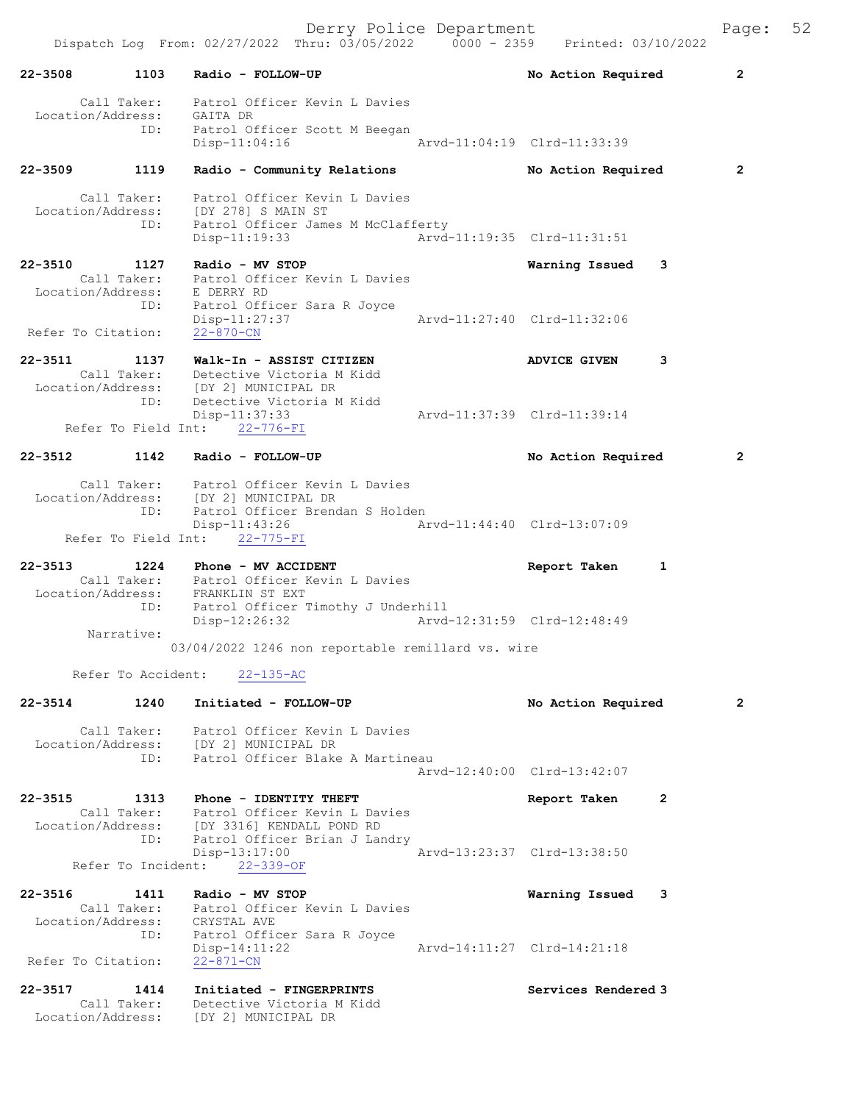Derry Police Department Fage: 52

 Dispatch Log From: 02/27/2022 Thru: 03/05/2022 0000 - 2359 Printed: 03/10/2022 22-3508 1103 Radio - FOLLOW-UP No Action Required 2 Call Taker: Patrol Officer Kevin L Davies Location/Address: GAITA DR ID: Patrol Officer Scott M Beegan Disp-11:04:16 Arvd-11:04:19 Clrd-11:33:39 22-3509 1119 Radio - Community Relations No Action Required 2 Call Taker: Patrol Officer Kevin L Davies Location/Address: [DY 278] S MAIN ST ID: Patrol Officer James M McClafferty Disp-11:19:33 Arvd-11:19:35 Clrd-11:31:51 22-3510 1127 Radio - MV STOP Warning Issued 3 Call Taker: Patrol Officer Kevin L Davies Location/Address: E DERRY RD ID: Patrol Officer Sara R Joyce Disp-11:27:37 Arvd-11:27:40 Clrd-11:32:06 Refer To Citation: 22-870-CN 22-3511 1137 Walk-In - ASSIST CITIZEN ADVICE GIVEN 3 Call Taker: Detective Victoria M Kidd Location/Address: [DY 2] MUNICIPAL DR ID: Detective Victoria M Kidd Disp-11:37:33<br>nt: 22-776-FT Arvd-11:37:39 Clrd-11:39:14 Refer To Field Int: 22-776-FI 22-3512 1142 Radio - FOLLOW-UP No Action Required 2 Call Taker: Patrol Officer Kevin L Davies Location/Address: [DY 2] MUNICIPAL DR ID: Patrol Officer Brendan S Holden Disp-11:43:26 Arvd-11:44:40 Clrd-13:07:09 Refer To Field Int: 22-775-FI 22-3513 1224 Phone - MV ACCIDENT Report Taken 1 Call Taker: Patrol Officer Kevin L Davies Location/Address: FRANKLIN ST EXT ID: Patrol Officer Timothy J Underhill Disp-12:26:32 Arvd-12:31:59 Clrd-12:48:49 Narrative: 03/04/2022 1246 non reportable remillard vs. wire Refer To Accident: 22-135-AC 22-3514 1240 Initiated - FOLLOW-UP No Action Required 2 Call Taker: Patrol Officer Kevin L Davies Location/Address: [DY 2] MUNICIPAL DR ID: Patrol Officer Blake A Martineau Arvd-12:40:00 Clrd-13:42:07 22-3515 1313 Phone - IDENTITY THEFT 1997 Report Taken 2 Call Taker: Patrol Officer Kevin L Davies Location/Address: [DY 3316] KENDALL POND RD ID: Patrol Officer Brian J Landry Disp-13:17:00 Arvd-13:23:37 Clrd-13:38:50 Disp-13:17:00<br>Refer To Incident: 22-339-OF 22-3516 1411 Radio - MV STOP Warning Issued 3 Call Taker: Patrol Officer Kevin L Davies Location/Address: CRYSTAL AVE ID: Patrol Officer Sara R Joyce Disp-14:11:22 Arvd-14:11:27 Clrd-14:21:18 Refer To Citation: 22-871-CN 22-3517 1414 Initiated - FINGERPRINTS Services Rendered 3 Call Taker: Detective Victoria M Kidd Location/Address: [DY 2] MUNICIPAL DR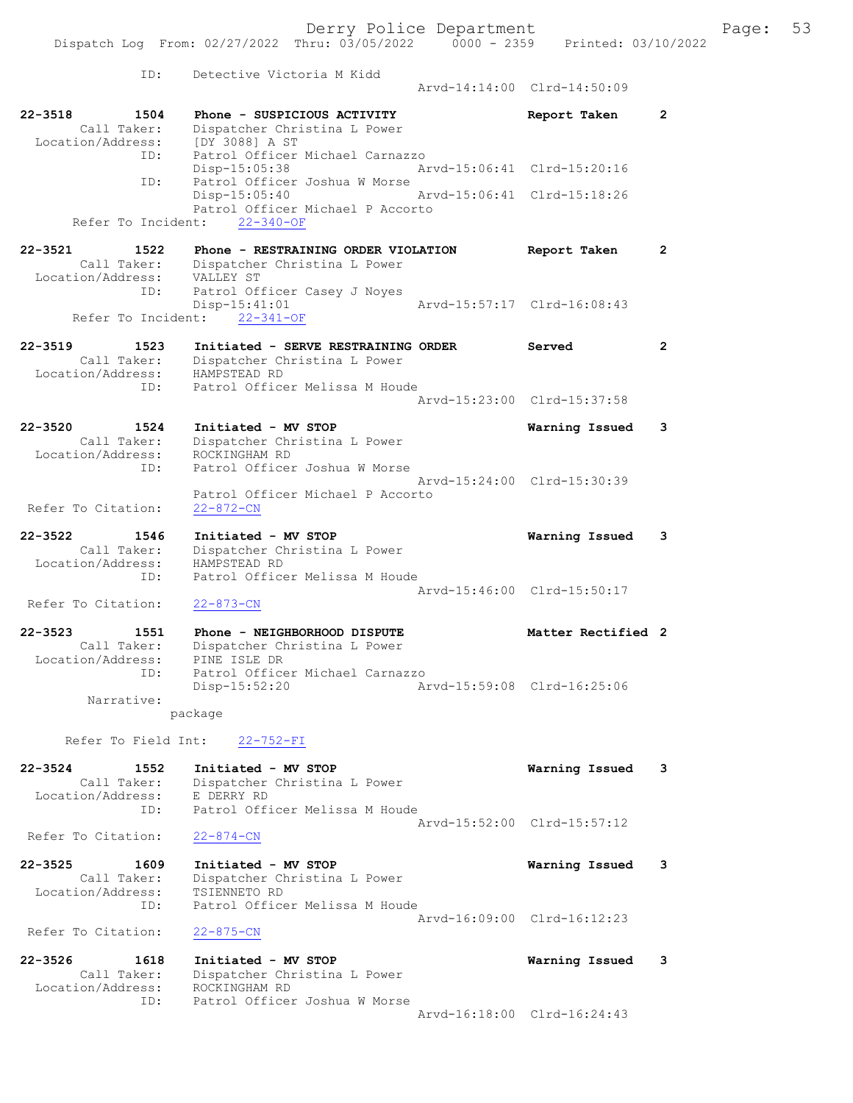ID: Detective Victoria M Kidd Arvd-14:14:00 Clrd-14:50:09 22-3518 1504 Phone - SUSPICIOUS ACTIVITY Report Taken 2 Call Taker: Dispatcher Christina L Power Location/Address: [DY 3088] A ST ID: Patrol Officer Michael Carnazzo Disp-15:05:38 Arvd-15:06:41 Clrd-15:20:16 ID: Patrol Officer Joshua W Morse Disp-15:05:40 Arvd-15:06:41 Clrd-15:18:26 Patrol Officer Michael P Accorto Refer To Incident: 22-340-OF 22-3521 1522 Phone - RESTRAINING ORDER VIOLATION Report Taken 2 Call Taker: Dispatcher Christina L Power Location/Address: VALLEY ST ID: Patrol Officer Casey J Noyes  $Disp-15:41:01$ Refer To Incident: 22-341-OF 22-3519 1523 Initiated - SERVE RESTRAINING ORDER Served 2 Call Taker: Dispatcher Christina L Power Location/Address: HAMPSTEAD RD ID: Patrol Officer Melissa M Houde Arvd-15:23:00 Clrd-15:37:58 22-3520 1524 Initiated - MV STOP Warning Issued 3 Call Taker: Dispatcher Christina L Power Location/Address: ROCKINGHAM RD ID: Patrol Officer Joshua W Morse Arvd-15:24:00 Clrd-15:30:39 Patrol Officer Michael P Accorto Refer To Citation: 22-872-CN 22-3522 1546 Initiated - MV STOP Warning Issued 3 Call Taker: Dispatcher Christina L Power Location/Address: HAMPSTEAD RD ID: Patrol Officer Melissa M Houde Arvd-15:46:00 Clrd-15:50:17 Refer To Citation: 22-873-CN ID: Patrol Officer Michael Carnazzo<br>Disp-15:52:20 Ar Disp-15:52:20 Arvd-15:59:08 Clrd-16:25:06 package 22-3524 1552 Initiated - MV STOP Warning Issued 3 Call Taker: Dispatcher Christina L Power Location/Address: E DERRY RD ID: Patrol Officer Melissa M Houde Arvd-15:52:00 Clrd-15:57:12<br>22-874-CN Refer To Citation: 22-3525 1609 Initiated - MV STOP Warning Issued 3 Call Taker: Dispatcher Christina L Power Location/Address: TSIENNETO RD ID: Patrol Officer Melissa M Houde Arvd-16:09:00 Clrd-16:12:23 Refer To Citation: 22-875-CN 22-3526 1618 Initiated - MV STOP Warning Issued 3 Call Taker: Dispatcher Christina L Power Location/Address: ROCKINGHAM RD ID: Patrol Officer Joshua W Morse

Arvd-16:18:00 Clrd-16:24:43

22-3523 1551 Phone - NEIGHBORHOOD DISPUTE 1988 Matter Rectified 2 Call Taker: Dispatcher Christina L Power Location/Address: PINE ISLE DR Narrative:

Refer To Field Int: 22-752-FI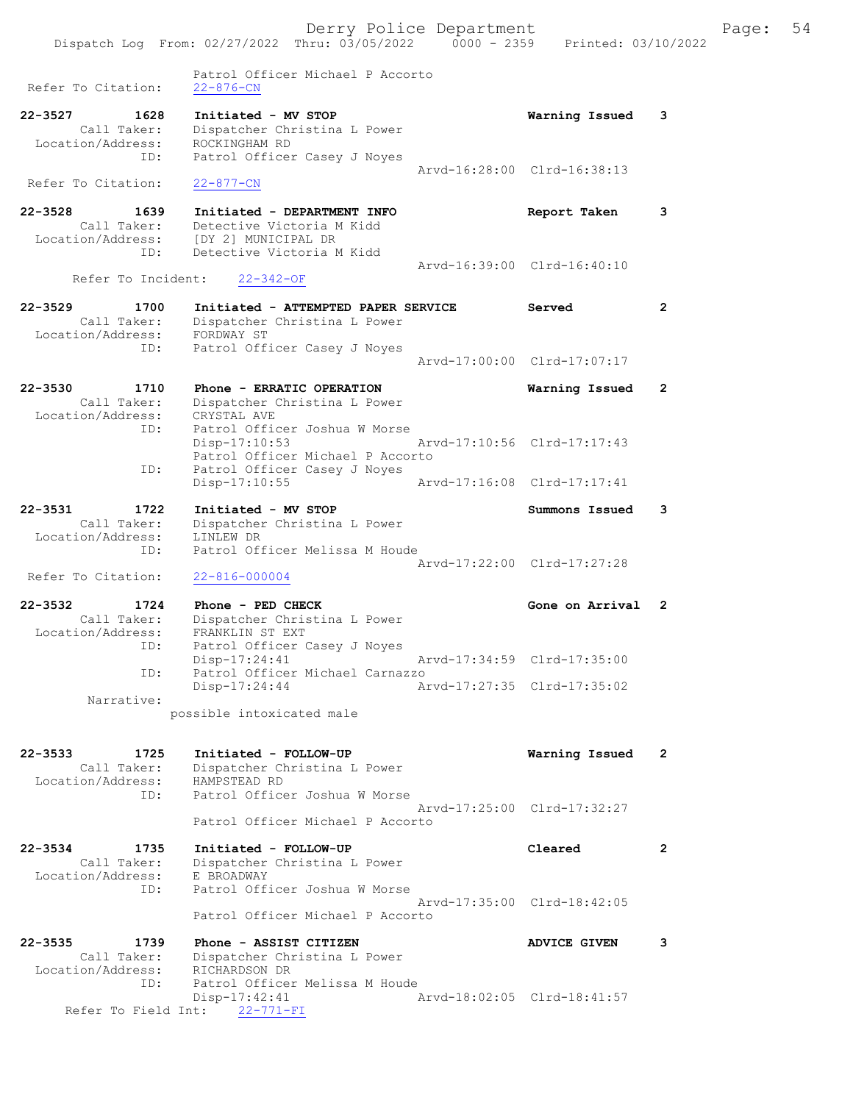Patrol Officer Michael P Accorto Refer To Citation: 22-876-CN 22-3527 1628 Initiated - MV STOP Warning Issued 3 Call Taker: Dispatcher Christina L Power Location/Address: ROCKINGHAM RD ID: Patrol Officer Casey J Noyes Arvd-16:28:00 Clrd-16:38:13 Refer To Citation: 22-877-CN 22-3528 1639 Initiated - DEPARTMENT INFO Report Taken 3 Call Taker: Detective Victoria M Kidd Location/Address: [DY 2] MUNICIPAL DR ID: Detective Victoria M Kidd Arvd-16:39:00 Clrd-16:40:10 Refer To Incident: 22-342-OF 22-3529 1700 Initiated - ATTEMPTED PAPER SERVICE Served 2 Call Taker: Dispatcher Christina L Power Location/Address: FORDWAY ST ID: Patrol Officer Casey J Noyes Arvd-17:00:00 Clrd-17:07:17 22-3530 1710 Phone - ERRATIC OPERATION Warning Issued 2 Call Taker: Dispatcher Christina L Power Location/Address: CRYSTAL AVE ID: Patrol Officer Joshua W Morse Disp-17:10:53 Arvd-17:10:56 Clrd-17:17:43 Patrol Officer Michael P Accorto ID: Patrol Officer Casey J Noyes Disp-17:10:55 Arvd-17:16:08 Clrd-17:17:41 22-3531 1722 Initiated - MV STOP Summons Issued 3 Call Taker: Dispatcher Christina L Power Location/Address: LINLEW DR ID: Patrol Officer Melissa M Houde Arvd-17:22:00 Clrd-17:27:28 Refer To Citation: 22-816-000004 22-3532 1724 Phone - PED CHECK Cone on Arrival 2 Call Taker: Dispatcher Christina L Power Location/Address: FRANKLIN ST EXT ess: FRANKLIN ST EXT<br>ID: Patrol Officer Casey J Noyes Disp-17:24:41 Arvd-17:34:59 Clrd-17:35:00 ID: Patrol Officer Michael Carnazzo Disp-17:24:44 Arvd-17:27:35 Clrd-17:35:02 Narrative: possible intoxicated male 22-3533 1725 Initiated - FOLLOW-UP Warning Issued 2 Call Taker: Dispatcher Christina L Power Location/Address: HAMPSTEAD RD ID: Patrol Officer Joshua W Morse Arvd-17:25:00 Clrd-17:32:27 Patrol Officer Michael P Accorto 22-3534 1735 Initiated - FOLLOW-UP Cleared 2 Call Taker: Dispatcher Christina L Power Location/Address: E BROADWAY ID: Patrol Officer Joshua W Morse Arvd-17:35:00 Clrd-18:42:05 Patrol Officer Michael P Accorto 22-3535 1739 Phone - ASSIST CITIZEN ADVICE GIVEN 3 Call Taker: Dispatcher Christina L Power Location/Address: RICHARDSON DR ID: Patrol Officer Melissa M Houde Disp-17:42:41 Arvd-18:02:05 Clrd-18:41:57 Refer To Field Int: 22-771-FI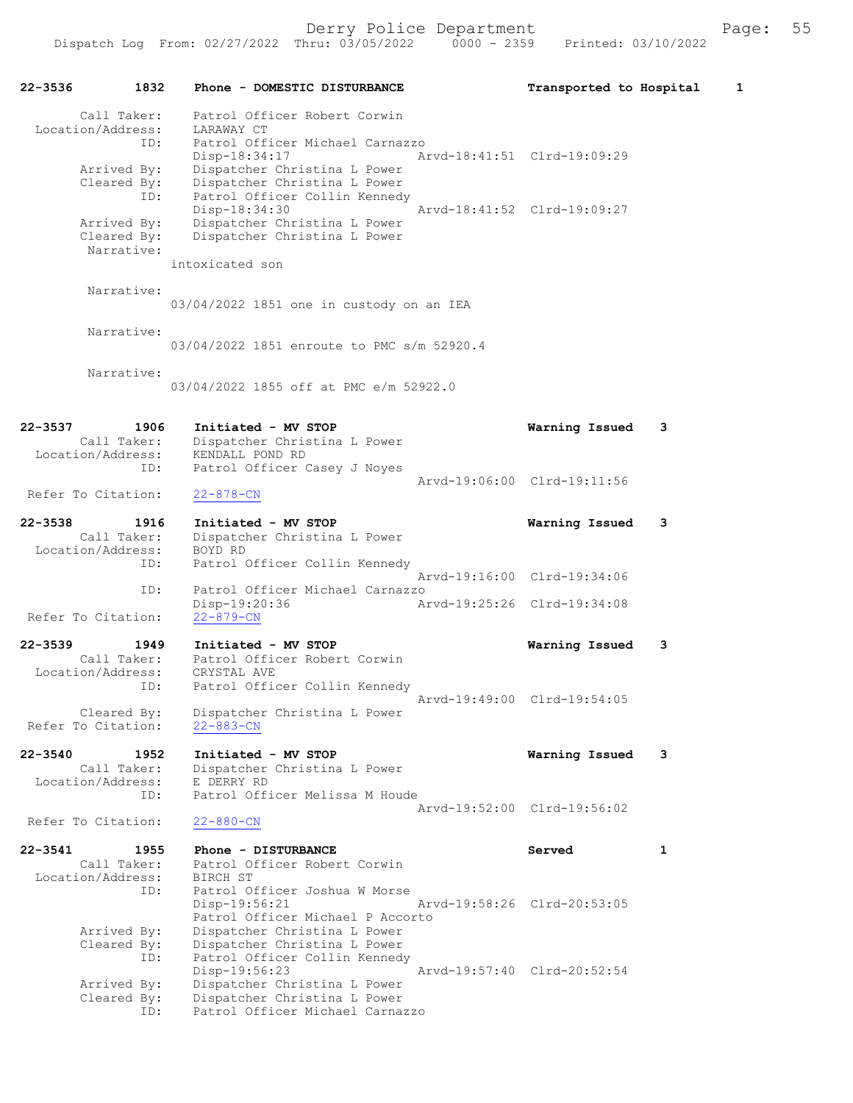| 1832<br>$22 - 3536$                                     | Phone - DOMESTIC DISTURBANCE                                                                                   | Transported to Hospital     | 1 |
|---------------------------------------------------------|----------------------------------------------------------------------------------------------------------------|-----------------------------|---|
| Call Taker:<br>Location/Address:<br>ID:                 | Patrol Officer Robert Corwin<br>LARAWAY CT<br>Patrol Officer Michael Carnazzo                                  |                             |   |
| Arrived By:<br>Cleared By:<br>ID:                       | Disp-18:34:17<br>Dispatcher Christina L Power<br>Dispatcher Christina L Power<br>Patrol Officer Collin Kennedy | Arvd-18:41:51 Clrd-19:09:29 |   |
| Arrived By:<br>Cleared By:                              | Disp-18:34:30<br>Dispatcher Christina L Power<br>Dispatcher Christina L Power                                  | Arvd-18:41:52 Clrd-19:09:27 |   |
| Narrative:                                              | intoxicated son                                                                                                |                             |   |
| Narrative:                                              | 03/04/2022 1851 one in custody on an IEA                                                                       |                             |   |
| Narrative:                                              | 03/04/2022 1851 enroute to PMC s/m 52920.4                                                                     |                             |   |
| Narrative:                                              | 03/04/2022 1855 off at PMC e/m 52922.0                                                                         |                             |   |
| $22 - 3537$<br>1906<br>Call Taker:<br>Location/Address: | Initiated - MV STOP<br>Dispatcher Christina L Power<br>KENDALL POND RD                                         | Warning Issued              | 3 |
| ID:<br>Refer To Citation:                               | Patrol Officer Casey J Noyes<br>$22 - 878 - CN$                                                                | Arvd-19:06:00 Clrd-19:11:56 |   |
| $22 - 3538$<br>1916<br>Call Taker:                      | Initiated - MV STOP<br>Dispatcher Christina L Power                                                            | Warning Issued              | 3 |
| Location/Address:<br>ID:                                | BOYD RD<br>Patrol Officer Collin Kennedy                                                                       | Arvd-19:16:00 Clrd-19:34:06 |   |
| ID:<br>Refer To Citation:                               | Patrol Officer Michael Carnazzo<br>Disp-19:20:36<br>$22 - 879 - CN$                                            | Arvd-19:25:26 Clrd-19:34:08 |   |
| $22 - 3539$<br>1949<br>Call Taker:<br>Location/Address: | Initiated - MV STOP<br>Patrol Officer Robert Corwin<br>CRYSTAL AVE                                             | Warning Issued              | 3 |
| ID:<br>Cleared By:<br>Refer To Citation:                | Patrol Officer Collin Kennedy<br>Dispatcher Christina L Power<br>$22 - 883 - CN$                               | Arvd-19:49:00 Clrd-19:54:05 |   |
| $22 - 3540$<br>1952<br>Call Taker:<br>Location/Address: | Initiated - MV STOP<br>Dispatcher Christina L Power<br>E DERRY RD                                              | Warning Issued              | 3 |
| ID:<br>Refer To Citation:                               | Patrol Officer Melissa M Houde<br>$22 - 880 - CN$                                                              | Arvd-19:52:00 Clrd-19:56:02 |   |
| $22 - 3541$<br>1955<br>Call Taker:                      | Phone - DISTURBANCE<br>Patrol Officer Robert Corwin                                                            | Served                      | 1 |
| Location/Address:<br>ID:                                | BIRCH ST<br>Patrol Officer Joshua W Morse<br>Disp-19:56:21<br>Patrol Officer Michael P Accorto                 | Arvd-19:58:26 Clrd-20:53:05 |   |
| Arrived By:<br>Cleared By:<br>ID:                       | Dispatcher Christina L Power<br>Dispatcher Christina L Power<br>Patrol Officer Collin Kennedy<br>Disp-19:56:23 | Arvd-19:57:40 Clrd-20:52:54 |   |
| Arrived By:<br>Cleared By:<br>ID:                       | Dispatcher Christina L Power<br>Dispatcher Christina L Power<br>Patrol Officer Michael Carnazzo                |                             |   |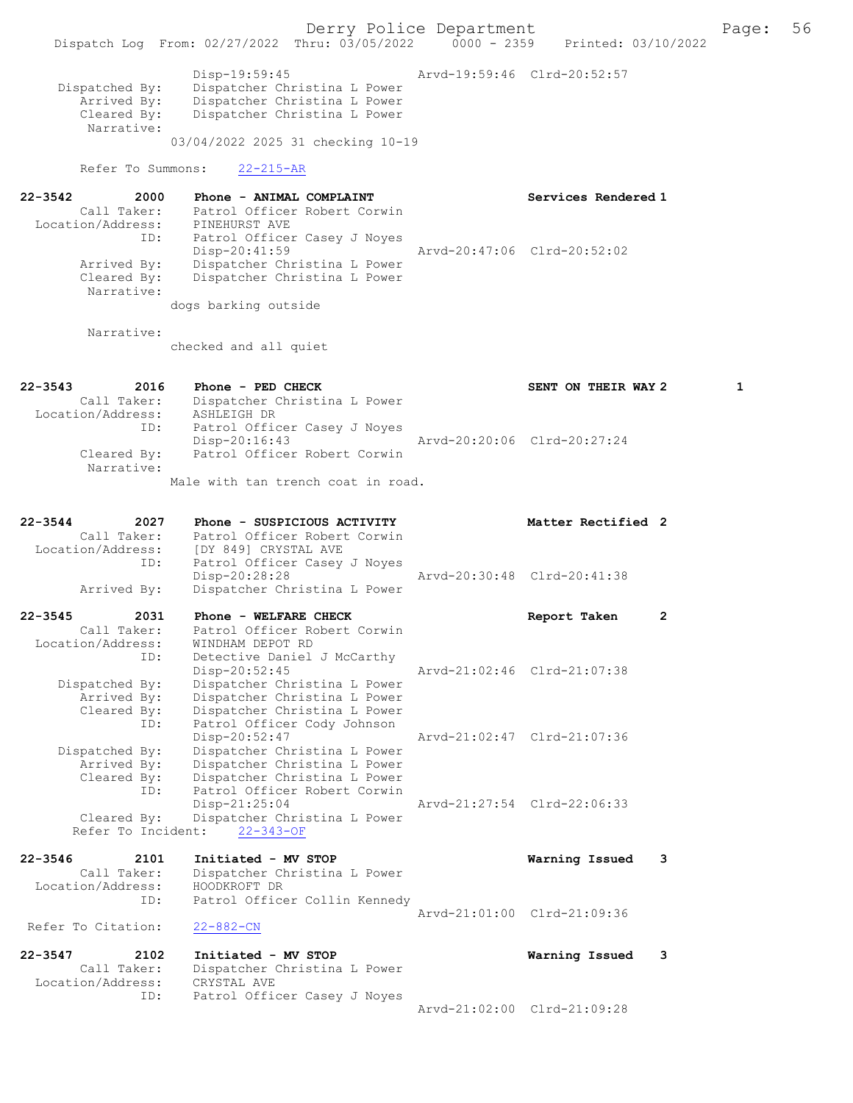Derry Police Department Form Page: 56 Dispatch Log From: 02/27/2022 Thru: 03/05/2022 0000 - 2359 Printed: 03/10/2022 Disp-19:59:45 Arvd-19:59:46 Clrd-20:52:57 Dispatched By: Dispatcher Christina L Power Arrived By: Dispatcher Christina L Power<br>Cleared By: Dispatcher Christina L Power Dispatcher Christina L Power Narrative: 03/04/2022 2025 31 checking 10-19 Refer To Summons: 22-215-AR 22-3542 2000 Phone - ANIMAL COMPLAINT Services Rendered 1 Call Taker: Patrol Officer Robert Corwin Location/Address: PINEHURST AVE ID: Patrol Officer Casey J Noyes Disp-20:41:59 Arvd-20:47:06 Clrd-20:52:02 Arrived By: Dispatcher Christina L Power Cleared By: Dispatcher Christina L Power Narrative: dogs barking outside Narrative: checked and all quiet 22-3543 2016 Phone - PED CHECK SENT ON THEIR WAY 2 1 Call Taker: Dispatcher Christina L Power Location/Address: ASHLEIGH DR ID: Patrol Officer Casey J Noyes Disp-20:16:43 Arvd-20:20:06 Clrd-20:27:24<br>Cleared By: Patrol Officer Robert Corwin Patrol Officer Robert Corwin Narrative: Male with tan trench coat in road. 22-3544 2027 Phone - SUSPICIOUS ACTIVITY Matter Rectified 2<br>Call Taker: Patrol Officer Robert Corwin Call Taker: Patrol Officer Robert Corwin Location/Address: [DY 849] CRYSTAL AVE ID: Patrol Officer Casey J Noyes<br>Disp-20:28:28 Disp-20:28:28 <br>Dispatcher Christina L Power Arvd-20:30:48 Clrd-20:41:38 Dispatcher Christina L Power 22-3545 2031 Phone - WELFARE CHECK Report Taken 2 Call Taker: Patrol Officer Robert Corwin Location/Address: WINDHAM DEPOT RD ID: Detective Daniel J McCarthy Disp-20:52:45 Arvd-21:02:46 Clrd-21:07:38 Dispatched By: Dispatcher Christina L Power Arrived By: Dispatcher Christina L Power Cleared By: Dispatcher Christina L Power ID: Patrol Officer Cody Johnson Disp-20:52:47 Arvd-21:02:47 Clrd-21:07:36 Dispatched By: Dispatcher Christina L Power Arrived By: Dispatcher Christina L Power Cleared By: Dispatcher Christina L Power ID: Patrol Officer Robert Corwin Disp-21:25:04 Arvd-21:27:54 Clrd-22:06:33 Cleared By: Dispatcher Christina L Power Refer To Incident: 22-343-OF 22-3546 2101 Initiated - MV STOP Warning Issued 3 Call Taker: Dispatcher Christina L Power Location/Address: HOODKROFT DR ID: Patrol Officer Collin Kennedy Arvd-21:01:00 Clrd-21:09:36<br>22-882-CN Refer To Citation: 22-3547 2102 Initiated - MV STOP Warning Issued 3 Call Taker: Dispatcher Christina L Power Location/Address: CRYSTAL AVE ID: Patrol Officer Casey J Noyes Arvd-21:02:00 Clrd-21:09:28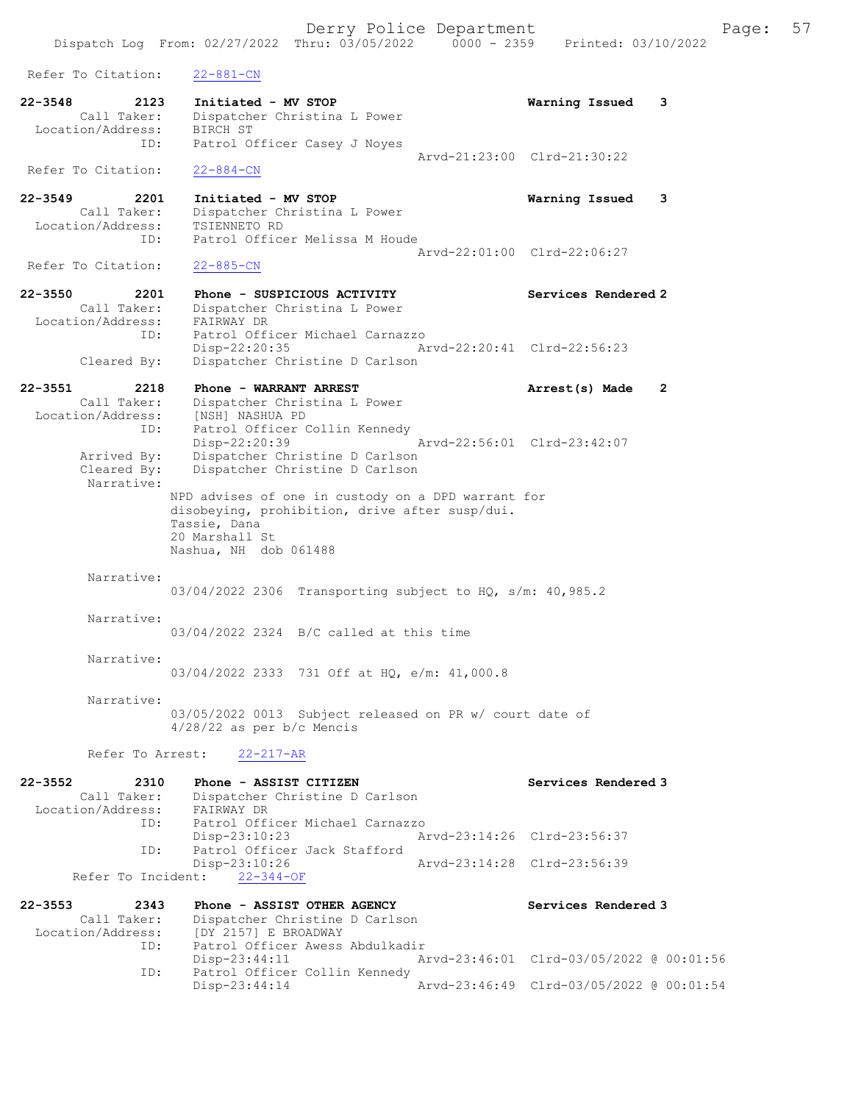Derry Police Department Fage: 57 Dispatch Log From: 02/27/2022 Thru: 03/05/2022 0000 - 2359 Printed: 03/10/2022 Refer To Citation: 22-881-CN 22-3548 2123 Initiated - MV STOP Warning Issued 3 Call Taker: Dispatcher Christina L Power Location/Address: BIRCH ST ID: Patrol Officer Casey J Noyes Arvd-21:23:00 Clrd-21:30:22 Refer To Citation: 22-884-CN 22-3549 2201 Initiated - MV STOP Warning Issued 3 Call Taker: Dispatcher Christina L Power Location/Address: TSIENNETO RD ID: Patrol Officer Melissa M Houde Arvd-22:01:00 Clrd-22:06:27<br>22-885-CN Refer To Citation: 22-3550 2201 Phone - SUSPICIOUS ACTIVITY Services Rendered 2 Call Taker: Dispatcher Christina L Power Location/Address: FAIRWAY DR ID: Patrol Officer Michael Carnazzo Disp-22:20:35 Arvd-22:20:41 Clrd-22:56:23 Cleared By: Dispatcher Christine D Carlson 22-3551 2218 Phone - WARRANT ARREST Arrest(s) Made 2 Call Taker: Dispatcher Christina L Power Location/Address: [NSH] NASHUA PD ID: Patrol Officer Collin Kennedy Disp-22:20:39 Arvd-22:56:01 Clrd-23:42:07 Arrived By: Dispatcher Christine D Carlson Cleared By: Dispatcher Christine D Carlson Narrative: NPD advises of one in custody on a DPD warrant for disobeying, prohibition, drive after susp/dui. Tassie, Dana 20 Marshall St Nashua, NH dob 061488 Narrative: 03/04/2022 2306 Transporting subject to HQ, s/m: 40,985.2 Narrative: 03/04/2022 2324 B/C called at this time Narrative: 03/04/2022 2333 731 Off at HQ, e/m: 41,000.8 Narrative: 03/05/2022 0013 Subject released on PR w/ court date of 4/28/22 as per b/c Mencis Refer To Arrest: 22-217-AR 22-3552 2310 Phone - ASSIST CITIZEN Services Rendered 3 Call Taker: Dispatcher Christine D Carlson<br>ion/Address: FAIRWAY DR Location/Address: ID: Patrol Officer Michael Carnazzo Arvd-23:14:26 Clrd-23:56:37 ID: Patrol Officer Jack Stafford<br>Disp-23:10:26 Arvd-23:14:28 Clrd-23:56:39 Refer To Incident: 22-344-OF 22-3553 2343 Phone - ASSIST OTHER AGENCY Services Rendered 3 Call Taker: Dispatcher Christine D Carlson Location/Address: [DY 2157] E BROADWAY ID: Patrol Officer Awess Abdulkadir Disp-23:44:11 Arvd-23:46:01 Clrd-03/05/2022 @ 00:01:56 ID: Patrol Officer Collin Kennedy<br>Disp-23:44:14 Disp-23:44:14 Arvd-23:46:49 Clrd-03/05/2022 @ 00:01:54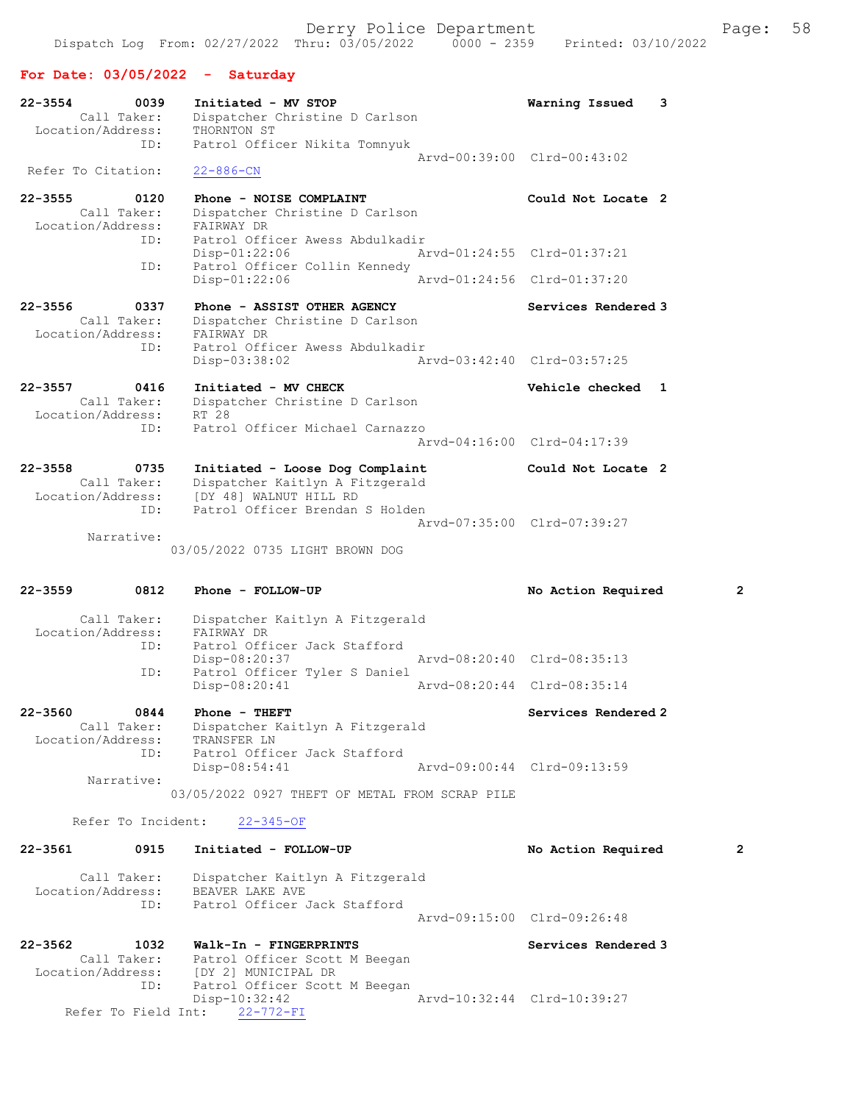# For Date: 03/05/2022 - Saturday

| 22-3554<br>0039<br>Call Taker:<br>Location/Address:     | Initiated - MV STOP<br>Dispatcher Christine D Carlson<br>THORNTON ST                                                                         | 3<br>Warning Issued                                |   |
|---------------------------------------------------------|----------------------------------------------------------------------------------------------------------------------------------------------|----------------------------------------------------|---|
| ID:<br>Refer To Citation:                               | Patrol Officer Nikita Tomnyuk<br>$22 - 886 - CN$                                                                                             | Arvd-00:39:00 Clrd-00:43:02                        |   |
| $22 - 3555$<br>0120                                     | Phone - NOISE COMPLAINT                                                                                                                      | Could Not Locate 2                                 |   |
| Call Taker:<br>Location/Address:                        | Dispatcher Christine D Carlson<br>FAIRWAY DR                                                                                                 |                                                    |   |
| ID:<br>ID:                                              | Patrol Officer Awess Abdulkadir<br>Disp-01:22:06<br>Patrol Officer Collin Kennedy                                                            | Arvd-01:24:55 Clrd-01:37:21                        |   |
|                                                         | Disp-01:22:06                                                                                                                                | Arvd-01:24:56 Clrd-01:37:20                        |   |
| $22 - 3556$<br>0337<br>Call Taker:<br>Location/Address: | Phone - ASSIST OTHER AGENCY<br>Dispatcher Christine D Carlson<br>FAIRWAY DR                                                                  | Services Rendered 3                                |   |
| ID:                                                     | Patrol Officer Awess Abdulkadir<br>Disp-03:38:02                                                                                             | Aryd-03:42:40 Clrd-03:57:25                        |   |
| 22-3557<br>0416<br>Call Taker:                          | Initiated - MV CHECK<br>Dispatcher Christine D Carlson                                                                                       | Vehicle checked 1                                  |   |
| Location/Address:<br>ID:                                | RT 28<br>Patrol Officer Michael Carnazzo                                                                                                     | Arvd-04:16:00 Clrd-04:17:39                        |   |
| $22 - 3558$<br>0735<br>Call Taker:                      | Initiated - Loose Dog Complaint<br>Dispatcher Kaitlyn A Fitzgerald                                                                           | Could Not Locate 2                                 |   |
| Location/Address:<br>ID:                                | [DY 48] WALNUT HILL RD<br>Patrol Officer Brendan S Holden                                                                                    | Arvd-07:35:00 Clrd-07:39:27                        |   |
| Narrative:                                              | 03/05/2022 0735 LIGHT BROWN DOG                                                                                                              |                                                    |   |
| $22 - 3559$<br>0812                                     | Phone - FOLLOW-UP                                                                                                                            | No Action Required                                 | 2 |
| Call Taker:<br>Location/Address:                        | Dispatcher Kaitlyn A Fitzgerald<br>FAIRWAY DR                                                                                                |                                                    |   |
| ID:                                                     | Patrol Officer Jack Stafford<br>Disp-08:20:37                                                                                                | Arvd-08:20:40 Clrd-08:35:13                        |   |
| ID:                                                     | Patrol Officer Tyler S Daniel<br>$Disp-08:20:41$                                                                                             | Arvd-08:20:44 Clrd-08:35:14                        |   |
| $22 - 3560$<br>0844<br>Call Taker:<br>Location/Address: | Phone - THEFT<br>Dispatcher Kaitlyn A Fitzgerald<br>TRANSFER LN                                                                              | Services Rendered 2                                |   |
| ID:<br>Narrative:                                       | Patrol Officer Jack Stafford<br>$Disp-08:54:41$                                                                                              | Arvd-09:00:44 Clrd-09:13:59                        |   |
|                                                         | 03/05/2022 0927 THEFT OF METAL FROM SCRAP PILE                                                                                               |                                                    |   |
|                                                         | Refer To Incident: 22-345-OF                                                                                                                 |                                                    |   |
| 22-3561<br>0915                                         | Initiated - FOLLOW-UP                                                                                                                        | No Action Required                                 | 2 |
| Call Taker:<br>Location/Address:<br>ID:                 | Dispatcher Kaitlyn A Fitzgerald<br>BEAVER LAKE AVE<br>Patrol Officer Jack Stafford                                                           |                                                    |   |
|                                                         |                                                                                                                                              |                                                    |   |
|                                                         |                                                                                                                                              | Arvd-09:15:00 Clrd-09:26:48                        |   |
| 22-3562<br>1032<br>Location/Address:<br>ID:             | Walk-In - FINGERPRINTS<br>Call Taker: Patrol Officer Scott M Beegan<br>[DY 2] MUNICIPAL DR<br>Patrol Officer Scott M Beegan<br>Disp-10:32:42 | Services Rendered 3<br>Arvd-10:32:44 Clrd-10:39:27 |   |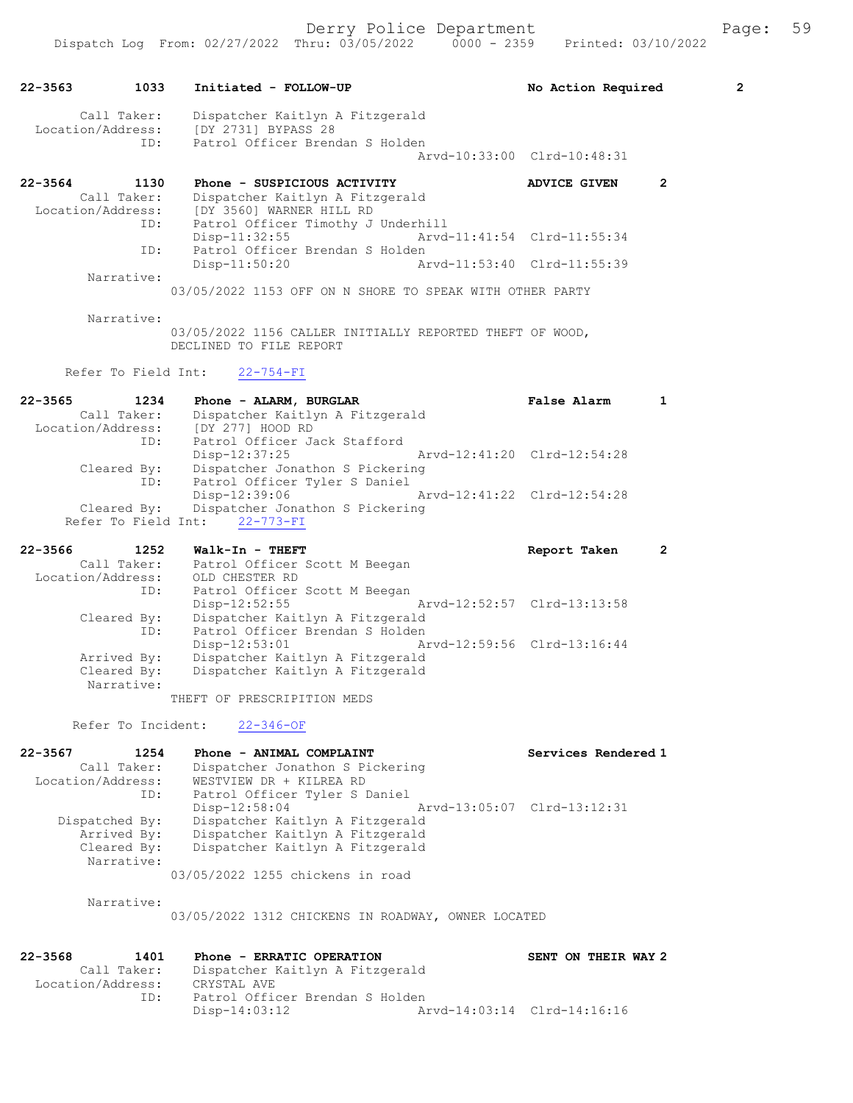| 22-3563     | 1033                               | Initiated - FOLLOW-UP                                                               | No Action Required                 | $\overline{2}$ |
|-------------|------------------------------------|-------------------------------------------------------------------------------------|------------------------------------|----------------|
|             | Call Taker:<br>Location/Address:   | Dispatcher Kaitlyn A Fitzgerald<br>[DY 2731] BYPASS 28                              |                                    |                |
|             | ID:                                | Patrol Officer Brendan S Holden                                                     | Arvd-10:33:00 Clrd-10:48:31        |                |
| 22-3564     | 1130                               | Phone - SUSPICIOUS ACTIVITY                                                         | 2<br><b>ADVICE GIVEN</b>           |                |
|             | Call Taker:<br>Location/Address:   | Dispatcher Kaitlyn A Fitzgerald<br>[DY 3560] WARNER HILL RD                         |                                    |                |
|             | ID:                                | Patrol Officer Timothy J Underhill<br>$Disp-11:32:55$                               | Arvd-11:41:54 Clrd-11:55:34        |                |
|             | ID:                                | Patrol Officer Brendan S Holden<br>$Disp-11:50:20$                                  | Arvd-11:53:40 Clrd-11:55:39        |                |
|             | Narrative:                         |                                                                                     |                                    |                |
|             |                                    | 03/05/2022 1153 OFF ON N SHORE TO SPEAK WITH OTHER PARTY                            |                                    |                |
|             | Narrative:                         | 03/05/2022 1156 CALLER INITIALLY REPORTED THEFT OF WOOD,<br>DECLINED TO FILE REPORT |                                    |                |
|             | Refer To Field Int:                | $22 - 754 - FI$                                                                     |                                    |                |
| $22 - 3565$ | 1234                               | Phone - ALARM, BURGLAR                                                              | <b>False Alarm</b><br>$\mathbf{1}$ |                |
|             | Call Taker:<br>Location/Address:   | Dispatcher Kaitlyn A Fitzgerald<br>[DY 277] HOOD RD                                 |                                    |                |
|             | ID:                                | Patrol Officer Jack Stafford<br>Disp-12:37:25                                       | Arvd-12:41:20 Clrd-12:54:28        |                |
|             | Cleared By:                        | Dispatcher Jonathon S Pickering                                                     |                                    |                |
|             | ID:                                | Patrol Officer Tyler S Daniel<br>Disp-12:39:06                                      | Arvd-12:41:22 Clrd-12:54:28        |                |
|             | Cleared By:<br>Refer To Field Int: | Dispatcher Jonathon S Pickering<br>$22 - 773 - FI$                                  |                                    |                |
| $22 - 3566$ | 1252                               | Walk-In - THEFT                                                                     | Report Taken<br>2                  |                |
|             | Call Taker:<br>Location/Address:   | Patrol Officer Scott M Beegan<br>OLD CHESTER RD                                     |                                    |                |
|             | ID:                                | Patrol Officer Scott M Beegan<br>Arvd-12:52:57 Clrd-13:13:58<br>Disp-12:52:55       |                                    |                |
|             |                                    |                                                                                     |                                    |                |
|             | Cleared By:                        | Dispatcher Kaitlyn A Fitzgerald                                                     |                                    |                |
|             | ID:                                | Patrol Officer Brendan S Holden<br>Disp-12:53:01<br>Arvd-12:59:56 Clrd-13:16:44     |                                    |                |
|             | Arrived By:                        | Dispatcher Kaitlyn A Fitzgerald                                                     |                                    |                |
|             | Cleared By:<br>Narrative:          | Dispatcher Kaitlyn A Fitzgerald                                                     |                                    |                |
|             |                                    | THEFT OF PRESCRIPITION MEDS                                                         |                                    |                |
|             | Refer To Incident:                 | $22 - 346 - OF$                                                                     |                                    |                |
| $22 - 3567$ | 1254                               | Phone - ANIMAL COMPLAINT                                                            | Services Rendered 1                |                |
|             | Call Taker:<br>Location/Address:   | Dispatcher Jonathon S Pickering<br>WESTVIEW DR + KILREA RD                          |                                    |                |
|             | ID:                                | Patrol Officer Tyler S Daniel                                                       |                                    |                |
|             | Dispatched By:                     | $Disp-12:58:04$<br>Dispatcher Kaitlyn A Fitzgerald                                  | Aryd-13:05:07 Clrd-13:12:31        |                |
|             | Arrived By:                        | Dispatcher Kaitlyn A Fitzgerald                                                     |                                    |                |
|             | Cleared By:<br>Narrative:          | Dispatcher Kaitlyn A Fitzgerald                                                     |                                    |                |
|             |                                    | 03/05/2022 1255 chickens in road                                                    |                                    |                |
|             | Narrative:                         | 03/05/2022 1312 CHICKENS IN ROADWAY, OWNER LOCATED                                  |                                    |                |
| $22 - 3568$ | 1401                               | Phone - ERRATIC OPERATION                                                           | SENT ON THEIR WAY 2                |                |
|             | Call Taker:<br>Location/Address:   | Dispatcher Kaitlyn A Fitzgerald<br>CRYSTAL AVE                                      |                                    |                |

Disp-14:03:12 Arvd-14:03:14 Clrd-14:16:16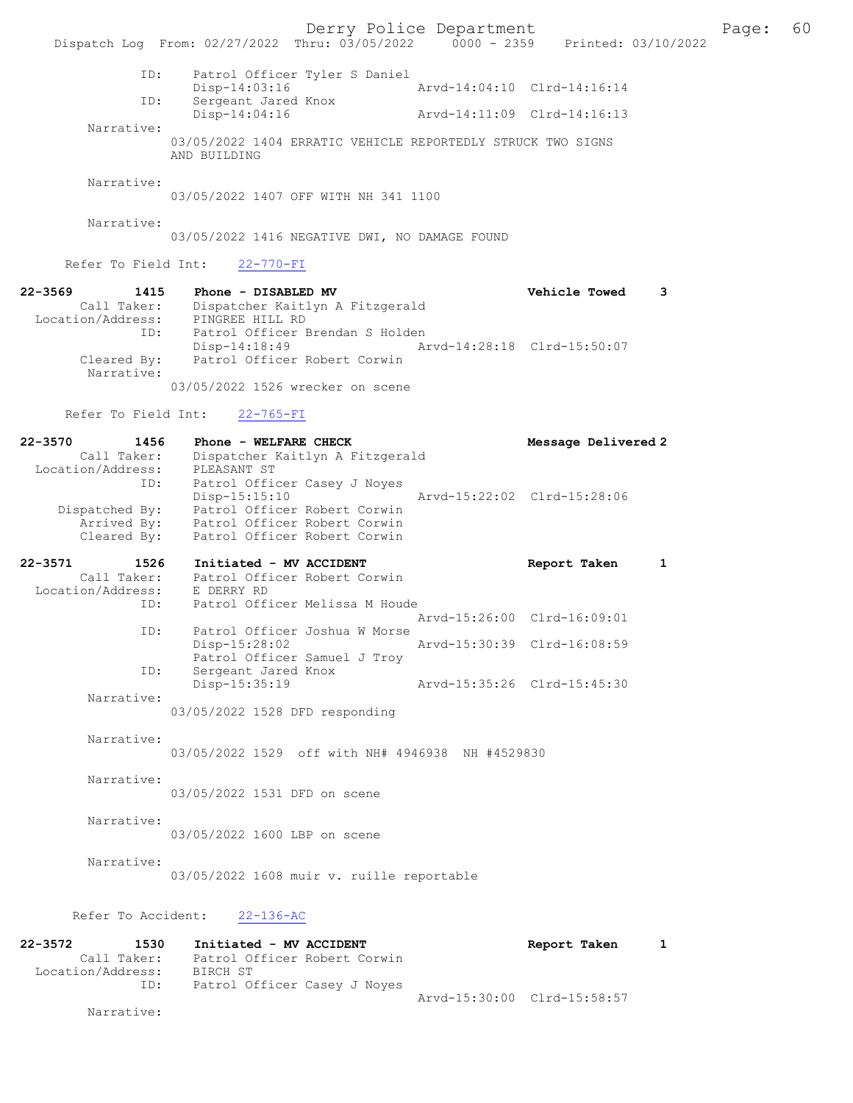Derry Police Department The Page: 60 Dispatch Log From: 02/27/2022 Thru: 03/05/2022 0000 - 2359 Printed: 03/10/2022 ID: Patrol Officer Tyler S Daniel Disp-14:03:16 <br>The Sergeant Jared Knox Arvd-14:04:10 Clrd-14:16:14 Sergeant Jared Knox<br>Disp-14:04:16 Arvd-14:11:09 Clrd-14:16:13 Narrative: 03/05/2022 1404 ERRATIC VEHICLE REPORTEDLY STRUCK TWO SIGNS AND BUILDING Narrative: 03/05/2022 1407 OFF WITH NH 341 1100 Narrative: 03/05/2022 1416 NEGATIVE DWI, NO DAMAGE FOUND Refer To Field Int: 22-770-FI 22-3569 1415 Phone - DISABLED MV Vehicle Towed 3 Call Taker: Dispatcher Kaitlyn A Fitzgerald Location/Address: PINGREE HILL RD ID: Patrol Officer Brendan S Holden<br>Disp-14:18:49 Ar Disp-14:18:49 Arvd-14:28:18 Clrd-15:50:07<br>Cleared By: Patrol Officer Robert Corwin Patrol Officer Robert Corwin Narrative: 03/05/2022 1526 wrecker on scene Refer To Field Int: 22-765-FI 22-3570 1456 Phone - WELFARE CHECK Message Delivered 2 Call Taker: Dispatcher Kaitlyn A Fitzgerald Location/Address: PLEASANT ST ID: The Patrol Officer Casey J Noyes<br>Disp-15:15:10 Disp-15:15:10 Arvd-15:22:02 Clrd-15:28:06 Dispatched By: Patrol Officer Robert Corwin Arrived By: Patrol Officer Robert Corwin Cleared By: Patrol Officer Robert Corwin 22-3571 1526 Initiated - MV ACCIDENT Report Taken 1 Call Taker: Patrol Officer Robert Corwin Location/Address: E DERRY RD<br>ID: Patrol Offi Patrol Officer Melissa M Houde Arvd-15:26:00 Clrd-16:09:01 ID: Patrol Officer Joshua W Morse<br>Disp-15:28:02 Disp-15:28:02 Arvd-15:30:39 Clrd-16:08:59 Patrol Officer Samuel J Troy<br>ID: Sergeant Jared Knox Sergeant Jared Knox<br>Disp-15:35:19 Disp-15:35:19 Arvd-15:35:26 Clrd-15:45:30 Narrative: 03/05/2022 1528 DFD responding Narrative: 03/05/2022 1529 off with NH# 4946938 NH #4529830 Narrative: 03/05/2022 1531 DFD on scene Narrative: 03/05/2022 1600 LBP on scene Narrative: 03/05/2022 1608 muir v. ruille reportable Refer To Accident: 22-136-AC 22-3572 1530 Initiated - MV ACCIDENT 1 Report Taken 1 Call Taker: Patrol Officer Robert Corwin Location/Address: BIRCH ST ID: Patrol Officer Casey J Noyes Arvd-15:30:00 Clrd-15:58:57 Narrative: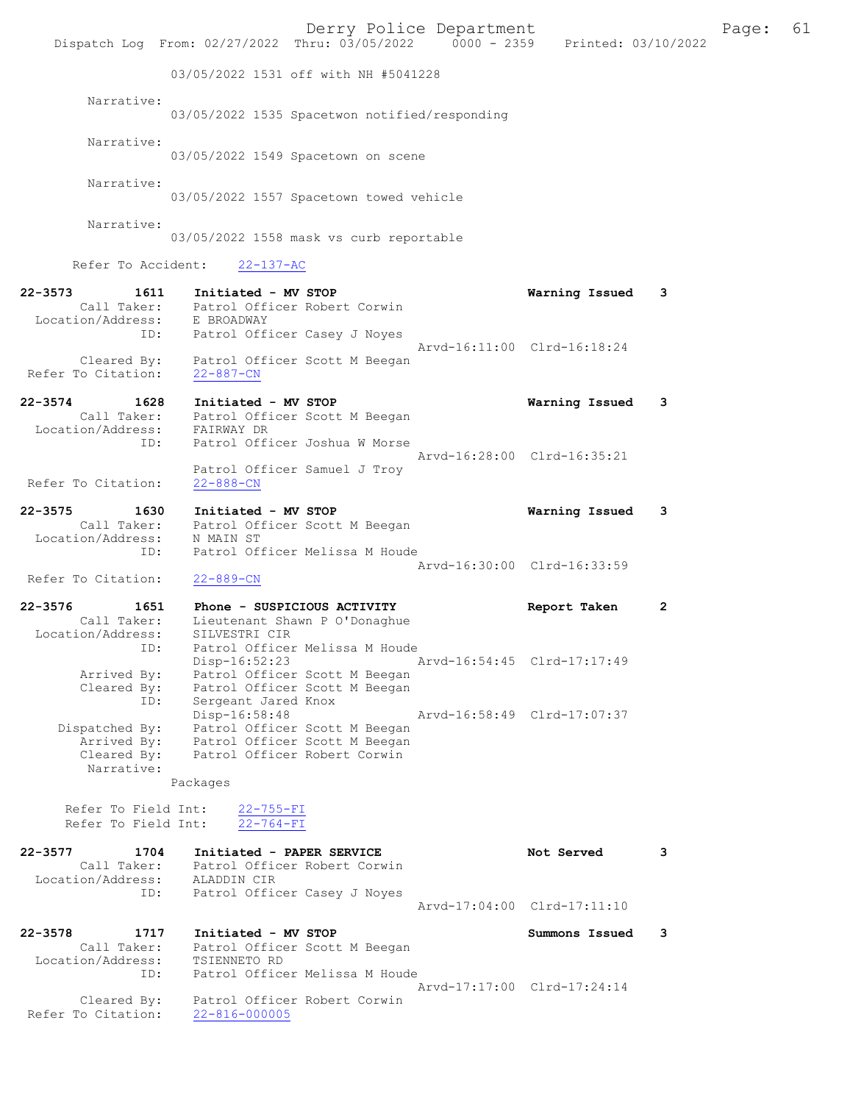|                                                            | Dispatch Log From: 02/27/2022 Thru: 03/05/2022 0000 - 2359 Printed: 03/10/2022                                    | Derry Police Department     |                             |   | Page: | 61 |
|------------------------------------------------------------|-------------------------------------------------------------------------------------------------------------------|-----------------------------|-----------------------------|---|-------|----|
|                                                            | 03/05/2022 1531 off with NH #5041228                                                                              |                             |                             |   |       |    |
| Narrative:                                                 | 03/05/2022 1535 Spacetwon notified/responding                                                                     |                             |                             |   |       |    |
| Narrative:                                                 | 03/05/2022 1549 Spacetown on scene                                                                                |                             |                             |   |       |    |
| Narrative:                                                 | 03/05/2022 1557 Spacetown towed vehicle                                                                           |                             |                             |   |       |    |
| Narrative:                                                 | 03/05/2022 1558 mask vs curb reportable                                                                           |                             |                             |   |       |    |
| Refer To Accident:                                         | $22 - 137 - AC$                                                                                                   |                             |                             |   |       |    |
| $22 - 3573$<br>1611<br>Location/Address: E BROADWAY        | Initiated - MV STOP<br>Call Taker: Patrol Officer Robert Corwin<br>ID: Patrol Officer Casey J Noyes               |                             | Warning Issued              | 3 |       |    |
| Refer To Citation: 22-887-CN                               | Cleared By: Patrol Officer Scott M Beegan                                                                         | Arvd-16:11:00 Clrd-16:18:24 |                             |   |       |    |
| $22 - 3574$<br>1628<br>Location/Address: FAIRWAY DR<br>ID: | Initiated - MV STOP<br>Call Taker: Patrol Officer Scott M Beegan<br>Patrol Officer Joshua W Morse                 |                             | Warning Issued 3            |   |       |    |
| Refer To Citation:                                         | Patrol Officer Samuel J Troy<br>$22 - 888 - CN$                                                                   | Arvd-16:28:00 Clrd-16:35:21 |                             |   |       |    |
| 22-3575<br>1630                                            | Initiated - MV STOP<br>Call Taker: Patrol Officer Scott M Beegan                                                  |                             | Warning Issued              | 3 |       |    |
| Location/Address: N MAIN ST<br>ID:                         | Patrol Officer Melissa M Houde                                                                                    | Arvd-16:30:00 Clrd-16:33:59 |                             |   |       |    |
| Refer To Citation:                                         | $22 - 889 - CN$                                                                                                   |                             |                             |   |       |    |
| 22-3576<br>1651<br>Location/Address:                       | Phone - SUSPICIOUS ACTIVITY<br>Call Taker: Lieutenant Shawn P O'Donaghue<br>SILVESTRI CIR                         |                             | Report Taken                | 2 |       |    |
| ID:<br>Arrived By:<br>Cleared By:                          | Patrol Officer Melissa M Houde<br>Disp-16:52:23<br>Patrol Officer Scott M Beegan<br>Patrol Officer Scott M Beegan | Arvd-16:54:45 Clrd-17:17:49 |                             |   |       |    |
| ID:<br>Dispatched By:                                      | Sergeant Jared Knox<br>Disp-16:58:48<br>Patrol Officer Scott M Beegan                                             | Arvd-16:58:49 Clrd-17:07:37 |                             |   |       |    |
| Arrived By:<br>Cleared By:<br>Narrative:                   | Patrol Officer Scott M Beegan<br>Patrol Officer Robert Corwin<br>Packages                                         |                             |                             |   |       |    |
| Refer To Field Int:<br>Refer To Field Int:                 | $22 - 755 - FI$<br>$22 - 764 - FI$                                                                                |                             |                             |   |       |    |
| 22-3577<br>1704<br>Call Taker:                             | Initiated - PAPER SERVICE<br>Patrol Officer Robert Corwin                                                         |                             | Not Served                  | 3 |       |    |
| Location/Address: ALADDIN CIR<br>ID:                       | Patrol Officer Casey J Noyes                                                                                      |                             | Arvd-17:04:00 Clrd-17:11:10 |   |       |    |
| 22-3578<br>1717<br>Call Taker:<br>Location/Address:        | Initiated - MV STOP<br>Patrol Officer Scott M Beegan<br>TSIENNETO RD                                              |                             | Summons Issued              | 3 |       |    |
| ID:<br>Cleared By:<br>Refer To Citation:                   | Patrol Officer Melissa M Houde<br>Patrol Officer Robert Corwin<br>$22 - 816 - 000005$                             | Arvd-17:17:00 Clrd-17:24:14 |                             |   |       |    |
|                                                            |                                                                                                                   |                             |                             |   |       |    |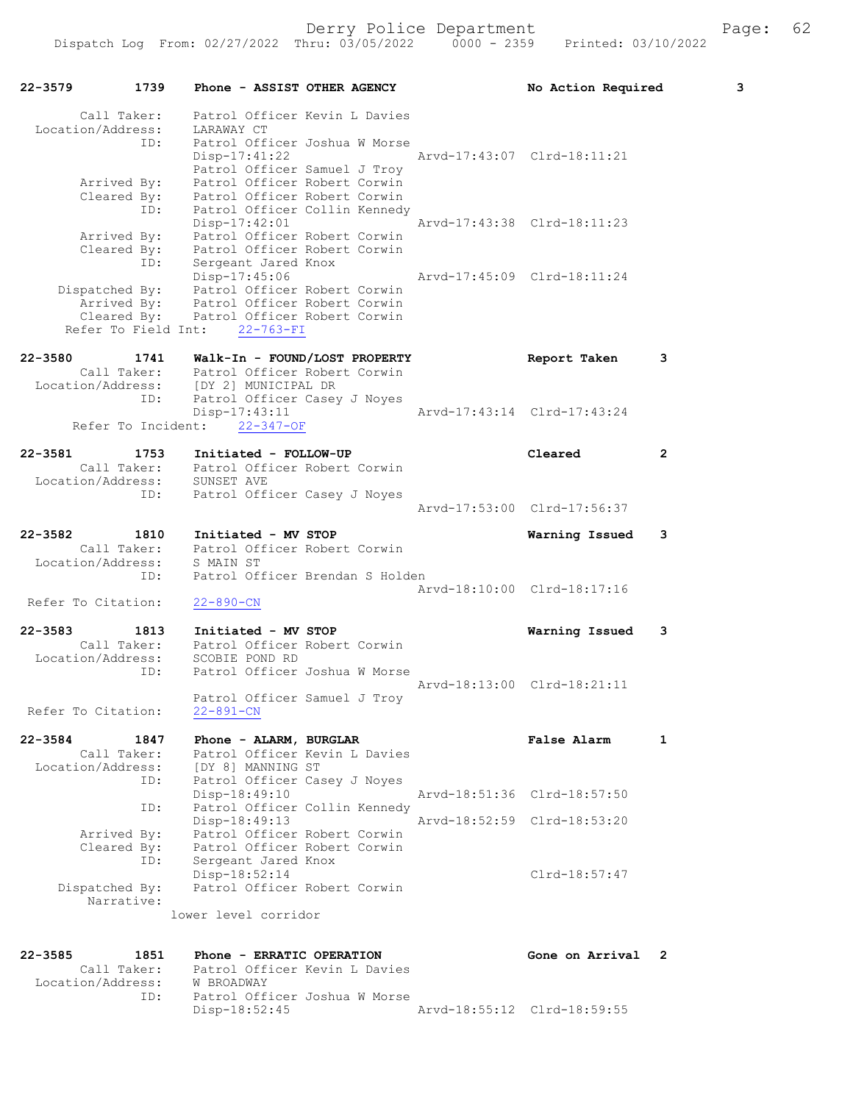| 22-3579                                     | 1739        | Phone - ASSIST OTHER AGENCY                                                                                     |  |                             | No Action Required          |                | 3 |
|---------------------------------------------|-------------|-----------------------------------------------------------------------------------------------------------------|--|-----------------------------|-----------------------------|----------------|---|
| Call Taker:<br>Location/Address: LARAWAY CT | ID:         | Patrol Officer Kevin L Davies<br>Patrol Officer Joshua W Morse                                                  |  |                             |                             |                |   |
|                                             |             | Disp-17:41:22 Arvd-17:43:07 Clrd-18:11:21<br>Patrol Officer Samuel J Troy                                       |  |                             |                             |                |   |
| Arrived By:<br>Cleared By:                  |             | Patrol Officer Robert Corwin<br>Patrol Officer Robert Corwin                                                    |  |                             |                             |                |   |
|                                             | ID:         | Patrol Officer Collin Kennedy<br>Disp-17:42:01                                                                  |  |                             | Arvd-17:43:38 Clrd-18:11:23 |                |   |
|                                             |             | Arrived By: Patrol Officer Robert Corwin<br>Cleared By: Patrol Officer Robert Corwin<br>ID: Sergeant Jared Knox |  |                             |                             |                |   |
|                                             |             | Disp-17:45:06<br>Disp-17:45:06<br>Dispatched By: Patrol Officer Robert Corwin                                   |  | Arvd-17:45:09 Clrd-18:11:24 |                             |                |   |
|                                             |             | Arrived By: Patrol Officer Robert Corwin<br>Cleared By: Patrol Officer Robert Corwin                            |  |                             |                             |                |   |
|                                             |             | Refer To Field Int: 22-763-FI                                                                                   |  |                             |                             |                |   |
|                                             |             | Call Taker: Patrol Officer Robert Corwin                                                                        |  |                             | Report Taken                | 3              |   |
|                                             | ID:         | Location/Address: [DY 2] MUNICIPAL DR<br>Patrol Officer Casey J Noyes                                           |  |                             |                             |                |   |
|                                             |             | $Disp-17:43:11$<br>Refer To Incident: 22-347-OF                                                                 |  | Arvd-17:43:14 Clrd-17:43:24 |                             |                |   |
| 22-3581                                     | 1753        | Initiated - FOLLOW-UP                                                                                           |  |                             | Cleared                     | 2              |   |
|                                             |             | Call Taker: Patrol Officer Robert Corwin<br>Location/Address: SUNSET AVE                                        |  |                             |                             |                |   |
|                                             | ID:         | Patrol Officer Casey J Noyes                                                                                    |  |                             | Arvd-17:53:00 Clrd-17:56:37 |                |   |
| 22-3582 1810                                | Call Taker: | Initiated - MV STOP                                                                                             |  |                             | Warning Issued              | 3              |   |
| Location/Address:                           |             | Patrol Officer Robert Corwin<br>S MAIN ST                                                                       |  |                             |                             |                |   |
|                                             | ID:         | Patrol Officer Brendan S Holden                                                                                 |  | Arvd-18:10:00 Clrd-18:17:16 |                             |                |   |
| Refer To Citation:                          |             | $22 - 890 - CN$                                                                                                 |  |                             |                             |                |   |
| 22-3583                                     | 1813        | Initiated - MV STOP<br>Call Taker: Patrol Officer Robert Corwin                                                 |  |                             | Warning Issued              | 3              |   |
| Location/Address:                           | ID:         | SCOBIE POND RD<br>Patrol Officer Joshua W Morse                                                                 |  |                             |                             |                |   |
|                                             |             | Patrol Officer Samuel J Troy                                                                                    |  |                             | Arvd-18:13:00 Clrd-18:21:11 |                |   |
| Refer To Citation:                          |             | $22 - 891 - CN$                                                                                                 |  |                             |                             |                |   |
| 22-3584<br>Call Taker:                      | 1847        | Phone - ALARM, BURGLAR<br>Patrol Officer Kevin L Davies                                                         |  |                             | False Alarm                 | 1              |   |
| Location/Address:                           | ID:         | [DY 8] MANNING ST<br>Patrol Officer Casey J Noyes<br>Disp-18:49:10                                              |  |                             | Arvd-18:51:36 Clrd-18:57:50 |                |   |
|                                             | ID:         | Patrol Officer Collin Kennedy<br>Disp-18:49:13                                                                  |  |                             | Arvd-18:52:59 Clrd-18:53:20 |                |   |
| Arrived By:<br>Cleared By:                  |             | Patrol Officer Robert Corwin<br>Patrol Officer Robert Corwin                                                    |  |                             |                             |                |   |
|                                             | ID:         | Sergeant Jared Knox<br>Disp-18:52:14                                                                            |  |                             | $Clrd-18:57:47$             |                |   |
| Dispatched By:<br>Narrative:                |             | Patrol Officer Robert Corwin                                                                                    |  |                             |                             |                |   |
|                                             |             | lower level corridor                                                                                            |  |                             |                             |                |   |
| 22-3585                                     | 1851        | Phone - ERRATIC OPERATION                                                                                       |  |                             | Gone on Arrival             | $\overline{2}$ |   |
| Call Taker:<br>Location/Address:            |             | Patrol Officer Kevin L Davies<br>W BROADWAY                                                                     |  |                             |                             |                |   |
|                                             | ID:         | Patrol Officer Joshua W Morse<br>Disp-18:52:45                                                                  |  |                             | Arvd-18:55:12 Clrd-18:59:55 |                |   |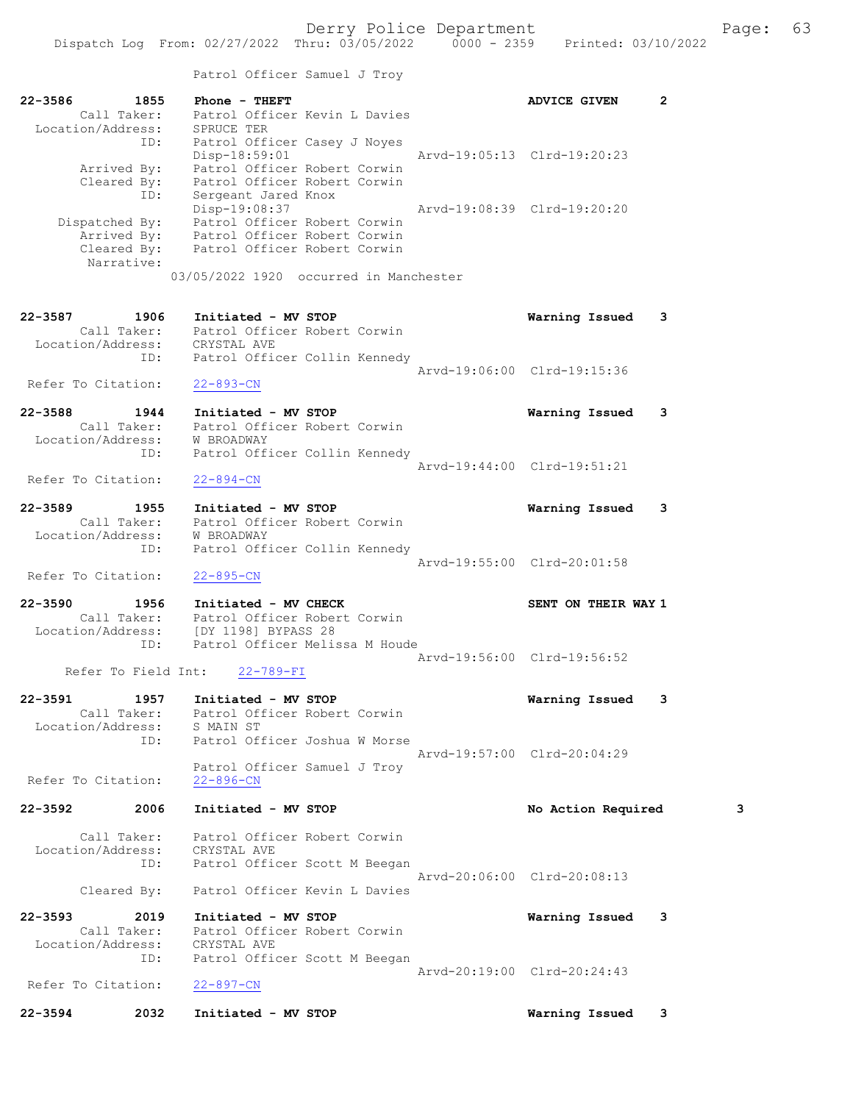|                            | Patrol Officer Samuel J Troy                                 |                             |              |
|----------------------------|--------------------------------------------------------------|-----------------------------|--------------|
| 22-3586<br>1855            | Phone - THEFT                                                | <b>ADVICE GIVEN</b>         | $\mathbf{2}$ |
| Call Taker:                | Patrol Officer Kevin L Davies                                |                             |              |
| Location/Address:          | SPRUCE TER                                                   |                             |              |
| ID:                        | Patrol Officer Casey J Noyes                                 |                             |              |
|                            | Disp-18:59:01<br>Patrol Officer Robert Corwin                | Arvd-19:05:13 Clrd-19:20:23 |              |
| Arrived By:<br>Cleared By: | Patrol Officer Robert Corwin                                 |                             |              |
| ID:                        | Sergeant Jared Knox                                          |                             |              |
|                            | Disp-19:08:37                                                | Arvd-19:08:39 Clrd-19:20:20 |              |
| Dispatched By:             | Patrol Officer Robert Corwin                                 |                             |              |
| Arrived By:                | Patrol Officer Robert Corwin<br>Patrol Officer Robert Corwin |                             |              |
| Cleared By:                | Patrol Officer Robert Corwin                                 |                             |              |
| Narrative:                 |                                                              |                             |              |
|                            | 03/05/2022 1920 occurred in Manchester                       |                             |              |
| 22-3587<br>1906            | Initiated - MV STOP                                          | Warning Issued              | 3            |
| Call Taker:                | Patrol Officer Robert Corwin                                 |                             |              |
| Location/Address:          | CRYSTAL AVE                                                  |                             |              |
| ID:                        | Patrol Officer Collin Kennedy                                |                             |              |
|                            |                                                              | Arvd-19:06:00 Clrd-19:15:36 |              |
| Refer To Citation:         | $22 - 893 - CN$                                              |                             |              |
| 22-3588<br>1944            | Initiated - MV STOP                                          | Warning Issued              | 3            |
| Call Taker:                | Patrol Officer Robert Corwin                                 |                             |              |
| Location/Address:          | W BROADWAY                                                   |                             |              |
| ID:                        | Patrol Officer Collin Kennedy                                |                             |              |
|                            |                                                              | Arvd-19:44:00 Clrd-19:51:21 |              |
| Refer To Citation:         | $22 - 894 - CN$                                              |                             |              |
| 22-3589<br>1955            | Initiated - MV STOP                                          | Warning Issued              | 3            |
| Call Taker:                | Patrol Officer Robert Corwin                                 |                             |              |
| Location/Address:          | W BROADWAY                                                   |                             |              |
| ID:                        | Patrol Officer Collin Kennedy                                |                             |              |
|                            |                                                              | Arvd-19:55:00 Clrd-20:01:58 |              |
| Refer To Citation:         | $22 - 895 - CN$                                              |                             |              |
| 22-3590<br>1956            | Initiated - MV CHECK                                         | SENT ON THEIR WAY 1         |              |
| Call Taker:                | Patrol Officer Robert Corwin                                 |                             |              |
| Location/Address:          | [DY 1198] BYPASS 28                                          |                             |              |
| ID:                        | Patrol Officer Melissa M Houde                               |                             |              |
| Refer To Field Int:        | $22 - 789 - FI$                                              | Arvd-19:56:00 Clrd-19:56:52 |              |
|                            |                                                              |                             |              |
| $22 - 3591$<br>1957        | Initiated - MV STOP                                          | Warning Issued              | 3            |
| Call Taker:                | Patrol Officer Robert Corwin                                 |                             |              |
| Location/Address:          | S MAIN ST                                                    |                             |              |
| ID:                        | Patrol Officer Joshua W Morse                                |                             |              |
|                            |                                                              | Arvd-19:57:00 Clrd-20:04:29 |              |
| Refer To Citation:         | Patrol Officer Samuel J Troy<br>$22 - 896 - CN$              |                             |              |
|                            |                                                              |                             |              |

## 22-3592 2006 Initiated - MV STOP No No Action Required 3

 Call Taker: Patrol Officer Robert Corwin Location/Address: CRYSTAL AVE

 ID: Patrol Officer Scott M Beegan Arvd-20:06:00 Clrd-20:08:13 Cleared By: Patrol Officer Kevin L Davies

22-3593 2019 Initiated - MV STOP Warning Issued 3 Call Taker: Patrol Officer Robert Corwin Location/Address: CRYSTAL AVE ID: Patrol Officer Scott M Beegan Arvd-20:19:00 Clrd-20:24:43 Refer To Citation: 22-897-CN

22-3594 2032 Initiated - MV STOP Warning Issued 3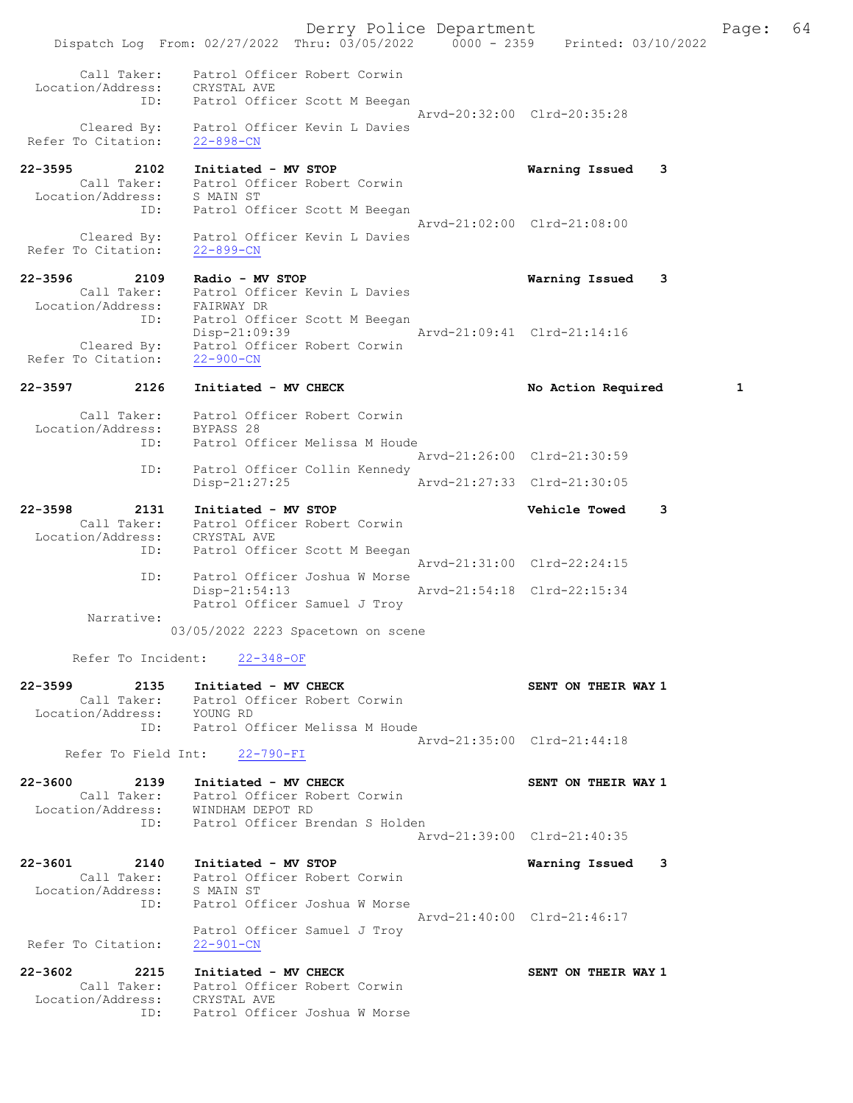|                             |             |                                                                              |                                | Derry Police Department     | Dispatch Log From: 02/27/2022 Thru: 03/05/2022 0000 - 2359 Printed: 03/10/2022 |   | Page: | 64 |
|-----------------------------|-------------|------------------------------------------------------------------------------|--------------------------------|-----------------------------|--------------------------------------------------------------------------------|---|-------|----|
|                             | Call Taker: | Patrol Officer Robert Corwin                                                 |                                |                             |                                                                                |   |       |    |
| Location/Address:           |             | CRYSTAL AVE<br>ID: Patrol Officer Scott M Beegan                             |                                |                             |                                                                                |   |       |    |
| Refer To Citation:          |             | Cleared By: Patrol Officer Kevin L Davies<br>$22 - 898 - CN$                 |                                |                             | Arvd-20:32:00 Clrd-20:35:28                                                    |   |       |    |
| $22 - 3595$                 | 2102        | Initiated - MV STOP                                                          |                                |                             | Warning Issued 3                                                               |   |       |    |
| Location/Address: S MAIN ST |             | Call Taker: Patrol Officer Robert Corwin                                     |                                |                             |                                                                                |   |       |    |
|                             | ID:         |                                                                              | Patrol Officer Scott M Beegan  |                             |                                                                                |   |       |    |
|                             |             |                                                                              |                                |                             | Arvd-21:02:00 Clrd-21:08:00                                                    |   |       |    |
| Refer To Citation:          |             | Cleared By: Patrol Officer Kevin L Davies<br>$22 - 899 - CN$                 |                                |                             |                                                                                |   |       |    |
| 22-3596                     |             | 2109 Radio - MV STOP                                                         |                                |                             | Warning Issued                                                                 | 3 |       |    |
|                             |             | Call Taker: Patrol Officer Kevin L Davies                                    |                                |                             |                                                                                |   |       |    |
|                             |             | Location/Address: FAIRWAY DR<br>ID: Patrol Officer Scott M Beegan            |                                |                             |                                                                                |   |       |    |
|                             |             | Disp-21:09:39                                                                |                                | Arvd-21:09:41 Clrd-21:14:16 |                                                                                |   |       |    |
| Refer To Citation:          |             | Cleared By: Patrol Officer Robert Corwin<br>$22 - 900 - CN$                  |                                |                             |                                                                                |   |       |    |
| 22-3597                     | 2126        | Initiated - MV CHECK                                                         |                                |                             | No Action Required                                                             |   | 1     |    |
|                             |             | Call Taker: Patrol Officer Robert Corwin<br>Location/Address: BYPASS 28      |                                |                             |                                                                                |   |       |    |
|                             | ID:         |                                                                              | Patrol Officer Melissa M Houde |                             |                                                                                |   |       |    |
|                             |             |                                                                              |                                |                             | Arvd-21:26:00 Clrd-21:30:59                                                    |   |       |    |
|                             | ID:         | Disp-21:27:25                                                                | Patrol Officer Collin Kennedy  |                             | Arvd-21:27:33 Clrd-21:30:05                                                    |   |       |    |
| $22 - 3598$                 | 2131        | Initiated - MV STOP                                                          |                                |                             | <b>Vehicle Towed</b>                                                           | 3 |       |    |
|                             |             | Call Taker: Patrol Officer Robert Corwin<br>Location/Address: CRYSTAL AVE    |                                |                             |                                                                                |   |       |    |
|                             |             |                                                                              |                                |                             |                                                                                |   |       |    |
|                             | ID:         | Patrol Officer Scott M Beegan                                                |                                |                             | Arvd-21:31:00 Clrd-22:24:15                                                    |   |       |    |
|                             | ID:         | $Disp-21:54:13$                                                              | Patrol Officer Joshua W Morse  |                             | Arvd-21:54:18 Clrd-22:15:34                                                    |   |       |    |
|                             | Narrative:  |                                                                              | Patrol Officer Samuel J Troy   |                             |                                                                                |   |       |    |
|                             |             | 03/05/2022 2223 Spacetown on scene                                           |                                |                             |                                                                                |   |       |    |
|                             |             | Refer To Incident: 22-348-OF                                                 |                                |                             |                                                                                |   |       |    |
|                             |             | 22-3599 2135 Initiated - MV CHECK                                            |                                |                             | SENT ON THEIR WAY 1                                                            |   |       |    |
|                             |             | Call Taker: Patrol Officer Robert Corwin<br>Location/Address: YOUNG RD       |                                |                             |                                                                                |   |       |    |
|                             |             | ID: Patrol Officer Melissa M Houde                                           |                                |                             |                                                                                |   |       |    |
|                             |             | Refer To Field Int: 22-790-FI                                                |                                |                             | Arvd-21:35:00 Clrd-21:44:18                                                    |   |       |    |
|                             |             | 22-3600 2139 Initiated - MV CHECK                                            |                                |                             | SENT ON THEIR WAY 1                                                            |   |       |    |
|                             |             | Call Taker: Patrol Officer Robert Corwin                                     |                                |                             |                                                                                |   |       |    |
|                             |             | Location/Address: WINDHAM DEPOT RD<br>ID: Patrol Officer Brendan S Holden    |                                |                             |                                                                                |   |       |    |
|                             |             |                                                                              |                                |                             | Arvd-21:39:00 Clrd-21:40:35                                                    |   |       |    |
|                             |             |                                                                              |                                |                             |                                                                                |   |       |    |
|                             |             | 22-3601 2140 Initiated - MV STOP<br>Call Taker: Patrol Officer Robert Corwin |                                |                             | Warning Issued 3                                                               |   |       |    |
| Location/Address: S MAIN ST |             |                                                                              |                                |                             |                                                                                |   |       |    |
|                             | ID:         | Patrol Officer Joshua W Morse                                                |                                |                             |                                                                                |   |       |    |
|                             |             |                                                                              | Patrol Officer Samuel J Troy   |                             | Arvd-21:40:00 Clrd-21:46:17                                                    |   |       |    |
| Refer To Citation:          |             | 22-901-CN                                                                    |                                |                             |                                                                                |   |       |    |
|                             |             | 22-3602 2215 Initiated - MV CHECK                                            |                                |                             | SENT ON THEIR WAY 1                                                            |   |       |    |
|                             |             | Call Taker: Patrol Officer Robert Corwin                                     |                                |                             |                                                                                |   |       |    |
|                             |             | Location/Address: CRYSTAL AVE<br>ID: Patrol Officer Joshua W Morse           |                                |                             |                                                                                |   |       |    |
|                             |             |                                                                              |                                |                             |                                                                                |   |       |    |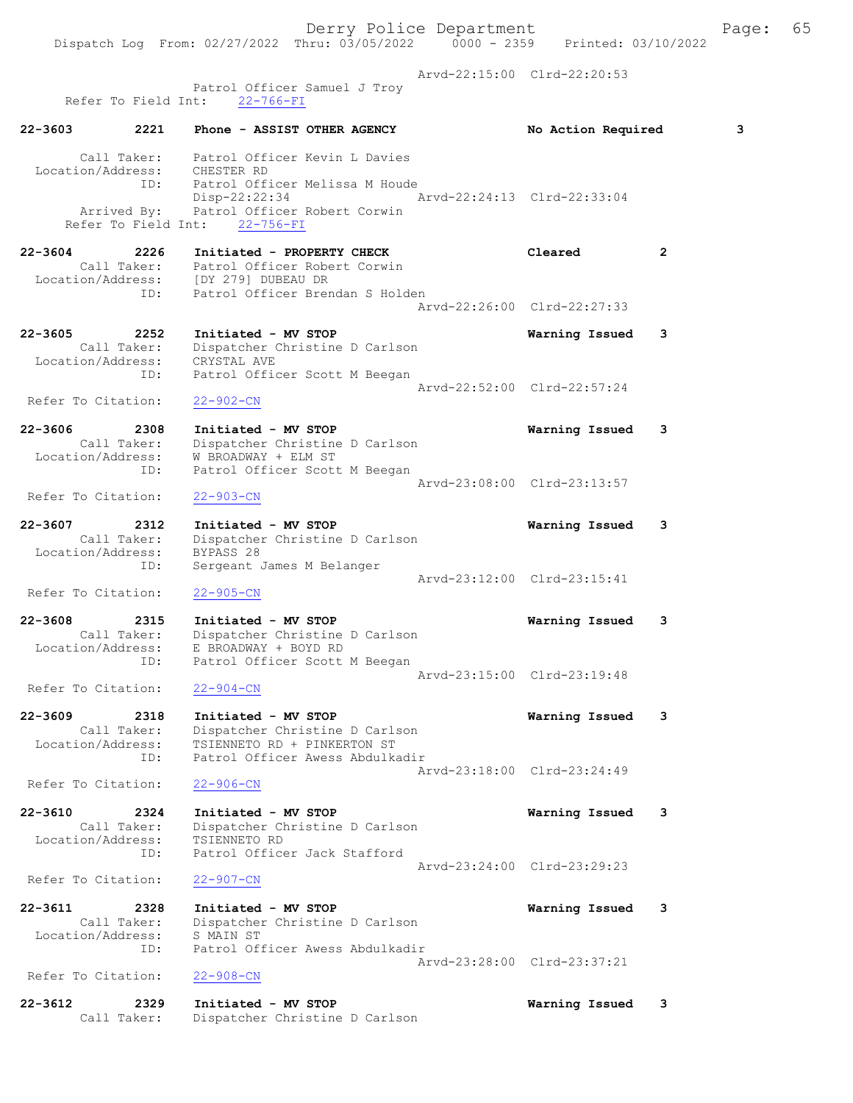Page:  $65$ <br>022

|                                                            | Derry Police Department<br>Dispatch Log From: 02/27/2022 Thru: 03/05/2022 0000 - 2359 Printed: 03/10/2022                   |                             | Pac |
|------------------------------------------------------------|-----------------------------------------------------------------------------------------------------------------------------|-----------------------------|-----|
|                                                            | Patrol Officer Samuel J Troy                                                                                                | Arvd-22:15:00 Clrd-22:20:53 |     |
| Refer To Field Int: 22-766-FI                              |                                                                                                                             |                             |     |
| 2221<br>22-3603                                            | Phone - ASSIST OTHER AGENCY                                                                                                 | No Action Required          | 3   |
| Location/Address: CHESTER RD<br>ID:                        | Call Taker: Patrol Officer Kevin L Davies<br>Patrol Officer Melissa M Houde<br>Arvd-22:24:13 Clrd-22:33:04<br>Disp-22:22:34 |                             |     |
| Refer To Field Int: 22-756-FI                              | Arrived By: Patrol Officer Robert Corwin                                                                                    |                             |     |
| 22-3604<br>2226                                            | Initiated - PROPERTY CHECK                                                                                                  | Cleared<br>2                |     |
| ID:                                                        | Call Taker: Patrol Officer Robert Corwin<br>Location/Address: [DY 279] DUBEAU DR<br>Patrol Officer Brendan S Holden         |                             |     |
|                                                            |                                                                                                                             | Arvd-22:26:00 Clrd-22:27:33 |     |
| 22-3605<br>2252<br>Location/Address: CRYSTAL AVE           | Initiated - MV STOP<br>Call Taker: Dispatcher Christine D Carlson                                                           | Warning Issued<br>3         |     |
| ID:                                                        | Patrol Officer Scott M Beegan                                                                                               | Arvd-22:52:00 Clrd-22:57:24 |     |
| Refer To Citation:                                         | $22 - 902 - CN$                                                                                                             |                             |     |
| 22-3606<br>2308                                            | Initiated - MV STOP                                                                                                         | Warning Issued<br>3         |     |
| Call Taker:<br>Location/Address:<br>ID:                    | Dispatcher Christine D Carlson<br>W BROADWAY + ELM ST<br>Patrol Officer Scott M Beegan                                      |                             |     |
| Refer To Citation:                                         | $22 - 903 - CN$                                                                                                             | Arvd-23:08:00 Clrd-23:13:57 |     |
|                                                            |                                                                                                                             |                             |     |
| 22-3607<br>2312<br>Call Taker:<br>Location/Address:<br>ID: | Initiated - MV STOP<br>Dispatcher Christine D Carlson<br>BYPASS 28<br>Sergeant James M Belanger                             | Warning Issued<br>3         |     |
| Refer To Citation:                                         | $22 - 905 - CN$                                                                                                             | Arvd-23:12:00 Clrd-23:15:41 |     |
| 22-3608<br>2315<br>Call Taker:                             | Initiated - MV STOP<br>Dispatcher Christine D Carlson                                                                       | 3<br>Warning Issued         |     |
| Location/Address:<br>ID:                                   | E BROADWAY + BOYD RD<br>Patrol Officer Scott M Beegan                                                                       |                             |     |
| Refer To Citation:                                         | $22 - 904 - CN$                                                                                                             | Arvd-23:15:00 Clrd-23:19:48 |     |
| 22-3609<br>2318<br>Call Taker:                             | Initiated - MV STOP<br>Dispatcher Christine D Carlson                                                                       | Warning Issued<br>3         |     |
| Location/Address:<br>ID:                                   | TSIENNETO RD + PINKERTON ST<br>Patrol Officer Awess Abdulkadir                                                              | Arvd-23:18:00 Clrd-23:24:49 |     |
| Refer To Citation:                                         | $22 - 906 - CN$                                                                                                             |                             |     |
| 22-3610<br>2324                                            | Initiated - MV STOP                                                                                                         | Warning Issued<br>3         |     |
| Call Taker:<br>Location/Address:<br>ID:                    | Dispatcher Christine D Carlson<br>TSIENNETO RD<br>Patrol Officer Jack Stafford                                              |                             |     |
| Refer To Citation:                                         | $22 - 907 - CN$                                                                                                             | Arvd-23:24:00 Clrd-23:29:23 |     |
| 22-3611<br>2328                                            | Initiated - MV STOP                                                                                                         | Warning Issued<br>3         |     |
| Call Taker:<br>Location/Address:<br>ID:                    | Dispatcher Christine D Carlson<br>S MAIN ST<br>Patrol Officer Awess Abdulkadir                                              |                             |     |
| Refer To Citation:                                         | $22 - 908 - CN$                                                                                                             | Arvd-23:28:00 Clrd-23:37:21 |     |
| 22-3612<br>2329<br>Call Taker:                             | Initiated - MV STOP<br>Dispatcher Christine D Carlson                                                                       | Warning Issued<br>3         |     |